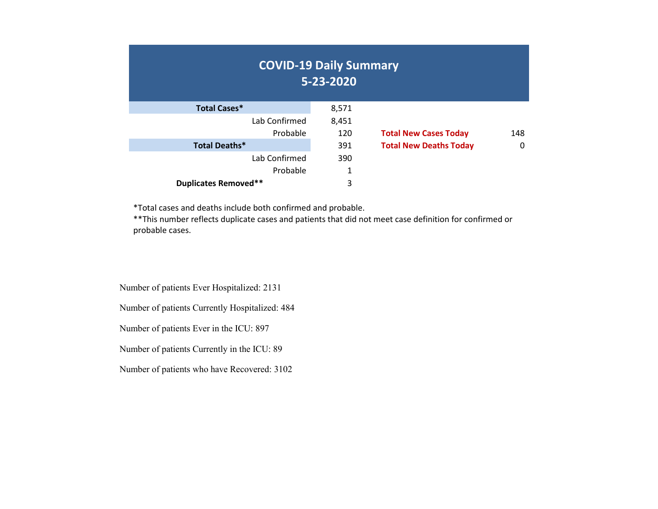| <b>COVID-19 Daily Summary</b> | 5-23-2020 |                               |     |
|-------------------------------|-----------|-------------------------------|-----|
| <b>Total Cases*</b>           | 8,571     |                               |     |
| Lab Confirmed                 | 8,451     |                               |     |
| Probable                      | 120       | <b>Total New Cases Today</b>  | 148 |
| Total Deaths*                 | 391       | <b>Total New Deaths Today</b> | 0   |
| Lab Confirmed                 | 390       |                               |     |
| Probable                      | 1         |                               |     |
| <b>Duplicates Removed**</b>   | 3         |                               |     |

\*Total cases and deaths include both confirmed and probable.

\*\*This number reflects duplicate cases and patients that did not meet case definition for confirmed or probable cases.

Number of patients Ever Hospitalized: 2131

Number of patients Currently Hospitalized: 484

Number of patients Ever in the ICU: 897

Number of patients Currently in the ICU: 89

Number of patients who have Recovered: 3102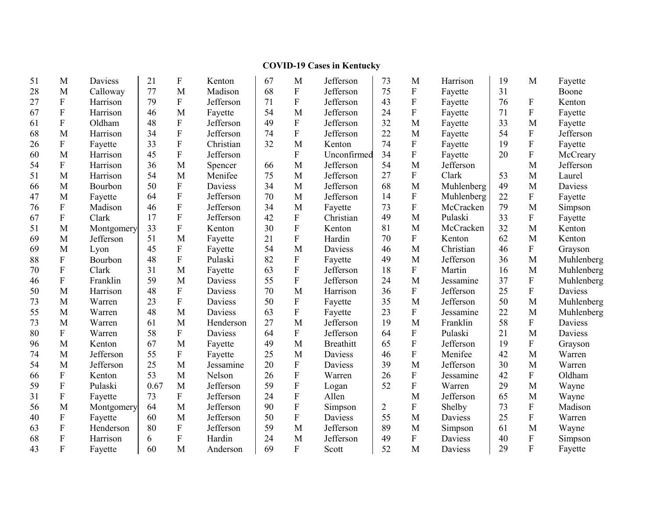#### **COVID -19 Cases in Kentucky**

| 51 | M                         | Daviess    | 21   | $\boldsymbol{\mathrm{F}}$ | Kenton    | 67 | M                         | Jefferson        | 73             | M              | Harrison   | 19 | M                         | Fayette    |
|----|---------------------------|------------|------|---------------------------|-----------|----|---------------------------|------------------|----------------|----------------|------------|----|---------------------------|------------|
| 28 | M                         | Calloway   | 77   | M                         | Madison   | 68 | $\boldsymbol{\mathrm{F}}$ | Jefferson        | 75             | ${\bf F}$      | Fayette    | 31 |                           | Boone      |
| 27 | ${\bf F}$                 | Harrison   | 79   | $\mathbf{F}$              | Jefferson | 71 | $\boldsymbol{\mathrm{F}}$ | Jefferson        | 43             | $\mathbf F$    | Fayette    | 76 | $\mathbf F$               | Kenton     |
| 67 | ${\bf F}$                 | Harrison   | 46   | M                         | Fayette   | 54 | M                         | Jefferson        | 24             | $\overline{F}$ | Fayette    | 71 | $\mathbf F$               | Fayette    |
| 61 | $\mathbf F$               | Oldham     | 48   | $\boldsymbol{\mathrm{F}}$ | Jefferson | 49 | $\mathbf F$               | Jefferson        | 32             | M              | Fayette    | 33 | M                         | Fayette    |
| 68 | M                         | Harrison   | 34   | $\overline{F}$            | Jefferson | 74 | F                         | Jefferson        | 22             | M              | Fayette    | 54 | $\mathbf{F}$              | Jefferson  |
| 26 | ${\bf F}$                 | Fayette    | 33   | $\boldsymbol{\mathrm{F}}$ | Christian | 32 | M                         | Kenton           | 74             | ${\bf F}$      | Fayette    | 19 | ${\bf F}$                 | Fayette    |
| 60 | M                         | Harrison   | 45   | $\mathbf F$               | Jefferson |    | $\boldsymbol{\mathrm{F}}$ | Unconfirmed      | 34             | $\overline{F}$ | Fayette    | 20 | $\overline{F}$            | McCreary   |
| 54 | ${\bf F}$                 | Harrison   | 36   | M                         | Spencer   | 66 | M                         | Jefferson        | 54             | M              | Jefferson  |    | M                         | Jefferson  |
| 51 | M                         | Harrison   | 54   | M                         | Menifee   | 75 | M                         | Jefferson        | 27             | $\mathbf F$    | Clark      | 53 | M                         | Laurel     |
| 66 | M                         | Bourbon    | 50   | ${\bf F}$                 | Daviess   | 34 | M                         | Jefferson        | 68             | M              | Muhlenberg | 49 | M                         | Daviess    |
| 47 | M                         | Fayette    | 64   | ${\bf F}$                 | Jefferson | 70 | M                         | Jefferson        | 14             | ${\bf F}$      | Muhlenberg | 22 | $\boldsymbol{\mathrm{F}}$ | Fayette    |
| 76 | ${\bf F}$                 | Madison    | 46   | $\boldsymbol{\mathrm{F}}$ | Jefferson | 34 | M                         | Fayette          | 73             | ${\bf F}$      | McCracken  | 79 | M                         | Simpson    |
| 67 | ${\bf F}$                 | Clark      | 17   | ${\bf F}$                 | Jefferson | 42 | F                         | Christian        | 49             | M              | Pulaski    | 33 | ${\bf F}$                 | Fayette    |
| 51 | M                         | Montgomery | 33   | $\overline{F}$            | Kenton    | 30 | ${\bf F}$                 | Kenton           | 81             | M              | McCracken  | 32 | M                         | Kenton     |
| 69 | M                         | Jefferson  | 51   | M                         | Fayette   | 21 | $\mathbf F$               | Hardin           | 70             | ${\bf F}$      | Kenton     | 62 | M                         | Kenton     |
| 69 | M                         | Lyon       | 45   | $\boldsymbol{\mathrm{F}}$ | Fayette   | 54 | M                         | Daviess          | 46             | M              | Christian  | 46 | ${\bf F}$                 | Grayson    |
| 88 | ${\bf F}$                 | Bourbon    | 48   | $\mathbf F$               | Pulaski   | 82 | F                         | Fayette          | 49             | M              | Jefferson  | 36 | M                         | Muhlenberg |
| 70 | ${\bf F}$                 | Clark      | 31   | M                         | Fayette   | 63 | $\mathbf F$               | Jefferson        | 18             | ${\bf F}$      | Martin     | 16 | M                         | Muhlenberg |
| 46 | ${\bf F}$                 | Franklin   | 59   | M                         | Daviess   | 55 | $\boldsymbol{\mathrm{F}}$ | Jefferson        | 24             | M              | Jessamine  | 37 | $\boldsymbol{\mathrm{F}}$ | Muhlenberg |
| 50 | M                         | Harrison   | 48   | $\boldsymbol{\mathrm{F}}$ | Daviess   | 70 | M                         | Harrison         | 36             | ${\bf F}$      | Jefferson  | 25 | $\mathbf F$               | Daviess    |
| 73 | M                         | Warren     | 23   | $\boldsymbol{\mathrm{F}}$ | Daviess   | 50 | ${\bf F}$                 | Fayette          | 35             | M              | Jefferson  | 50 | M                         | Muhlenberg |
| 55 | M                         | Warren     | 48   | M                         | Daviess   | 63 | ${\bf F}$                 | Fayette          | 23             | $\mathbf F$    | Jessamine  | 22 | M                         | Muhlenberg |
| 73 | M                         | Warren     | 61   | M                         | Henderson | 27 | M                         | Jefferson        | 19             | M              | Franklin   | 58 | ${\bf F}$                 | Daviess    |
| 80 | ${\bf F}$                 | Warren     | 58   | ${\bf F}$                 | Daviess   | 64 | $\boldsymbol{\mathrm{F}}$ | Jefferson        | 64             | ${\bf F}$      | Pulaski    | 21 | M                         | Daviess    |
| 96 | M                         | Kenton     | 67   | M                         | Fayette   | 49 | M                         | <b>Breathitt</b> | 65             | ${\bf F}$      | Jefferson  | 19 | ${\bf F}$                 | Grayson    |
| 74 | M                         | Jefferson  | 55   | $\boldsymbol{\mathrm{F}}$ | Fayette   | 25 | M                         | Daviess          | 46             | $\mathbf F$    | Menifee    | 42 | M                         | Warren     |
| 54 | M                         | Jefferson  | 25   | M                         | Jessamine | 20 | ${\bf F}$                 | Daviess          | 39             | M              | Jefferson  | 30 | M                         | Warren     |
| 66 | ${\bf F}$                 | Kenton     | 53   | M                         | Nelson    | 26 | $\boldsymbol{\mathrm{F}}$ | Warren           | 26             | $\mathbf F$    | Jessamine  | 42 | $\mathbf{F}$              | Oldham     |
| 59 | ${\bf F}$                 | Pulaski    | 0.67 | M                         | Jefferson | 59 | ${\bf F}$                 | Logan            | 52             | $\rm F$        | Warren     | 29 | $\mathbf M$               | Wayne      |
| 31 | ${\bf F}$                 | Fayette    | 73   | ${\bf F}$                 | Jefferson | 24 | $\boldsymbol{\mathrm{F}}$ | Allen            |                | M              | Jefferson  | 65 | M                         | Wayne      |
| 56 | M                         | Montgomery | 64   | M                         | Jefferson | 90 | F                         | Simpson          | $\overline{2}$ | ${\bf F}$      | Shelby     | 73 | ${\bf F}$                 | Madison    |
| 40 | $\boldsymbol{\mathrm{F}}$ | Fayette    | 60   | M                         | Jefferson | 50 | ${\bf F}$                 | Daviess          | 55             | M              | Daviess    | 25 | ${\bf F}$                 | Warren     |
| 63 | ${\bf F}$                 | Henderson  | 80   | ${\bf F}$                 | Jefferson | 59 | M                         | Jefferson        | 89             | M              | Simpson    | 61 | M                         | Wayne      |
| 68 | ${\bf F}$                 | Harrison   | 6    | ${\bf F}$                 | Hardin    | 24 | M                         | Jefferson        | 49             | ${\bf F}$      | Daviess    | 40 | $\boldsymbol{\mathrm{F}}$ | Simpson    |
| 43 | $\overline{F}$            | Fayette    | 60   | M                         | Anderson  | 69 | F                         | Scott            | 52             | M              | Daviess    | 29 | $\mathbf{F}$              | Fayette    |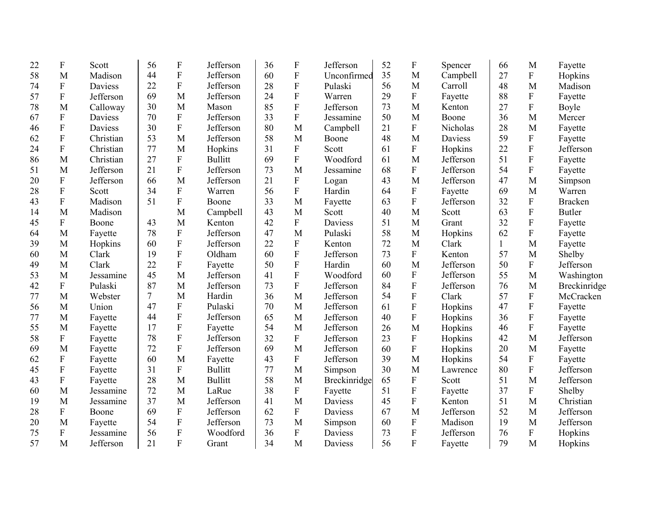| 22 | $\boldsymbol{\mathrm{F}}$ | Scott     | 56     | $\boldsymbol{\mathrm{F}}$ | Jefferson      | 36 | $\boldsymbol{\mathrm{F}}$ | Jefferson      | 52 | $\mathbf F$ | Spencer   | 66           | M                         | Fayette        |
|----|---------------------------|-----------|--------|---------------------------|----------------|----|---------------------------|----------------|----|-------------|-----------|--------------|---------------------------|----------------|
| 58 | M                         | Madison   | 44     | ${\bf F}$                 | Jefferson      | 60 | ${\bf F}$                 | Unconfirmed    | 35 | M           | Campbell  | 27           | ${\bf F}$                 | Hopkins        |
| 74 | ${\bf F}$                 | Daviess   | 22     | ${\bf F}$                 | Jefferson      | 28 | $\boldsymbol{\mathrm{F}}$ | Pulaski        | 56 | M           | Carroll   | 48           | M                         | Madison        |
| 57 | ${\bf F}$                 | Jefferson | 69     | M                         | Jefferson      | 24 | ${\bf F}$                 | Warren         | 29 | ${\bf F}$   | Fayette   | 88           | ${\bf F}$                 | Fayette        |
| 78 | M                         | Calloway  | 30     | M                         | Mason          | 85 | ${\bf F}$                 | Jefferson      | 73 | M           | Kenton    | 27           | ${\bf F}$                 | Boyle          |
| 67 | $\mathbf F$               | Daviess   | 70     | ${\bf F}$                 | Jefferson      | 33 | $\mathbf F$               | Jessamine      | 50 | M           | Boone     | 36           | M                         | Mercer         |
| 46 | ${\bf F}$                 | Daviess   | 30     | $\rm F$                   | Jefferson      | 80 | M                         | Campbell       | 21 | $\rm F$     | Nicholas  | 28           | M                         | Fayette        |
| 62 | ${\bf F}$                 | Christian | 53     | M                         | Jefferson      | 58 | M                         | Boone          | 48 | M           | Daviess   | 59           | ${\bf F}$                 | Fayette        |
| 24 | $\mathbf F$               | Christian | 77     | M                         | Hopkins        | 31 | ${\bf F}$                 | Scott          | 61 | ${\bf F}$   | Hopkins   | 22           | $\overline{F}$            | Jefferson      |
| 86 | M                         | Christian | 27     | ${\bf F}$                 | <b>Bullitt</b> | 69 | ${\bf F}$                 | Woodford       | 61 | M           | Jefferson | 51           | $\mathbf F$               | Fayette        |
| 51 | M                         | Jefferson | 21     | $\overline{F}$            | Jefferson      | 73 | M                         | Jessamine      | 68 | ${\bf F}$   | Jefferson | 54           | $\boldsymbol{\mathrm{F}}$ | Fayette        |
| 20 | ${\bf F}$                 | Jefferson | 66     | M                         | Jefferson      | 21 | ${\bf F}$                 | Logan          | 43 | M           | Jefferson | 47           | M                         | Simpson        |
| 28 | $\mathbf F$               | Scott     | 34     | ${\bf F}$                 | Warren         | 56 | ${\bf F}$                 | Hardin         | 64 | ${\bf F}$   | Fayette   | 69           | M                         | Warren         |
| 43 | ${\bf F}$                 | Madison   | 51     | ${\bf F}$                 | Boone          | 33 | M                         | Fayette        | 63 | ${\bf F}$   | Jefferson | 32           | ${\bf F}$                 | <b>Bracken</b> |
| 14 | M                         | Madison   |        | M                         | Campbell       | 43 | M                         | Scott          | 40 | M           | Scott     | 63           | $\overline{F}$            | <b>Butler</b>  |
| 45 | ${\bf F}$                 | Boone     | 43     | M                         | Kenton         | 42 | ${\bf F}$                 | Daviess        | 51 | M           | Grant     | 32           | ${\bf F}$                 | Fayette        |
| 64 | M                         | Fayette   | 78     | ${\bf F}$                 | Jefferson      | 47 | M                         | Pulaski        | 58 | M           | Hopkins   | 62           | ${\bf F}$                 | Fayette        |
| 39 | $\mathbf M$               | Hopkins   | 60     | $\overline{F}$            | Jefferson      | 22 | ${\bf F}$                 | Kenton         | 72 | M           | Clark     | $\mathbf{1}$ | M                         | Fayette        |
| 60 | M                         | Clark     | 19     | ${\bf F}$                 | Oldham         | 60 | F                         | Jefferson      | 73 | ${\bf F}$   | Kenton    | 57           | M                         | Shelby         |
| 49 | M                         | Clark     | 22     | $\overline{F}$            | Fayette        | 50 | $\overline{F}$            | Hardin         | 60 | M           | Jefferson | 50           | ${\bf F}$                 | Jefferson      |
| 53 | M                         | Jessamine | 45     | M                         | Jefferson      | 41 | $\overline{F}$            | Woodford       | 60 | ${\bf F}$   | Jefferson | 55           | M                         | Washington     |
| 42 | ${\bf F}$                 | Pulaski   | 87     | M                         | Jefferson      | 73 | ${\bf F}$                 | Jefferson      | 84 | ${\bf F}$   | Jefferson | 76           | M                         | Breckinridge   |
| 77 | M                         | Webster   | $\tau$ | M                         | Hardin         | 36 | M                         | Jefferson      | 54 | ${\bf F}$   | Clark     | 57           | ${\bf F}$                 | McCracken      |
| 56 | M                         | Union     | 47     | ${\bf F}$                 | Pulaski        | 70 | M                         | Jefferson      | 61 | ${\bf F}$   | Hopkins   | 47           | $\mathbf F$               | Fayette        |
| 77 | M                         | Fayette   | 44     | ${\bf F}$                 | Jefferson      | 65 | M                         | Jefferson      | 40 | ${\bf F}$   | Hopkins   | 36           | F                         | Fayette        |
| 55 | M                         | Fayette   | 17     | ${\bf F}$                 | Fayette        | 54 | M                         | Jefferson      | 26 | M           | Hopkins   | 46           | ${\bf F}$                 | Fayette        |
| 58 | F                         | Fayette   | 78     | ${\bf F}$                 | Jefferson      | 32 | ${\bf F}$                 | Jefferson      | 23 | $\mathbf F$ | Hopkins   | 42           | M                         | Jefferson      |
| 69 | M                         | Fayette   | 72     | ${\bf F}$                 | Jefferson      | 69 | M                         | Jefferson      | 60 | $\rm F$     | Hopkins   | 20           | M                         | Fayette        |
| 62 | $\boldsymbol{\mathrm{F}}$ | Fayette   | 60     | M                         | Fayette        | 43 | F                         | Jefferson      | 39 | M           | Hopkins   | 54           | $\mathbf F$               | Fayette        |
| 45 | ${\bf F}$                 | Fayette   | 31     | ${\bf F}$                 | <b>Bullitt</b> | 77 | M                         | Simpson        | 30 | M           | Lawrence  | 80           | ${\bf F}$                 | Jefferson      |
| 43 | ${\bf F}$                 | Fayette   | 28     | M                         | <b>Bullitt</b> | 58 | M                         | Breckinridge   | 65 | ${\bf F}$   | Scott     | 51           | M                         | Jefferson      |
| 60 | M                         | Jessamine | 72     | M                         | LaRue          | 38 | ${\bf F}$                 | Fayette        | 51 | ${\bf F}$   | Fayette   | 37           | ${\bf F}$                 | Shelby         |
| 19 | M                         | Jessamine | 37     | M                         | Jefferson      | 41 | M                         | <b>Daviess</b> | 45 | $\rm F$     | Kenton    | 51           | M                         | Christian      |
| 28 | ${\bf F}$                 | Boone     | 69     | ${\bf F}$                 | Jefferson      | 62 | ${\bf F}$                 | Daviess        | 67 | M           | Jefferson | 52           | M                         | Jefferson      |
| 20 | M                         | Fayette   | 54     | ${\bf F}$                 | Jefferson      | 73 | M                         | Simpson        | 60 | $\rm F$     | Madison   | 19           | M                         | Jefferson      |
| 75 | ${\bf F}$                 | Jessamine | 56     | ${\bf F}$                 | Woodford       | 36 | ${\bf F}$                 | Daviess        | 73 | ${\bf F}$   | Jefferson | 76           | ${\bf F}$                 | Hopkins        |
| 57 | M                         | Jefferson | 21     | $\overline{F}$            | Grant          | 34 | M                         | Daviess        | 56 | F           | Fayette   | 79           | M                         | Hopkins        |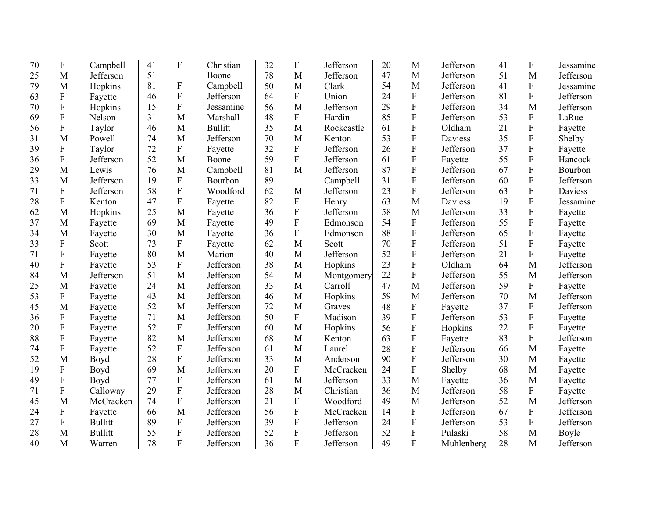| 70 | F                         | Campbell       | 41 | F                | Christian      | 32 | $\boldsymbol{\mathrm{F}}$ | Jefferson  | 20 | M                         | Jefferson      | 41 | $\boldsymbol{\mathrm{F}}$ | Jessamine |
|----|---------------------------|----------------|----|------------------|----------------|----|---------------------------|------------|----|---------------------------|----------------|----|---------------------------|-----------|
| 25 | M                         | Jefferson      | 51 |                  | Boone          | 78 | M                         | Jefferson  | 47 | M                         | Jefferson      | 51 | M                         | Jefferson |
| 79 | M                         | Hopkins        | 81 | $\boldsymbol{F}$ | Campbell       | 50 | M                         | Clark      | 54 | M                         | Jefferson      | 41 | ${\bf F}$                 | Jessamine |
| 63 | ${\bf F}$                 | Fayette        | 46 | ${\bf F}$        | Jefferson      | 64 | $\mathbf{F}$              | Union      | 24 | $\mathbf F$               | Jefferson      | 81 | $\overline{F}$            | Jefferson |
| 70 | ${\bf F}$                 | Hopkins        | 15 | $\overline{F}$   | Jessamine      | 56 | M                         | Jefferson  | 29 | $\boldsymbol{\mathrm{F}}$ | Jefferson      | 34 | M                         | Jefferson |
| 69 | ${\bf F}$                 | Nelson         | 31 | M                | Marshall       | 48 | $\Gamma$                  | Hardin     | 85 | ${\bf F}$                 | Jefferson      | 53 | ${\bf F}$                 | LaRue     |
| 56 | $\mathbf F$               | Taylor         | 46 | M                | <b>Bullitt</b> | 35 | M                         | Rockcastle | 61 | ${\bf F}$                 | Oldham         | 21 | $\overline{F}$            | Fayette   |
| 31 | M                         | Powell         | 74 | M                | Jefferson      | 70 | M                         | Kenton     | 53 | ${\bf F}$                 | <b>Daviess</b> | 35 | $\overline{F}$            | Shelby    |
| 39 | ${\bf F}$                 | Taylor         | 72 | $\mathbf{F}$     | Fayette        | 32 | $\overline{F}$            | Jefferson  | 26 | ${\bf F}$                 | Jefferson      | 37 | $\overline{F}$            | Fayette   |
| 36 | ${\bf F}$                 | Jefferson      | 52 | M                | Boone          | 59 | ${\bf F}$                 | Jefferson  | 61 | ${\bf F}$                 | Fayette        | 55 | $\overline{F}$            | Hancock   |
| 29 | M                         | Lewis          | 76 | M                | Campbell       | 81 | M                         | Jefferson  | 87 | ${\bf F}$                 | Jefferson      | 67 | ${\bf F}$                 | Bourbon   |
| 33 | M                         | Jefferson      | 19 | $\mathbf{F}$     | Bourbon        | 89 |                           | Campbell   | 31 | ${\bf F}$                 | Jefferson      | 60 | $\overline{F}$            | Jefferson |
| 71 | ${\bf F}$                 | Jefferson      | 58 | ${\bf F}$        | Woodford       | 62 | M                         | Jefferson  | 23 | $\mathbf F$               | Jefferson      | 63 | ${\bf F}$                 | Daviess   |
| 28 | $\mathbf F$               | Kenton         | 47 | $\overline{F}$   | Fayette        | 82 | ${\bf F}$                 | Henry      | 63 | M                         | <b>Daviess</b> | 19 | $\overline{F}$            | Jessamine |
| 62 | M                         | Hopkins        | 25 | M                | Fayette        | 36 | ${\bf F}$                 | Jefferson  | 58 | M                         | Jefferson      | 33 | ${\bf F}$                 | Fayette   |
| 37 | M                         | Fayette        | 69 | M                | Fayette        | 49 | $\overline{F}$            | Edmonson   | 54 | $\mathbf F$               | Jefferson      | 55 | $\overline{F}$            | Fayette   |
| 34 | M                         | Fayette        | 30 | M                | Fayette        | 36 | ${\bf F}$                 | Edmonson   | 88 | ${\bf F}$                 | Jefferson      | 65 | ${\bf F}$                 | Fayette   |
| 33 | ${\bf F}$                 | Scott          | 73 | ${\bf F}$        | Fayette        | 62 | M                         | Scott      | 70 | $\boldsymbol{\mathrm{F}}$ | Jefferson      | 51 | $\overline{F}$            | Fayette   |
| 71 | $\boldsymbol{F}$          | Fayette        | 80 | M                | Marion         | 40 | M                         | Jefferson  | 52 | $\overline{F}$            | Jefferson      | 21 | $\mathbf F$               | Fayette   |
| 40 | ${\bf F}$                 | Fayette        | 53 | ${\bf F}$        | Jefferson      | 38 | M                         | Hopkins    | 23 | ${\bf F}$                 | Oldham         | 64 | M                         | Jefferson |
| 84 | M                         | Jefferson      | 51 | M                | Jefferson      | 54 | M                         | Montgomery | 22 | $\overline{F}$            | Jefferson      | 55 | M                         | Jefferson |
| 25 | M                         | Fayette        | 24 | M                | Jefferson      | 33 | M                         | Carroll    | 47 | M                         | Jefferson      | 59 | ${\bf F}$                 | Fayette   |
| 53 | $\boldsymbol{\mathrm{F}}$ | Fayette        | 43 | M                | Jefferson      | 46 | M                         | Hopkins    | 59 | M                         | Jefferson      | 70 | M                         | Jefferson |
| 45 | M                         | Fayette        | 52 | M                | Jefferson      | 72 | M                         | Graves     | 48 | F                         | Fayette        | 37 | ${\bf F}$                 | Jefferson |
| 36 | $\boldsymbol{\mathrm{F}}$ | Fayette        | 71 | M                | Jefferson      | 50 | $\mathbf F$               | Madison    | 39 | ${\bf F}$                 | Jefferson      | 53 | ${\bf F}$                 | Fayette   |
| 20 | $\boldsymbol{\mathrm{F}}$ | Fayette        | 52 | ${\bf F}$        | Jefferson      | 60 | M                         | Hopkins    | 56 | ${\bf F}$                 | Hopkins        | 22 | $\overline{F}$            | Fayette   |
| 88 | $\boldsymbol{\mathrm{F}}$ | Fayette        | 82 | M                | Jefferson      | 68 | M                         | Kenton     | 63 | F                         | Fayette        | 83 | ${\bf F}$                 | Jefferson |
| 74 | ${\bf F}$                 | Fayette        | 52 | $\overline{F}$   | Jefferson      | 61 | M                         | Laurel     | 28 | $\overline{F}$            | Jefferson      | 66 | M                         | Fayette   |
| 52 | M                         | Boyd           | 28 | ${\bf F}$        | Jefferson      | 33 | M                         | Anderson   | 90 | F                         | Jefferson      | 30 | M                         | Fayette   |
| 19 | ${\bf F}$                 | Boyd           | 69 | M                | Jefferson      | 20 | $\mathbf{F}$              | McCracken  | 24 | ${\bf F}$                 | Shelby         | 68 | M                         | Fayette   |
| 49 | $\boldsymbol{\mathrm{F}}$ | Boyd           | 77 | ${\bf F}$        | Jefferson      | 61 | M                         | Jefferson  | 33 | M                         | Fayette        | 36 | M                         | Fayette   |
| 71 | ${\bf F}$                 | Calloway       | 29 | ${\bf F}$        | Jefferson      | 28 | M                         | Christian  | 36 | M                         | Jefferson      | 58 | ${\bf F}$                 | Fayette   |
| 45 | M                         | McCracken      | 74 | $\overline{F}$   | Jefferson      | 21 | $\overline{F}$            | Woodford   | 49 | M                         | Jefferson      | 52 | M                         | Jefferson |
| 24 | $\boldsymbol{\mathrm{F}}$ | Fayette        | 66 | M                | Jefferson      | 56 | $\overline{F}$            | McCracken  | 14 | ${\bf F}$                 | Jefferson      | 67 | ${\bf F}$                 | Jefferson |
| 27 | ${\bf F}$                 | <b>Bullitt</b> | 89 | ${\bf F}$        | Jefferson      | 39 | $\overline{F}$            | Jefferson  | 24 | F                         | Jefferson      | 53 | F                         | Jefferson |
| 28 | M                         | <b>Bullitt</b> | 55 | ${\bf F}$        | Jefferson      | 52 | $\mathbf F$               | Jefferson  | 52 | ${\bf F}$                 | Pulaski        | 58 | M                         | Boyle     |
| 40 | M                         | Warren         | 78 | $\overline{F}$   | Jefferson      | 36 | $\overline{F}$            | Jefferson  | 49 | $\overline{F}$            | Muhlenberg     | 28 | M                         | Jefferson |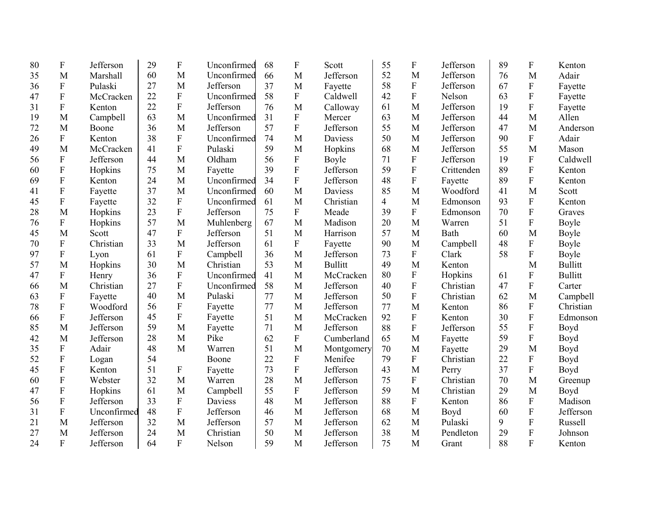| 80 | F                         | Jefferson   | 29 | F                         | Unconfirmed | 68 | ${\bf F}$        | Scott          | 55 | F                         | Jefferson  | 89 | F                         | Kenton         |
|----|---------------------------|-------------|----|---------------------------|-------------|----|------------------|----------------|----|---------------------------|------------|----|---------------------------|----------------|
| 35 | M                         | Marshall    | 60 | M                         | Unconfirmed | 66 | M                | Jefferson      | 52 | M                         | Jefferson  | 76 | M                         | Adair          |
| 36 | ${\bf F}$                 | Pulaski     | 27 | M                         | Jefferson   | 37 | M                | Fayette        | 58 | ${\bf F}$                 | Jefferson  | 67 | ${\bf F}$                 | Fayette        |
| 47 | ${\bf F}$                 | McCracken   | 22 | ${\bf F}$                 | Unconfirmed | 58 | $\mathbf{F}$     | Caldwell       | 42 | $\mathbf F$               | Nelson     | 63 | ${\bf F}$                 | Fayette        |
| 31 | ${\bf F}$                 | Kenton      | 22 | ${\bf F}$                 | Jefferson   | 76 | M                | Calloway       | 61 | M                         | Jefferson  | 19 | $\mathbf F$               | Fayette        |
| 19 | M                         | Campbell    | 63 | M                         | Unconfirmed | 31 | $\mathbf{F}$     | Mercer         | 63 | M                         | Jefferson  | 44 | M                         | Allen          |
| 72 | M                         | Boone       | 36 | M                         | Jefferson   | 57 | $\overline{F}$   | Jefferson      | 55 | M                         | Jefferson  | 47 | M                         | Anderson       |
| 26 | $\mathbf F$               | Kenton      | 38 | ${\bf F}$                 | Unconfirmed | 74 | M                | Daviess        | 50 | M                         | Jefferson  | 90 | $\boldsymbol{\mathrm{F}}$ | Adair          |
| 49 | M                         | McCracken   | 41 | $\mathbf{F}$              | Pulaski     | 59 | M                | Hopkins        | 68 | M                         | Jefferson  | 55 | M                         | Mason          |
| 56 | ${\bf F}$                 | Jefferson   | 44 | M                         | Oldham      | 56 | ${\bf F}$        | Boyle          | 71 | ${\bf F}$                 | Jefferson  | 19 | ${\bf F}$                 | Caldwell       |
| 60 | F                         | Hopkins     | 75 | M                         | Fayette     | 39 | $\overline{F}$   | Jefferson      | 59 | $\mathbf F$               | Crittenden | 89 | $\overline{F}$            | Kenton         |
| 69 | $\mathbf F$               | Kenton      | 24 | M                         | Unconfirmed | 34 | ${\bf F}$        | Jefferson      | 48 | ${\bf F}$                 | Fayette    | 89 | $\mathbf F$               | Kenton         |
| 41 | $\mathbf F$               | Fayette     | 37 | M                         | Unconfirmed | 60 | M                | Daviess        | 85 | M                         | Woodford   | 41 | M                         | Scott          |
| 45 | ${\bf F}$                 | Fayette     | 32 | ${\bf F}$                 | Unconfirmed | 61 | M                | Christian      | 4  | M                         | Edmonson   | 93 | ${\bf F}$                 | Kenton         |
| 28 | M                         | Hopkins     | 23 | $\overline{F}$            | Jefferson   | 75 | $\mathbf{F}$     | Meade          | 39 | $\mathbf F$               | Edmonson   | 70 | $\overline{F}$            | Graves         |
| 76 | ${\bf F}$                 | Hopkins     | 57 | M                         | Muhlenberg  | 67 | M                | Madison        | 20 | M                         | Warren     | 51 | $\boldsymbol{\mathrm{F}}$ | Boyle          |
| 45 | M                         | Scott       | 47 | $\boldsymbol{\mathrm{F}}$ | Jefferson   | 51 | M                | Harrison       | 57 | M                         | Bath       | 60 | M                         | Boyle          |
| 70 | $\boldsymbol{\mathrm{F}}$ | Christian   | 33 | M                         | Jefferson   | 61 | $\mathbf{F}$     | Fayette        | 90 | M                         | Campbell   | 48 | ${\bf F}$                 | Boyle          |
| 97 | ${\bf F}$                 | Lyon        | 61 | $\boldsymbol{\mathrm{F}}$ | Campbell    | 36 | M                | Jefferson      | 73 | ${\bf F}$                 | Clark      | 58 | $\mathbf F$               | Boyle          |
| 57 | M                         | Hopkins     | 30 | M                         | Christian   | 53 | M                | <b>Bullitt</b> | 49 | M                         | Kenton     |    | M                         | <b>Bullitt</b> |
| 47 | $\boldsymbol{\mathrm{F}}$ | Henry       | 36 | $\mathbf F$               | Unconfirmed | 41 | M                | McCracken      | 80 | $\boldsymbol{\mathrm{F}}$ | Hopkins    | 61 | ${\bf F}$                 | <b>Bullitt</b> |
| 66 | M                         | Christian   | 27 | ${\bf F}$                 | Unconfirmed | 58 | M                | Jefferson      | 40 | $\overline{F}$            | Christian  | 47 | F                         | Carter         |
| 63 | $\boldsymbol{\mathrm{F}}$ | Fayette     | 40 | M                         | Pulaski     | 77 | M                | Jefferson      | 50 | ${\bf F}$                 | Christian  | 62 | M                         | Campbell       |
| 78 | ${\bf F}$                 | Woodford    | 56 | $\boldsymbol{\mathrm{F}}$ | Fayette     | 77 | M                | Jefferson      | 77 | M                         | Kenton     | 86 | ${\bf F}$                 | Christian      |
| 66 | $\boldsymbol{\mathrm{F}}$ | Jefferson   | 45 | $\boldsymbol{\mathrm{F}}$ | Fayette     | 51 | M                | McCracken      | 92 | ${\bf F}$                 | Kenton     | 30 | ${\bf F}$                 | Edmonson       |
| 85 | M                         | Jefferson   | 59 | M                         | Fayette     | 71 | M                | Jefferson      | 88 | $\mathbf F$               | Jefferson  | 55 | $\mathbf F$               | Boyd           |
| 42 | M                         | Jefferson   | 28 | M                         | Pike        | 62 | $\boldsymbol{F}$ | Cumberland     | 65 | M                         | Fayette    | 59 | $\mathbf F$               | Boyd           |
| 35 | $\boldsymbol{\mathrm{F}}$ | Adair       | 48 | M                         | Warren      | 51 | M                | Montgomery     | 70 | M                         | Fayette    | 29 | M                         | Boyd           |
| 52 | $\boldsymbol{\mathrm{F}}$ | Logan       | 54 |                           | Boone       | 22 | $\overline{F}$   | Menifee        | 79 | $\boldsymbol{\mathrm{F}}$ | Christian  | 22 | $\overline{F}$            | Boyd           |
| 45 | $\boldsymbol{\mathrm{F}}$ | Kenton      | 51 | $\boldsymbol{\mathrm{F}}$ | Fayette     | 73 | $\mathbf{F}$     | Jefferson      | 43 | M                         | Perry      | 37 | $\mathbf F$               | Boyd           |
| 60 | ${\bf F}$                 | Webster     | 32 | M                         | Warren      | 28 | M                | Jefferson      | 75 | ${\bf F}$                 | Christian  | 70 | M                         | Greenup        |
| 47 | $\boldsymbol{\mathrm{F}}$ | Hopkins     | 61 | M                         | Campbell    | 55 | ${\bf F}$        | Jefferson      | 59 | M                         | Christian  | 29 | M                         | Boyd           |
| 56 | ${\bf F}$                 | Jefferson   | 33 | ${\bf F}$                 | Daviess     | 48 | M                | Jefferson      | 88 | ${\bf F}$                 | Kenton     | 86 | $\mathbf F$               | Madison        |
| 31 | ${\bf F}$                 | Unconfirmed | 48 | ${\bf F}$                 | Jefferson   | 46 | M                | Jefferson      | 68 | M                         | Boyd       | 60 | ${\bf F}$                 | Jefferson      |
| 21 | M                         | Jefferson   | 32 | M                         | Jefferson   | 57 | M                | Jefferson      | 62 | M                         | Pulaski    | 9  | $\mathbf F$               | Russell        |
| 27 | M                         | Jefferson   | 24 | M                         | Christian   | 50 | M                | Jefferson      | 38 | M                         | Pendleton  | 29 | ${\bf F}$                 | Johnson        |
| 24 | F                         | Jefferson   | 64 | $\mathbf{F}$              | Nelson      | 59 | M                | Jefferson      | 75 | M                         | Grant      | 88 | $\mathbf{F}$              | Kenton         |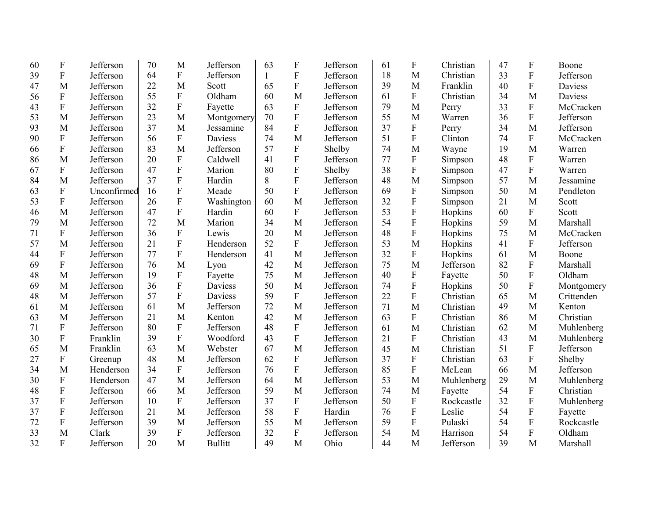| 60 | ${\bf F}$                 | Jefferson   | 70 | M                         | Jefferson      | 63           | $\mathbf{F}$              | Jefferson | 61 | $\boldsymbol{F}$ | Christian  | 47 | F                         | Boone          |
|----|---------------------------|-------------|----|---------------------------|----------------|--------------|---------------------------|-----------|----|------------------|------------|----|---------------------------|----------------|
| 39 | ${\bf F}$                 | Jefferson   | 64 | $\mathbf F$               | Jefferson      | $\mathbf{1}$ | $\mathbf F$               | Jefferson | 18 | M                | Christian  | 33 | $\mathbf F$               | Jefferson      |
| 47 | M                         | Jefferson   | 22 | M                         | Scott          | 65           | ${\bf F}$                 | Jefferson | 39 | M                | Franklin   | 40 | $\mathbf F$               | Daviess        |
| 56 | ${\bf F}$                 | Jefferson   | 55 | $\mathbf F$               | Oldham         | 60           | M                         | Jefferson | 61 | $\mathbf F$      | Christian  | 34 | M                         | <b>Daviess</b> |
| 43 | ${\bf F}$                 | Jefferson   | 32 | $\mathbf F$               | Fayette        | 63           | $\boldsymbol{\mathrm{F}}$ | Jefferson | 79 | M                | Perry      | 33 | $\mathbf F$               | McCracken      |
| 53 | M                         | Jefferson   | 23 | M                         | Montgomery     | 70           | $\overline{F}$            | Jefferson | 55 | M                | Warren     | 36 | $\overline{F}$            | Jefferson      |
| 93 | M                         | Jefferson   | 37 | M                         | Jessamine      | 84           | $\boldsymbol{\mathrm{F}}$ | Jefferson | 37 | $\overline{F}$   | Perry      | 34 | M                         | Jefferson      |
| 90 | ${\bf F}$                 | Jefferson   | 56 | $\overline{F}$            | Daviess        | 74           | M                         | Jefferson | 51 | $\overline{F}$   | Clinton    | 74 | $\mathbf{F}$              | McCracken      |
| 66 | ${\bf F}$                 | Jefferson   | 83 | M                         | Jefferson      | 57           | F                         | Shelby    | 74 | M                | Wayne      | 19 | M                         | Warren         |
| 86 | M                         | Jefferson   | 20 | $\overline{F}$            | Caldwell       | 41           | ${\bf F}$                 | Jefferson | 77 | $\overline{F}$   | Simpson    | 48 | $\mathbf{F}$              | Warren         |
| 67 | ${\bf F}$                 | Jefferson   | 47 | $\overline{F}$            | Marion         | 80           | ${\bf F}$                 | Shelby    | 38 | $\overline{F}$   | Simpson    | 47 | $\overline{F}$            | Warren         |
| 84 | M                         | Jefferson   | 37 | ${\bf F}$                 | Hardin         | 8            | ${\bf F}$                 | Jefferson | 48 | M                | Simpson    | 57 | M                         | Jessamine      |
| 63 | ${\bf F}$                 | Unconfirmed | 16 | $\overline{F}$            | Meade          | 50           | F                         | Jefferson | 69 | $\overline{F}$   | Simpson    | 50 | M                         | Pendleton      |
| 53 | ${\bf F}$                 | Jefferson   | 26 | ${\bf F}$                 | Washington     | 60           | M                         | Jefferson | 32 | $\overline{F}$   | Simpson    | 21 | M                         | Scott          |
| 46 | M                         | Jefferson   | 47 | $\overline{F}$            | Hardin         | 60           | $\mathbf{F}$              | Jefferson | 53 | $\overline{F}$   | Hopkins    | 60 | $\mathbf F$               | Scott          |
| 79 | M                         | Jefferson   | 72 | M                         | Marion         | 34           | M                         | Jefferson | 54 | $\overline{F}$   | Hopkins    | 59 | M                         | Marshall       |
| 71 | ${\bf F}$                 | Jefferson   | 36 | $\mathbf F$               | Lewis          | 20           | M                         | Jefferson | 48 | $\overline{F}$   | Hopkins    | 75 | M                         | McCracken      |
| 57 | M                         | Jefferson   | 21 | $\overline{F}$            | Henderson      | 52           | $\boldsymbol{F}$          | Jefferson | 53 | M                | Hopkins    | 41 | $\mathbf F$               | Jefferson      |
| 44 | ${\bf F}$                 | Jefferson   | 77 | $\mathbf F$               | Henderson      | 41           | M                         | Jefferson | 32 | $\mathbf F$      | Hopkins    | 61 | M                         | Boone          |
| 69 | $\mathbf{F}$              | Jefferson   | 76 | M                         | Lyon           | 42           | M                         | Jefferson | 75 | M                | Jefferson  | 82 | $\overline{F}$            | Marshall       |
| 48 | M                         | Jefferson   | 19 | $\boldsymbol{\mathrm{F}}$ | Fayette        | 75           | M                         | Jefferson | 40 | $\mathbf F$      | Fayette    | 50 | $\overline{F}$            | Oldham         |
| 69 | M                         | Jefferson   | 36 | F                         | <b>Daviess</b> | 50           | M                         | Jefferson | 74 | $\overline{F}$   | Hopkins    | 50 | F                         | Montgomery     |
| 48 | M                         | Jefferson   | 57 | $\mathbf F$               | Daviess        | 59           | ${\bf F}$                 | Jefferson | 22 | $\overline{F}$   | Christian  | 65 | M                         | Crittenden     |
| 61 | M                         | Jefferson   | 61 | M                         | Jefferson      | 72           | M                         | Jefferson | 71 | M                | Christian  | 49 | M                         | Kenton         |
| 63 | M                         | Jefferson   | 21 | M                         | Kenton         | 42           | M                         | Jefferson | 63 | ${\bf F}$        | Christian  | 86 | M                         | Christian      |
| 71 | ${\bf F}$                 | Jefferson   | 80 | $\boldsymbol{\mathrm{F}}$ | Jefferson      | 48           | $\mathbf{F}$              | Jefferson | 61 | M                | Christian  | 62 | M                         | Muhlenberg     |
| 30 | $\boldsymbol{\mathrm{F}}$ | Franklin    | 39 | ${\bf F}$                 | Woodford       | 43           | ${\bf F}$                 | Jefferson | 21 | ${\bf F}$        | Christian  | 43 | M                         | Muhlenberg     |
| 65 | M                         | Franklin    | 63 | M                         | Webster        | 67           | M                         | Jefferson | 45 | M                | Christian  | 51 | ${\bf F}$                 | Jefferson      |
| 27 | $\boldsymbol{\mathrm{F}}$ | Greenup     | 48 | M                         | Jefferson      | 62           | ${\bf F}$                 | Jefferson | 37 | $\overline{F}$   | Christian  | 63 | $\boldsymbol{\mathrm{F}}$ | Shelby         |
| 34 | M                         | Henderson   | 34 | $\boldsymbol{\mathrm{F}}$ | Jefferson      | 76           | ${\bf F}$                 | Jefferson | 85 | $\overline{F}$   | McLean     | 66 | M                         | Jefferson      |
| 30 | ${\bf F}$                 | Henderson   | 47 | M                         | Jefferson      | 64           | M                         | Jefferson | 53 | M                | Muhlenberg | 29 | M                         | Muhlenberg     |
| 48 | ${\bf F}$                 | Jefferson   | 66 | M                         | Jefferson      | 59           | M                         | Jefferson | 74 | M                | Fayette    | 54 | $\mathbf F$               | Christian      |
| 37 | ${\bf F}$                 | Jefferson   | 10 | ${\bf F}$                 | Jefferson      | 37           | $\rm F$                   | Jefferson | 50 | $\overline{F}$   | Rockcastle | 32 | F                         | Muhlenberg     |
| 37 | ${\bf F}$                 | Jefferson   | 21 | M                         | Jefferson      | 58           | ${\bf F}$                 | Hardin    | 76 | $\mathbf F$      | Leslie     | 54 | ${\bf F}$                 | Fayette        |
| 72 | ${\bf F}$                 | Jefferson   | 39 | M                         | Jefferson      | 55           | M                         | Jefferson | 59 | $\mathbf F$      | Pulaski    | 54 | F                         | Rockcastle     |
| 33 | M                         | Clark       | 39 | ${\bf F}$                 | Jefferson      | 32           | ${\bf F}$                 | Jefferson | 54 | M                | Harrison   | 54 | $\overline{F}$            | Oldham         |
| 32 | $\overline{F}$            | Jefferson   | 20 | M                         | <b>Bullitt</b> | 49           | M                         | Ohio      | 44 | M                | Jefferson  | 39 | M                         | Marshall       |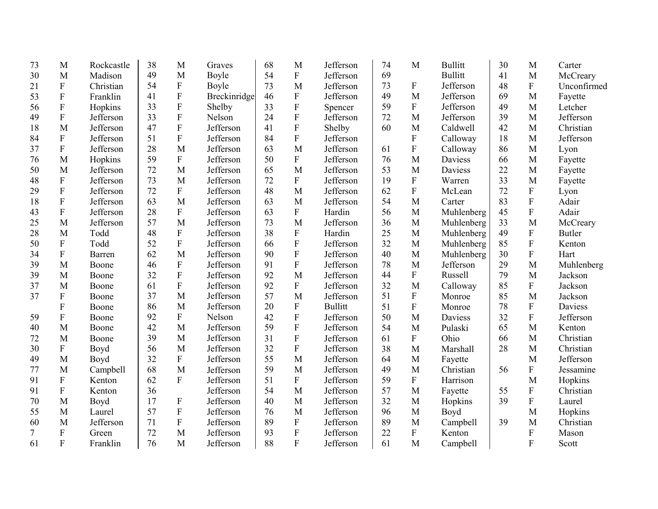| 73 | M                         | Rockcastle | 38 | M                         | Graves       | 68 | M                         | Jefferson      | 74 | M                         | <b>Bullitt</b> | 30 | M              | Carter        |
|----|---------------------------|------------|----|---------------------------|--------------|----|---------------------------|----------------|----|---------------------------|----------------|----|----------------|---------------|
| 30 | M                         | Madison    | 49 | M                         | Boyle        | 54 | ${\bf F}$                 | Jefferson      | 69 |                           | <b>Bullitt</b> | 41 | M              | McCreary      |
| 21 | $\boldsymbol{\mathrm{F}}$ | Christian  | 54 | ${\bf F}$                 | Boyle        | 73 | M                         | Jefferson      | 73 | $\boldsymbol{\mathrm{F}}$ | Jefferson      | 48 | ${\bf F}$      | Unconfirmed   |
| 53 | ${\bf F}$                 | Franklin   | 41 | ${\bf F}$                 | Breckinridge | 46 | ${\bf F}$                 | Jefferson      | 49 | M                         | Jefferson      | 69 | M              | Fayette       |
| 56 | ${\bf F}$                 | Hopkins    | 33 | $\overline{F}$            | Shelby       | 33 | ${\bf F}$                 | Spencer        | 59 | $\mathbf F$               | Jefferson      | 49 | M              | Letcher       |
| 49 | ${\bf F}$                 | Jefferson  | 33 | $\boldsymbol{\mathrm{F}}$ | Nelson       | 24 | $\mathbf F$               | Jefferson      | 72 | M                         | Jefferson      | 39 | M              | Jefferson     |
| 18 | M                         | Jefferson  | 47 | ${\bf F}$                 | Jefferson    | 41 | $\overline{F}$            | Shelby         | 60 | M                         | Caldwell       | 42 | M              | Christian     |
| 84 | $\boldsymbol{\mathrm{F}}$ | Jefferson  | 51 | ${\bf F}$                 | Jefferson    | 84 | ${\bf F}$                 | Jefferson      |    | ${\bf F}$                 | Calloway       | 18 | M              | Jefferson     |
| 37 | ${\bf F}$                 | Jefferson  | 28 | M                         | Jefferson    | 63 | M                         | Jefferson      | 61 | ${\bf F}$                 | Calloway       | 86 | M              | Lyon          |
| 76 | M                         | Hopkins    | 59 | $\mathbf{F}$              | Jefferson    | 50 | $\rm F$                   | Jefferson      | 76 | M                         | Daviess        | 66 | M              | Fayette       |
| 50 | M                         | Jefferson  | 72 | M                         | Jefferson    | 65 | M                         | Jefferson      | 53 | M                         | Daviess        | 22 | M              | Fayette       |
| 48 | $\boldsymbol{\mathrm{F}}$ | Jefferson  | 73 | M                         | Jefferson    | 72 | ${\bf F}$                 | Jefferson      | 19 | ${\bf F}$                 | Warren         | 33 | M              | Fayette       |
| 29 | $\boldsymbol{\mathrm{F}}$ | Jefferson  | 72 | ${\bf F}$                 | Jefferson    | 48 | M                         | Jefferson      | 62 | $\mathbf F$               | McLean         | 72 | ${\bf F}$      | Lyon          |
| 18 | ${\bf F}$                 | Jefferson  | 63 | M                         | Jefferson    | 63 | M                         | Jefferson      | 54 | M                         | Carter         | 83 | $\mathbf F$    | Adair         |
| 43 | F                         | Jefferson  | 28 | $\mathbf{F}$              | Jefferson    | 63 | $\boldsymbol{\mathrm{F}}$ | Hardin         | 56 | M                         | Muhlenberg     | 45 | $\overline{F}$ | Adair         |
| 25 | M                         | Jefferson  | 57 | M                         | Jefferson    | 73 | M                         | Jefferson      | 36 | M                         | Muhlenberg     | 33 | M              | McCreary      |
| 28 | M                         | Todd       | 48 | ${\bf F}$                 | Jefferson    | 38 | $\boldsymbol{\mathrm{F}}$ | Hardin         | 25 | M                         | Muhlenberg     | 49 | ${\bf F}$      | <b>Butler</b> |
| 50 | $\boldsymbol{\mathrm{F}}$ | Todd       | 52 | ${\bf F}$                 | Jefferson    | 66 | ${\bf F}$                 | Jefferson      | 32 | M                         | Muhlenberg     | 85 | ${\bf F}$      | Kenton        |
| 34 | $\boldsymbol{\mathrm{F}}$ | Barren     | 62 | M                         | Jefferson    | 90 | $\mathbf F$               | Jefferson      | 40 | M                         | Muhlenberg     | 30 | ${\bf F}$      | Hart          |
| 39 | M                         | Boone      | 46 | $\mathbf{F}$              | Jefferson    | 91 | $\overline{F}$            | Jefferson      | 78 | M                         | Jefferson      | 29 | M              | Muhlenberg    |
| 39 | M                         | Boone      | 32 | $\mathbf{F}$              | Jefferson    | 92 | M                         | Jefferson      | 44 | ${\bf F}$                 | Russell        | 79 | M              | Jackson       |
| 37 | M                         | Boone      | 61 | $\mathbf{F}$              | Jefferson    | 92 | ${\bf F}$                 | Jefferson      | 32 | M                         | Calloway       | 85 | $\mathbf F$    | Jackson       |
| 37 | F                         | Boone      | 37 | M                         | Jefferson    | 57 | M                         | Jefferson      | 51 | $\boldsymbol{\mathrm{F}}$ | Monroe         | 85 | M              | Jackson       |
|    | $\mathbf F$               | Boone      | 86 | M                         | Jefferson    | 20 | ${\bf F}$                 | <b>Bullitt</b> | 51 | ${\bf F}$                 | Monroe         | 78 | ${\bf F}$      | Daviess       |
| 59 | $\mathbf F$               | Boone      | 92 | $\mathbf{F}$              | Nelson       | 42 | $\mathbf F$               | Jefferson      | 50 | M                         | Daviess        | 32 | $\mathbf F$    | Jefferson     |
| 40 | M                         | Boone      | 42 | M                         | Jefferson    | 59 | ${\bf F}$                 | Jefferson      | 54 | M                         | Pulaski        | 65 | M              | Kenton        |
| 72 | M                         | Boone      | 39 | M                         | Jefferson    | 31 | $\mathbf F$               | Jefferson      | 61 | $\mathbf F$               | Ohio           | 66 | M              | Christian     |
| 30 | $\boldsymbol{\mathrm{F}}$ | Boyd       | 56 | M                         | Jefferson    | 32 | ${\bf F}$                 | Jefferson      | 38 | M                         | Marshall       | 28 | M              | Christian     |
| 49 | M                         | Boyd       | 32 | ${\bf F}$                 | Jefferson    | 55 | M                         | Jefferson      | 64 | M                         | Fayette        |    | M              | Jefferson     |
| 77 | M                         | Campbell   | 68 | M                         | Jefferson    | 59 | M                         | Jefferson      | 49 | M                         | Christian      | 56 | $\mathbf F$    | Jessamine     |
| 91 | $\boldsymbol{\mathrm{F}}$ | Kenton     | 62 | $\mathbf{F}$              | Jefferson    | 51 | ${\bf F}$                 | Jefferson      | 59 | ${\bf F}$                 | Harrison       |    | M              | Hopkins       |
| 91 | $\boldsymbol{\mathrm{F}}$ | Kenton     | 36 |                           | Jefferson    | 54 | M                         | Jefferson      | 57 | M                         | Fayette        | 55 | ${\bf F}$      | Christian     |
| 70 | M                         | Boyd       | 17 | ${\bf F}$                 | Jefferson    | 40 | M                         | Jefferson      | 32 | M                         | Hopkins        | 39 | ${\bf F}$      | Laurel        |
| 55 | M                         | Laurel     | 57 | ${\bf F}$                 | Jefferson    | 76 | M                         | Jefferson      | 96 | M                         | Boyd           |    | M              | Hopkins       |
| 60 | M                         | Jefferson  | 71 | ${\bf F}$                 | Jefferson    | 89 | ${\bf F}$                 | Jefferson      | 89 | M                         | Campbell       | 39 | M              | Christian     |
| 7  | $\boldsymbol{\mathrm{F}}$ | Green      | 72 | M                         | Jefferson    | 93 | ${\bf F}$                 | Jefferson      | 22 | ${\bf F}$                 | Kenton         |    | $\overline{F}$ | Mason         |
| 61 | $\mathbf{F}$              | Franklin   | 76 | M                         | Jefferson    | 88 | F                         | Jefferson      | 61 | M                         | Campbell       |    | F              | Scott         |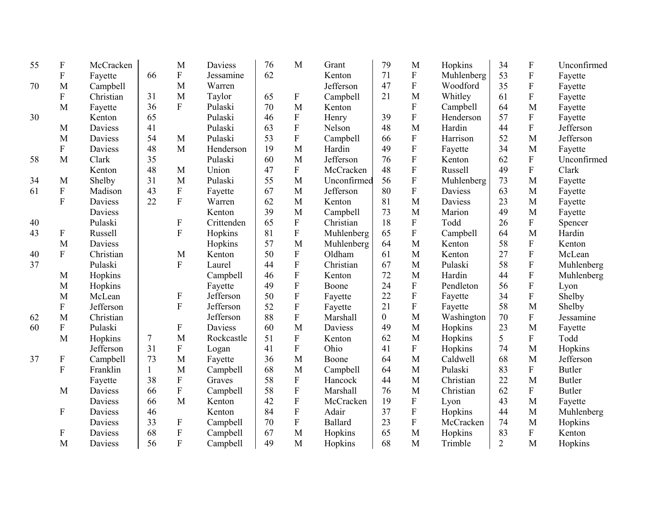| 55 | $\boldsymbol{\mathrm{F}}$ | McCracken      |              | M                         | Daviess    | 76 | M                         | Grant          | 79             | M                         | Hopkins    | 34             | $\mathbf F$    | Unconfirmed   |
|----|---------------------------|----------------|--------------|---------------------------|------------|----|---------------------------|----------------|----------------|---------------------------|------------|----------------|----------------|---------------|
|    | ${\bf F}$                 | Fayette        | 66           | ${\bf F}$                 | Jessamine  | 62 |                           | Kenton         | 71             | ${\bf F}$                 | Muhlenberg | 53             | ${\bf F}$      | Fayette       |
| 70 | M                         | Campbell       |              | M                         | Warren     |    |                           | Jefferson      | 47             | ${\bf F}$                 | Woodford   | 35             | ${\bf F}$      | Fayette       |
|    | $\mathbf F$               | Christian      | 31           | M                         | Taylor     | 65 | $\boldsymbol{\mathrm{F}}$ | Campbell       | 21             | M                         | Whitley    | 61             | ${\bf F}$      | Fayette       |
|    | M                         | Fayette        | 36           | F                         | Pulaski    | 70 | M                         | Kenton         |                | $\mathbf F$               | Campbell   | 64             | M              | Fayette       |
| 30 |                           | Kenton         | 65           |                           | Pulaski    | 46 | ${\bf F}$                 | Henry          | 39             | $\mathbf F$               | Henderson  | 57             | ${\bf F}$      | Fayette       |
|    | M                         | <b>Daviess</b> | 41           |                           | Pulaski    | 63 | $\rm F$                   | Nelson         | 48             | M                         | Hardin     | 44             | $\overline{F}$ | Jefferson     |
|    | M                         | Daviess        | 54           | M                         | Pulaski    | 53 | ${\bf F}$                 | Campbell       | 66             | ${\bf F}$                 | Harrison   | 52             | M              | Jefferson     |
|    | ${\bf F}$                 | Daviess        | 48           | M                         | Henderson  | 19 | M                         | Hardin         | 49             | $\rm F$                   | Fayette    | 34             | M              | Fayette       |
| 58 | M                         | Clark          | 35           |                           | Pulaski    | 60 | M                         | Jefferson      | 76             | ${\bf F}$                 | Kenton     | 62             | ${\bf F}$      | Unconfirmed   |
|    |                           | Kenton         | 48           | M                         | Union      | 47 | F                         | McCracken      | 48             | $\overline{F}$            | Russell    | 49             | $\mathbf F$    | Clark         |
| 34 | M                         | Shelby         | 31           | M                         | Pulaski    | 55 | M                         | Unconfirmed    | 56             | $\overline{F}$            | Muhlenberg | 73             | M              | Fayette       |
| 61 | ${\bf F}$                 | Madison        | 43           | ${\bf F}$                 | Fayette    | 67 | M                         | Jefferson      | 80             | $\boldsymbol{\mathrm{F}}$ | Daviess    | 63             | M              | Fayette       |
|    | $\overline{F}$            | Daviess        | 22           | $\overline{F}$            | Warren     | 62 | M                         | Kenton         | 81             | M                         | Daviess    | 23             | M              | Fayette       |
|    |                           | Daviess        |              |                           | Kenton     | 39 | M                         | Campbell       | 73             | M                         | Marion     | 49             | M              | Fayette       |
| 40 |                           | Pulaski        |              | $\boldsymbol{\mathrm{F}}$ | Crittenden | 65 | ${\bf F}$                 | Christian      | 18             | ${\bf F}$                 | Todd       | 26             | ${\bf F}$      | Spencer       |
| 43 | F                         | Russell        |              | $\boldsymbol{\mathrm{F}}$ | Hopkins    | 81 | $\boldsymbol{\mathrm{F}}$ | Muhlenberg     | 65             | ${\bf F}$                 | Campbell   | 64             | M              | Hardin        |
|    | M                         | Daviess        |              |                           | Hopkins    | 57 | M                         | Muhlenberg     | 64             | M                         | Kenton     | 58             | ${\bf F}$      | Kenton        |
| 40 | ${\bf F}$                 | Christian      |              | M                         | Kenton     | 50 | ${\bf F}$                 | Oldham         | 61             | M                         | Kenton     | 27             | $\mathbf F$    | McLean        |
| 37 |                           | Pulaski        |              | ${\bf F}$                 | Laurel     | 44 | ${\bf F}$                 | Christian      | 67             | M                         | Pulaski    | 58             | ${\bf F}$      | Muhlenberg    |
|    | M                         | Hopkins        |              |                           | Campbell   | 46 | ${\bf F}$                 | Kenton         | 72             | M                         | Hardin     | 44             | ${\bf F}$      | Muhlenberg    |
|    | M                         | Hopkins        |              |                           | Fayette    | 49 | ${\bf F}$                 | Boone          | 24             | ${\bf F}$                 | Pendleton  | 56             | ${\bf F}$      | Lyon          |
|    | M                         | McLean         |              | $\boldsymbol{\mathrm{F}}$ | Jefferson  | 50 | ${\bf F}$                 | Fayette        | 22             | ${\bf F}$                 | Fayette    | 34             | ${\bf F}$      | Shelby        |
|    | F                         | Jefferson      |              | $\boldsymbol{\mathrm{F}}$ | Jefferson  | 52 | ${\bf F}$                 | Fayette        | 21             | ${\bf F}$                 | Fayette    | 58             | M              | Shelby        |
| 62 | M                         | Christian      |              |                           | Jefferson  | 88 | F                         | Marshall       | $\overline{0}$ | M                         | Washington | 70             | ${\bf F}$      | Jessamine     |
| 60 | ${\bf F}$                 | Pulaski        |              | $\boldsymbol{\mathrm{F}}$ | Daviess    | 60 | M                         | <b>Daviess</b> | 49             | M                         | Hopkins    | 23             | M              | Fayette       |
|    | M                         | Hopkins        | 7            | M                         | Rockcastle | 51 | ${\bf F}$                 | Kenton         | 62             | M                         | Hopkins    | 5              | ${\bf F}$      | Todd          |
|    |                           | Jefferson      | 31           | $\boldsymbol{\mathrm{F}}$ | Logan      | 41 | F                         | Ohio           | 41             | ${\bf F}$                 | Hopkins    | 74             | M              | Hopkins       |
| 37 | $\boldsymbol{\mathrm{F}}$ | Campbell       | 73           | M                         | Fayette    | 36 | M                         | Boone          | 64             | M                         | Caldwell   | 68             | M              | Jefferson     |
|    | $\mathbf F$               | Franklin       | $\mathbf{1}$ | M                         | Campbell   | 68 | M                         | Campbell       | 64             | M                         | Pulaski    | 83             | $\mathbf F$    | <b>Butler</b> |
|    |                           | Fayette        | 38           | $\boldsymbol{\mathrm{F}}$ | Graves     | 58 | ${\bf F}$                 | Hancock        | 44             | M                         | Christian  | 22             | M              | <b>Butler</b> |
|    | M                         | Daviess        | 66           | ${\bf F}$                 | Campbell   | 58 | ${\bf F}$                 | Marshall       | 76             | M                         | Christian  | 62             | ${\bf F}$      | <b>Butler</b> |
|    |                           | Daviess        | 66           | M                         | Kenton     | 42 | ${\bf F}$                 | McCracken      | 19             | ${\bf F}$                 | Lyon       | 43             | M              | Fayette       |
|    | $\boldsymbol{\mathrm{F}}$ | Daviess        | 46           |                           | Kenton     | 84 | ${\bf F}$                 | Adair          | 37             | ${\bf F}$                 | Hopkins    | 44             | M              | Muhlenberg    |
|    |                           | Daviess        | 33           | $\boldsymbol{\mathrm{F}}$ | Campbell   | 70 | ${\bf F}$                 | <b>Ballard</b> | 23             | ${\bf F}$                 | McCracken  | 74             | M              | Hopkins       |
|    | F                         | Daviess        | 68           | ${\bf F}$                 | Campbell   | 67 | M                         | Hopkins        | 65             | M                         | Hopkins    | 83             | ${\bf F}$      | Kenton        |
|    | M                         | Daviess        | 56           | $\overline{F}$            | Campbell   | 49 | M                         | Hopkins        | 68             | M                         | Trimble    | $\overline{2}$ | M              | Hopkins       |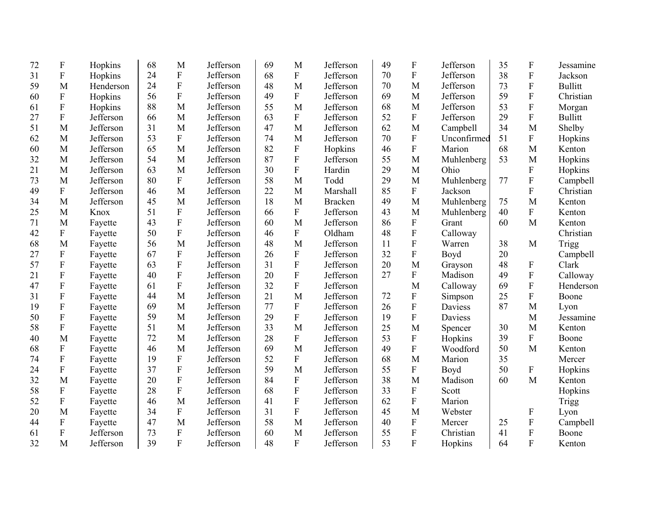| 72 | $\mathbf F$               | Hopkins   | 68 | M                         | Jefferson | 69 | M                | Jefferson      | 49 | $\mathbf F$             | Jefferson   | 35 | F                         | Jessamine      |
|----|---------------------------|-----------|----|---------------------------|-----------|----|------------------|----------------|----|-------------------------|-------------|----|---------------------------|----------------|
| 31 | $\boldsymbol{\mathrm{F}}$ | Hopkins   | 24 | ${\bf F}$                 | Jefferson | 68 | ${\bf F}$        | Jefferson      | 70 | ${\bf F}$               | Jefferson   | 38 | $\mathbf F$               | Jackson        |
| 59 | M                         | Henderson | 24 | ${\bf F}$                 | Jefferson | 48 | M                | Jefferson      | 70 | M                       | Jefferson   | 73 | ${\bf F}$                 | <b>Bullitt</b> |
| 60 | ${\bf F}$                 | Hopkins   | 56 | ${\bf F}$                 | Jefferson | 49 | $\mathbf{F}$     | Jefferson      | 69 | M                       | Jefferson   | 59 | $\mathbf F$               | Christian      |
| 61 | $\boldsymbol{\mathrm{F}}$ | Hopkins   | 88 | M                         | Jefferson | 55 | M                | Jefferson      | 68 | M                       | Jefferson   | 53 | $\overline{F}$            | Morgan         |
| 27 | ${\bf F}$                 | Jefferson | 66 | M                         | Jefferson | 63 | ${\bf F}$        | Jefferson      | 52 | $\mathbf F$             | Jefferson   | 29 | $\overline{F}$            | <b>Bullitt</b> |
| 51 | M                         | Jefferson | 31 | M                         | Jefferson | 47 | M                | Jefferson      | 62 | M                       | Campbell    | 34 | M                         | Shelby         |
| 62 | M                         | Jefferson | 53 | ${\bf F}$                 | Jefferson | 74 | M                | Jefferson      | 70 | $\mathbf F$             | Unconfirmed | 51 | $\mathbf F$               | Hopkins        |
| 60 | M                         | Jefferson | 65 | M                         | Jefferson | 82 | ${\bf F}$        | Hopkins        | 46 | $\overline{\mathrm{F}}$ | Marion      | 68 | M                         | Kenton         |
| 32 | M                         | Jefferson | 54 | M                         | Jefferson | 87 | ${\bf F}$        | Jefferson      | 55 | M                       | Muhlenberg  | 53 | M                         | Hopkins        |
| 21 | M                         | Jefferson | 63 | M                         | Jefferson | 30 | $\overline{F}$   | Hardin         | 29 | M                       | Ohio        |    | $\mathbf F$               | Hopkins        |
| 73 | M                         | Jefferson | 80 | $\overline{F}$            | Jefferson | 58 | M                | Todd           | 29 | M                       | Muhlenberg  | 77 | $\mathbf F$               | Campbell       |
| 49 | ${\bf F}$                 | Jefferson | 46 | M                         | Jefferson | 22 | M                | Marshall       | 85 | $\mathbf F$             | Jackson     |    | $\mathbf F$               | Christian      |
| 34 | M                         | Jefferson | 45 | M                         | Jefferson | 18 | M                | <b>Bracken</b> | 49 | M                       | Muhlenberg  | 75 | M                         | Kenton         |
| 25 | M                         | Knox      | 51 | ${\bf F}$                 | Jefferson | 66 | $\boldsymbol{F}$ | Jefferson      | 43 | M                       | Muhlenberg  | 40 | $\mathbf F$               | Kenton         |
| 71 | M                         | Fayette   | 43 | F                         | Jefferson | 60 | M                | Jefferson      | 86 | ${\bf F}$               | Grant       | 60 | M                         | Kenton         |
| 42 | ${\bf F}$                 | Fayette   | 50 | ${\bf F}$                 | Jefferson | 46 | $\boldsymbol{F}$ | Oldham         | 48 | ${\bf F}$               | Calloway    |    |                           | Christian      |
| 68 | M                         | Fayette   | 56 | M                         | Jefferson | 48 | M                | Jefferson      | 11 | $\mathbf F$             | Warren      | 38 | M                         | Trigg          |
| 27 | $\boldsymbol{\mathrm{F}}$ | Fayette   | 67 | ${\bf F}$                 | Jefferson | 26 | F                | Jefferson      | 32 | $\mathbf F$             | Boyd        | 20 |                           | Campbell       |
| 57 | $\boldsymbol{\mathrm{F}}$ | Fayette   | 63 | ${\bf F}$                 | Jefferson | 31 | F                | Jefferson      | 20 | M                       | Grayson     | 48 | F                         | Clark          |
| 21 | $\mathbf F$               | Fayette   | 40 | F                         | Jefferson | 20 | $\overline{F}$   | Jefferson      | 27 | $\mathbf F$             | Madison     | 49 | $\overline{\mathrm{F}}$   | Calloway       |
| 47 | $\boldsymbol{\mathrm{F}}$ | Fayette   | 61 | ${\bf F}$                 | Jefferson | 32 | $\mathbf{F}$     | Jefferson      |    | M                       | Calloway    | 69 | $\mathbf F$               | Henderson      |
| 31 | F                         | Fayette   | 44 | M                         | Jefferson | 21 | M                | Jefferson      | 72 | ${\bf F}$               | Simpson     | 25 | $\mathbf F$               | Boone          |
| 19 | $\mathbf F$               | Fayette   | 69 | M                         | Jefferson | 77 | ${\bf F}$        | Jefferson      | 26 | ${\bf F}$               | Daviess     | 87 | M                         | Lyon           |
| 50 | $\boldsymbol{\mathrm{F}}$ | Fayette   | 59 | M                         | Jefferson | 29 | $\mathbf{F}$     | Jefferson      | 19 | $\mathbf F$             | Daviess     |    | M                         | Jessamine      |
| 58 | F                         | Fayette   | 51 | M                         | Jefferson | 33 | M                | Jefferson      | 25 | M                       | Spencer     | 30 | M                         | Kenton         |
| 40 | M                         | Fayette   | 72 | M                         | Jefferson | 28 | ${\bf F}$        | Jefferson      | 53 | ${\bf F}$               | Hopkins     | 39 | $\boldsymbol{\mathrm{F}}$ | Boone          |
| 68 | $\boldsymbol{\mathrm{F}}$ | Fayette   | 46 | M                         | Jefferson | 69 | M                | Jefferson      | 49 | $\mathbf F$             | Woodford    | 50 | M                         | Kenton         |
| 74 | $\mathbf F$               | Fayette   | 19 | ${\bf F}$                 | Jefferson | 52 | ${\bf F}$        | Jefferson      | 68 | M                       | Marion      | 35 |                           | Mercer         |
| 24 | $\mathbf F$               | Fayette   | 37 | $\boldsymbol{\mathrm{F}}$ | Jefferson | 59 | M                | Jefferson      | 55 | ${\bf F}$               | Boyd        | 50 | $\boldsymbol{\mathrm{F}}$ | Hopkins        |
| 32 | M                         | Fayette   | 20 | ${\bf F}$                 | Jefferson | 84 | ${\bf F}$        | Jefferson      | 38 | M                       | Madison     | 60 | M                         | Kenton         |
| 58 | $\boldsymbol{\mathrm{F}}$ | Fayette   | 28 | $\mathbf F$               | Jefferson | 68 | $\mathbf F$      | Jefferson      | 33 | ${\bf F}$               | Scott       |    |                           | Hopkins        |
| 52 | $\mathbf F$               | Fayette   | 46 | M                         | Jefferson | 41 | F                | Jefferson      | 62 | $\mathbf F$             | Marion      |    |                           | Trigg          |
| 20 | M                         | Fayette   | 34 | ${\bf F}$                 | Jefferson | 31 | ${\bf F}$        | Jefferson      | 45 | M                       | Webster     |    | F                         | Lyon           |
| 44 | $\boldsymbol{\mathrm{F}}$ | Fayette   | 47 | M                         | Jefferson | 58 | M                | Jefferson      | 40 | ${\bf F}$               | Mercer      | 25 | $\mathbf F$               | Campbell       |
| 61 | $\mathbf F$               | Jefferson | 73 | ${\bf F}$                 | Jefferson | 60 | M                | Jefferson      | 55 | ${\bf F}$               | Christian   | 41 | ${\bf F}$                 | Boone          |
| 32 | M                         | Jefferson | 39 | $\overline{F}$            | Jefferson | 48 | $\overline{F}$   | Jefferson      | 53 | F                       | Hopkins     | 64 | F                         | Kenton         |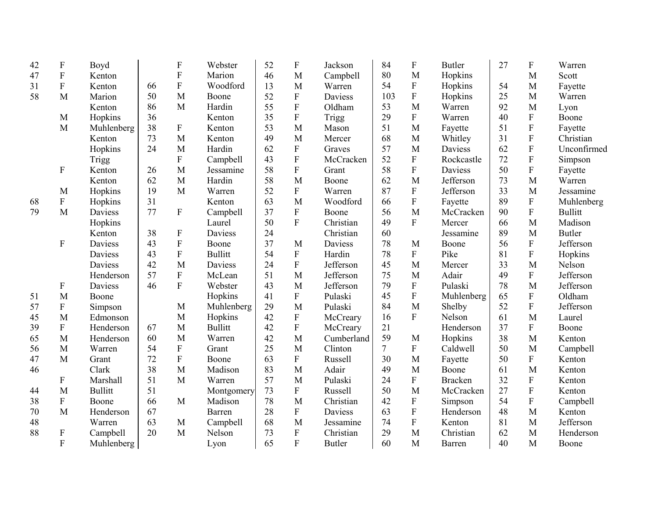| 42 | $\boldsymbol{\mathrm{F}}$ | Boyd           |    | $\boldsymbol{\mathrm{F}}$ | Webster        | 52 | ${\bf F}$      | Jackson       | 84             | ${\bf F}$                 | <b>Butler</b>  | 27 | ${\bf F}$                 | Warren         |
|----|---------------------------|----------------|----|---------------------------|----------------|----|----------------|---------------|----------------|---------------------------|----------------|----|---------------------------|----------------|
| 47 | $\boldsymbol{\mathrm{F}}$ | Kenton         |    | ${\bf F}$                 | Marion         | 46 | M              | Campbell      | 80             | M                         | Hopkins        |    | M                         | Scott          |
| 31 | ${\bf F}$                 | Kenton         | 66 | $\mathbf F$               | Woodford       | 13 | M              | Warren        | 54             | ${\bf F}$                 | Hopkins        | 54 | M                         | Fayette        |
| 58 | M                         | Marion         | 50 | M                         | Boone          | 52 | ${\bf F}$      | Daviess       | 103            | ${\bf F}$                 | Hopkins        | 25 | M                         | Warren         |
|    |                           | Kenton         | 86 | M                         | Hardin         | 55 | ${\bf F}$      | Oldham        | 53             | M                         | Warren         | 92 | M                         | Lyon           |
|    | M                         | Hopkins        | 36 |                           | Kenton         | 35 | ${\bf F}$      | Trigg         | 29             | ${\bf F}$                 | Warren         | 40 | ${\bf F}$                 | Boone          |
|    | M                         | Muhlenberg     | 38 | $\boldsymbol{\mathrm{F}}$ | Kenton         | 53 | M              | Mason         | 51             | M                         | Fayette        | 51 | ${\bf F}$                 | Fayette        |
|    |                           | Kenton         | 73 | M                         | Kenton         | 49 | M              | Mercer        | 68             | M                         | Whitley        | 31 | ${\bf F}$                 | Christian      |
|    |                           | Hopkins        | 24 | M                         | Hardin         | 62 | ${\bf F}$      | Graves        | 57             | M                         | Daviess        | 62 | ${\bf F}$                 | Unconfirmed    |
|    |                           | Trigg          |    | $\mathbf F$               | Campbell       | 43 | ${\bf F}$      | McCracken     | 52             | ${\bf F}$                 | Rockcastle     | 72 | ${\bf F}$                 | Simpson        |
|    | $\boldsymbol{F}$          | Kenton         | 26 | M                         | Jessamine      | 58 | ${\bf F}$      | Grant         | 58             | ${\bf F}$                 | Daviess        | 50 | ${\bf F}$                 | Fayette        |
|    |                           | Kenton         | 62 | M                         | Hardin         | 58 | M              | Boone         | 62             | M                         | Jefferson      | 73 | M                         | Warren         |
|    | M                         | Hopkins        | 19 | M                         | Warren         | 52 | ${\bf F}$      | Warren        | 87             | ${\bf F}$                 | Jefferson      | 33 | M                         | Jessamine      |
| 68 | $\boldsymbol{\mathrm{F}}$ | Hopkins        | 31 |                           | Kenton         | 63 | M              | Woodford      | 66             | ${\bf F}$                 | Fayette        | 89 | ${\bf F}$                 | Muhlenberg     |
| 79 | M                         | Daviess        | 77 | $\boldsymbol{\mathrm{F}}$ | Campbell       | 37 | ${\bf F}$      | Boone         | 56             | M                         | McCracken      | 90 | ${\bf F}$                 | <b>Bullitt</b> |
|    |                           | Hopkins        |    |                           | Laurel         | 50 | $\overline{F}$ | Christian     | 49             | $\mathbf{F}$              | Mercer         | 66 | M                         | Madison        |
|    |                           | Kenton         | 38 | $\boldsymbol{\mathrm{F}}$ | Daviess        | 24 |                | Christian     | 60             |                           | Jessamine      | 89 | M                         | <b>Butler</b>  |
|    | $\boldsymbol{\mathrm{F}}$ | Daviess        | 43 | $\boldsymbol{\mathrm{F}}$ | Boone          | 37 | M              | Daviess       | 78             | M                         | Boone          | 56 | ${\bf F}$                 | Jefferson      |
|    |                           | Daviess        | 43 | $\mathbf F$               | <b>Bullitt</b> | 54 | ${\bf F}$      | Hardin        | 78             | ${\bf F}$                 | Pike           | 81 | ${\bf F}$                 | Hopkins        |
|    |                           | Daviess        | 42 | M                         | Daviess        | 24 | ${\bf F}$      | Jefferson     | 45             | M                         | Mercer         | 33 | M                         | Nelson         |
|    |                           | Henderson      | 57 | $\boldsymbol{\mathrm{F}}$ | McLean         | 51 | M              | Jefferson     | 75             | M                         | Adair          | 49 | ${\bf F}$                 | Jefferson      |
|    | F                         | Daviess        | 46 | ${\bf F}$                 | Webster        | 43 | M              | Jefferson     | 79             | $\boldsymbol{\mathrm{F}}$ | Pulaski        | 78 | M                         | Jefferson      |
| 51 | M                         | Boone          |    |                           | Hopkins        | 41 | ${\bf F}$      | Pulaski       | 45             | ${\bf F}$                 | Muhlenberg     | 65 | ${\bf F}$                 | Oldham         |
| 57 | $\boldsymbol{\mathrm{F}}$ | Simpson        |    | M                         | Muhlenberg     | 29 | M              | Pulaski       | 84             | M                         | Shelby         | 52 | ${\bf F}$                 | Jefferson      |
| 45 | M                         | Edmonson       |    | M                         | Hopkins        | 42 | ${\bf F}$      | McCreary      | 16             | $\mathbf{F}$              | Nelson         | 61 | M                         | Laurel         |
| 39 | ${\bf F}$                 | Henderson      | 67 | M                         | <b>Bullitt</b> | 42 | ${\bf F}$      | McCreary      | 21             |                           | Henderson      | 37 | ${\bf F}$                 | Boone          |
| 65 | M                         | Henderson      | 60 | M                         | Warren         | 42 | M              | Cumberland    | 59             | M                         | Hopkins        | 38 | M                         | Kenton         |
| 56 | M                         | Warren         | 54 | ${\bf F}$                 | Grant          | 25 | M              | Clinton       | $\overline{7}$ | ${\bf F}$                 | Caldwell       | 50 | M                         | Campbell       |
| 47 | M                         | Grant          | 72 | ${\bf F}$                 | Boone          | 63 | F              | Russell       | 30             | M                         | Fayette        | 50 | $\boldsymbol{F}$          | Kenton         |
| 46 |                           | Clark          | 38 | M                         | Madison        | 83 | M              | Adair         | 49             | M                         | Boone          | 61 | M                         | Kenton         |
|    | F                         | Marshall       | 51 | M                         | Warren         | 57 | M              | Pulaski       | 24             | ${\bf F}$                 | <b>Bracken</b> | 32 | $\boldsymbol{\mathrm{F}}$ | Kenton         |
| 44 | M                         | <b>Bullitt</b> | 51 |                           | Montgomery     | 73 | ${\bf F}$      | Russell       | 50             | M                         | McCracken      | 27 | ${\bf F}$                 | Kenton         |
| 38 | $\boldsymbol{\mathrm{F}}$ | Boone          | 66 | M                         | Madison        | 78 | M              | Christian     | 42             | ${\bf F}$                 | Simpson        | 54 | ${\bf F}$                 | Campbell       |
| 70 | M                         | Henderson      | 67 |                           | Barren         | 28 | ${\bf F}$      | Daviess       | 63             | ${\bf F}$                 | Henderson      | 48 | M                         | Kenton         |
| 48 |                           | Warren         | 63 | M                         | Campbell       | 68 | M              | Jessamine     | 74             | ${\bf F}$                 | Kenton         | 81 | M                         | Jefferson      |
| 88 | $\boldsymbol{\mathrm{F}}$ | Campbell       | 20 | M                         | Nelson         | 73 | ${\bf F}$      | Christian     | 29             | M                         | Christian      | 62 | M                         | Henderson      |
|    | ${\bf F}$                 | Muhlenberg     |    |                           | Lyon           | 65 | ${\bf F}$      | <b>Butler</b> | 60             | M                         | Barren         | 40 | M                         | Boone          |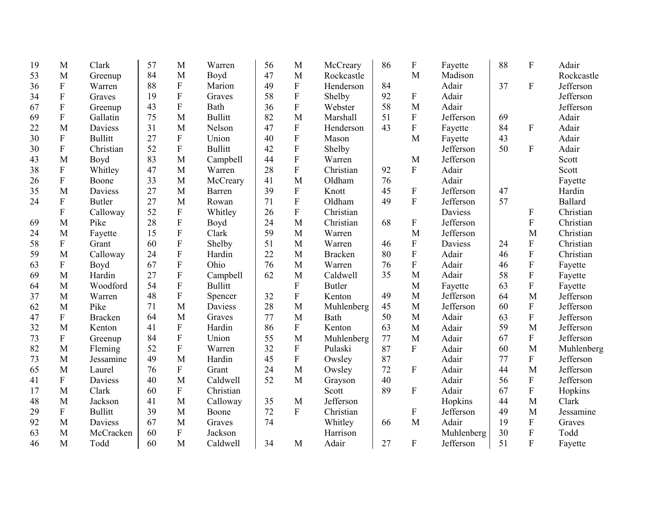| 19 | M                         | Clark          | 57 | M                         | Warren         | 56 | M                         | McCreary       | 86 | $\boldsymbol{\mathrm{F}}$ | Fayette    | 88 | ${\bf F}$                 | Adair          |
|----|---------------------------|----------------|----|---------------------------|----------------|----|---------------------------|----------------|----|---------------------------|------------|----|---------------------------|----------------|
| 53 | M                         | Greenup        | 84 | M                         | Boyd           | 47 | M                         | Rockcastle     |    | M                         | Madison    |    |                           | Rockcastle     |
| 36 | $\boldsymbol{\mathrm{F}}$ | Warren         | 88 | ${\bf F}$                 | Marion         | 49 | $\boldsymbol{\mathrm{F}}$ | Henderson      | 84 |                           | Adair      | 37 | $\mathbf F$               | Jefferson      |
| 34 | ${\bf F}$                 | Graves         | 19 | ${\bf F}$                 | Graves         | 58 | ${\bf F}$                 | Shelby         | 92 | ${\bf F}$                 | Adair      |    |                           | Jefferson      |
| 67 | $\boldsymbol{\mathrm{F}}$ | Greenup        | 43 | ${\bf F}$                 | Bath           | 36 | ${\bf F}$                 | Webster        | 58 | M                         | Adair      |    |                           | Jefferson      |
| 69 | ${\bf F}$                 | Gallatin       | 75 | M                         | <b>Bullitt</b> | 82 | M                         | Marshall       | 51 | ${\bf F}$                 | Jefferson  | 69 |                           | Adair          |
| 22 | M                         | <b>Daviess</b> | 31 | M                         | Nelson         | 47 | $\mathbf{F}$              | Henderson      | 43 | ${\bf F}$                 | Fayette    | 84 | $\mathbf F$               | Adair          |
| 30 | $\mathbf F$               | <b>Bullitt</b> | 27 | ${\bf F}$                 | Union          | 40 | ${\bf F}$                 | Mason          |    | M                         | Fayette    | 43 |                           | Adair          |
| 30 | ${\bf F}$                 | Christian      | 52 | $\mathbf{F}$              | <b>Bullitt</b> | 42 | ${\bf F}$                 | Shelby         |    |                           | Jefferson  | 50 | $\Gamma$                  | Adair          |
| 43 | M                         | Boyd           | 83 | M                         | Campbell       | 44 | ${\bf F}$                 | Warren         |    | M                         | Jefferson  |    |                           | Scott          |
| 38 | ${\bf F}$                 | Whitley        | 47 | M                         | Warren         | 28 | $\overline{F}$            | Christian      | 92 | ${\bf F}$                 | Adair      |    |                           | Scott          |
| 26 | $\boldsymbol{\mathrm{F}}$ | Boone          | 33 | M                         | McCreary       | 41 | M                         | Oldham         | 76 |                           | Adair      |    |                           | Fayette        |
| 35 | M                         | <b>Daviess</b> | 27 | M                         | Barren         | 39 | ${\bf F}$                 | Knott          | 45 | $\boldsymbol{\mathrm{F}}$ | Jefferson  | 47 |                           | Hardin         |
| 24 | $\boldsymbol{\mathrm{F}}$ | <b>Butler</b>  | 27 | M                         | Rowan          | 71 | ${\bf F}$                 | Oldham         | 49 | ${\bf F}$                 | Jefferson  | 57 |                           | <b>Ballard</b> |
|    | ${\bf F}$                 | Calloway       | 52 | ${\bf F}$                 | Whitley        | 26 | ${\bf F}$                 | Christian      |    |                           | Daviess    |    | $\boldsymbol{F}$          | Christian      |
| 69 | M                         | Pike           | 28 | ${\bf F}$                 | Boyd           | 24 | M                         | Christian      | 68 | F                         | Jefferson  |    | $\boldsymbol{F}$          | Christian      |
| 24 | M                         | Fayette        | 15 | $\mathbf{F}$              | Clark          | 59 | M                         | Warren         |    | M                         | Jefferson  |    | M                         | Christian      |
| 58 | $\boldsymbol{\mathrm{F}}$ | Grant          | 60 | ${\bf F}$                 | Shelby         | 51 | M                         | Warren         | 46 | ${\bf F}$                 | Daviess    | 24 | $\boldsymbol{\mathrm{F}}$ | Christian      |
| 59 | M                         | Calloway       | 24 | ${\bf F}$                 | Hardin         | 22 | M                         | <b>Bracken</b> | 80 | ${\bf F}$                 | Adair      | 46 | ${\bf F}$                 | Christian      |
| 63 | $\boldsymbol{\mathrm{F}}$ | Boyd           | 67 | ${\bf F}$                 | Ohio           | 76 | M                         | Warren         | 76 | $\rm F$                   | Adair      | 46 | $\overline{F}$            | Fayette        |
| 69 | M                         | Hardin         | 27 | $\boldsymbol{\mathrm{F}}$ | Campbell       | 62 | M                         | Caldwell       | 35 | M                         | Adair      | 58 | ${\bf F}$                 | Fayette        |
| 64 | M                         | Woodford       | 54 | $\overline{F}$            | <b>Bullitt</b> |    | $\mathbf{F}$              | <b>Butler</b>  |    | M                         | Fayette    | 63 | $\overline{F}$            | Fayette        |
| 37 | M                         | Warren         | 48 | ${\bf F}$                 | Spencer        | 32 | ${\bf F}$                 | Kenton         | 49 | M                         | Jefferson  | 64 | M                         | Jefferson      |
| 62 | M                         | Pike           | 71 | M                         | Daviess        | 28 | M                         | Muhlenberg     | 45 | $\mathbf{M}$              | Jefferson  | 60 | $\mathbf{F}$              | Jefferson      |
| 47 | F                         | <b>Bracken</b> | 64 | M                         | Graves         | 77 | M                         | Bath           | 50 | M                         | Adair      | 63 | F                         | Jefferson      |
| 32 | M                         | Kenton         | 41 | ${\bf F}$                 | Hardin         | 86 | F                         | Kenton         | 63 | M                         | Adair      | 59 | M                         | Jefferson      |
| 73 | $\boldsymbol{\mathrm{F}}$ | Greenup        | 84 | ${\bf F}$                 | Union          | 55 | M                         | Muhlenberg     | 77 | M                         | Adair      | 67 | $\boldsymbol{F}$          | Jefferson      |
| 82 | M                         | Fleming        | 52 | ${\bf F}$                 | Warren         | 32 | ${\bf F}$                 | Pulaski        | 87 | ${\bf F}$                 | Adair      | 60 | M                         | Muhlenberg     |
| 73 | M                         | Jessamine      | 49 | M                         | Hardin         | 45 | ${\bf F}$                 | Owsley         | 87 |                           | Adair      | 77 | ${\bf F}$                 | Jefferson      |
| 65 | M                         | Laurel         | 76 | $\boldsymbol{\mathrm{F}}$ | Grant          | 24 | M                         | Owsley         | 72 | ${\bf F}$                 | Adair      | 44 | M                         | Jefferson      |
| 41 | $\boldsymbol{F}$          | <b>Daviess</b> | 40 | M                         | Caldwell       | 52 | M                         | Grayson        | 40 |                           | Adair      | 56 | $\mathbf{F}$              | Jefferson      |
| 17 | M                         | Clark          | 60 | ${\bf F}$                 | Christian      |    |                           | Scott          | 89 | ${\bf F}$                 | Adair      | 67 | ${\bf F}$                 | Hopkins        |
| 48 | M                         | Jackson        | 41 | M                         | Calloway       | 35 | M                         | Jefferson      |    |                           | Hopkins    | 44 | M                         | Clark          |
| 29 | $\boldsymbol{\mathrm{F}}$ | <b>Bullitt</b> | 39 | M                         | Boone          | 72 | ${\bf F}$                 | Christian      |    | ${\bf F}$                 | Jefferson  | 49 | M                         | Jessamine      |
| 92 | M                         | Daviess        | 67 | M                         | Graves         | 74 |                           | Whitley        | 66 | M                         | Adair      | 19 | ${\bf F}$                 | Graves         |
| 63 | M                         | McCracken      | 60 | ${\bf F}$                 | Jackson        |    |                           | Harrison       |    |                           | Muhlenberg | 30 | ${\bf F}$                 | Todd           |
| 46 | M                         | Todd           | 60 | M                         | Caldwell       | 34 | M                         | Adair          | 27 | $\mathbf F$               | Jefferson  | 51 | F                         | Fayette        |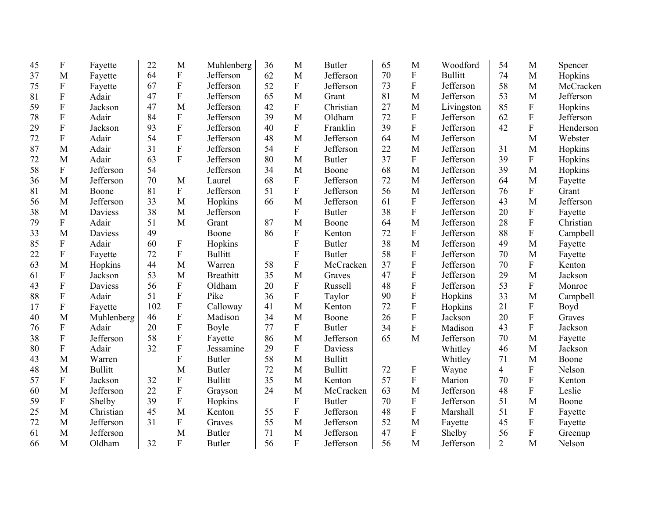| 45 | F                         | Fayette        | 22  | M              | Muhlenberg       | 36 | M              | <b>Butler</b>  | 65 | M                         | Woodford       | 54             | M                         | Spencer   |
|----|---------------------------|----------------|-----|----------------|------------------|----|----------------|----------------|----|---------------------------|----------------|----------------|---------------------------|-----------|
| 37 | M                         | Fayette        | 64  | $\mathbf F$    | Jefferson        | 62 | M              | Jefferson      | 70 | $\mathbf F$               | <b>Bullitt</b> | 74             | M                         | Hopkins   |
| 75 | ${\bf F}$                 | Fayette        | 67  | $\mathbf F$    | Jefferson        | 52 | ${\bf F}$      | Jefferson      | 73 | $\mathbf F$               | Jefferson      | 58             | M                         | McCracken |
| 81 | ${\bf F}$                 | Adair          | 47  | $\mathbf F$    | Jefferson        | 65 | M              | Grant          | 81 | M                         | Jefferson      | 53             | M                         | Jefferson |
| 59 | ${\bf F}$                 | Jackson        | 47  | M              | Jefferson        | 42 | ${\bf F}$      | Christian      | 27 | M                         | Livingston     | 85             | ${\bf F}$                 | Hopkins   |
| 78 | ${\bf F}$                 | Adair          | 84  | $\mathbf F$    | Jefferson        | 39 | M              | Oldham         | 72 | ${\bf F}$                 | Jefferson      | 62             | ${\bf F}$                 | Jefferson |
| 29 | ${\bf F}$                 | Jackson        | 93  | $\overline{F}$ | Jefferson        | 40 | $\mathbf{F}$   | Franklin       | 39 | $\boldsymbol{\mathrm{F}}$ | Jefferson      | 42             | $\overline{F}$            | Henderson |
| 72 | ${\bf F}$                 | Adair          | 54  | $\overline{F}$ | Jefferson        | 48 | M              | Jefferson      | 64 | M                         | Jefferson      |                | M                         | Webster   |
| 87 | M                         | Adair          | 31  | $\overline{F}$ | Jefferson        | 54 | $\mathbf{F}$   | Jefferson      | 22 | $\mathbf{M}$              | Jefferson      | 31             | M                         | Hopkins   |
| 72 | M                         | Adair          | 63  | $\overline{F}$ | Jefferson        | 80 | M              | <b>Butler</b>  | 37 | ${\bf F}$                 | Jefferson      | 39             | ${\bf F}$                 | Hopkins   |
| 58 | $\mathbf F$               | Jefferson      | 54  |                | Jefferson        | 34 | M              | Boone          | 68 | M                         | Jefferson      | 39             | M                         | Hopkins   |
| 36 | M                         | Jefferson      | 70  | M              | Laurel           | 68 | F              | Jefferson      | 72 | M                         | Jefferson      | 64             | M                         | Fayette   |
| 81 | M                         | Boone          | 81  | $\mathbf{F}$   | Jefferson        | 51 | $\overline{F}$ | Jefferson      | 56 | M                         | Jefferson      | 76             | F                         | Grant     |
| 56 | M                         | Jefferson      | 33  | M              | Hopkins          | 66 | M              | Jefferson      | 61 | $\mathbf F$               | Jefferson      | 43             | M                         | Jefferson |
| 38 | M                         | Daviess        | 38  | M              | Jefferson        |    | ${\bf F}$      | <b>Butler</b>  | 38 | ${\bf F}$                 | Jefferson      | 20             | ${\bf F}$                 | Fayette   |
| 79 | $\boldsymbol{\mathrm{F}}$ | Adair          | 51  | M              | Grant            | 87 | M              | Boone          | 64 | M                         | Jefferson      | 28             | $\mathbf F$               | Christian |
| 33 | M                         | Daviess        | 49  |                | Boone            | 86 | ${\bf F}$      | Kenton         | 72 | ${\bf F}$                 | Jefferson      | 88             | ${\bf F}$                 | Campbell  |
| 85 | ${\bf F}$                 | Adair          | 60  | ${\bf F}$      | Hopkins          |    | F              | <b>Butler</b>  | 38 | M                         | Jefferson      | 49             | M                         | Fayette   |
| 22 | ${\bf F}$                 | Fayette        | 72  | $\overline{F}$ | <b>Bullitt</b>   |    | F              | <b>Butler</b>  | 58 | ${\bf F}$                 | Jefferson      | 70             | M                         | Fayette   |
| 63 | M                         | Hopkins        | 44  | M              | Warren           | 58 | $\mathbf{F}$   | McCracken      | 37 | ${\bf F}$                 | Jefferson      | 70             | F                         | Kenton    |
| 61 | ${\bf F}$                 | Jackson        | 53  | M              | <b>Breathitt</b> | 35 | M              | Graves         | 47 | ${\bf F}$                 | Jefferson      | 29             | M                         | Jackson   |
| 43 | $\mathbf F$               | Daviess        | 56  | $\overline{F}$ | Oldham           | 20 | ${\bf F}$      | Russell        | 48 | ${\bf F}$                 | Jefferson      | 53             | ${\bf F}$                 | Monroe    |
| 88 | ${\bf F}$                 | Adair          | 51  | F              | Pike             | 36 | ${\bf F}$      | Taylor         | 90 | ${\bf F}$                 | Hopkins        | 33             | M                         | Campbell  |
| 17 | $\boldsymbol{\mathrm{F}}$ | Fayette        | 102 | ${\bf F}$      | Calloway         | 41 | M              | Kenton         | 72 | ${\bf F}$                 | Hopkins        | 21             | $\boldsymbol{\mathrm{F}}$ | Boyd      |
| 40 | M                         | Muhlenberg     | 46  | $\mathbf F$    | Madison          | 34 | M              | Boone          | 26 | $\overline{F}$            | Jackson        | 20             | $\mathbf F$               | Graves    |
| 76 | $\boldsymbol{\mathrm{F}}$ | Adair          | 20  | $\overline{F}$ | Boyle            | 77 | $\mathbf{F}$   | <b>Butler</b>  | 34 | $\overline{F}$            | Madison        | 43             | F                         | Jackson   |
| 38 | $\boldsymbol{\mathrm{F}}$ | Jefferson      | 58  | $\overline{F}$ | Fayette          | 86 | M              | Jefferson      | 65 | M                         | Jefferson      | 70             | M                         | Fayette   |
| 80 | ${\bf F}$                 | Adair          | 32  | F              | Jessamine        | 29 | ${\bf F}$      | <b>Daviess</b> |    |                           | Whitley        | 46             | M                         | Jackson   |
| 43 | M                         | Warren         |     | F              | <b>Butler</b>    | 58 | M              | <b>Bullitt</b> |    |                           | Whitley        | 71             | M                         | Boone     |
| 48 | M                         | <b>Bullitt</b> |     | M              | <b>Butler</b>    | 72 | M              | <b>Bullitt</b> | 72 | $\boldsymbol{\mathrm{F}}$ | Wayne          | $\overline{4}$ | ${\bf F}$                 | Nelson    |
| 57 | ${\bf F}$                 | Jackson        | 32  | ${\bf F}$      | <b>Bullitt</b>   | 35 | M              | Kenton         | 57 | ${\bf F}$                 | Marion         | 70             | ${\bf F}$                 | Kenton    |
| 60 | M                         | Jefferson      | 22  | ${\bf F}$      | Grayson          | 24 | M              | McCracken      | 63 | M                         | Jefferson      | 48             | $\mathbf F$               | Leslie    |
| 59 | ${\bf F}$                 | Shelby         | 39  | $\overline{F}$ | Hopkins          |    | ${\bf F}$      | <b>Butler</b>  | 70 | $\overline{F}$            | Jefferson      | 51             | M                         | Boone     |
| 25 | M                         | Christian      | 45  | M              | Kenton           | 55 | ${\bf F}$      | Jefferson      | 48 | ${\bf F}$                 | Marshall       | 51             | $\boldsymbol{\mathrm{F}}$ | Fayette   |
| 72 | M                         | Jefferson      | 31  | $\overline{F}$ | Graves           | 55 | M              | Jefferson      | 52 | M                         | Fayette        | 45             | ${\bf F}$                 | Fayette   |
| 61 | M                         | Jefferson      |     | M              | <b>Butler</b>    | 71 | M              | Jefferson      | 47 | ${\bf F}$                 | Shelby         | 56             | ${\bf F}$                 | Greenup   |
| 66 | M                         | Oldham         | 32  | F              | <b>Butler</b>    | 56 | $\overline{F}$ | Jefferson      | 56 | M                         | Jefferson      | $\overline{2}$ | M                         | Nelson    |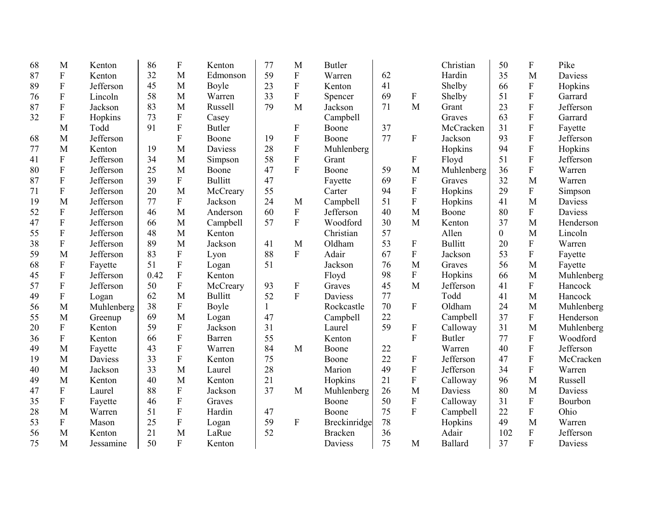| 68 | M                | Kenton     | 86   | $\boldsymbol{\mathrm{F}}$ | Kenton         | 77           | M                         | <b>Butler</b>  |    |                         | Christian      | 50             | $\boldsymbol{\mathrm{F}}$ | Pike           |
|----|------------------|------------|------|---------------------------|----------------|--------------|---------------------------|----------------|----|-------------------------|----------------|----------------|---------------------------|----------------|
| 87 | ${\bf F}$        | Kenton     | 32   | M                         | Edmonson       | 59           | $\mathbf{F}$              | Warren         | 62 |                         | Hardin         | 35             | M                         | <b>Daviess</b> |
| 89 | ${\bf F}$        | Jefferson  | 45   | M                         | Boyle          | 23           | ${\bf F}$                 | Kenton         | 41 |                         | Shelby         | 66             | $\boldsymbol{\mathrm{F}}$ | Hopkins        |
| 76 | $\mathbf F$      | Lincoln    | 58   | M                         | Warren         | 33           | ${\bf F}$                 | Spencer        | 69 | $\boldsymbol{F}$        | Shelby         | 51             | $\overline{F}$            | Garrard        |
| 87 | $\mathbf F$      | Jackson    | 83   | M                         | Russell        | 79           | M                         | Jackson        | 71 | M                       | Grant          | 23             | $\mathbf F$               | Jefferson      |
| 32 | $\mathbf F$      | Hopkins    | 73   | ${\bf F}$                 | Casey          |              |                           | Campbell       |    |                         | Graves         | 63             | $\mathbf F$               | Garrard        |
|    | M                | Todd       | 91   | ${\bf F}$                 | <b>Butler</b>  |              | $\boldsymbol{\mathrm{F}}$ | Boone          | 37 |                         | McCracken      | 31             | $\mathbf F$               | Fayette        |
| 68 | M                | Jefferson  |      | $\mathbf{F}$              | Boone          | 19           | ${\bf F}$                 | Boone          | 77 | ${\bf F}$               | Jackson        | 93             | $\overline{F}$            | Jefferson      |
| 77 | M                | Kenton     | 19   | M                         | Daviess        | 28           | ${\bf F}$                 | Muhlenberg     |    |                         | Hopkins        | 94             | ${\bf F}$                 | Hopkins        |
| 41 | $\mathbf F$      | Jefferson  | 34   | M                         | Simpson        | 58           | ${\bf F}$                 | Grant          |    | ${\bf F}$               | Floyd          | 51             | $\overline{F}$            | Jefferson      |
| 80 | ${\bf F}$        | Jefferson  | 25   | M                         | Boone          | 47           | $\mathbf{F}$              | Boone          | 59 | M                       | Muhlenberg     | 36             | $\mathbf F$               | Warren         |
| 87 | $\mathbf F$      | Jefferson  | 39   | $\mathbf{F}$              | <b>Bullitt</b> | 47           |                           | Fayette        | 69 | $\overline{\mathrm{F}}$ | Graves         | 32             | M                         | Warren         |
| 71 | ${\bf F}$        | Jefferson  | 20   | M                         | McCreary       | 55           |                           | Carter         | 94 | ${\bf F}$               | Hopkins        | 29             | ${\bf F}$                 | Simpson        |
| 19 | M                | Jefferson  | 77   | $\mathbf{F}$              | Jackson        | 24           | M                         | Campbell       | 51 | $\mathbf F$             | Hopkins        | 41             | M                         | Daviess        |
| 52 | ${\bf F}$        | Jefferson  | 46   | M                         | Anderson       | 60           | ${\bf F}$                 | Jefferson      | 40 | M                       | Boone          | 80             | $\boldsymbol{\mathrm{F}}$ | Daviess        |
| 47 | ${\bf F}$        | Jefferson  | 66   | M                         | Campbell       | 57           | $\overline{F}$            | Woodford       | 30 | M                       | Kenton         | 37             | M                         | Henderson      |
| 55 | ${\bf F}$        | Jefferson  | 48   | M                         | Kenton         |              |                           | Christian      | 57 |                         | Allen          | $\overline{0}$ | M                         | Lincoln        |
| 38 | $\mathbf F$      | Jefferson  | 89   | M                         | Jackson        | 41           | M                         | Oldham         | 53 | ${\bf F}$               | <b>Bullitt</b> | 20             | $\boldsymbol{\mathrm{F}}$ | Warren         |
| 59 | M                | Jefferson  | 83   | ${\bf F}$                 | Lyon           | 88           | $\mathbf{F}$              | Adair          | 67 | $\mathbf F$             | Jackson        | 53             | $\overline{F}$            | Fayette        |
| 68 | $\mathbf F$      | Fayette    | 51   | $\mathbf F$               | Logan          | 51           |                           | Jackson        | 76 | M                       | Graves         | 56             | M                         | Fayette        |
| 45 | $\mathbf F$      | Jefferson  | 0.42 | $\mathbf F$               | Kenton         |              |                           | Floyd          | 98 | ${\bf F}$               | Hopkins        | 66             | M                         | Muhlenberg     |
| 57 | $\mathbf F$      | Jefferson  | 50   | $\overline{F}$            | McCreary       | 93           | ${\bf F}$                 | Graves         | 45 | M                       | Jefferson      | 41             | $\mathbf{F}$              | Hancock        |
| 49 | ${\bf F}$        | Logan      | 62   | M                         | <b>Bullitt</b> | 52           | $\overline{F}$            | Daviess        | 77 |                         | Todd           | 41             | M                         | Hancock        |
| 56 | M                | Muhlenberg | 38   | $\mathbf{F}$              | Boyle          | $\mathbf{1}$ |                           | Rockcastle     | 70 | ${\bf F}$               | Oldham         | 24             | M                         | Muhlenberg     |
| 55 | M                | Greenup    | 69   | M                         | Logan          | 47           |                           | Campbell       | 22 |                         | Campbell       | 37             | $\mathbf F$               | Henderson      |
| 20 | ${\bf F}$        | Kenton     | 59   | $\mathbf{F}$              | Jackson        | 31           |                           | Laurel         | 59 | ${\bf F}$               | Calloway       | 31             | M                         | Muhlenberg     |
| 36 | $\boldsymbol{F}$ | Kenton     | 66   | ${\bf F}$                 | Barren         | 55           |                           | Kenton         |    | $\mathbf F$             | <b>Butler</b>  | 77             | $\mathbf{F}$              | Woodford       |
| 49 | M                | Fayette    | 43   | $\overline{F}$            | Warren         | 84           | M                         | Boone          | 22 |                         | Warren         | 40             | $\mathbf F$               | Jefferson      |
| 19 | M                | Daviess    | 33   | $\mathbf F$               | Kenton         | 75           |                           | Boone          | 22 | ${\bf F}$               | Jefferson      | 47             | $\mathbf{F}$              | McCracken      |
| 40 | M                | Jackson    | 33   | M                         | Laurel         | 28           |                           | Marion         | 49 | ${\bf F}$               | Jefferson      | 34             | $\mathbf{F}$              | Warren         |
| 49 | M                | Kenton     | 40   | M                         | Kenton         | 21           |                           | Hopkins        | 21 | F                       | Calloway       | 96             | M                         | Russell        |
| 47 | ${\bf F}$        | Laurel     | 88   | ${\bf F}$                 | Jackson        | 37           | M                         | Muhlenberg     | 26 | $\mathbf{M}$            | <b>Daviess</b> | 80             | M                         | Daviess        |
| 35 | ${\bf F}$        | Fayette    | 46   | ${\bf F}$                 | Graves         |              |                           | Boone          | 50 | ${\bf F}$               | Calloway       | 31             | ${\bf F}$                 | Bourbon        |
| 28 | M                | Warren     | 51   | ${\bf F}$                 | Hardin         | 47           |                           | Boone          | 75 | $\overline{F}$          | Campbell       | 22             | $\boldsymbol{\mathrm{F}}$ | Ohio           |
| 53 | F                | Mason      | 25   | ${\bf F}$                 | Logan          | 59           | $\mathbf F$               | Breckinridge   | 78 |                         | Hopkins        | 49             | M                         | Warren         |
| 56 | M                | Kenton     | 21   | M                         | LaRue          | 52           |                           | <b>Bracken</b> | 36 |                         | Adair          | 102            | $\mathbf F$               | Jefferson      |
| 75 | M                | Jessamine  | 50   | $\mathbf{F}$              | Kenton         |              |                           | Daviess        | 75 | M                       | Ballard        | 37             | $\mathbf F$               | Daviess        |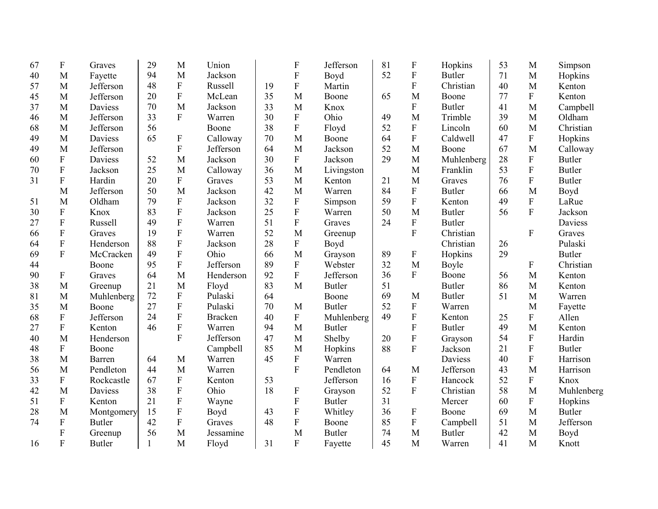| 67 | ${\bf F}$                 | Graves        | 29           | M                         | Union          |    | $\boldsymbol{F}$          | Jefferson     | 81 | F                         | Hopkins        | 53 | M            | Simpson       |
|----|---------------------------|---------------|--------------|---------------------------|----------------|----|---------------------------|---------------|----|---------------------------|----------------|----|--------------|---------------|
| 40 | M                         | Fayette       | 94           | M                         | Jackson        |    | ${\bf F}$                 | Boyd          | 52 | ${\bf F}$                 | <b>Butler</b>  | 71 | M            | Hopkins       |
| 57 | M                         | Jefferson     | 48           | $\boldsymbol{\mathrm{F}}$ | Russell        | 19 | ${\bf F}$                 | Martin        |    | $\mathbf F$               | Christian      | 40 | M            | Kenton        |
| 45 | M                         | Jefferson     | 20           | $\overline{F}$            | McLean         | 35 | M                         | Boone         | 65 | M                         | Boone          | 77 | $\mathbf F$  | Kenton        |
| 37 | M                         | Daviess       | 70           | M                         | Jackson        | 33 | M                         | Knox          |    | F                         | <b>Butler</b>  | 41 | M            | Campbell      |
| 46 | M                         | Jefferson     | 33           | $\overline{F}$            | Warren         | 30 | $\mathbf{F}$              | Ohio          | 49 | M                         | Trimble        | 39 | M            | Oldham        |
| 68 | M                         | Jefferson     | 56           |                           | Boone          | 38 | ${\bf F}$                 | Floyd         | 52 | ${\bf F}$                 | Lincoln        | 60 | M            | Christian     |
| 49 | M                         | Daviess       | 65           | ${\bf F}$                 | Calloway       | 70 | M                         | Boone         | 64 | $\rm F$                   | Caldwell       | 47 | ${\bf F}$    | Hopkins       |
| 49 | M                         | Jefferson     |              | F                         | Jefferson      | 64 | M                         | Jackson       | 52 | M                         | Boone          | 67 | M            | Calloway      |
| 60 | ${\bf F}$                 | Daviess       | 52           | M                         | Jackson        | 30 | F                         | Jackson       | 29 | M                         | Muhlenberg     | 28 | $\mathbf F$  | <b>Butler</b> |
| 70 | ${\bf F}$                 | Jackson       | 25           | M                         | Calloway       | 36 | M                         | Livingston    |    | M                         | Franklin       | 53 | $\mathbf F$  | <b>Butler</b> |
| 31 | ${\bf F}$                 | Hardin        | 20           | F                         | Graves         | 53 | M                         | Kenton        | 21 | M                         | Graves         | 76 | $\mathbf{F}$ | <b>Butler</b> |
|    | M                         | Jefferson     | 50           | M                         | Jackson        | 42 | M                         | Warren        | 84 | F                         | <b>Butler</b>  | 66 | M            | Boyd          |
| 51 | M                         | Oldham        | 79           | ${\bf F}$                 | Jackson        | 32 | F                         | Simpson       | 59 | $\overline{\mathrm{F}}$   | Kenton         | 49 | $\mathbf F$  | LaRue         |
| 30 | $\boldsymbol{\mathrm{F}}$ | Knox          | 83           | $\boldsymbol{\mathrm{F}}$ | Jackson        | 25 | ${\bf F}$                 | Warren        | 50 | M                         | <b>Butler</b>  | 56 | $\mathbf F$  | Jackson       |
| 27 | ${\bf F}$                 | Russell       | 49           | ${\bf F}$                 | Warren         | 51 | ${\bf F}$                 | Graves        | 24 | ${\bf F}$                 | <b>Butler</b>  |    |              | Daviess       |
| 66 | $\boldsymbol{\mathrm{F}}$ | Graves        | 19           | ${\bf F}$                 | Warren         | 52 | M                         | Greenup       |    | $\overline{F}$            | Christian      |    | $\mathbf{F}$ | Graves        |
| 64 | ${\bf F}$                 | Henderson     | 88           | ${\bf F}$                 | Jackson        | 28 | F                         | Boyd          |    |                           | Christian      | 26 |              | Pulaski       |
| 69 | $\overline{F}$            | McCracken     | 49           | $\overline{F}$            | Ohio           | 66 | M                         | Grayson       | 89 | ${\bf F}$                 | Hopkins        | 29 |              | <b>Butler</b> |
| 44 |                           | Boone         | 95           | F                         | Jefferson      | 89 | ${\bf F}$                 | Webster       | 32 | M                         | Boyle          |    | $\mathbf F$  | Christian     |
| 90 | F                         | Graves        | 64           | M                         | Henderson      | 92 | $\overline{F}$            | Jefferson     | 36 | F                         | Boone          | 56 | M            | Kenton        |
| 38 | M                         | Greenup       | 21           | M                         | Floyd          | 83 | M                         | <b>Butler</b> | 51 |                           | <b>Butler</b>  | 86 | M            | Kenton        |
| 81 | M                         | Muhlenberg    | 72           | $\overline{F}$            | Pulaski        | 64 |                           | Boone         | 69 | M                         | <b>Butler</b>  | 51 | M            | Warren        |
| 35 | M                         | Boone         | 27           | ${\bf F}$                 | Pulaski        | 70 | M                         | <b>Butler</b> | 52 | ${\bf F}$                 | Warren         |    | M            | Fayette       |
| 68 | $\boldsymbol{\mathrm{F}}$ | Jefferson     | 24           | $\boldsymbol{\mathrm{F}}$ | <b>Bracken</b> | 40 | ${\bf F}$                 | Muhlenberg    | 49 | ${\bf F}$                 | Kenton         | 25 | $\mathbf F$  | Allen         |
| 27 | $\boldsymbol{\mathrm{F}}$ | Kenton        | 46           | ${\bf F}$                 | Warren         | 94 | M                         | <b>Butler</b> |    | $\mathbf F$               | <b>Butler</b>  | 49 | M            | Kenton        |
| 40 | M                         | Henderson     |              | F                         | Jefferson      | 47 | M                         | Shelby        | 20 | $\boldsymbol{\mathrm{F}}$ | Grayson        | 54 | $\mathbf{F}$ | Hardin        |
| 48 | $\boldsymbol{\mathrm{F}}$ | Boone         |              |                           | Campbell       | 85 | M                         | Hopkins       | 88 | ${\bf F}$                 | Jackson        | 21 | $\mathbf F$  | <b>Butler</b> |
| 38 | M                         | Barren        | 64           | M                         | Warren         | 45 | F                         | Warren        |    |                           | <b>Daviess</b> | 40 | $\mathbf F$  | Harrison      |
| 56 | M                         | Pendleton     | 44           | M                         | Warren         |    | F                         | Pendleton     | 64 | M                         | Jefferson      | 43 | M            | Harrison      |
| 33 | ${\bf F}$                 | Rockcastle    | 67           | ${\bf F}$                 | Kenton         | 53 |                           | Jefferson     | 16 | ${\bf F}$                 | Hancock        | 52 | ${\bf F}$    | Knox          |
| 42 | M                         | Daviess       | 38           | ${\bf F}$                 | Ohio           | 18 | $\boldsymbol{\mathrm{F}}$ | Grayson       | 52 | ${\bf F}$                 | Christian      | 58 | M            | Muhlenberg    |
| 51 | ${\bf F}$                 | Kenton        | 21           | ${\bf F}$                 | Wayne          |    | ${\bf F}$                 | <b>Butler</b> | 31 |                           | Mercer         | 60 | $\mathbf F$  | Hopkins       |
| 28 | M                         | Montgomery    | 15           | $\boldsymbol{\mathrm{F}}$ | Boyd           | 43 | ${\bf F}$                 | Whitley       | 36 | $\boldsymbol{\mathrm{F}}$ | Boone          | 69 | M            | <b>Butler</b> |
| 74 | ${\bf F}$                 | <b>Butler</b> | 42           | ${\bf F}$                 | Graves         | 48 | F                         | Boone         | 85 | ${\bf F}$                 | Campbell       | 51 | M            | Jefferson     |
|    | $\boldsymbol{\mathrm{F}}$ | Greenup       | 56           | M                         | Jessamine      |    | M                         | <b>Butler</b> | 74 | M                         | <b>Butler</b>  | 42 | M            | Boyd          |
| 16 | F                         | <b>Butler</b> | $\mathbf{1}$ | M                         | Floyd          | 31 | $\mathbf{F}$              | Fayette       | 45 | M                         | Warren         | 41 | M            | Knott         |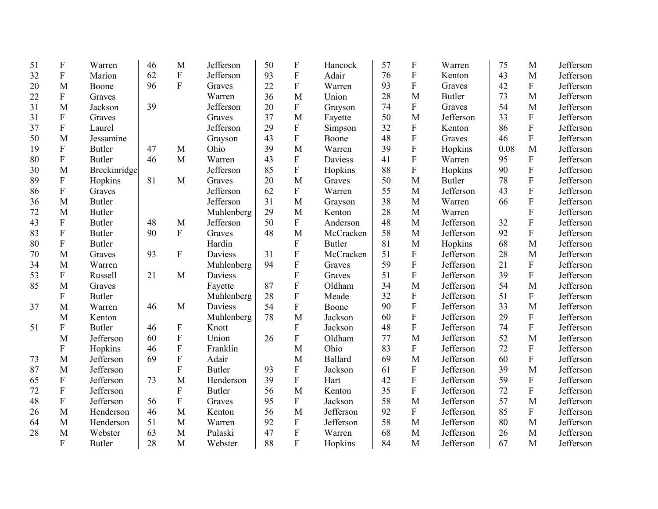| 51 | $\mathbf F$      | Warren        | 46 | M                         | Jefferson      | 50 | $\boldsymbol{\mathrm{F}}$ | Hancock       | 57 | $\mathbf F$               | Warren        | 75   | M           | Jefferson |
|----|------------------|---------------|----|---------------------------|----------------|----|---------------------------|---------------|----|---------------------------|---------------|------|-------------|-----------|
| 32 | ${\bf F}$        | Marion        | 62 | $\mathbf F$               | Jefferson      | 93 | $\boldsymbol{\mathrm{F}}$ | Adair         | 76 | ${\bf F}$                 | Kenton        | 43   | M           | Jefferson |
| 20 | M                | Boone         | 96 | F                         | Graves         | 22 | F                         | Warren        | 93 | ${\bf F}$                 | Graves        | 42   | ${\bf F}$   | Jefferson |
| 22 | $\overline{F}$   | Graves        |    |                           | Warren         | 36 | M                         | Union         | 28 | M                         | <b>Butler</b> | 73   | M           | Jefferson |
| 31 | M                | Jackson       | 39 |                           | Jefferson      | 20 | ${\bf F}$                 | Grayson       | 74 | $\boldsymbol{F}$          | Graves        | 54   | M           | Jefferson |
| 31 | ${\bf F}$        | Graves        |    |                           | Graves         | 37 | M                         | Fayette       | 50 | M                         | Jefferson     | 33   | ${\bf F}$   | Jefferson |
| 37 | ${\bf F}$        | Laurel        |    |                           | Jefferson      | 29 | ${\bf F}$                 | Simpson       | 32 | $\boldsymbol{F}$          | Kenton        | 86   | $\rm F$     | Jefferson |
| 50 | M                | Jessamine     |    |                           | Grayson        | 43 | $\overline{F}$            | Boone         | 48 | ${\bf F}$                 | Graves        | 46   | ${\bf F}$   | Jefferson |
| 19 | ${\bf F}$        | <b>Butler</b> | 47 | M                         | Ohio           | 39 | M                         | Warren        | 39 | $\mathbf F$               | Hopkins       | 0.08 | M           | Jefferson |
| 80 | ${\bf F}$        | <b>Butler</b> | 46 | M                         | Warren         | 43 | ${\bf F}$                 | Daviess       | 41 | ${\bf F}$                 | Warren        | 95   | ${\bf F}$   | Jefferson |
| 30 | M                | Breckinridge  |    |                           | Jefferson      | 85 | ${\bf F}$                 | Hopkins       | 88 | ${\bf F}$                 | Hopkins       | 90   | ${\bf F}$   | Jefferson |
| 89 | ${\bf F}$        | Hopkins       | 81 | M                         | Graves         | 20 | M                         | Graves        | 50 | M                         | <b>Butler</b> | 78   | $\rm F$     | Jefferson |
| 86 | F                | Graves        |    |                           | Jefferson      | 62 | $\boldsymbol{\mathrm{F}}$ | Warren        | 55 | M                         | Jefferson     | 43   | ${\bf F}$   | Jefferson |
| 36 | M                | <b>Butler</b> |    |                           | Jefferson      | 31 | M                         | Grayson       | 38 | M                         | Warren        | 66   | ${\bf F}$   | Jefferson |
| 72 | M                | <b>Butler</b> |    |                           | Muhlenberg     | 29 | M                         | Kenton        | 28 | M                         | Warren        |      | ${\bf F}$   | Jefferson |
| 43 | $\boldsymbol{F}$ | <b>Butler</b> | 48 | M                         | Jefferson      | 50 | $\boldsymbol{\mathrm{F}}$ | Anderson      | 48 | M                         | Jefferson     | 32   | ${\bf F}$   | Jefferson |
| 83 | F                | <b>Butler</b> | 90 | ${\bf F}$                 | Graves         | 48 | M                         | McCracken     | 58 | M                         | Jefferson     | 92   | ${\bf F}$   | Jefferson |
| 80 | ${\bf F}$        | <b>Butler</b> |    |                           | Hardin         |    | F                         | <b>Butler</b> | 81 | M                         | Hopkins       | 68   | M           | Jefferson |
| 70 | M                | Graves        | 93 | ${\bf F}$                 | <b>Daviess</b> | 31 | F                         | McCracken     | 51 | ${\bf F}$                 | Jefferson     | 28   | M           | Jefferson |
| 34 | M                | Warren        |    |                           | Muhlenberg     | 94 | $\mathbf F$               | Graves        | 59 | ${\bf F}$                 | Jefferson     | 21   | ${\bf F}$   | Jefferson |
| 53 | F                | Russell       | 21 | M                         | <b>Daviess</b> |    | F                         | Graves        | 51 | $\mathbf{F}$              | Jefferson     | 39   | ${\bf F}$   | Jefferson |
| 85 | M                | Graves        |    |                           | Fayette        | 87 | F                         | Oldham        | 34 | M                         | Jefferson     | 54   | M           | Jefferson |
|    | $\boldsymbol{F}$ | <b>Butler</b> |    |                           | Muhlenberg     | 28 | F                         | Meade         | 32 | $\mathbf{F}$              | Jefferson     | 51   | ${\bf F}$   | Jefferson |
| 37 | M                | Warren        | 46 | M                         | Daviess        | 54 | F                         | Boone         | 90 | $\mathbf F$               | Jefferson     | 33   | M           | Jefferson |
|    | M                | Kenton        |    |                           | Muhlenberg     | 78 | M                         | Jackson       | 60 | ${\bf F}$                 | Jefferson     | 29   | ${\bf F}$   | Jefferson |
| 51 | $\boldsymbol{F}$ | <b>Butler</b> | 46 | $\boldsymbol{\mathrm{F}}$ | Knott          |    | F                         | Jackson       | 48 | $\boldsymbol{\mathrm{F}}$ | Jefferson     | 74   | ${\bf F}$   | Jefferson |
|    | M                | Jefferson     | 60 | ${\bf F}$                 | Union          | 26 | F                         | Oldham        | 77 | M                         | Jefferson     | 52   | M           | Jefferson |
|    | ${\bf F}$        | Hopkins       | 46 | $\boldsymbol{\mathrm{F}}$ | Franklin       |    | M                         | Ohio          | 83 | F                         | Jefferson     | 72   | $\mathbf F$ | Jefferson |
| 73 | M                | Jefferson     | 69 | $\boldsymbol{\mathrm{F}}$ | Adair          |    | M                         | Ballard       | 69 | M                         | Jefferson     | 60   | ${\bf F}$   | Jefferson |
| 87 | M                | Jefferson     |    | F                         | <b>Butler</b>  | 93 | ${\bf F}$                 | Jackson       | 61 | ${\bf F}$                 | Jefferson     | 39   | M           | Jefferson |
| 65 | F                | Jefferson     | 73 | M                         | Henderson      | 39 | ${\bf F}$                 | Hart          | 42 | ${\bf F}$                 | Jefferson     | 59   | ${\bf F}$   | Jefferson |
| 72 | F                | Jefferson     |    | ${\bf F}$                 | <b>Butler</b>  | 56 | M                         | Kenton        | 35 | ${\bf F}$                 | Jefferson     | 72   | ${\bf F}$   | Jefferson |
| 48 | ${\bf F}$        | Jefferson     | 56 | $\mathbf F$               | Graves         | 95 | ${\bf F}$                 | Jackson       | 58 | M                         | Jefferson     | 57   | M           | Jefferson |
| 26 | M                | Henderson     | 46 | M                         | Kenton         | 56 | M                         | Jefferson     | 92 | $\mathbf F$               | Jefferson     | 85   | ${\bf F}$   | Jefferson |
| 64 | M                | Henderson     | 51 | M                         | Warren         | 92 | ${\bf F}$                 | Jefferson     | 58 | M                         | Jefferson     | 80   | M           | Jefferson |
| 28 | M                | Webster       | 63 | M                         | Pulaski        | 47 | ${\bf F}$                 | Warren        | 68 | M                         | Jefferson     | 26   | M           | Jefferson |
|    | ${\bf F}$        | <b>Butler</b> | 28 | M                         | Webster        | 88 | F                         | Hopkins       | 84 | M                         | Jefferson     | 67   | M           | Jefferson |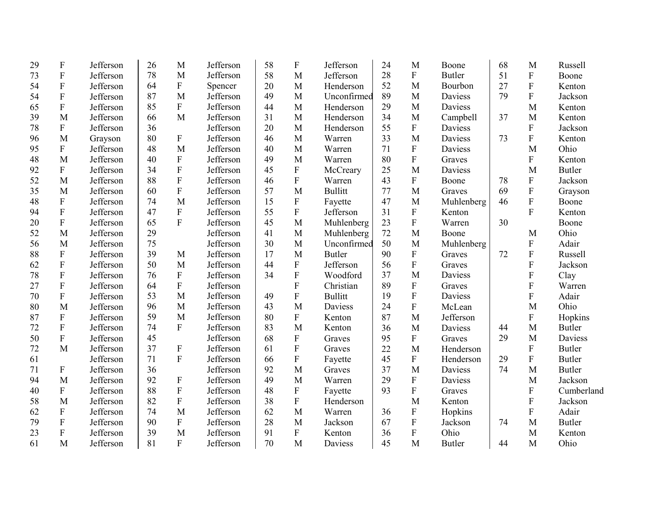| 29 | $\boldsymbol{\mathrm{F}}$ | Jefferson | 26 | M                         | Jefferson | 58 | $\mathbf F$               | Jefferson      | 24 | M                         | Boone          | 68 | M                         | Russell       |
|----|---------------------------|-----------|----|---------------------------|-----------|----|---------------------------|----------------|----|---------------------------|----------------|----|---------------------------|---------------|
| 73 | ${\bf F}$                 | Jefferson | 78 | M                         | Jefferson | 58 | M                         | Jefferson      | 28 | $\mathbf F$               | <b>Butler</b>  | 51 | $\boldsymbol{\mathrm{F}}$ | Boone         |
| 54 | ${\bf F}$                 | Jefferson | 64 | ${\bf F}$                 | Spencer   | 20 | M                         | Henderson      | 52 | M                         | Bourbon        | 27 | $\mathbf{F}$              | Kenton        |
| 54 | $\overline{F}$            | Jefferson | 87 | M                         | Jefferson | 49 | M                         | Unconfirmed    | 89 | M                         | <b>Daviess</b> | 79 | $\overline{F}$            | Jackson       |
| 65 | ${\bf F}$                 | Jefferson | 85 | ${\bf F}$                 | Jefferson | 44 | M                         | Henderson      | 29 | M                         | Daviess        |    | M                         | Kenton        |
| 39 | M                         | Jefferson | 66 | M                         | Jefferson | 31 | M                         | Henderson      | 34 | M                         | Campbell       | 37 | M                         | Kenton        |
| 78 | ${\bf F}$                 | Jefferson | 36 |                           | Jefferson | 20 | M                         | Henderson      | 55 | $\mathbf F$               | Daviess        |    | ${\bf F}$                 | Jackson       |
| 96 | M                         | Grayson   | 80 | ${\bf F}$                 | Jefferson | 46 | M                         | Warren         | 33 | M                         | Daviess        | 73 | $\overline{F}$            | Kenton        |
| 95 | ${\bf F}$                 | Jefferson | 48 | M                         | Jefferson | 40 | M                         | Warren         | 71 | ${\bf F}$                 | Daviess        |    | M                         | Ohio          |
| 48 | M                         | Jefferson | 40 | $\mathbf F$               | Jefferson | 49 | M                         | Warren         | 80 | $\mathbf F$               | Graves         |    | $\mathbf{F}$              | Kenton        |
| 92 | ${\bf F}$                 | Jefferson | 34 | ${\bf F}$                 | Jefferson | 45 | F                         | McCreary       | 25 | M                         | Daviess        |    | M                         | <b>Butler</b> |
| 52 | M                         | Jefferson | 88 | ${\bf F}$                 | Jefferson | 46 | $\boldsymbol{\mathrm{F}}$ | Warren         | 43 | $\mathbf F$               | Boone          | 78 | ${\bf F}$                 | Jackson       |
| 35 | M                         | Jefferson | 60 | ${\bf F}$                 | Jefferson | 57 | M                         | <b>Bullitt</b> | 77 | M                         | Graves         | 69 | ${\bf F}$                 | Grayson       |
| 48 | ${\bf F}$                 | Jefferson | 74 | M                         | Jefferson | 15 | $\mathbf{F}$              | Fayette        | 47 | M                         | Muhlenberg     | 46 | $\mathbf{F}$              | Boone         |
| 94 | ${\bf F}$                 | Jefferson | 47 | ${\bf F}$                 | Jefferson | 55 | F                         | Jefferson      | 31 | $\boldsymbol{\mathrm{F}}$ | Kenton         |    | $\mathbf{F}$              | Kenton        |
| 20 | ${\bf F}$                 | Jefferson | 65 | $\overline{F}$            | Jefferson | 45 | M                         | Muhlenberg     | 23 | $\mathbf F$               | Warren         | 30 |                           | Boone         |
| 52 | M                         | Jefferson | 29 |                           | Jefferson | 41 | M                         | Muhlenberg     | 72 | M                         | Boone          |    | M                         | Ohio          |
| 56 | M                         | Jefferson | 75 |                           | Jefferson | 30 | M                         | Unconfirmed    | 50 | M                         | Muhlenberg     |    | ${\bf F}$                 | Adair         |
| 88 | ${\bf F}$                 | Jefferson | 39 | M                         | Jefferson | 17 | M                         | <b>Butler</b>  | 90 | ${\bf F}$                 | Graves         | 72 | F                         | Russell       |
| 62 | ${\bf F}$                 | Jefferson | 50 | M                         | Jefferson | 44 | ${\bf F}$                 | Jefferson      | 56 | $\mathbf F$               | Graves         |    | F                         | Jackson       |
| 78 | ${\bf F}$                 | Jefferson | 76 | ${\bf F}$                 | Jefferson | 34 | ${\bf F}$                 | Woodford       | 37 | M                         | Daviess        |    | $\overline{F}$            | Clay          |
| 27 | $\boldsymbol{F}$          | Jefferson | 64 | ${\bf F}$                 | Jefferson |    | ${\bf F}$                 | Christian      | 89 | ${\bf F}$                 | Graves         |    | F                         | Warren        |
| 70 | ${\bf F}$                 | Jefferson | 53 | M                         | Jefferson | 49 | ${\bf F}$                 | <b>Bullitt</b> | 19 | $\overline{F}$            | Daviess        |    | F                         | Adair         |
| 80 | M                         | Jefferson | 96 | M                         | Jefferson | 43 | M                         | Daviess        | 24 | ${\bf F}$                 | McLean         |    | M                         | Ohio          |
| 87 | ${\bf F}$                 | Jefferson | 59 | M                         | Jefferson | 80 | $\mathbf{F}$              | Kenton         | 87 | M                         | Jefferson      |    | $\mathbf{F}$              | Hopkins       |
| 72 | F                         | Jefferson | 74 | $\mathbf{F}$              | Jefferson | 83 | M                         | Kenton         | 36 | M                         | Daviess        | 44 | M                         | <b>Butler</b> |
| 50 | ${\bf F}$                 | Jefferson | 45 |                           | Jefferson | 68 | ${\bf F}$                 | Graves         | 95 | $\mathbf F$               | Graves         | 29 | M                         | Daviess       |
| 72 | M                         | Jefferson | 37 | $\mathbf F$               | Jefferson | 61 | ${\bf F}$                 | Graves         | 22 | M                         | Henderson      |    | $\mathbf F$               | <b>Butler</b> |
| 61 |                           | Jefferson | 71 | $\mathbf{F}$              | Jefferson | 66 | ${\bf F}$                 | Fayette        | 45 | $\mathbf F$               | Henderson      | 29 | $\mathbf F$               | <b>Butler</b> |
| 71 | $\boldsymbol{\mathrm{F}}$ | Jefferson | 36 |                           | Jefferson | 92 | M                         | Graves         | 37 | M                         | Daviess        | 74 | M                         | <b>Butler</b> |
| 94 | M                         | Jefferson | 92 | $\mathbf F$               | Jefferson | 49 | M                         | Warren         | 29 | $\mathbf F$               | Daviess        |    | M                         | Jackson       |
| 40 | ${\bf F}$                 | Jefferson | 88 | $\boldsymbol{\mathrm{F}}$ | Jefferson | 48 | $\boldsymbol{\mathrm{F}}$ | Fayette        | 93 | $\mathbf F$               | Graves         |    | ${\bf F}$                 | Cumberland    |
| 58 | M                         | Jefferson | 82 | ${\bf F}$                 | Jefferson | 38 | ${\bf F}$                 | Henderson      |    | M                         | Kenton         |    | $\overline{F}$            | Jackson       |
| 62 | ${\bf F}$                 | Jefferson | 74 | M                         | Jefferson | 62 | M                         | Warren         | 36 | ${\bf F}$                 | Hopkins        |    | ${\bf F}$                 | Adair         |
| 79 | ${\bf F}$                 | Jefferson | 90 | ${\bf F}$                 | Jefferson | 28 | M                         | Jackson        | 67 | $\rm F$                   | Jackson        | 74 | M                         | <b>Butler</b> |
| 23 | $\boldsymbol{F}$          | Jefferson | 39 | M                         | Jefferson | 91 | $\mathbf F$               | Kenton         | 36 | $\mathbf F$               | Ohio           |    | M                         | Kenton        |
| 61 | M                         | Jefferson | 81 | $\overline{F}$            | Jefferson | 70 | M                         | Daviess        | 45 | M                         | <b>Butler</b>  | 44 | M                         | Ohio          |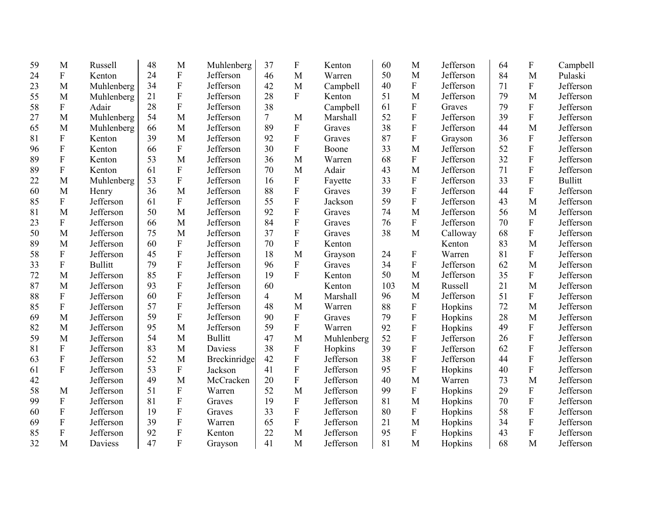| 59 | M                         | Russell        | 48 | M                         | Muhlenberg     | 37     | $\boldsymbol{\mathrm{F}}$ | Kenton     | 60  | M                         | Jefferson | 64 | F            | Campbell       |
|----|---------------------------|----------------|----|---------------------------|----------------|--------|---------------------------|------------|-----|---------------------------|-----------|----|--------------|----------------|
| 24 | $\boldsymbol{\mathrm{F}}$ | Kenton         | 24 | ${\bf F}$                 | Jefferson      | 46     | M                         | Warren     | 50  | M                         | Jefferson | 84 | M            | Pulaski        |
| 23 | M                         | Muhlenberg     | 34 | $\boldsymbol{\mathrm{F}}$ | Jefferson      | 42     | $\mathbf{M}$              | Campbell   | 40  | F                         | Jefferson | 71 | ${\bf F}$    | Jefferson      |
| 55 | M                         | Muhlenberg     | 21 | ${\bf F}$                 | Jefferson      | 28     | $\mathbf{F}$              | Kenton     | 51  | M                         | Jefferson | 79 | M            | Jefferson      |
| 58 | ${\bf F}$                 | Adair          | 28 | $\overline{F}$            | Jefferson      | 38     |                           | Campbell   | 61  | ${\bf F}$                 | Graves    | 79 | ${\bf F}$    | Jefferson      |
| 27 | M                         | Muhlenberg     | 54 | M                         | Jefferson      | $\tau$ | M                         | Marshall   | 52  | ${\bf F}$                 | Jefferson | 39 | ${\bf F}$    | Jefferson      |
| 65 | M                         | Muhlenberg     | 66 | M                         | Jefferson      | 89     | ${\bf F}$                 | Graves     | 38  | ${\bf F}$                 | Jefferson | 44 | M            | Jefferson      |
| 81 | $\boldsymbol{\mathrm{F}}$ | Kenton         | 39 | M                         | Jefferson      | 92     | ${\bf F}$                 | Graves     | 87  | ${\bf F}$                 | Grayson   | 36 | ${\bf F}$    | Jefferson      |
| 96 | $\mathbf F$               | Kenton         | 66 | ${\bf F}$                 | Jefferson      | 30     | $\mathbf F$               | Boone      | 33  | M                         | Jefferson | 52 | ${\bf F}$    | Jefferson      |
| 89 | $\overline{F}$            | Kenton         | 53 | M                         | Jefferson      | 36     | M                         | Warren     | 68  | $\overline{F}$            | Jefferson | 32 | ${\bf F}$    | Jefferson      |
| 89 | ${\bf F}$                 | Kenton         | 61 | ${\bf F}$                 | Jefferson      | 70     | M                         | Adair      | 43  | M                         | Jefferson | 71 | ${\bf F}$    | Jefferson      |
| 22 | M                         | Muhlenberg     | 53 | F                         | Jefferson      | 16     | $\boldsymbol{F}$          | Fayette    | 33  | ${\bf F}$                 | Jefferson | 33 | ${\bf F}$    | <b>Bullitt</b> |
| 60 | M                         | Henry          | 36 | M                         | Jefferson      | 88     | ${\bf F}$                 | Graves     | 39  | ${\bf F}$                 | Jefferson | 44 | ${\bf F}$    | Jefferson      |
| 85 | ${\bf F}$                 | Jefferson      | 61 | $\boldsymbol{\mathrm{F}}$ | Jefferson      | 55     | $\mathbf{F}$              | Jackson    | 59  | $\mathbf F$               | Jefferson | 43 | M            | Jefferson      |
| 81 | M                         | Jefferson      | 50 | M                         | Jefferson      | 92     | $\overline{F}$            | Graves     | 74  | M                         | Jefferson | 56 | M            | Jefferson      |
| 23 | $\boldsymbol{\mathrm{F}}$ | Jefferson      | 66 | M                         | Jefferson      | 84     | ${\bf F}$                 | Graves     | 76  | F                         | Jefferson | 70 | ${\bf F}$    | Jefferson      |
| 50 | M                         | Jefferson      | 75 | M                         | Jefferson      | 37     | $\mathbf{F}$              | Graves     | 38  | M                         | Calloway  | 68 | ${\bf F}$    | Jefferson      |
| 89 | M                         | Jefferson      | 60 | $\boldsymbol{\mathrm{F}}$ | Jefferson      | 70     | ${\bf F}$                 | Kenton     |     |                           | Kenton    | 83 | $\mathbf{M}$ | Jefferson      |
| 58 | F                         | Jefferson      | 45 | ${\bf F}$                 | Jefferson      | 18     | M                         | Grayson    | 24  | $\boldsymbol{\mathrm{F}}$ | Warren    | 81 | ${\bf F}$    | Jefferson      |
| 33 | ${\bf F}$                 | <b>Bullitt</b> | 79 | $\overline{F}$            | Jefferson      | 96     | $\mathbf F$               | Graves     | 34  | $\mathbf F$               | Jefferson | 62 | $\mathbf{M}$ | Jefferson      |
| 72 | M                         | Jefferson      | 85 | $\boldsymbol{\mathrm{F}}$ | Jefferson      | 19     | $\overline{F}$            | Kenton     | 50  | M                         | Jefferson | 35 | ${\bf F}$    | Jefferson      |
| 87 | M                         | Jefferson      | 93 | $\boldsymbol{\mathrm{F}}$ | Jefferson      | 60     |                           | Kenton     | 103 | M                         | Russell   | 21 | M            | Jefferson      |
| 88 | $\boldsymbol{\mathrm{F}}$ | Jefferson      | 60 | $\boldsymbol{\mathrm{F}}$ | Jefferson      | 4      | M                         | Marshall   | 96  | M                         | Jefferson | 51 | ${\bf F}$    | Jefferson      |
| 85 | $\mathbf F$               | Jefferson      | 57 | ${\bf F}$                 | Jefferson      | 48     | M                         | Warren     | 88  | $\boldsymbol{F}$          | Hopkins   | 72 | M            | Jefferson      |
| 69 | M                         | Jefferson      | 59 | $\overline{F}$            | Jefferson      | 90     | $\mathbf F$               | Graves     | 79  | $\boldsymbol{\mathrm{F}}$ | Hopkins   | 28 | M            | Jefferson      |
| 82 | M                         | Jefferson      | 95 | M                         | Jefferson      | 59     | ${\bf F}$                 | Warren     | 92  | ${\bf F}$                 | Hopkins   | 49 | ${\bf F}$    | Jefferson      |
| 59 | M                         | Jefferson      | 54 | M                         | <b>Bullitt</b> | 47     | M                         | Muhlenberg | 52  | ${\bf F}$                 | Jefferson | 26 | ${\bf F}$    | Jefferson      |
| 81 | $\boldsymbol{\mathrm{F}}$ | Jefferson      | 83 | M                         | Daviess        | 38     | $\boldsymbol{\mathrm{F}}$ | Hopkins    | 39  | ${\bf F}$                 | Jefferson | 62 | ${\bf F}$    | Jefferson      |
| 63 | $\mathbf F$               | Jefferson      | 52 | M                         | Breckinridge   | 42     | ${\bf F}$                 | Jefferson  | 38  | ${\bf F}$                 | Jefferson | 44 | ${\bf F}$    | Jefferson      |
| 61 | $\mathbf F$               | Jefferson      | 53 | ${\bf F}$                 | Jackson        | 41     | $\mathbf{F}$              | Jefferson  | 95  | ${\bf F}$                 | Hopkins   | 40 | ${\bf F}$    | Jefferson      |
| 42 |                           | Jefferson      | 49 | M                         | McCracken      | 20     | ${\bf F}$                 | Jefferson  | 40  | M                         | Warren    | 73 | M            | Jefferson      |
| 58 | M                         | Jefferson      | 51 | ${\bf F}$                 | Warren         | 52     | M                         | Jefferson  | 99  | ${\bf F}$                 | Hopkins   | 29 | ${\bf F}$    | Jefferson      |
| 99 | $\boldsymbol{\mathrm{F}}$ | Jefferson      | 81 | ${\bf F}$                 | Graves         | 19     | ${\bf F}$                 | Jefferson  | 81  | M                         | Hopkins   | 70 | ${\bf F}$    | Jefferson      |
| 60 | $\mathbf F$               | Jefferson      | 19 | ${\bf F}$                 | Graves         | 33     | $\mathbf{F}$              | Jefferson  | 80  | $\boldsymbol{\mathrm{F}}$ | Hopkins   | 58 | ${\bf F}$    | Jefferson      |
| 69 | $\mathbf F$               | Jefferson      | 39 | ${\bf F}$                 | Warren         | 65     | $\mathbf{F}$              | Jefferson  | 21  | M                         | Hopkins   | 34 | ${\bf F}$    | Jefferson      |
| 85 | F                         | Jefferson      | 92 | ${\bf F}$                 | Kenton         | 22     | M                         | Jefferson  | 95  | ${\bf F}$                 | Hopkins   | 43 | ${\bf F}$    | Jefferson      |
| 32 | M                         | Daviess        | 47 | $\overline{F}$            | Grayson        | 41     | M                         | Jefferson  | 81  | M                         | Hopkins   | 68 | M            | Jefferson      |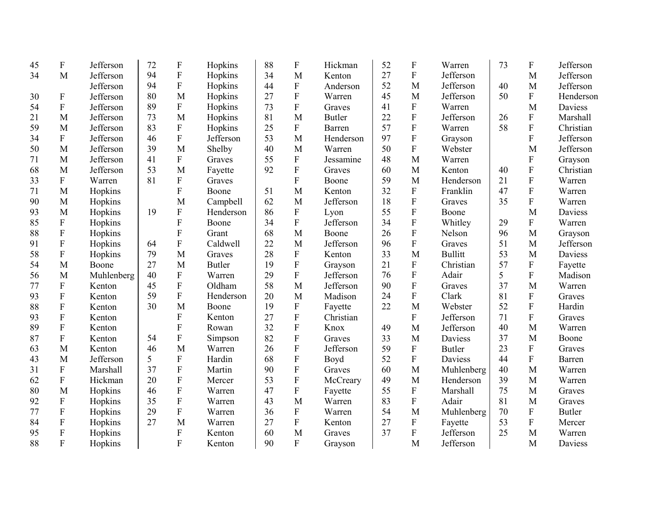| 45 | ${\bf F}$                 | Jefferson  | 72 | $\boldsymbol{\mathrm{F}}$ | Hopkins       | 88 | F                         | Hickman       | 52 | F                         | Warren         | 73 | ${\bf F}$                 | Jefferson     |
|----|---------------------------|------------|----|---------------------------|---------------|----|---------------------------|---------------|----|---------------------------|----------------|----|---------------------------|---------------|
| 34 | M                         | Jefferson  | 94 | ${\bf F}$                 | Hopkins       | 34 | M                         | Kenton        | 27 | ${\bf F}$                 | Jefferson      |    | M                         | Jefferson     |
|    |                           | Jefferson  | 94 | ${\bf F}$                 | Hopkins       | 44 | ${\bf F}$                 | Anderson      | 52 | M                         | Jefferson      | 40 | M                         | Jefferson     |
| 30 | ${\bf F}$                 | Jefferson  | 80 | M                         | Hopkins       | 27 | ${\bf F}$                 | Warren        | 45 | M                         | Jefferson      | 50 | $\mathbf{F}$              | Henderson     |
| 54 | ${\bf F}$                 | Jefferson  | 89 | $\mathbf F$               | Hopkins       | 73 | ${\bf F}$                 | Graves        | 41 | ${\bf F}$                 | Warren         |    | M                         | Daviess       |
| 21 | M                         | Jefferson  | 73 | M                         | Hopkins       | 81 | M                         | <b>Butler</b> | 22 | $\mathbf F$               | Jefferson      | 26 | $\mathbf{F}$              | Marshall      |
| 59 | M                         | Jefferson  | 83 | $\mathbf F$               | Hopkins       | 25 | ${\bf F}$                 | Barren        | 57 | ${\bf F}$                 | Warren         | 58 | $\mathbf F$               | Christian     |
| 34 | ${\bf F}$                 | Jefferson  | 46 | $\overline{F}$            | Jefferson     | 53 | M                         | Henderson     | 97 | ${\bf F}$                 | Grayson        |    | $\overline{F}$            | Jefferson     |
| 50 | M                         | Jefferson  | 39 | M                         | Shelby        | 40 | M                         | Warren        | 50 | $\overline{F}$            | Webster        |    | M                         | Jefferson     |
| 71 | M                         | Jefferson  | 41 | $\mathbf{F}$              | Graves        | 55 | ${\bf F}$                 | Jessamine     | 48 | M                         | Warren         |    | ${\bf F}$                 | Grayson       |
| 68 | M                         | Jefferson  | 53 | M                         | Fayette       | 92 | $\overline{F}$            | Graves        | 60 | M                         | Kenton         | 40 | $\overline{F}$            | Christian     |
| 33 | ${\bf F}$                 | Warren     | 81 | $\mathbf{F}$              | Graves        |    | $\mathbf{F}$              | Boone         | 59 | M                         | Henderson      | 21 | $\mathbf F$               | Warren        |
| 71 | M                         | Hopkins    |    | F                         | Boone         | 51 | M                         | Kenton        | 32 | ${\bf F}$                 | Franklin       | 47 | $\overline{F}$            | Warren        |
| 90 | M                         | Hopkins    |    | M                         | Campbell      | 62 | M                         | Jefferson     | 18 | ${\bf F}$                 | Graves         | 35 | $\mathbf F$               | Warren        |
| 93 | M                         | Hopkins    | 19 | $\mathbf F$               | Henderson     | 86 | ${\bf F}$                 | Lyon          | 55 | ${\bf F}$                 | Boone          |    | M                         | Daviess       |
| 85 | $\boldsymbol{\mathrm{F}}$ | Hopkins    |    | ${\bf F}$                 | Boone         | 34 | ${\bf F}$                 | Jefferson     | 34 | ${\bf F}$                 | Whitley        | 29 | F                         | Warren        |
| 88 | ${\bf F}$                 | Hopkins    |    | $\overline{F}$            | Grant         | 68 | M                         | Boone         | 26 | ${\bf F}$                 | Nelson         | 96 | M                         | Grayson       |
| 91 | ${\bf F}$                 | Hopkins    | 64 | $\boldsymbol{\mathrm{F}}$ | Caldwell      | 22 | M                         | Jefferson     | 96 | ${\bf F}$                 | Graves         | 51 | M                         | Jefferson     |
| 58 | ${\bf F}$                 | Hopkins    | 79 | M                         | Graves        | 28 | $\boldsymbol{\mathrm{F}}$ | Kenton        | 33 | M                         | <b>Bullitt</b> | 53 | M                         | Daviess       |
| 54 | M                         | Boone      | 27 | M                         | <b>Butler</b> | 19 | $\overline{F}$            | Grayson       | 21 | ${\bf F}$                 | Christian      | 57 | ${\bf F}$                 | Fayette       |
| 56 | M                         | Muhlenberg | 40 | ${\bf F}$                 | Warren        | 29 | ${\bf F}$                 | Jefferson     | 76 | $\mathbf F$               | Adair          | 5  | $\mathbf F$               | Madison       |
| 77 | $\boldsymbol{\mathrm{F}}$ | Kenton     | 45 | $\boldsymbol{\mathrm{F}}$ | Oldham        | 58 | M                         | Jefferson     | 90 | $\mathbf F$               | Graves         | 37 | M                         | Warren        |
| 93 | $\mathbf F$               | Kenton     | 59 | ${\bf F}$                 | Henderson     | 20 | M                         | Madison       | 24 | ${\bf F}$                 | Clark          | 81 | $\boldsymbol{\mathrm{F}}$ | Graves        |
| 88 | $\mathbf F$               | Kenton     | 30 | M                         | Boone         | 19 | $\boldsymbol{\mathrm{F}}$ | Fayette       | 22 | M                         | Webster        | 52 | F                         | Hardin        |
| 93 | F                         | Kenton     |    | F                         | Kenton        | 27 | ${\bf F}$                 | Christian     |    | $\boldsymbol{\mathrm{F}}$ | Jefferson      | 71 | ${\bf F}$                 | Graves        |
| 89 | ${\bf F}$                 | Kenton     |    | F                         | Rowan         | 32 | $\overline{F}$            | Knox          | 49 | M                         | Jefferson      | 40 | M                         | Warren        |
| 87 | $\boldsymbol{\mathrm{F}}$ | Kenton     | 54 | ${\bf F}$                 | Simpson       | 82 | ${\bf F}$                 | Graves        | 33 | M                         | Daviess        | 37 | M                         | Boone         |
| 63 | M                         | Kenton     | 46 | M                         | Warren        | 26 | ${\bf F}$                 | Jefferson     | 59 | ${\bf F}$                 | <b>Butler</b>  | 23 | ${\bf F}$                 | Graves        |
| 43 | M                         | Jefferson  | 5  | $\overline{F}$            | Hardin        | 68 | F                         | Boyd          | 52 | F                         | Daviess        | 44 | ${\bf F}$                 | Barren        |
| 31 | ${\bf F}$                 | Marshall   | 37 | ${\bf F}$                 | Martin        | 90 | ${\bf F}$                 | Graves        | 60 | M                         | Muhlenberg     | 40 | M                         | Warren        |
| 62 | ${\bf F}$                 | Hickman    | 20 | ${\bf F}$                 | Mercer        | 53 | ${\bf F}$                 | McCreary      | 49 | M                         | Henderson      | 39 | M                         | Warren        |
| 80 | M                         | Hopkins    | 46 | ${\bf F}$                 | Warren        | 47 | ${\bf F}$                 | Fayette       | 55 | ${\bf F}$                 | Marshall       | 75 | M                         | Graves        |
| 92 | ${\bf F}$                 | Hopkins    | 35 | ${\bf F}$                 | Warren        | 43 | M                         | Warren        | 83 | $\mathbf F$               | Adair          | 81 | M                         | Graves        |
| 77 | $\boldsymbol{\mathrm{F}}$ | Hopkins    | 29 | $\boldsymbol{\mathrm{F}}$ | Warren        | 36 | ${\bf F}$                 | Warren        | 54 | M                         | Muhlenberg     | 70 | ${\bf F}$                 | <b>Butler</b> |
| 84 | $\boldsymbol{\mathrm{F}}$ | Hopkins    | 27 | M                         | Warren        | 27 | ${\bf F}$                 | Kenton        | 27 | ${\bf F}$                 | Fayette        | 53 | ${\bf F}$                 | Mercer        |
| 95 | $\mathbf F$               | Hopkins    |    | $\boldsymbol{\mathrm{F}}$ | Kenton        | 60 | M                         | Graves        | 37 | ${\bf F}$                 | Jefferson      | 25 | M                         | Warren        |
| 88 | F                         | Hopkins    |    | F                         | Kenton        | 90 | $\overline{F}$            | Grayson       |    | M                         | Jefferson      |    | M                         | Daviess       |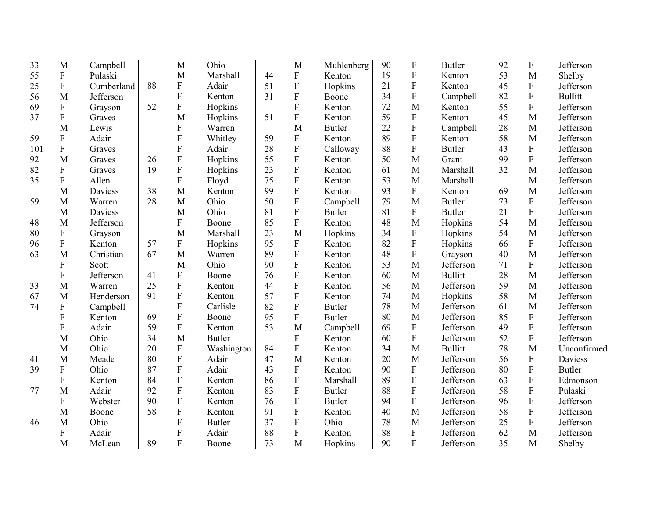| 33  | M                         | Campbell   |    | M                | Ohio          |    | M                         | Muhlenberg    | 90 | $\mathbf F$               | <b>Butler</b>  | 92 | ${\bf F}$      | Jefferson      |
|-----|---------------------------|------------|----|------------------|---------------|----|---------------------------|---------------|----|---------------------------|----------------|----|----------------|----------------|
| 55  | $\rm F$                   | Pulaski    |    | M                | Marshall      | 44 | ${\bf F}$                 | Kenton        | 19 | ${\bf F}$                 | Kenton         | 53 | M              | Shelby         |
| 25  | ${\bf F}$                 | Cumberland | 88 | ${\bf F}$        | Adair         | 51 | $\overline{F}$            | Hopkins       | 21 | ${\bf F}$                 | Kenton         | 45 | ${\bf F}$      | Jefferson      |
| 56  | M                         | Jefferson  |    | ${\bf F}$        | Kenton        | 31 | $\overline{F}$            | Boone         | 34 | ${\bf F}$                 | Campbell       | 82 | $\rm F$        | <b>Bullitt</b> |
| 69  | $\boldsymbol{\mathrm{F}}$ | Grayson    | 52 | ${\bf F}$        | Hopkins       |    | $\overline{F}$            | Kenton        | 72 | M                         | Kenton         | 55 | $\overline{F}$ | Jefferson      |
| 37  | $\mathbf F$               | Graves     |    | M                | Hopkins       | 51 | $\overline{F}$            | Kenton        | 59 | ${\bf F}$                 | Kenton         | 45 | M              | Jefferson      |
|     | M                         | Lewis      |    | $\boldsymbol{F}$ | Warren        |    | M                         | <b>Butler</b> | 22 | ${\bf F}$                 | Campbell       | 28 | M              | Jefferson      |
| 59  | ${\bf F}$                 | Adair      |    | F                | Whitley       | 59 | ${\bf F}$                 | Kenton        | 89 | ${\bf F}$                 | Kenton         | 58 | M              | Jefferson      |
| 101 | ${\bf F}$                 | Graves     |    | F                | Adair         | 28 | $\boldsymbol{\mathrm{F}}$ | Calloway      | 88 | $\overline{F}$            | <b>Butler</b>  | 43 | ${\bf F}$      | Jefferson      |
| 92  | M                         | Graves     | 26 | ${\bf F}$        | Hopkins       | 55 | $\mathbf F$               | Kenton        | 50 | M                         | Grant          | 99 | $\overline{F}$ | Jefferson      |
| 82  | $\boldsymbol{\mathrm{F}}$ | Graves     | 19 | $\overline{F}$   | Hopkins       | 23 | $\overline{F}$            | Kenton        | 61 | M                         | Marshall       | 32 | M              | Jefferson      |
| 35  | $\boldsymbol{\mathrm{F}}$ | Allen      |    | F                | Floyd         | 75 | $\boldsymbol{\mathrm{F}}$ | Kenton        | 53 | M                         | Marshall       |    | M              | Jefferson      |
|     | M                         | Daviess    | 38 | M                | Kenton        | 99 | $\overline{F}$            | Kenton        | 93 | ${\bf F}$                 | Kenton         | 69 | M              | Jefferson      |
| 59  | M                         | Warren     | 28 | M                | Ohio          | 50 | $\boldsymbol{\mathrm{F}}$ | Campbell      | 79 | M                         | <b>Butler</b>  | 73 | ${\bf F}$      | Jefferson      |
|     | M                         | Daviess    |    | M                | Ohio          | 81 | $\overline{F}$            | <b>Butler</b> | 81 | ${\bf F}$                 | <b>Butler</b>  | 21 | $\mathbf F$    | Jefferson      |
| 48  | M                         | Jefferson  |    | ${\bf F}$        | Boone         | 85 | ${\bf F}$                 | Kenton        | 48 | M                         | Hopkins        | 54 | M              | Jefferson      |
| 80  | $\boldsymbol{\mathrm{F}}$ | Grayson    |    | M                | Marshall      | 23 | M                         | Hopkins       | 34 | $\boldsymbol{\mathrm{F}}$ | Hopkins        | 54 | M              | Jefferson      |
| 96  | ${\bf F}$                 | Kenton     | 57 | F                | Hopkins       | 95 | $\mathbf F$               | Kenton        | 82 | ${\bf F}$                 | Hopkins        | 66 | ${\bf F}$      | Jefferson      |
| 63  | M                         | Christian  | 67 | M                | Warren        | 89 | $\rm F$                   | Kenton        | 48 | ${\bf F}$                 | Grayson        | 40 | M              | Jefferson      |
|     | F                         | Scott      |    | M                | Ohio          | 90 | $\overline{F}$            | Kenton        | 53 | M                         | Jefferson      | 71 | ${\bf F}$      | Jefferson      |
|     | F                         | Jefferson  | 41 | $\boldsymbol{F}$ | Boone         | 76 | ${\bf F}$                 | Kenton        | 60 | M                         | <b>Bullitt</b> | 28 | M              | Jefferson      |
| 33  | M                         | Warren     | 25 | F                | Kenton        | 44 | $\overline{F}$            | Kenton        | 56 | M                         | Jefferson      | 59 | M              | Jefferson      |
| 67  | M                         | Henderson  | 91 | ${\bf F}$        | Kenton        | 57 | $\overline{F}$            | Kenton        | 74 | M                         | Hopkins        | 58 | M              | Jefferson      |
| 74  | $\boldsymbol{\mathrm{F}}$ | Campbell   |    | F                | Carlisle      | 82 | $\boldsymbol{\mathrm{F}}$ | <b>Butler</b> | 78 | M                         | Jefferson      | 61 | M              | Jefferson      |
|     | F                         | Kenton     | 69 | ${\bf F}$        | Boone         | 95 | ${\bf F}$                 | <b>Butler</b> | 80 | M                         | Jefferson      | 85 | ${\bf F}$      | Jefferson      |
|     | F                         | Adair      | 59 | ${\bf F}$        | Kenton        | 53 | M                         | Campbell      | 69 | $\boldsymbol{\mathrm{F}}$ | Jefferson      | 49 | $\mathbf F$    | Jefferson      |
|     | M                         | Ohio       | 34 | M                | <b>Butler</b> |    | ${\bf F}$                 | Kenton        | 60 | ${\bf F}$                 | Jefferson      | 52 | ${\bf F}$      | Jefferson      |
|     | M                         | Ohio       | 20 | ${\bf F}$        | Washington    | 84 | ${\bf F}$                 | Kenton        | 34 | M                         | <b>Bullitt</b> | 78 | M              | Unconfirmed    |
| 41  | M                         | Meade      | 80 | ${\bf F}$        | Adair         | 47 | M                         | Kenton        | 20 | M                         | Jefferson      | 56 | ${\bf F}$      | Daviess        |
| 39  | $\boldsymbol{\mathrm{F}}$ | Ohio       | 87 | ${\bf F}$        | Adair         | 43 | ${\bf F}$                 | Kenton        | 90 | ${\bf F}$                 | Jefferson      | 80 | ${\bf F}$      | <b>Butler</b>  |
|     | $\mathbf F$               | Kenton     | 84 | ${\bf F}$        | Kenton        | 86 | $\overline{F}$            | Marshall      | 89 | $\overline{F}$            | Jefferson      | 63 | ${\bf F}$      | Edmonson       |
| 77  | M                         | Adair      | 92 | ${\bf F}$        | Kenton        | 83 | ${\bf F}$                 | <b>Butler</b> | 88 | ${\bf F}$                 | Jefferson      | 58 | ${\bf F}$      | Pulaski        |
|     | $\boldsymbol{\mathrm{F}}$ | Webster    | 90 | ${\bf F}$        | Kenton        | 76 | $\overline{F}$            | <b>Butler</b> | 94 | $\boldsymbol{\mathrm{F}}$ | Jefferson      | 96 | ${\bf F}$      | Jefferson      |
|     | M                         | Boone      | 58 | ${\bf F}$        | Kenton        | 91 | ${\bf F}$                 | Kenton        | 40 | M                         | Jefferson      | 58 | ${\bf F}$      | Jefferson      |
| 46  | M                         | Ohio       |    | F                | <b>Butler</b> | 37 | $\overline{F}$            | Ohio          | 78 | M                         | Jefferson      | 25 | ${\bf F}$      | Jefferson      |
|     | F                         | Adair      |    | $\mathbf F$      | Adair         | 88 | ${\bf F}$                 | Kenton        | 88 | ${\bf F}$                 | Jefferson      | 62 | M              | Jefferson      |
|     | M                         | McLean     | 89 | F                | Boone         | 73 | M                         | Hopkins       | 90 | $\mathbf{F}$              | Jefferson      | 35 | M              | Shelby         |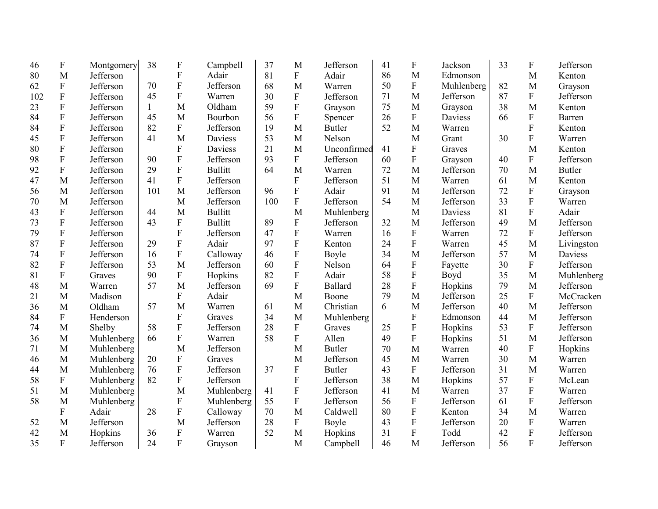| 46  | F                         | Montgomery | 38           | $\boldsymbol{\mathrm{F}}$ | Campbell       | 37  | M            | Jefferson      | 41 | ${\bf F}$                 | Jackson        | 33 | $\boldsymbol{\mathrm{F}}$ | Jefferson     |
|-----|---------------------------|------------|--------------|---------------------------|----------------|-----|--------------|----------------|----|---------------------------|----------------|----|---------------------------|---------------|
| 80  | M                         | Jefferson  |              | ${\bf F}$                 | Adair          | 81  | ${\bf F}$    | Adair          | 86 | M                         | Edmonson       |    | M                         | Kenton        |
| 62  | ${\bf F}$                 | Jefferson  | 70           | ${\bf F}$                 | Jefferson      | 68  | M            | Warren         | 50 | ${\bf F}$                 | Muhlenberg     | 82 | M                         | Grayson       |
| 102 | $\mathbf F$               | Jefferson  | 45           | F                         | Warren         | 30  | F            | Jefferson      | 71 | M                         | Jefferson      | 87 | ${\bf F}$                 | Jefferson     |
| 23  | $\mathbf F$               | Jefferson  | $\mathbf{1}$ | M                         | Oldham         | 59  | ${\bf F}$    | Grayson        | 75 | M                         | Grayson        | 38 | M                         | Kenton        |
| 84  | $\mathbf F$               | Jefferson  | 45           | M                         | Bourbon        | 56  | ${\bf F}$    | Spencer        | 26 | $\mathbf F$               | <b>Daviess</b> | 66 | ${\bf F}$                 | Barren        |
| 84  | ${\bf F}$                 | Jefferson  | 82           | $\mathbf{F}$              | Jefferson      | 19  | M            | <b>Butler</b>  | 52 | M                         | Warren         |    | F                         | Kenton        |
| 45  | ${\bf F}$                 | Jefferson  | 41           | M                         | Daviess        | 53  | M            | Nelson         |    | M                         | Grant          | 30 | $\mathbf{F}$              | Warren        |
| 80  | $\mathbf F$               | Jefferson  |              | $\overline{F}$            | Daviess        | 21  | M            | Unconfirmed    | 41 | $\mathbf F$               | Graves         |    | M                         | Kenton        |
| 98  | ${\bf F}$                 | Jefferson  | 90           | $\overline{F}$            | Jefferson      | 93  | $\mathbf{F}$ | Jefferson      | 60 | ${\bf F}$                 | Grayson        | 40 | ${\bf F}$                 | Jefferson     |
| 92  | $\mathbf F$               | Jefferson  | 29           | $\overline{F}$            | <b>Bullitt</b> | 64  | M            | Warren         | 72 | M                         | Jefferson      | 70 | M                         | <b>Butler</b> |
| 47  | M                         | Jefferson  | 41           | $\mathbf{F}$              | Jefferson      |     | $\mathbf{F}$ | Jefferson      | 51 | M                         | Warren         | 61 | M                         | Kenton        |
| 56  | M                         | Jefferson  | 101          | M                         | Jefferson      | 96  | F            | Adair          | 91 | M                         | Jefferson      | 72 | $\mathbf{F}$              | Grayson       |
| 70  | M                         | Jefferson  |              | M                         | Jefferson      | 100 | ${\bf F}$    | Jefferson      | 54 | M                         | Jefferson      | 33 | $\mathbf{F}$              | Warren        |
| 43  | ${\bf F}$                 | Jefferson  | 44           | M                         | <b>Bullitt</b> |     | M            | Muhlenberg     |    | M                         | Daviess        | 81 | $\overline{F}$            | Adair         |
| 73  | ${\bf F}$                 | Jefferson  | 43           | ${\bf F}$                 | <b>Bullitt</b> | 89  | ${\bf F}$    | Jefferson      | 32 | M                         | Jefferson      | 49 | M                         | Jefferson     |
| 79  | ${\bf F}$                 | Jefferson  |              | ${\bf F}$                 | Jefferson      | 47  | $\mathbf F$  | Warren         | 16 | ${\bf F}$                 | Warren         | 72 | ${\bf F}$                 | Jefferson     |
| 87  | ${\bf F}$                 | Jefferson  | 29           | $\overline{F}$            | Adair          | 97  | ${\bf F}$    | Kenton         | 24 | ${\bf F}$                 | Warren         | 45 | M                         | Livingston    |
| 74  | ${\bf F}$                 | Jefferson  | 16           | ${\bf F}$                 | Calloway       | 46  | ${\bf F}$    | Boyle          | 34 | M                         | Jefferson      | 57 | M                         | Daviess       |
| 82  | F                         | Jefferson  | 53           | M                         | Jefferson      | 60  | F            | Nelson         | 64 | ${\bf F}$                 | Fayette        | 30 | $\mathbf F$               | Jefferson     |
| 81  | $\boldsymbol{F}$          | Graves     | 90           | ${\bf F}$                 | Hopkins        | 82  | ${\bf F}$    | Adair          | 58 | $\mathbf F$               | Boyd           | 35 | M                         | Muhlenberg    |
| 48  | M                         | Warren     | 57           | M                         | Jefferson      | 69  | F            | <b>Ballard</b> | 28 | $\overline{F}$            | Hopkins        | 79 | M                         | Jefferson     |
| 21  | M                         | Madison    |              | $\mathbf{F}$              | Adair          |     | M            | Boone          | 79 | M                         | Jefferson      | 25 | $\boldsymbol{F}$          | McCracken     |
| 36  | M                         | Oldham     | 57           | M                         | Warren         | 61  | M            | Christian      | 6  | M                         | Jefferson      | 40 | M                         | Jefferson     |
| 84  | $\boldsymbol{\mathrm{F}}$ | Henderson  |              | ${\bf F}$                 | Graves         | 34  | M            | Muhlenberg     |    | ${\bf F}$                 | Edmonson       | 44 | M                         | Jefferson     |
| 74  | M                         | Shelby     | 58           | $\mathbf{F}$              | Jefferson      | 28  | ${\bf F}$    | Graves         | 25 | ${\bf F}$                 | Hopkins        | 53 | $\mathbf F$               | Jefferson     |
| 36  | M                         | Muhlenberg | 66           | ${\bf F}$                 | Warren         | 58  | F            | Allen          | 49 | ${\bf F}$                 | Hopkins        | 51 | M                         | Jefferson     |
| 71  | M                         | Muhlenberg |              | M                         | Jefferson      |     | M            | <b>Butler</b>  | 70 | M                         | Warren         | 40 | ${\bf F}$                 | Hopkins       |
| 46  | M                         | Muhlenberg | 20           | ${\bf F}$                 | Graves         |     | M            | Jefferson      | 45 | M                         | Warren         | 30 | M                         | Warren        |
| 44  | M                         | Muhlenberg | 76           | ${\bf F}$                 | Jefferson      | 37  | ${\bf F}$    | <b>Butler</b>  | 43 | ${\bf F}$                 | Jefferson      | 31 | M                         | Warren        |
| 58  | ${\bf F}$                 | Muhlenberg | 82           | ${\bf F}$                 | Jefferson      |     | F            | Jefferson      | 38 | M                         | Hopkins        | 57 | ${\bf F}$                 | McLean        |
| 51  | M                         | Muhlenberg |              | M                         | Muhlenberg     | 41  | $\mathbf F$  | Jefferson      | 41 | M                         | Warren         | 37 | ${\bf F}$                 | Warren        |
| 58  | M                         | Muhlenberg |              | $\boldsymbol{\mathrm{F}}$ | Muhlenberg     | 55  | $\mathbf F$  | Jefferson      | 56 | ${\bf F}$                 | Jefferson      | 61 | $\mathbf F$               | Jefferson     |
|     | $\boldsymbol{F}$          | Adair      | 28           | ${\bf F}$                 | Calloway       | 70  | M            | Caldwell       | 80 | ${\bf F}$                 | Kenton         | 34 | M                         | Warren        |
| 52  | M                         | Jefferson  |              | M                         | Jefferson      | 28  | ${\bf F}$    | Boyle          | 43 | $\boldsymbol{\mathrm{F}}$ | Jefferson      | 20 | $\mathbf F$               | Warren        |
| 42  | M                         | Hopkins    | 36           | $\boldsymbol{\mathrm{F}}$ | Warren         | 52  | M            | Hopkins        | 31 | ${\bf F}$                 | Todd           | 42 | $\mathbf F$               | Jefferson     |
| 35  | F                         | Jefferson  | 24           | F                         | Grayson        |     | M            | Campbell       | 46 | M                         | Jefferson      | 56 | $\overline{F}$            | Jefferson     |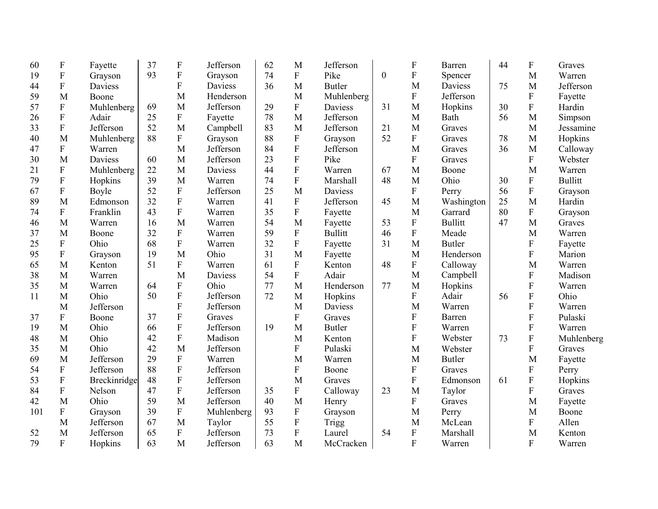| 60  | F                         | Fayette      | 37 | $\boldsymbol{\mathrm{F}}$ | Jefferson      | 62 | M                         | Jefferson      |              | F                         | Barren         | 44 | ${\bf F}$      | Graves         |
|-----|---------------------------|--------------|----|---------------------------|----------------|----|---------------------------|----------------|--------------|---------------------------|----------------|----|----------------|----------------|
| 19  | ${\bf F}$                 | Grayson      | 93 | ${\bf F}$                 | Grayson        | 74 | $\overline{F}$            | Pike           | $\mathbf{0}$ | $\mathbf F$               | Spencer        |    | M              | Warren         |
| 44  | ${\bf F}$                 | Daviess      |    | ${\bf F}$                 | <b>Daviess</b> | 36 | M                         | <b>Butler</b>  |              | M                         | Daviess        | 75 | M              | Jefferson      |
| 59  | M                         | Boone        |    | M                         | Henderson      |    | M                         | Muhlenberg     |              | ${\bf F}$                 | Jefferson      |    | $\mathbf F$    | Fayette        |
| 57  | $\boldsymbol{\mathrm{F}}$ | Muhlenberg   | 69 | M                         | Jefferson      | 29 | $\mathbf F$               | Daviess        | 31           | M                         | Hopkins        | 30 | $\mathbf F$    | Hardin         |
| 26  | ${\bf F}$                 | Adair        | 25 | ${\bf F}$                 | Fayette        | 78 | M                         | Jefferson      |              | M                         | Bath           | 56 | M              | Simpson        |
| 33  | ${\bf F}$                 | Jefferson    | 52 | M                         | Campbell       | 83 | M                         | Jefferson      | 21           | M                         | Graves         |    | M              | Jessamine      |
| 40  | M                         | Muhlenberg   | 88 | $\overline{F}$            | Grayson        | 88 | ${\bf F}$                 | Grayson        | 52           | ${\bf F}$                 | Graves         | 78 | M              | Hopkins        |
| 47  | ${\bf F}$                 | Warren       |    | M                         | Jefferson      | 84 | $\boldsymbol{\mathrm{F}}$ | Jefferson      |              | M                         | Graves         | 36 | M              | Calloway       |
| 30  | M                         | Daviess      | 60 | M                         | Jefferson      | 23 | ${\bf F}$                 | Pike           |              | $\boldsymbol{\mathrm{F}}$ | Graves         |    | $\overline{F}$ | Webster        |
| 21  | ${\bf F}$                 | Muhlenberg   | 22 | M                         | <b>Daviess</b> | 44 | $\overline{F}$            | Warren         | 67           | M                         | Boone          |    | M              | Warren         |
| 79  | ${\bf F}$                 | Hopkins      | 39 | M                         | Warren         | 74 | ${\bf F}$                 | Marshall       | 48           | M                         | Ohio           | 30 | $\mathbf{F}$   | <b>Bullitt</b> |
| 67  | ${\bf F}$                 | Boyle        | 52 | ${\bf F}$                 | Jefferson      | 25 | M                         | Daviess        |              | $\mathbf F$               | Perry          | 56 | $\overline{F}$ | Grayson        |
| 89  | M                         | Edmonson     | 32 | ${\bf F}$                 | Warren         | 41 | ${\bf F}$                 | Jefferson      | 45           | M                         | Washington     | 25 | M              | Hardin         |
| 74  | ${\bf F}$                 | Franklin     | 43 | F                         | Warren         | 35 | ${\bf F}$                 | Fayette        |              | M                         | Garrard        | 80 | ${\bf F}$      | Grayson        |
| 46  | M                         | Warren       | 16 | M                         | Warren         | 54 | M                         | Fayette        | 53           | ${\bf F}$                 | <b>Bullitt</b> | 47 | M              | Graves         |
| 37  | M                         | Boone        | 32 | $\mathbf{F}$              | Warren         | 59 | ${\bf F}$                 | <b>Bullitt</b> | 46           | $\mathbf F$               | Meade          |    | M              | Warren         |
| 25  | $\boldsymbol{\mathrm{F}}$ | Ohio         | 68 | ${\bf F}$                 | Warren         | 32 | ${\bf F}$                 | Fayette        | 31           | M                         | <b>Butler</b>  |    | F              | Fayette        |
| 95  | $\boldsymbol{\mathrm{F}}$ | Grayson      | 19 | M                         | Ohio           | 31 | M                         | Fayette        |              | M                         | Henderson      |    | $\mathbf{F}$   | Marion         |
| 65  | M                         | Kenton       | 51 | F                         | Warren         | 61 | ${\bf F}$                 | Kenton         | 48           | $\boldsymbol{\mathrm{F}}$ | Calloway       |    | M              | Warren         |
| 38  | M                         | Warren       |    | M                         | Daviess        | 54 | ${\bf F}$                 | Adair          |              | M                         | Campbell       |    | $\mathbf{F}$   | Madison        |
| 35  | M                         | Warren       | 64 | F                         | Ohio           | 77 | M                         | Henderson      | 77           | M                         | Hopkins        |    | ${\bf F}$      | Warren         |
| 11  | M                         | Ohio         | 50 | $\overline{F}$            | Jefferson      | 72 | M                         | Hopkins        |              | F                         | Adair          | 56 | ${\bf F}$      | Ohio           |
|     | M                         | Jefferson    |    | F                         | Jefferson      |    | M                         | Daviess        |              | M                         | Warren         |    | $\mathbf F$    | Warren         |
| 37  | $\boldsymbol{\mathrm{F}}$ | Boone        | 37 | ${\bf F}$                 | Graves         |    | F                         | Graves         |              | $\boldsymbol{\mathrm{F}}$ | <b>Barren</b>  |    | $\mathbf F$    | Pulaski        |
| 19  | M                         | Ohio         | 66 | ${\bf F}$                 | Jefferson      | 19 | M                         | <b>Butler</b>  |              | $\boldsymbol{\mathrm{F}}$ | Warren         |    | $\mathbf F$    | Warren         |
| 48  | M                         | Ohio         | 42 | ${\bf F}$                 | Madison        |    | M                         | Kenton         |              | $\boldsymbol{\mathrm{F}}$ | Webster        | 73 | ${\bf F}$      | Muhlenberg     |
| 35  | M                         | Ohio         | 42 | M                         | Jefferson      |    | $\mathbf{F}$              | Pulaski        |              | M                         | Webster        |    | $\overline{F}$ | Graves         |
| 69  | M                         | Jefferson    | 29 | F                         | Warren         |    | M                         | Warren         |              | M                         | <b>Butler</b>  |    | M              | Fayette        |
| 54  | ${\bf F}$                 | Jefferson    | 88 | ${\bf F}$                 | Jefferson      |    | ${\bf F}$                 | Boone          |              | $\boldsymbol{\mathrm{F}}$ | Graves         |    | $\mathbf F$    | Perry          |
| 53  | ${\bf F}$                 | Breckinridge | 48 | ${\bf F}$                 | Jefferson      |    | M                         | Graves         |              | ${\bf F}$                 | Edmonson       | 61 | ${\bf F}$      | Hopkins        |
| 84  | $\boldsymbol{\mathrm{F}}$ | Nelson       | 47 | $\mathbf F$               | Jefferson      | 35 | ${\bf F}$                 | Calloway       | 23           | M                         | Taylor         |    | $\overline{F}$ | Graves         |
| 42  | M                         | Ohio         | 59 | M                         | Jefferson      | 40 | M                         | Henry          |              | ${\bf F}$                 | Graves         |    | M              | Fayette        |
| 101 | $\boldsymbol{\mathrm{F}}$ | Grayson      | 39 | ${\bf F}$                 | Muhlenberg     | 93 | ${\bf F}$                 | Grayson        |              | M                         | Perry          |    | M              | Boone          |
|     | M                         | Jefferson    | 67 | M                         | Taylor         | 55 | ${\bf F}$                 | Trigg          |              | M                         | McLean         |    | ${\bf F}$      | Allen          |
| 52  | M                         | Jefferson    | 65 | ${\bf F}$                 | Jefferson      | 73 | ${\bf F}$                 | Laurel         | 54           | ${\bf F}$                 | Marshall       |    | M              | Kenton         |
| 79  | ${\bf F}$                 | Hopkins      | 63 | M                         | Jefferson      | 63 | M                         | McCracken      |              | ${\bf F}$                 | Warren         |    | $\mathbf{F}$   | Warren         |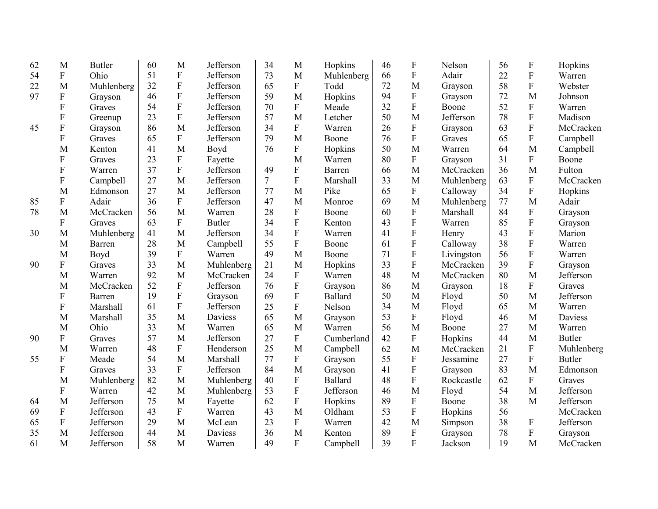| 62 | M                         | <b>Butler</b> | 60 | M                         | Jefferson     | 34             | M           | Hopkins        | 46 | $\boldsymbol{\mathrm{F}}$ | Nelson     | 56 | $\boldsymbol{\mathrm{F}}$ | Hopkins       |
|----|---------------------------|---------------|----|---------------------------|---------------|----------------|-------------|----------------|----|---------------------------|------------|----|---------------------------|---------------|
| 54 | ${\bf F}$                 | Ohio          | 51 | $\boldsymbol{\mathrm{F}}$ | Jefferson     | 73             | M           | Muhlenberg     | 66 | F                         | Adair      | 22 | $\mathbf F$               | Warren        |
| 22 | M                         | Muhlenberg    | 32 | $\boldsymbol{\mathrm{F}}$ | Jefferson     | 65             | ${\bf F}$   | Todd           | 72 | M                         | Grayson    | 58 | ${\bf F}$                 | Webster       |
| 97 | ${\bf F}$                 | Grayson       | 46 | $\overline{F}$            | Jefferson     | 59             | M           | Hopkins        | 94 | ${\bf F}$                 | Grayson    | 72 | M                         | Johnson       |
|    | F                         | Graves        | 54 | $\boldsymbol{\mathrm{F}}$ | Jefferson     | 70             | ${\bf F}$   | Meade          | 32 | ${\bf F}$                 | Boone      | 52 | ${\bf F}$                 | Warren        |
|    | ${\bf F}$                 | Greenup       | 23 | $\overline{F}$            | Jefferson     | 57             | M           | Letcher        | 50 | M                         | Jefferson  | 78 | $\overline{F}$            | Madison       |
| 45 | ${\bf F}$                 | Grayson       | 86 | M                         | Jefferson     | 34             | ${\bf F}$   | Warren         | 26 | ${\bf F}$                 | Grayson    | 63 | ${\bf F}$                 | McCracken     |
|    | $\mathbf F$               | Graves        | 65 | $\overline{F}$            | Jefferson     | 79             | M           | Boone          | 76 | $\overline{F}$            | Graves     | 65 | ${\bf F}$                 | Campbell      |
|    | M                         | Kenton        | 41 | M                         | Boyd          | 76             | $\mathbf F$ | Hopkins        | 50 | M                         | Warren     | 64 | M                         | Campbell      |
|    | F                         | Graves        | 23 | $\boldsymbol{\mathrm{F}}$ | Fayette       |                | M           | Warren         | 80 | ${\bf F}$                 | Grayson    | 31 | ${\bf F}$                 | Boone         |
|    | $\mathbf F$               | Warren        | 37 | $\overline{F}$            | Jefferson     | 49             | F           | Barren         | 66 | M                         | McCracken  | 36 | M                         | Fulton        |
|    | $\mathbf F$               | Campbell      | 27 | M                         | Jefferson     | $\overline{7}$ | $\mathbf F$ | Marshall       | 33 | M                         | Muhlenberg | 63 | ${\bf F}$                 | McCracken     |
|    | M                         | Edmonson      | 27 | M                         | Jefferson     | 77             | M           | Pike           | 65 | $\boldsymbol{\mathrm{F}}$ | Calloway   | 34 | ${\bf F}$                 | Hopkins       |
| 85 | ${\bf F}$                 | Adair         | 36 | ${\bf F}$                 | Jefferson     | 47             | M           | Monroe         | 69 | M                         | Muhlenberg | 77 | M                         | Adair         |
| 78 | M                         | McCracken     | 56 | M                         | Warren        | 28             | ${\bf F}$   | Boone          | 60 | $\boldsymbol{\mathrm{F}}$ | Marshall   | 84 | ${\bf F}$                 | Grayson       |
|    | F                         | Graves        | 63 | ${\bf F}$                 | <b>Butler</b> | 34             | $\mathbf F$ | Kenton         | 43 | ${\bf F}$                 | Warren     | 85 | $\mathbf F$               | Grayson       |
| 30 | M                         | Muhlenberg    | 41 | M                         | Jefferson     | 34             | $\mathbf F$ | Warren         | 41 | ${\bf F}$                 | Henry      | 43 | ${\bf F}$                 | Marion        |
|    | M                         | Barren        | 28 | M                         | Campbell      | 55             | ${\bf F}$   | Boone          | 61 | $\mathbf F$               | Calloway   | 38 | ${\bf F}$                 | Warren        |
|    | M                         | Boyd          | 39 | ${\bf F}$                 | Warren        | 49             | M           | Boone          | 71 | ${\bf F}$                 | Livingston | 56 | ${\bf F}$                 | Warren        |
| 90 | F                         | Graves        | 33 | M                         | Muhlenberg    | 21             | M           | Hopkins        | 33 | $\overline{F}$            | McCracken  | 39 | $\mathbf F$               | Grayson       |
|    | M                         | Warren        | 92 | M                         | McCracken     | 24             | ${\bf F}$   | Warren         | 48 | M                         | McCracken  | 80 | M                         | Jefferson     |
|    | M                         | McCracken     | 52 | F                         | Jefferson     | 76             | $\mathbf F$ | Grayson        | 86 | M                         | Grayson    | 18 | $\mathbf{F}$              | Graves        |
|    | F                         | Barren        | 19 | $\mathbf F$               | Grayson       | 69             | ${\bf F}$   | Ballard        | 50 | M                         | Floyd      | 50 | M                         | Jefferson     |
|    | F                         | Marshall      | 61 | F                         | Jefferson     | 25             | $\mathbf F$ | Nelson         | 34 | M                         | Floyd      | 65 | M                         | Warren        |
|    | M                         | Marshall      | 35 | M                         | Daviess       | 65             | M           | Grayson        | 53 | F                         | Floyd      | 46 | M                         | Daviess       |
|    | M                         | Ohio          | 33 | M                         | Warren        | 65             | M           | Warren         | 56 | M                         | Boone      | 27 | M                         | Warren        |
| 90 | $\boldsymbol{\mathrm{F}}$ | Graves        | 57 | M                         | Jefferson     | 27             | F           | Cumberland     | 42 | ${\bf F}$                 | Hopkins    | 44 | M                         | <b>Butler</b> |
|    | M                         | Warren        | 48 | ${\bf F}$                 | Henderson     | 25             | M           | Campbell       | 62 | M                         | McCracken  | 21 | ${\bf F}$                 | Muhlenberg    |
| 55 | F                         | Meade         | 54 | M                         | Marshall      | 77             | ${\bf F}$   | Grayson        | 55 | ${\bf F}$                 | Jessamine  | 27 | $\mathbf F$               | <b>Butler</b> |
|    | F                         | Graves        | 33 | ${\bf F}$                 | Jefferson     | 84             | M           | Grayson        | 41 | ${\bf F}$                 | Grayson    | 83 | M                         | Edmonson      |
|    | M                         | Muhlenberg    | 82 | M                         | Muhlenberg    | 40             | $\mathbf F$ | <b>Ballard</b> | 48 | F                         | Rockcastle | 62 | ${\bf F}$                 | Graves        |
|    | ${\bf F}$                 | Warren        | 42 | M                         | Muhlenberg    | 53             | $\mathbf F$ | Jefferson      | 46 | M                         | Floyd      | 54 | M                         | Jefferson     |
| 64 | M                         | Jefferson     | 75 | M                         | Fayette       | 62             | $\mathbf F$ | Hopkins        | 89 | ${\bf F}$                 | Boone      | 38 | M                         | Jefferson     |
| 69 | ${\bf F}$                 | Jefferson     | 43 | ${\bf F}$                 | Warren        | 43             | M           | Oldham         | 53 | ${\bf F}$                 | Hopkins    | 56 |                           | McCracken     |
| 65 | ${\bf F}$                 | Jefferson     | 29 | M                         | McLean        | 23             | $\mathbf F$ | Warren         | 42 | M                         | Simpson    | 38 | ${\bf F}$                 | Jefferson     |
| 35 | M                         | Jefferson     | 44 | M                         | Daviess       | 36             | M           | Kenton         | 89 | ${\bf F}$                 | Grayson    | 78 | $\boldsymbol{\mathrm{F}}$ | Grayson       |
| 61 | M                         | Jefferson     | 58 | M                         | Warren        | 49             | F           | Campbell       | 39 | $\overline{\mathrm{F}}$   | Jackson    | 19 | M                         | McCracken     |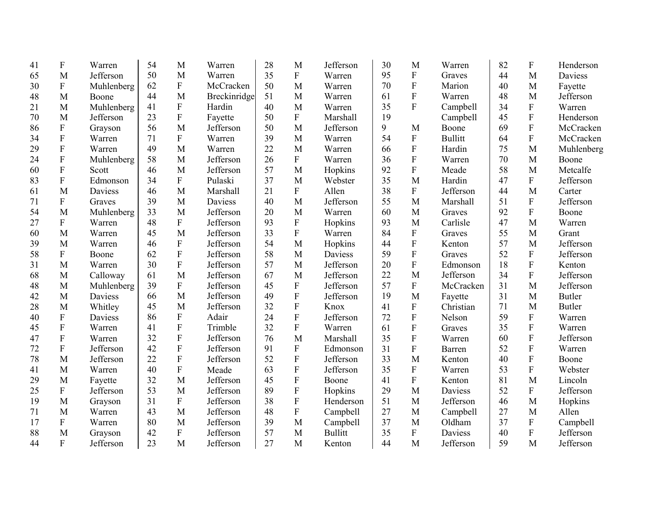| 41 | $\boldsymbol{\mathrm{F}}$ | Warren     | 54 | M                         | Warren       | 28 | M                         | Jefferson      | 30 | M                         | Warren         | 82 | $\boldsymbol{\mathrm{F}}$ | Henderson      |
|----|---------------------------|------------|----|---------------------------|--------------|----|---------------------------|----------------|----|---------------------------|----------------|----|---------------------------|----------------|
| 65 | M                         | Jefferson  | 50 | M                         | Warren       | 35 | $\mathbf{F}$              | Warren         | 95 | $\boldsymbol{\mathrm{F}}$ | Graves         | 44 | M                         | <b>Daviess</b> |
| 30 | $\boldsymbol{\mathrm{F}}$ | Muhlenberg | 62 | $\boldsymbol{\mathrm{F}}$ | McCracken    | 50 | M                         | Warren         | 70 | ${\bf F}$                 | Marion         | 40 | M                         | Fayette        |
| 48 | M                         | Boone      | 44 | M                         | Breckinridge | 51 | M                         | Warren         | 61 | ${\bf F}$                 | Warren         | 48 | M                         | Jefferson      |
| 21 | M                         | Muhlenberg | 41 | $\overline{F}$            | Hardin       | 40 | M                         | Warren         | 35 | $\overline{F}$            | Campbell       | 34 | ${\bf F}$                 | Warren         |
| 70 | M                         | Jefferson  | 23 | $\boldsymbol{\mathrm{F}}$ | Fayette      | 50 | ${\bf F}$                 | Marshall       | 19 |                           | Campbell       | 45 | ${\bf F}$                 | Henderson      |
| 86 | $\mathbf F$               | Grayson    | 56 | M                         | Jefferson    | 50 | M                         | Jefferson      | 9  | M                         | Boone          | 69 | ${\bf F}$                 | McCracken      |
| 34 | ${\bf F}$                 | Warren     | 71 | ${\bf F}$                 | Warren       | 39 | M                         | Warren         | 54 | ${\bf F}$                 | <b>Bullitt</b> | 64 | $\mathbf F$               | McCracken      |
| 29 | $\mathbf F$               | Warren     | 49 | M                         | Warren       | 22 | M                         | Warren         | 66 | ${\bf F}$                 | Hardin         | 75 | M                         | Muhlenberg     |
| 24 | ${\bf F}$                 | Muhlenberg | 58 | M                         | Jefferson    | 26 | $\mathbf{F}$              | Warren         | 36 | ${\bf F}$                 | Warren         | 70 | M                         | Boone          |
| 60 | $\mathbf F$               | Scott      | 46 | M                         | Jefferson    | 57 | M                         | Hopkins        | 92 | ${\bf F}$                 | Meade          | 58 | M                         | Metcalfe       |
| 83 | F                         | Edmonson   | 34 | $\overline{F}$            | Pulaski      | 37 | M                         | Webster        | 35 | M                         | Hardin         | 47 | $\mathbf{F}$              | Jefferson      |
| 61 | M                         | Daviess    | 46 | M                         | Marshall     | 21 | $\mathbf{F}$              | Allen          | 38 | F                         | Jefferson      | 44 | M                         | Carter         |
| 71 | ${\bf F}$                 | Graves     | 39 | M                         | Daviess      | 40 | M                         | Jefferson      | 55 | M                         | Marshall       | 51 | $\mathbf{F}$              | Jefferson      |
| 54 | M                         | Muhlenberg | 33 | M                         | Jefferson    | 20 | M                         | Warren         | 60 | M                         | Graves         | 92 | $\mathbf{F}$              | Boone          |
| 27 | ${\bf F}$                 | Warren     | 48 | $\mathbf{F}$              | Jefferson    | 93 | ${\bf F}$                 | Hopkins        | 93 | M                         | Carlisle       | 47 | M                         | Warren         |
| 60 | M                         | Warren     | 45 | M                         | Jefferson    | 33 | ${\bf F}$                 | Warren         | 84 | ${\bf F}$                 | Graves         | 55 | M                         | Grant          |
| 39 | M                         | Warren     | 46 | ${\bf F}$                 | Jefferson    | 54 | M                         | Hopkins        | 44 | ${\bf F}$                 | Kenton         | 57 | M                         | Jefferson      |
| 58 | ${\bf F}$                 | Boone      | 62 | $\overline{F}$            | Jefferson    | 58 | M                         | Daviess        | 59 | $\overline{F}$            | Graves         | 52 | F                         | Jefferson      |
| 31 | M                         | Warren     | 30 | ${\bf F}$                 | Jefferson    | 57 | M                         | Jefferson      | 20 | ${\bf F}$                 | Edmonson       | 18 | ${\bf F}$                 | Kenton         |
| 68 | M                         | Calloway   | 61 | M                         | Jefferson    | 67 | M                         | Jefferson      | 22 | M                         | Jefferson      | 34 | $\mathbf{F}$              | Jefferson      |
| 48 | M                         | Muhlenberg | 39 | ${\bf F}$                 | Jefferson    | 45 | ${\bf F}$                 | Jefferson      | 57 | F                         | McCracken      | 31 | M                         | Jefferson      |
| 42 | M                         | Daviess    | 66 | M                         | Jefferson    | 49 | $\mathbf{F}$              | Jefferson      | 19 | M                         | Fayette        | 31 | M                         | <b>Butler</b>  |
| 28 | M                         | Whitley    | 45 | M                         | Jefferson    | 32 | ${\bf F}$                 | Knox           | 41 | ${\bf F}$                 | Christian      | 71 | M                         | <b>Butler</b>  |
| 40 | $\boldsymbol{\mathrm{F}}$ | Daviess    | 86 | ${\bf F}$                 | Adair        | 24 | $\mathbf{F}$              | Jefferson      | 72 | ${\bf F}$                 | Nelson         | 59 | $\mathbf F$               | Warren         |
| 45 | F                         | Warren     | 41 | F                         | Trimble      | 32 | $\mathbf{F}$              | Warren         | 61 | $\rm F$                   | Graves         | 35 | $\mathbf F$               | Warren         |
| 47 | $\boldsymbol{\mathrm{F}}$ | Warren     | 32 | $\boldsymbol{\mathrm{F}}$ | Jefferson    | 76 | M                         | Marshall       | 35 | ${\bf F}$                 | Warren         | 60 | $\mathbf F$               | Jefferson      |
| 72 | ${\bf F}$                 | Jefferson  | 42 | $\boldsymbol{\mathrm{F}}$ | Jefferson    | 91 | ${\bf F}$                 | Edmonson       | 31 | $\rm F$                   | Barren         | 52 | $\mathbf F$               | Warren         |
| 78 | M                         | Jefferson  | 22 | ${\bf F}$                 | Jefferson    | 52 | ${\bf F}$                 | Jefferson      | 33 | M                         | Kenton         | 40 | $\mathbf F$               | Boone          |
| 41 | M                         | Warren     | 40 | ${\bf F}$                 | Meade        | 63 | ${\bf F}$                 | Jefferson      | 35 | ${\bf F}$                 | Warren         | 53 | $\mathbf F$               | Webster        |
| 29 | M                         | Fayette    | 32 | M                         | Jefferson    | 45 | $\boldsymbol{\mathrm{F}}$ | Boone          | 41 | ${\bf F}$                 | Kenton         | 81 | M                         | Lincoln        |
| 25 | $\boldsymbol{F}$          | Jefferson  | 53 | M                         | Jefferson    | 89 | ${\bf F}$                 | Hopkins        | 29 | M                         | Daviess        | 52 | ${\bf F}$                 | Jefferson      |
| 19 | M                         | Grayson    | 31 | $\overline{F}$            | Jefferson    | 38 | ${\bf F}$                 | Henderson      | 51 | M                         | Jefferson      | 46 | M                         | Hopkins        |
| 71 | M                         | Warren     | 43 | M                         | Jefferson    | 48 | ${\bf F}$                 | Campbell       | 27 | M                         | Campbell       | 27 | M                         | Allen          |
| 17 | ${\bf F}$                 | Warren     | 80 | M                         | Jefferson    | 39 | M                         | Campbell       | 37 | M                         | Oldham         | 37 | $\mathbf F$               | Campbell       |
| 88 | M                         | Grayson    | 42 | ${\bf F}$                 | Jefferson    | 57 | M                         | <b>Bullitt</b> | 35 | ${\bf F}$                 | Daviess        | 40 | $\mathbf{F}$              | Jefferson      |
| 44 | F                         | Jefferson  | 23 | M                         | Jefferson    | 27 | M                         | Kenton         | 44 | M                         | Jefferson      | 59 | M                         | Jefferson      |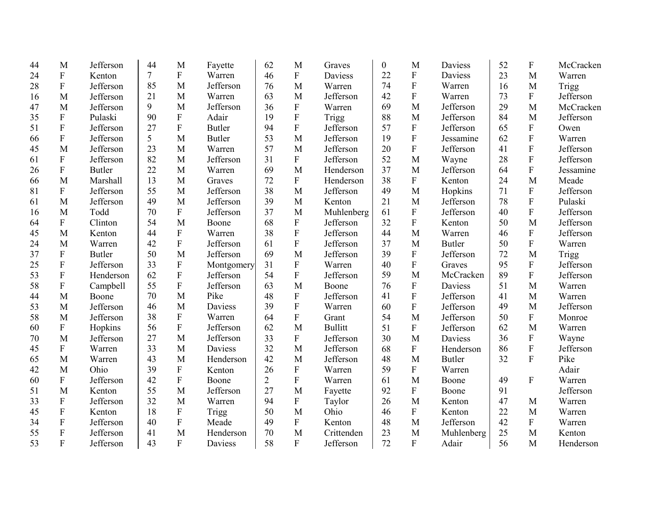| 44 | M                         | Jefferson     | 44 | M                         | Fayette       | 62             | M              | Graves         | $\boldsymbol{0}$ | M                         | Daviess        | 52 | $\boldsymbol{\mathrm{F}}$ | McCracken |
|----|---------------------------|---------------|----|---------------------------|---------------|----------------|----------------|----------------|------------------|---------------------------|----------------|----|---------------------------|-----------|
| 24 | $\mathbf F$               | Kenton        | 7  | ${\bf F}$                 | Warren        | 46             | ${\bf F}$      | <b>Daviess</b> | 22               | ${\bf F}$                 | <b>Daviess</b> | 23 | M                         | Warren    |
| 28 | ${\bf F}$                 | Jefferson     | 85 | M                         | Jefferson     | 76             | M              | Warren         | 74               | ${\bf F}$                 | Warren         | 16 | M                         | Trigg     |
| 16 | M                         | Jefferson     | 21 | M                         | Warren        | 63             | M              | Jefferson      | 42               | $\mathbf F$               | Warren         | 73 | $\mathbf{F}$              | Jefferson |
| 47 | M                         | Jefferson     | 9  | M                         | Jefferson     | 36             | ${\bf F}$      | Warren         | 69               | M                         | Jefferson      | 29 | M                         | McCracken |
| 35 | ${\bf F}$                 | Pulaski       | 90 | $\overline{F}$            | Adair         | 19             | ${\bf F}$      | Trigg          | 88               | M                         | Jefferson      | 84 | M                         | Jefferson |
| 51 | ${\bf F}$                 | Jefferson     | 27 | $\mathbf{F}$              | <b>Butler</b> | 94             | ${\bf F}$      | Jefferson      | 57               | ${\bf F}$                 | Jefferson      | 65 | ${\bf F}$                 | Owen      |
| 66 | ${\bf F}$                 | Jefferson     | 5  | M                         | <b>Butler</b> | 53             | M              | Jefferson      | 19               | ${\bf F}$                 | Jessamine      | 62 | $\mathbf F$               | Warren    |
| 45 | M                         | Jefferson     | 23 | M                         | Warren        | 57             | M              | Jefferson      | 20               | $\boldsymbol{\mathrm{F}}$ | Jefferson      | 41 | $\mathbf{F}$              | Jefferson |
| 61 | ${\bf F}$                 | Jefferson     | 82 | M                         | Jefferson     | 31             | F              | Jefferson      | 52               | M                         | Wayne          | 28 | $\mathbf{F}$              | Jefferson |
| 26 | $\mathbf F$               | <b>Butler</b> | 22 | M                         | Warren        | 69             | M              | Henderson      | 37               | M                         | Jefferson      | 64 | $\mathbf{F}$              | Jessamine |
| 66 | M                         | Marshall      | 13 | M                         | Graves        | 72             | $\mathbf{F}$   | Henderson      | 38               | $\boldsymbol{\mathrm{F}}$ | Kenton         | 24 | M                         | Meade     |
| 81 | $\mathbf F$               | Jefferson     | 55 | M                         | Jefferson     | 38             | M              | Jefferson      | 49               | $\mathbf{M}$              | Hopkins        | 71 | $\mathbf{F}$              | Jefferson |
| 61 | M                         | Jefferson     | 49 | M                         | Jefferson     | 39             | M              | Kenton         | 21               | M                         | Jefferson      | 78 | $\mathbf F$               | Pulaski   |
| 16 | M                         | Todd          | 70 | ${\bf F}$                 | Jefferson     | 37             | M              | Muhlenberg     | 61               | ${\bf F}$                 | Jefferson      | 40 | $\overline{F}$            | Jefferson |
| 64 | F                         | Clinton       | 54 | M                         | Boone         | 68             | $\mathbf F$    | Jefferson      | 32               | ${\bf F}$                 | Kenton         | 50 | M                         | Jefferson |
| 45 | M                         | Kenton        | 44 | ${\bf F}$                 | Warren        | 38             | F              | Jefferson      | 44               | M                         | Warren         | 46 | $\boldsymbol{F}$          | Jefferson |
| 24 | M                         | Warren        | 42 | ${\bf F}$                 | Jefferson     | 61             | ${\bf F}$      | Jefferson      | 37               | M                         | <b>Butler</b>  | 50 | ${\bf F}$                 | Warren    |
| 37 | $\boldsymbol{\mathrm{F}}$ | <b>Butler</b> | 50 | M                         | Jefferson     | 69             | M              | Jefferson      | 39               | ${\bf F}$                 | Jefferson      | 72 | M                         | Trigg     |
| 25 | ${\bf F}$                 | Jefferson     | 33 | $\mathbf{F}$              | Montgomery    | 31             | $\mathbf{F}$   | Warren         | 40               | $\mathbf F$               | Graves         | 95 | $\mathbf F$               | Jefferson |
| 53 | ${\bf F}$                 | Henderson     | 62 | $\mathbf{F}$              | Jefferson     | 54             | F              | Jefferson      | 59               | M                         | McCracken      | 89 | $\mathbf{F}$              | Jefferson |
| 58 | ${\bf F}$                 | Campbell      | 55 | $\overline{F}$            | Jefferson     | 63             | M              | Boone          | 76               | $\boldsymbol{\mathrm{F}}$ | Daviess        | 51 | M                         | Warren    |
| 44 | M                         | Boone         | 70 | M                         | Pike          | 48             | ${\bf F}$      | Jefferson      | 41               | ${\bf F}$                 | Jefferson      | 41 | M                         | Warren    |
| 53 | M                         | Jefferson     | 46 | M                         | Daviess       | 39             | $\mathbf{F}$   | Warren         | 60               | $\mathbf F$               | Jefferson      | 49 | M                         | Jefferson |
| 58 | M                         | Jefferson     | 38 | $\boldsymbol{\mathrm{F}}$ | Warren        | 64             | F              | Grant          | 54               | M                         | Jefferson      | 50 | $\boldsymbol{F}$          | Monroe    |
| 60 | ${\bf F}$                 | Hopkins       | 56 | $\mathbf{F}$              | Jefferson     | 62             | M              | <b>Bullitt</b> | 51               | ${\bf F}$                 | Jefferson      | 62 | M                         | Warren    |
| 70 | M                         | Jefferson     | 27 | M                         | Jefferson     | 33             | $\mathbf{F}$   | Jefferson      | 30               | M                         | Daviess        | 36 | $\mathbf F$               | Wayne     |
| 45 | ${\bf F}$                 | Warren        | 33 | M                         | Daviess       | 32             | M              | Jefferson      | 68               | ${\bf F}$                 | Henderson      | 86 | $\mathbf F$               | Jefferson |
| 65 | M                         | Warren        | 43 | M                         | Henderson     | 42             | M              | Jefferson      | 48               | M                         | <b>Butler</b>  | 32 | $\overline{F}$            | Pike      |
| 42 | M                         | Ohio          | 39 | ${\bf F}$                 | Kenton        | 26             | ${\bf F}$      | Warren         | 59               | ${\bf F}$                 | Warren         |    |                           | Adair     |
| 60 | ${\bf F}$                 | Jefferson     | 42 | $\mathbf F$               | Boone         | $\overline{2}$ | $\mathbf{F}$   | Warren         | 61               | M                         | Boone          | 49 | $\mathbf F$               | Warren    |
| 51 | M                         | Kenton        | 55 | M                         | Jefferson     | 27             | M              | Fayette        | 92               | ${\bf F}$                 | Boone          | 91 |                           | Jefferson |
| 33 | ${\bf F}$                 | Jefferson     | 32 | M                         | Warren        | 94             | ${\bf F}$      | Taylor         | 26               | M                         | Kenton         | 47 | M                         | Warren    |
| 45 | $\boldsymbol{\mathrm{F}}$ | Kenton        | 18 | ${\bf F}$                 | Trigg         | 50             | M              | Ohio           | 46               | ${\bf F}$                 | Kenton         | 22 | M                         | Warren    |
| 34 | ${\bf F}$                 | Jefferson     | 40 | $\mathbf F$               | Meade         | 49             | $\overline{F}$ | Kenton         | 48               | M                         | Jefferson      | 42 | $\mathbf F$               | Warren    |
| 55 | F                         | Jefferson     | 41 | M                         | Henderson     | 70             | M              | Crittenden     | 23               | M                         | Muhlenberg     | 25 | M                         | Kenton    |
| 53 | F                         | Jefferson     | 43 | $\overline{F}$            | Daviess       | 58             | $\mathbf{F}$   | Jefferson      | 72               | ${\bf F}$                 | Adair          | 56 | M                         | Henderson |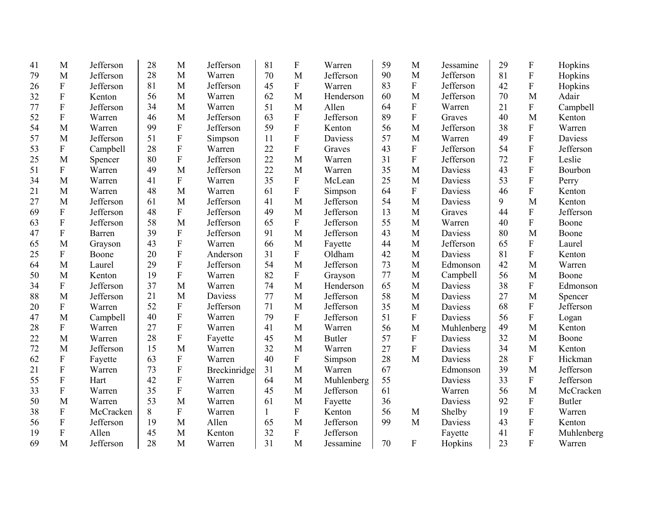| 41 | M                         | Jefferson | 28 | M                         | Jefferson    | 81           | ${\bf F}$    | Warren        | 59 | M              | Jessamine      | 29 | $\boldsymbol{\mathrm{F}}$ | Hopkins       |
|----|---------------------------|-----------|----|---------------------------|--------------|--------------|--------------|---------------|----|----------------|----------------|----|---------------------------|---------------|
| 79 | M                         | Jefferson | 28 | M                         | Warren       | 70           | M            | Jefferson     | 90 | M              | Jefferson      | 81 | ${\bf F}$                 | Hopkins       |
| 26 | ${\bf F}$                 | Jefferson | 81 | M                         | Jefferson    | 45           | $\mathbf{F}$ | Warren        | 83 | ${\bf F}$      | Jefferson      | 42 | $\overline{F}$            | Hopkins       |
| 32 | ${\bf F}$                 | Kenton    | 56 | M                         | Warren       | 62           | M            | Henderson     | 60 | M              | Jefferson      | 70 | M                         | Adair         |
| 77 | ${\bf F}$                 | Jefferson | 34 | M                         | Warren       | 51           | M            | Allen         | 64 | ${\bf F}$      | Warren         | 21 | F                         | Campbell      |
| 52 | ${\bf F}$                 | Warren    | 46 | M                         | Jefferson    | 63           | $\mathbf{F}$ | Jefferson     | 89 | $\overline{F}$ | Graves         | 40 | M                         | Kenton        |
| 54 | M                         | Warren    | 99 | ${\bf F}$                 | Jefferson    | 59           | ${\bf F}$    | Kenton        | 56 | M              | Jefferson      | 38 | ${\bf F}$                 | Warren        |
| 57 | M                         | Jefferson | 51 | ${\bf F}$                 | Simpson      | 11           | ${\bf F}$    | Daviess       | 57 | M              | Warren         | 49 | $\overline{F}$            | Daviess       |
| 53 | F                         | Campbell  | 28 | ${\bf F}$                 | Warren       | 22           | ${\bf F}$    | Graves        | 43 | ${\bf F}$      | Jefferson      | 54 | $\mathbf F$               | Jefferson     |
| 25 | M                         | Spencer   | 80 | $\mathbf{F}$              | Jefferson    | 22           | M            | Warren        | 31 | $\overline{F}$ | Jefferson      | 72 | $\overline{F}$            | Leslie        |
| 51 | ${\bf F}$                 | Warren    | 49 | M                         | Jefferson    | 22           | M            | Warren        | 35 | M              | Daviess        | 43 | $\overline{F}$            | Bourbon       |
| 34 | M                         | Warren    | 41 | ${\bf F}$                 | Warren       | 35           | F            | McLean        | 25 | M              | Daviess        | 53 | $\overline{F}$            | Perry         |
| 21 | M                         | Warren    | 48 | M                         | Warren       | 61           | ${\bf F}$    | Simpson       | 64 | ${\bf F}$      | Daviess        | 46 | $\overline{F}$            | Kenton        |
| 27 | M                         | Jefferson | 61 | M                         | Jefferson    | 41           | M            | Jefferson     | 54 | M              | Daviess        | 9  | M                         | Kenton        |
| 69 | F                         | Jefferson | 48 | $\boldsymbol{\mathrm{F}}$ | Jefferson    | 49           | M            | Jefferson     | 13 | M              | Graves         | 44 | $\boldsymbol{F}$          | Jefferson     |
| 63 | ${\bf F}$                 | Jefferson | 58 | M                         | Jefferson    | 65           | F            | Jefferson     | 55 | M              | Warren         | 40 | $\overline{F}$            | Boone         |
| 47 | ${\bf F}$                 | Barren    | 39 | ${\bf F}$                 | Jefferson    | 91           | M            | Jefferson     | 43 | M              | Daviess        | 80 | M                         | Boone         |
| 65 | M                         | Grayson   | 43 | F                         | Warren       | 66           | M            | Fayette       | 44 | M              | Jefferson      | 65 | $\mathbf F$               | Laurel        |
| 25 | $\boldsymbol{F}$          | Boone     | 20 | $\boldsymbol{\mathrm{F}}$ | Anderson     | 31           | F            | Oldham        | 42 | M              | Daviess        | 81 | $\boldsymbol{F}$          | Kenton        |
| 64 | M                         | Laurel    | 29 | $\mathbf{F}$              | Jefferson    | 54           | M            | Jefferson     | 73 | M              | Edmonson       | 42 | M                         | Warren        |
| 50 | M                         | Kenton    | 19 | $\mathbf{F}$              | Warren       | 82           | F            | Grayson       | 77 | M              | Campbell       | 56 | M                         | Boone         |
| 34 | $\boldsymbol{F}$          | Jefferson | 37 | M                         | Warren       | 74           | M            | Henderson     | 65 | M              | Daviess        | 38 | ${\bf F}$                 | Edmonson      |
| 88 | M                         | Jefferson | 21 | M                         | Daviess      | 77           | M            | Jefferson     | 58 | M              | <b>Daviess</b> | 27 | M                         | Spencer       |
| 20 | F                         | Warren    | 52 | ${\bf F}$                 | Jefferson    | 71           | M            | Jefferson     | 35 | M              | Daviess        | 68 | ${\bf F}$                 | Jefferson     |
| 47 | M                         | Campbell  | 40 | $\boldsymbol{\mathrm{F}}$ | Warren       | 79           | ${\bf F}$    | Jefferson     | 51 | $\mathbf F$    | <b>Daviess</b> | 56 | $\mathbf F$               | Logan         |
| 28 | $\boldsymbol{\mathrm{F}}$ | Warren    | 27 | ${\bf F}$                 | Warren       | 41           | M            | Warren        | 56 | M              | Muhlenberg     | 49 | M                         | Kenton        |
| 22 | M                         | Warren    | 28 | ${\bf F}$                 | Fayette      | 45           | M            | <b>Butler</b> | 57 | $\overline{F}$ | <b>Daviess</b> | 32 | M                         | Boone         |
| 72 | M                         | Jefferson | 15 | M                         | Warren       | 32           | M            | Warren        | 27 | ${\bf F}$      | Daviess        | 34 | M                         | Kenton        |
| 62 | ${\bf F}$                 | Fayette   | 63 | ${\bf F}$                 | Warren       | 40           | ${\bf F}$    | Simpson       | 28 | M              | Daviess        | 28 | $\mathbf F$               | Hickman       |
| 21 | ${\bf F}$                 | Warren    | 73 | ${\bf F}$                 | Breckinridge | 31           | M            | Warren        | 67 |                | Edmonson       | 39 | M                         | Jefferson     |
| 55 | ${\bf F}$                 | Hart      | 42 | F                         | Warren       | 64           | M            | Muhlenberg    | 55 |                | <b>Daviess</b> | 33 | $\mathbf F$               | Jefferson     |
| 33 | $\boldsymbol{\mathrm{F}}$ | Warren    | 35 | ${\bf F}$                 | Warren       | 45           | M            | Jefferson     | 61 |                | Warren         | 56 | M                         | McCracken     |
| 50 | M                         | Warren    | 53 | M                         | Warren       | 61           | M            | Fayette       | 36 |                | <b>Daviess</b> | 92 | $\mathbf F$               | <b>Butler</b> |
| 38 | $\boldsymbol{\mathrm{F}}$ | McCracken | 8  | ${\bf F}$                 | Warren       | $\mathbf{1}$ | ${\bf F}$    | Kenton        | 56 | M              | Shelby         | 19 | $\boldsymbol{\mathrm{F}}$ | Warren        |
| 56 | ${\bf F}$                 | Jefferson | 19 | M                         | Allen        | 65           | M            | Jefferson     | 99 | M              | Daviess        | 43 | $\mathbf{F}$              | Kenton        |
| 19 | $\boldsymbol{\mathrm{F}}$ | Allen     | 45 | M                         | Kenton       | 32           | $\mathbf{F}$ | Jefferson     |    |                | Fayette        | 41 | ${\bf F}$                 | Muhlenberg    |
| 69 | M                         | Jefferson | 28 | M                         | Warren       | 31           | M            | Jessamine     | 70 | $\mathbf{F}$   | Hopkins        | 23 | $\overline{F}$            | Warren        |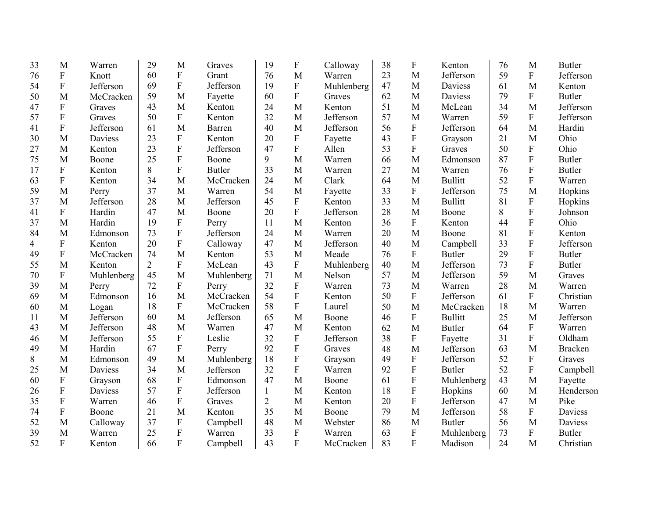| 33 | M                         | Warren     | 29             | M                         | Graves        | 19             | $\boldsymbol{\mathrm{F}}$ | Calloway   | 38 | $\boldsymbol{\mathrm{F}}$ | Kenton         | 76 | M                         | <b>Butler</b>  |
|----|---------------------------|------------|----------------|---------------------------|---------------|----------------|---------------------------|------------|----|---------------------------|----------------|----|---------------------------|----------------|
| 76 | $\mathbf F$               | Knott      | 60             | $\boldsymbol{\mathrm{F}}$ | Grant         | 76             | M                         | Warren     | 23 | M                         | Jefferson      | 59 | ${\bf F}$                 | Jefferson      |
| 54 | $\boldsymbol{\mathrm{F}}$ | Jefferson  | 69             | $\boldsymbol{\mathrm{F}}$ | Jefferson     | 19             | $\boldsymbol{\mathrm{F}}$ | Muhlenberg | 47 | M                         | Daviess        | 61 | M                         | Kenton         |
| 50 | M                         | McCracken  | 59             | M                         | Fayette       | 60             | $\mathbf{F}$              | Graves     | 62 | M                         | <b>Daviess</b> | 79 | ${\bf F}$                 | <b>Butler</b>  |
| 47 | ${\bf F}$                 | Graves     | 43             | M                         | Kenton        | 24             | M                         | Kenton     | 51 | M                         | McLean         | 34 | M                         | Jefferson      |
| 57 | $\mathbf F$               | Graves     | 50             | $\overline{F}$            | Kenton        | 32             | M                         | Jefferson  | 57 | M                         | Warren         | 59 | ${\bf F}$                 | Jefferson      |
| 41 | ${\bf F}$                 | Jefferson  | 61             | M                         | Barren        | 40             | M                         | Jefferson  | 56 | ${\bf F}$                 | Jefferson      | 64 | M                         | Hardin         |
| 30 | M                         | Daviess    | 23             | ${\bf F}$                 | Kenton        | 20             | ${\bf F}$                 | Fayette    | 43 | ${\bf F}$                 | Grayson        | 21 | M                         | Ohio           |
| 27 | M                         | Kenton     | 23             | $\overline{F}$            | Jefferson     | 47             | $\mathbf{F}$              | Allen      | 53 | $\mathbf F$               | Graves         | 50 | $\mathbf F$               | Ohio           |
| 75 | M                         | Boone      | 25             | $\overline{F}$            | Boone         | 9              | M                         | Warren     | 66 | M                         | Edmonson       | 87 | $\mathbf F$               | <b>Butler</b>  |
| 17 | $\mathbf F$               | Kenton     | 8              | $\overline{F}$            | <b>Butler</b> | 33             | M                         | Warren     | 27 | M                         | Warren         | 76 | ${\bf F}$                 | <b>Butler</b>  |
| 63 | ${\bf F}$                 | Kenton     | 34             | M                         | McCracken     | 24             | M                         | Clark      | 64 | M                         | <b>Bullitt</b> | 52 | $\mathbf F$               | Warren         |
| 59 | M                         | Perry      | 37             | M                         | Warren        | 54             | M                         | Fayette    | 33 | ${\bf F}$                 | Jefferson      | 75 | M                         | Hopkins        |
| 37 | M                         | Jefferson  | 28             | M                         | Jefferson     | 45             | $\mathbf{F}$              | Kenton     | 33 | M                         | <b>Bullitt</b> | 81 | $\boldsymbol{\mathrm{F}}$ | Hopkins        |
| 41 | ${\bf F}$                 | Hardin     | 47             | M                         | Boone         | 20             | $\overline{F}$            | Jefferson  | 28 | M                         | Boone          | 8  | ${\bf F}$                 | Johnson        |
| 37 | M                         | Hardin     | 19             | F                         | Perry         | 11             | M                         | Kenton     | 36 | F                         | Kenton         | 44 | ${\bf F}$                 | Ohio           |
| 84 | M                         | Edmonson   | 73             | F                         | Jefferson     | 24             | M                         | Warren     | 20 | M                         | Boone          | 81 | ${\bf F}$                 | Kenton         |
| 4  | $\boldsymbol{\mathrm{F}}$ | Kenton     | 20             | $\overline{F}$            | Calloway      | 47             | M                         | Jefferson  | 40 | M                         | Campbell       | 33 | ${\bf F}$                 | Jefferson      |
| 49 | $\boldsymbol{\mathrm{F}}$ | McCracken  | 74             | M                         | Kenton        | 53             | M                         | Meade      | 76 | F                         | <b>Butler</b>  | 29 | ${\bf F}$                 | <b>Butler</b>  |
| 55 | M                         | Kenton     | $\overline{2}$ | F                         | McLean        | 43             | $\mathbf{F}$              | Muhlenberg | 40 | M                         | Jefferson      | 73 | $\mathbf F$               | <b>Butler</b>  |
| 70 | F                         | Muhlenberg | 45             | M                         | Muhlenberg    | 71             | M                         | Nelson     | 57 | M                         | Jefferson      | 59 | M                         | Graves         |
| 39 | M                         | Perry      | 72             | $\mathbf{F}$              | Perry         | 32             | $\overline{F}$            | Warren     | 73 | M                         | Warren         | 28 | M                         | Warren         |
| 69 | M                         | Edmonson   | 16             | M                         | McCracken     | 54             | $\overline{F}$            | Kenton     | 50 | ${\bf F}$                 | Jefferson      | 61 | $\boldsymbol{F}$          | Christian      |
| 60 | M                         | Logan      | 18             | F                         | McCracken     | 58             | F                         | Laurel     | 50 | M                         | McCracken      | 18 | M                         | Warren         |
| 11 | M                         | Jefferson  | 60             | M                         | Jefferson     | 65             | M                         | Boone      | 46 | ${\bf F}$                 | <b>Bullitt</b> | 25 | M                         | Jefferson      |
| 43 | M                         | Jefferson  | 48             | M                         | Warren        | 47             | M                         | Kenton     | 62 | M                         | <b>Butler</b>  | 64 | ${\bf F}$                 | Warren         |
| 46 | M                         | Jefferson  | 55             | ${\bf F}$                 | Leslie        | 32             | ${\bf F}$                 | Jefferson  | 38 | F                         | Fayette        | 31 | ${\bf F}$                 | Oldham         |
| 49 | M                         | Hardin     | 67             | $\boldsymbol{\mathrm{F}}$ | Perry         | 92             | F                         | Graves     | 48 | M                         | Jefferson      | 63 | M                         | <b>Bracken</b> |
| 8  | M                         | Edmonson   | 49             | M                         | Muhlenberg    | 18             | $\overline{F}$            | Grayson    | 49 | ${\rm F}$                 | Jefferson      | 52 | $\mathbf F$               | Graves         |
| 25 | M                         | Daviess    | 34             | M                         | Jefferson     | 32             | $\mathbf{F}$              | Warren     | 92 | ${\bf F}$                 | <b>Butler</b>  | 52 | $\mathbf F$               | Campbell       |
| 60 | ${\bf F}$                 | Grayson    | 68             | ${\bf F}$                 | Edmonson      | 47             | M                         | Boone      | 61 | ${\bf F}$                 | Muhlenberg     | 43 | M                         | Fayette        |
| 26 | $\boldsymbol{\mathrm{F}}$ | Daviess    | 57             | ${\bf F}$                 | Jefferson     | $\mathbf{1}$   | M                         | Kenton     | 18 | ${\bf F}$                 | Hopkins        | 60 | M                         | Henderson      |
| 35 | ${\bf F}$                 | Warren     | 46             | ${\bf F}$                 | Graves        | $\overline{2}$ | M                         | Kenton     | 20 | $\mathbf F$               | Jefferson      | 47 | M                         | Pike           |
| 74 | $\boldsymbol{\mathrm{F}}$ | Boone      | 21             | M                         | Kenton        | 35             | M                         | Boone      | 79 | M                         | Jefferson      | 58 | ${\bf F}$                 | Daviess        |
| 52 | M                         | Calloway   | 37             | ${\bf F}$                 | Campbell      | 48             | M                         | Webster    | 86 | M                         | <b>Butler</b>  | 56 | M                         | Daviess        |
| 39 | M                         | Warren     | 25             | ${\bf F}$                 | Warren        | 33             | $\overline{F}$            | Warren     | 63 | $\boldsymbol{\mathrm{F}}$ | Muhlenberg     | 73 | ${\bf F}$                 | <b>Butler</b>  |
| 52 | $\overline{F}$            | Kenton     | 66             | F                         | Campbell      | 43             | $\overline{F}$            | McCracken  | 83 | F                         | Madison        | 24 | M                         | Christian      |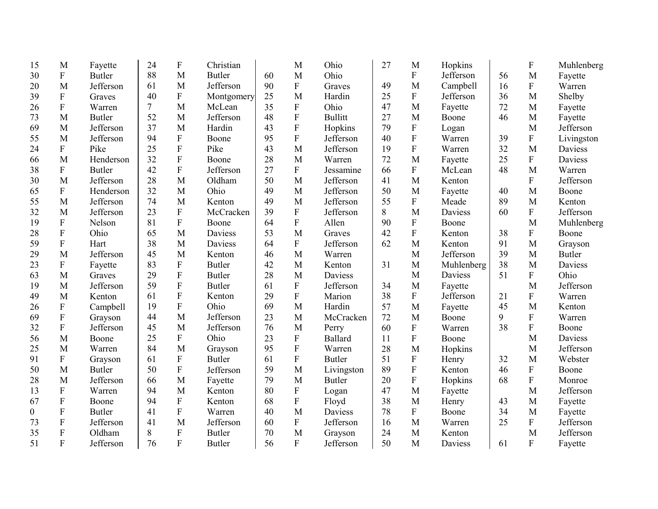| 15 | M                         | Fayette       | 24 | $\boldsymbol{\mathrm{F}}$ | Christian     |    | M                         | Ohio           | 27 | M                         | Hopkins    |    | F              | Muhlenberg    |
|----|---------------------------|---------------|----|---------------------------|---------------|----|---------------------------|----------------|----|---------------------------|------------|----|----------------|---------------|
| 30 | $\mathbf F$               | <b>Butler</b> | 88 | M                         | <b>Butler</b> | 60 | M                         | Ohio           |    | $\mathbf F$               | Jefferson  | 56 | M              | Fayette       |
| 20 | M                         | Jefferson     | 61 | M                         | Jefferson     | 90 | ${\bf F}$                 | Graves         | 49 | M                         | Campbell   | 16 | ${\bf F}$      | Warren        |
| 39 | $\mathbf F$               | Graves        | 40 | $\mathbf F$               | Montgomery    | 25 | M                         | Hardin         | 25 | ${\bf F}$                 | Jefferson  | 36 | M              | Shelby        |
| 26 | ${\bf F}$                 | Warren        | 7  | M                         | McLean        | 35 | $\mathbf F$               | Ohio           | 47 | M                         | Fayette    | 72 | M              | Fayette       |
| 73 | M                         | Butler        | 52 | M                         | Jefferson     | 48 | $\mathbf F$               | <b>Bullitt</b> | 27 | M                         | Boone      | 46 | M              | Fayette       |
| 69 | M                         | Jefferson     | 37 | M                         | Hardin        | 43 | $\mathbf F$               | Hopkins        | 79 | $\boldsymbol{\mathrm{F}}$ | Logan      |    | M              | Jefferson     |
| 55 | M                         | Jefferson     | 94 | ${\bf F}$                 | Boone         | 95 | $\overline{F}$            | Jefferson      | 40 | ${\bf F}$                 | Warren     | 39 | $\mathbf F$    | Livingston    |
| 24 | $\overline{F}$            | Pike          | 25 | $\overline{F}$            | Pike          | 43 | M                         | Jefferson      | 19 | $\overline{F}$            | Warren     | 32 | M              | Daviess       |
| 66 | M                         | Henderson     | 32 | $\overline{F}$            | Boone         | 28 | M                         | Warren         | 72 | M                         | Fayette    | 25 | $\mathbf F$    | Daviess       |
| 38 | $\mathbf F$               | <b>Butler</b> | 42 | $\overline{F}$            | Jefferson     | 27 | $\overline{F}$            | Jessamine      | 66 | $\mathbf F$               | McLean     | 48 | M              | Warren        |
| 30 | M                         | Jefferson     | 28 | M                         | Oldham        | 50 | M                         | Jefferson      | 41 | M                         | Kenton     |    | $\mathbf F$    | Jefferson     |
| 65 | ${\bf F}$                 | Henderson     | 32 | M                         | Ohio          | 49 | M                         | Jefferson      | 50 | M                         | Fayette    | 40 | M              | Boone         |
| 55 | M                         | Jefferson     | 74 | M                         | Kenton        | 49 | M                         | Jefferson      | 55 | ${\bf F}$                 | Meade      | 89 | M              | Kenton        |
| 32 | M                         | Jefferson     | 23 | ${\bf F}$                 | McCracken     | 39 | ${\bf F}$                 | Jefferson      | 8  | M                         | Daviess    | 60 | $\mathbf F$    | Jefferson     |
| 19 | F                         | Nelson        | 81 | $\boldsymbol{\mathrm{F}}$ | Boone         | 64 | $\mathbf F$               | Allen          | 90 | $\boldsymbol{\mathrm{F}}$ | Boone      |    | M              | Muhlenberg    |
| 28 | ${\bf F}$                 | Ohio          | 65 | M                         | Daviess       | 53 | M                         | Graves         | 42 | ${\bf F}$                 | Kenton     | 38 | $\mathbf F$    | Boone         |
| 59 | ${\bf F}$                 | Hart          | 38 | M                         | Daviess       | 64 | $\mathbf F$               | Jefferson      | 62 | M                         | Kenton     | 91 | M              | Grayson       |
| 29 | M                         | Jefferson     | 45 | M                         | Kenton        | 46 | M                         | Warren         |    | M                         | Jefferson  | 39 | M              | <b>Butler</b> |
| 23 | ${\bf F}$                 | Fayette       | 83 | $\mathbf{F}$              | <b>Butler</b> | 42 | M                         | Kenton         | 31 | M                         | Muhlenberg | 38 | M              | Daviess       |
| 63 | M                         | Graves        | 29 | ${\bf F}$                 | <b>Butler</b> | 28 | M                         | Daviess        |    | M                         | Daviess    | 51 | F              | Ohio          |
| 19 | M                         | Jefferson     | 59 | $\boldsymbol{\mathrm{F}}$ | <b>Butler</b> | 61 | $\mathbf F$               | Jefferson      | 34 | M                         | Fayette    |    | M              | Jefferson     |
| 49 | M                         | Kenton        | 61 | ${\bf F}$                 | Kenton        | 29 | $\boldsymbol{F}$          | Marion         | 38 | $\boldsymbol{\mathrm{F}}$ | Jefferson  | 21 | F              | Warren        |
| 26 | $\boldsymbol{F}$          | Campbell      | 19 | $\overline{F}$            | Ohio          | 69 | M                         | Hardin         | 57 | M                         | Fayette    | 45 | M              | Kenton        |
| 69 | $\boldsymbol{\mathrm{F}}$ | Grayson       | 44 | M                         | Jefferson     | 23 | M                         | McCracken      | 72 | M                         | Boone      | 9  | ${\bf F}$      | Warren        |
| 32 | ${\bf F}$                 | Jefferson     | 45 | M                         | Jefferson     | 76 | M                         | Perry          | 60 | ${\bf F}$                 | Warren     | 38 | F              | Boone         |
| 56 | M                         | Boone         | 25 | $\boldsymbol{\mathrm{F}}$ | Ohio          | 23 | $\boldsymbol{\mathrm{F}}$ | Ballard        | 11 | ${\bf F}$                 | Boone      |    | M              | Daviess       |
| 25 | M                         | Warren        | 84 | M                         | Grayson       | 95 | $\mathbf F$               | Warren         | 28 | M                         | Hopkins    |    | M              | Jefferson     |
| 91 | F                         | Grayson       | 61 | ${\bf F}$                 | Butler        | 61 | $\mathbf F$               | <b>Butler</b>  | 51 | ${\bf F}$                 | Henry      | 32 | M              | Webster       |
| 50 | M                         | <b>Butler</b> | 50 | ${\bf F}$                 | Jefferson     | 59 | M                         | Livingston     | 89 | ${\bf F}$                 | Kenton     | 46 | ${\bf F}$      | Boone         |
| 28 | M                         | Jefferson     | 66 | M                         | Fayette       | 79 | M                         | <b>Butler</b>  | 20 | ${\bf F}$                 | Hopkins    | 68 | $\mathbf F$    | Monroe        |
| 13 | ${\bf F}$                 | Warren        | 94 | M                         | Kenton        | 80 | ${\bf F}$                 | Logan          | 47 | M                         | Fayette    |    | M              | Jefferson     |
| 67 | ${\bf F}$                 | Boone         | 94 | ${\bf F}$                 | Kenton        | 68 | $\mathbf F$               | Floyd          | 38 | M                         | Henry      | 43 | M              | Fayette       |
| 0  | ${\bf F}$                 | <b>Butler</b> | 41 | $\boldsymbol{\mathrm{F}}$ | Warren        | 40 | M                         | Daviess        | 78 | ${\bf F}$                 | Boone      | 34 | M              | Fayette       |
| 73 | ${\bf F}$                 | Jefferson     | 41 | M                         | Jefferson     | 60 | ${\bf F}$                 | Jefferson      | 16 | M                         | Warren     | 25 | $\mathbf F$    | Jefferson     |
| 35 | F                         | Oldham        | 8  | ${\bf F}$                 | <b>Butler</b> | 70 | M                         | Grayson        | 24 | M                         | Kenton     |    | M              | Jefferson     |
| 51 | $\overline{F}$            | Jefferson     | 76 | F                         | <b>Butler</b> | 56 | $\overline{F}$            | Jefferson      | 50 | M                         | Daviess    | 61 | $\overline{F}$ | Fayette       |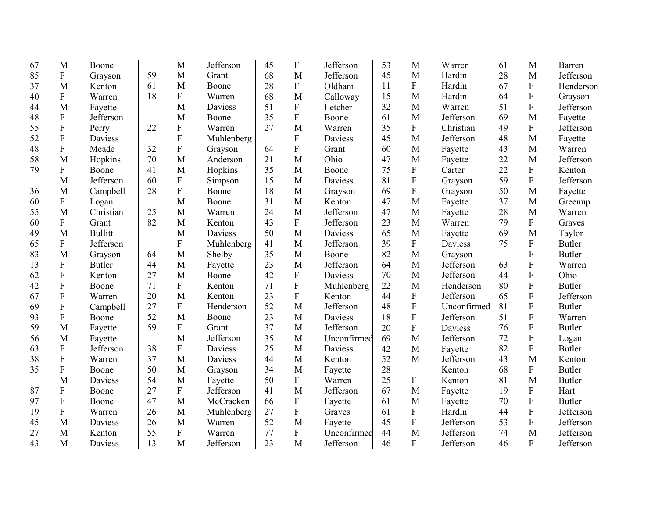| 67 | M                         | Boone          |    | M              | Jefferson  | 45 | $\boldsymbol{\mathrm{F}}$ | Jefferson   | 53 | M                         | Warren         | 61 | M                         | <b>Barren</b> |
|----|---------------------------|----------------|----|----------------|------------|----|---------------------------|-------------|----|---------------------------|----------------|----|---------------------------|---------------|
| 85 | ${\bf F}$                 | Grayson        | 59 | M              | Grant      | 68 | M                         | Jefferson   | 45 | M                         | Hardin         | 28 | M                         | Jefferson     |
| 37 | M                         | Kenton         | 61 | M              | Boone      | 28 | ${\bf F}$                 | Oldham      | 11 | ${\bf F}$                 | Hardin         | 67 | ${\bf F}$                 | Henderson     |
| 40 | ${\bf F}$                 | Warren         | 18 | $\mathbf{F}$   | Warren     | 68 | M                         | Calloway    | 15 | M                         | Hardin         | 64 | $\overline{F}$            | Grayson       |
| 44 | M                         | Fayette        |    | M              | Daviess    | 51 | ${\bf F}$                 | Letcher     | 32 | M                         | Warren         | 51 | ${\bf F}$                 | Jefferson     |
| 48 | ${\bf F}$                 | Jefferson      |    | M              | Boone      | 35 | ${\bf F}$                 | Boone       | 61 | M                         | Jefferson      | 69 | M                         | Fayette       |
| 55 | $\boldsymbol{\mathrm{F}}$ | Perry          | 22 | $\mathbf{F}$   | Warren     | 27 | M                         | Warren      | 35 | $\mathbf F$               | Christian      | 49 | $\overline{F}$            | Jefferson     |
| 52 | ${\bf F}$                 | Daviess        |    | ${\bf F}$      | Muhlenberg |    | ${\bf F}$                 | Daviess     | 45 | M                         | Jefferson      | 48 | M                         | Fayette       |
| 48 | $\overline{F}$            | Meade          | 32 | $\overline{F}$ | Grayson    | 64 | $\overline{F}$            | Grant       | 60 | M                         | Fayette        | 43 | M                         | Warren        |
| 58 | M                         | Hopkins        | 70 | M              | Anderson   | 21 | M                         | Ohio        | 47 | M                         | Fayette        | 22 | M                         | Jefferson     |
| 79 | ${\bf F}$                 | Boone          | 41 | M              | Hopkins    | 35 | M                         | Boone       | 75 | ${\bf F}$                 | Carter         | 22 | ${\bf F}$                 | Kenton        |
|    | M                         | Jefferson      | 60 | $\mathbf{F}$   | Simpson    | 15 | M                         | Daviess     | 81 | ${\bf F}$                 | Grayson        | 59 | $\mathbf{F}$              | Jefferson     |
| 36 | M                         | Campbell       | 28 | $\mathbf{F}$   | Boone      | 18 | M                         | Grayson     | 69 | ${\bf F}$                 | Grayson        | 50 | M                         | Fayette       |
| 60 | ${\bf F}$                 | Logan          |    | M              | Boone      | 31 | M                         | Kenton      | 47 | M                         | Fayette        | 37 | M                         | Greenup       |
| 55 | M                         | Christian      | 25 | M              | Warren     | 24 | M                         | Jefferson   | 47 | M                         | Fayette        | 28 | M                         | Warren        |
| 60 | $\boldsymbol{\mathrm{F}}$ | Grant          | 82 | M              | Kenton     | 43 | $\boldsymbol{F}$          | Jefferson   | 23 | M                         | Warren         | 79 | F                         | Graves        |
| 49 | M                         | <b>Bullitt</b> |    | M              | Daviess    | 50 | M                         | Daviess     | 65 | M                         | Fayette        | 69 | M                         | Taylor        |
| 65 | $\boldsymbol{\mathrm{F}}$ | Jefferson      |    | $\mathbf{F}$   | Muhlenberg | 41 | M                         | Jefferson   | 39 | ${\bf F}$                 | Daviess        | 75 | ${\bf F}$                 | <b>Butler</b> |
| 83 | M                         | Grayson        | 64 | M              | Shelby     | 35 | M                         | Boone       | 82 | M                         | Grayson        |    | $\overline{F}$            | <b>Butler</b> |
| 13 | ${\bf F}$                 | Butler         | 44 | M              | Fayette    | 23 | M                         | Jefferson   | 64 | M                         | Jefferson      | 63 | $\overline{F}$            | Warren        |
| 62 | ${\bf F}$                 | Kenton         | 27 | M              | Boone      | 42 | $\boldsymbol{\mathrm{F}}$ | Daviess     | 70 | M                         | Jefferson      | 44 | ${\bf F}$                 | Ohio          |
| 42 | ${\bf F}$                 | Boone          | 71 | ${\bf F}$      | Kenton     | 71 | ${\bf F}$                 | Muhlenberg  | 22 | M                         | Henderson      | 80 | $\overline{F}$            | <b>Butler</b> |
| 67 | $\boldsymbol{\mathrm{F}}$ | Warren         | 20 | M              | Kenton     | 23 | ${\bf F}$                 | Kenton      | 44 | $\boldsymbol{\mathrm{F}}$ | Jefferson      | 65 | $\overline{F}$            | Jefferson     |
| 69 | $\boldsymbol{\mathrm{F}}$ | Campbell       | 27 | ${\bf F}$      | Henderson  | 52 | M                         | Jefferson   | 48 | ${\bf F}$                 | Unconfirmed    | 81 | $\overline{F}$            | <b>Butler</b> |
| 93 | F                         | Boone          | 52 | M              | Boone      | 23 | M                         | Daviess     | 18 | ${\bf F}$                 | Jefferson      | 51 | $\mathbf F$               | Warren        |
| 59 | M                         | Fayette        | 59 | ${\bf F}$      | Grant      | 37 | M                         | Jefferson   | 20 | ${\bf F}$                 | <b>Daviess</b> | 76 | $\overline{F}$            | <b>Butler</b> |
| 56 | M                         | Fayette        |    | M              | Jefferson  | 35 | M                         | Unconfirmed | 69 | M                         | Jefferson      | 72 | $\boldsymbol{\mathrm{F}}$ | Logan         |
| 63 | ${\bf F}$                 | Jefferson      | 38 | ${\bf F}$      | Daviess    | 25 | M                         | Daviess     | 42 | M                         | Fayette        | 82 | ${\bf F}$                 | <b>Butler</b> |
| 38 | F                         | Warren         | 37 | M              | Daviess    | 44 | M                         | Kenton      | 52 | M                         | Jefferson      | 43 | M                         | Kenton        |
| 35 | $\boldsymbol{\mathrm{F}}$ | Boone          | 50 | M              | Grayson    | 34 | M                         | Fayette     | 28 |                           | Kenton         | 68 | ${\bf F}$                 | <b>Butler</b> |
|    | M                         | Daviess        | 54 | M              | Fayette    | 50 | $\mathbf{F}$              | Warren      | 25 | ${\bf F}$                 | Kenton         | 81 | M                         | <b>Butler</b> |
| 87 | $\boldsymbol{\mathrm{F}}$ | Boone          | 27 | ${\bf F}$      | Jefferson  | 41 | M                         | Jefferson   | 67 | M                         | Fayette        | 19 | ${\bf F}$                 | Hart          |
| 97 | ${\bf F}$                 | Boone          | 47 | M              | McCracken  | 66 | ${\bf F}$                 | Fayette     | 61 | M                         | Fayette        | 70 | ${\bf F}$                 | <b>Butler</b> |
| 19 | $\boldsymbol{\mathrm{F}}$ | Warren         | 26 | M              | Muhlenberg | 27 | ${\bf F}$                 | Graves      | 61 | ${\bf F}$                 | Hardin         | 44 | ${\bf F}$                 | Jefferson     |
| 45 | M                         | Daviess        | 26 | M              | Warren     | 52 | M                         | Fayette     | 45 | ${\bf F}$                 | Jefferson      | 53 | ${\bf F}$                 | Jefferson     |
| 27 | M                         | Kenton         | 55 | $\mathbf F$    | Warren     | 77 | ${\bf F}$                 | Unconfirmed | 44 | M                         | Jefferson      | 74 | M                         | Jefferson     |
| 43 | M                         | Daviess        | 13 | M              | Jefferson  | 23 | M                         | Jefferson   | 46 | F                         | Jefferson      | 46 | $\overline{F}$            | Jefferson     |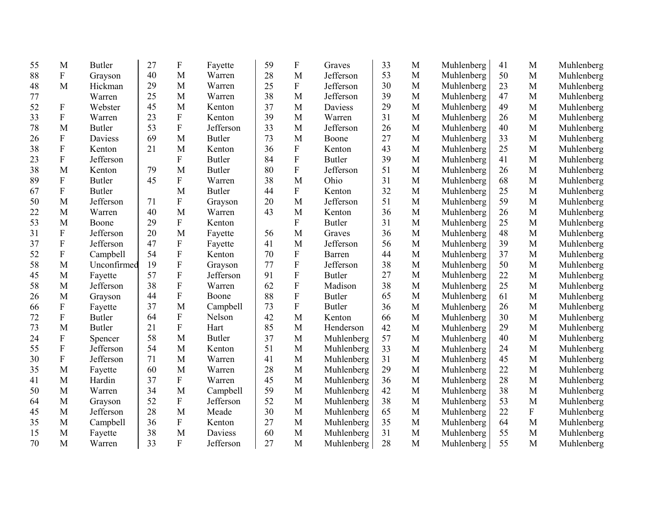| 55 | M                         | <b>Butler</b> | 27 | $\mathbf F$               | Fayette       | 59 | ${\bf F}$                 | Graves        | 33 | M            | Muhlenberg | 41 | M            | Muhlenberg |
|----|---------------------------|---------------|----|---------------------------|---------------|----|---------------------------|---------------|----|--------------|------------|----|--------------|------------|
| 88 | ${\bf F}$                 | Grayson       | 40 | M                         | Warren        | 28 | M                         | Jefferson     | 53 | $\mathbf{M}$ | Muhlenberg | 50 | M            | Muhlenberg |
| 48 | M                         | Hickman       | 29 | M                         | Warren        | 25 | $\boldsymbol{\mathrm{F}}$ | Jefferson     | 30 | $\mathbf{M}$ | Muhlenberg | 23 | M            | Muhlenberg |
| 77 |                           | Warren        | 25 | M                         | Warren        | 38 | $\mathbf{M}$              | Jefferson     | 39 | M            | Muhlenberg | 47 | M            | Muhlenberg |
| 52 | $\mathbf F$               | Webster       | 45 | M                         | Kenton        | 37 | $\mathbf{M}$              | Daviess       | 29 | M            | Muhlenberg | 49 | M            | Muhlenberg |
| 33 | $\mathbf F$               | Warren        | 23 | ${\bf F}$                 | Kenton        | 39 | $\mathbf{M}$              | Warren        | 31 | M            | Muhlenberg | 26 | M            | Muhlenberg |
| 78 | M                         | <b>Butler</b> | 53 | ${\bf F}$                 | Jefferson     | 33 | $\mathbf{M}$              | Jefferson     | 26 | $\mathbf{M}$ | Muhlenberg | 40 | $\mathbf{M}$ | Muhlenberg |
| 26 | $\boldsymbol{\mathrm{F}}$ | Daviess       | 69 | M                         | <b>Butler</b> | 73 | M                         | Boone         | 27 | M            | Muhlenberg | 33 | M            | Muhlenberg |
| 38 | $\mathbf F$               | Kenton        | 21 | M                         | Kenton        | 36 | ${\bf F}$                 | Kenton        | 43 | $\mathbf{M}$ | Muhlenberg | 25 | M            | Muhlenberg |
| 23 | $\boldsymbol{\mathrm{F}}$ | Jefferson     |    | ${\bf F}$                 | <b>Butler</b> | 84 | ${\bf F}$                 | <b>Butler</b> | 39 | $\mathbf M$  | Muhlenberg | 41 | M            | Muhlenberg |
| 38 | M                         | Kenton        | 79 | M                         | <b>Butler</b> | 80 | ${\bf F}$                 | Jefferson     | 51 | $\mathbf{M}$ | Muhlenberg | 26 | M            | Muhlenberg |
| 89 | ${\bf F}$                 | <b>Butler</b> | 45 | ${\bf F}$                 | Warren        | 38 | M                         | Ohio          | 31 | M            | Muhlenberg | 68 | M            | Muhlenberg |
| 67 | $\boldsymbol{\mathrm{F}}$ | <b>Butler</b> |    | M                         | <b>Butler</b> | 44 | ${\bf F}$                 | Kenton        | 32 | $\mathbf{M}$ | Muhlenberg | 25 | M            | Muhlenberg |
| 50 | M                         | Jefferson     | 71 | $\mathbf F$               | Grayson       | 20 | M                         | Jefferson     | 51 | $\mathbf{M}$ | Muhlenberg | 59 | M            | Muhlenberg |
| 22 | M                         | Warren        | 40 | M                         | Warren        | 43 | M                         | Kenton        | 36 | $\mathbf{M}$ | Muhlenberg | 26 | M            | Muhlenberg |
| 53 | M                         | Boone         | 29 | $\mathbf F$               | Kenton        |    | ${\bf F}$                 | <b>Butler</b> | 31 | M            | Muhlenberg | 25 | M            | Muhlenberg |
| 31 | $\mathbf F$               | Jefferson     | 20 | M                         | Fayette       | 56 | M                         | Graves        | 36 | M            | Muhlenberg | 48 | M            | Muhlenberg |
| 37 | $\boldsymbol{\mathrm{F}}$ | Jefferson     | 47 | ${\bf F}$                 | Fayette       | 41 | M                         | Jefferson     | 56 | M            | Muhlenberg | 39 | M            | Muhlenberg |
| 52 | $\mathbf F$               | Campbell      | 54 | $\boldsymbol{\mathrm{F}}$ | Kenton        | 70 | $\boldsymbol{\mathrm{F}}$ | Barren        | 44 | M            | Muhlenberg | 37 | M            | Muhlenberg |
| 58 | M                         | Unconfirmed   | 19 | $\boldsymbol{\mathrm{F}}$ | Grayson       | 77 | $\mathbf F$               | Jefferson     | 38 | M            | Muhlenberg | 50 | M            | Muhlenberg |
| 45 | M                         | Fayette       | 57 | $\boldsymbol{\mathrm{F}}$ | Jefferson     | 91 | $\mathbf F$               | <b>Butler</b> | 27 | M            | Muhlenberg | 22 | M            | Muhlenberg |
| 58 | M                         | Jefferson     | 38 | $\boldsymbol{\mathrm{F}}$ | Warren        | 62 | $\mathbf F$               | Madison       | 38 | M            | Muhlenberg | 25 | M            | Muhlenberg |
| 26 | M                         | Grayson       | 44 | $\boldsymbol{\mathrm{F}}$ | Boone         | 88 | $\mathbf F$               | <b>Butler</b> | 65 | M            | Muhlenberg | 61 | M            | Muhlenberg |
| 66 | $\mathbf F$               | Fayette       | 37 | M                         | Campbell      | 73 | ${\bf F}$                 | <b>Butler</b> | 36 | M            | Muhlenberg | 26 | M            | Muhlenberg |
| 72 | $\mathbf F$               | <b>Butler</b> | 64 | ${\bf F}$                 | Nelson        | 42 | M                         | Kenton        | 66 | M            | Muhlenberg | 30 | M            | Muhlenberg |
| 73 | M                         | <b>Butler</b> | 21 | ${\bf F}$                 | Hart          | 85 | M                         | Henderson     | 42 | M            | Muhlenberg | 29 | M            | Muhlenberg |
| 24 | F                         | Spencer       | 58 | M                         | <b>Butler</b> | 37 | M                         | Muhlenberg    | 57 | M            | Muhlenberg | 40 | M            | Muhlenberg |
| 55 | $\mathbf F$               | Jefferson     | 54 | M                         | Kenton        | 51 | M                         | Muhlenberg    | 33 | M            | Muhlenberg | 24 | M            | Muhlenberg |
| 30 | $\mathbf F$               | Jefferson     | 71 | M                         | Warren        | 41 | M                         | Muhlenberg    | 31 | M            | Muhlenberg | 45 | M            | Muhlenberg |
| 35 | M                         | Fayette       | 60 | M                         | Warren        | 28 | M                         | Muhlenberg    | 29 | M            | Muhlenberg | 22 | M            | Muhlenberg |
| 41 | M                         | Hardin        | 37 | ${\bf F}$                 | Warren        | 45 | M                         | Muhlenberg    | 36 | M            | Muhlenberg | 28 | M            | Muhlenberg |
| 50 | M                         | Warren        | 34 | M                         | Campbell      | 59 | $\mathbf{M}$              | Muhlenberg    | 42 | M            | Muhlenberg | 38 | M            | Muhlenberg |
| 64 | M                         | Grayson       | 52 | ${\bf F}$                 | Jefferson     | 52 | $\mathbf{M}$              | Muhlenberg    | 38 | M            | Muhlenberg | 53 | M            | Muhlenberg |
| 45 | M                         | Jefferson     | 28 | M                         | Meade         | 30 | $\mathbf{M}$              | Muhlenberg    | 65 | M            | Muhlenberg | 22 | ${\bf F}$    | Muhlenberg |
| 35 | M                         | Campbell      | 36 | ${\bf F}$                 | Kenton        | 27 | M                         | Muhlenberg    | 35 | M            | Muhlenberg | 64 | M            | Muhlenberg |
| 15 | M                         | Fayette       | 38 | M                         | Daviess       | 60 | M                         | Muhlenberg    | 31 | M            | Muhlenberg | 55 | M            | Muhlenberg |
| 70 | M                         | Warren        | 33 | $\overline{F}$            | Jefferson     | 27 | M                         | Muhlenberg    | 28 | M            | Muhlenberg | 55 | M            | Muhlenberg |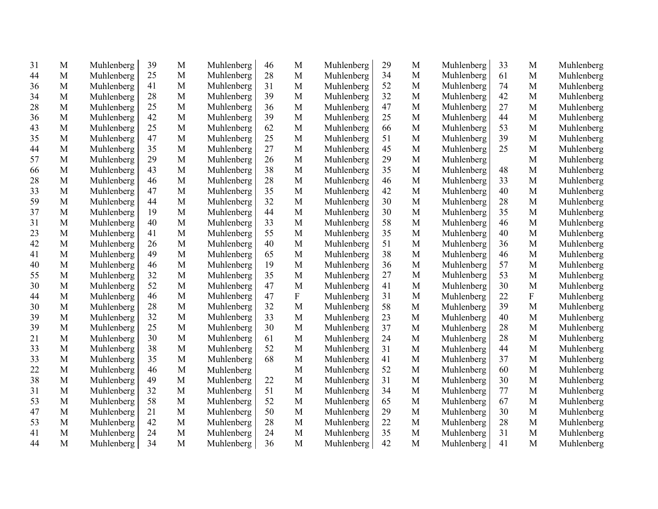| 31 | M           | Muhlenberg | 39 | M            | Muhlenberg | 46 | $\mathbf M$               | Muhlenberg | 29 | M            | Muhlenberg | 33 | M            | Muhlenberg |
|----|-------------|------------|----|--------------|------------|----|---------------------------|------------|----|--------------|------------|----|--------------|------------|
| 44 | M           | Muhlenberg | 25 | M            | Muhlenberg | 28 | M                         | Muhlenberg | 34 | M            | Muhlenberg | 61 | M            | Muhlenberg |
| 36 | M           | Muhlenberg | 41 | M            | Muhlenberg | 31 | M                         | Muhlenberg | 52 | M            | Muhlenberg | 74 | M            | Muhlenberg |
| 34 | $\mathbf M$ | Muhlenberg | 28 | $\mathbf M$  | Muhlenberg | 39 | $\mathbf M$               | Muhlenberg | 32 | M            | Muhlenberg | 42 | M            | Muhlenberg |
| 28 | M           | Muhlenberg | 25 | M            | Muhlenberg | 36 | $\mathbf M$               | Muhlenberg | 47 | M            | Muhlenberg | 27 | M            | Muhlenberg |
| 36 | $\mathbf M$ | Muhlenberg | 42 | $\mathbf M$  | Muhlenberg | 39 | $\mathbf M$               | Muhlenberg | 25 | M            | Muhlenberg | 44 | M            | Muhlenberg |
| 43 | M           | Muhlenberg | 25 | $\mathbf M$  | Muhlenberg | 62 | $\mathbf M$               | Muhlenberg | 66 | M            | Muhlenberg | 53 | M            | Muhlenberg |
| 35 | M           | Muhlenberg | 47 | M            | Muhlenberg | 25 | $\mathbf M$               | Muhlenberg | 51 | M            | Muhlenberg | 39 | M            | Muhlenberg |
| 44 | M           | Muhlenberg | 35 | $\mathbf M$  | Muhlenberg | 27 | $\mathbf M$               | Muhlenberg | 45 | M            | Muhlenberg | 25 | M            | Muhlenberg |
| 57 | M           | Muhlenberg | 29 | M            | Muhlenberg | 26 | $\mathbf M$               | Muhlenberg | 29 | $\mathbf M$  | Muhlenberg |    | M            | Muhlenberg |
| 66 | $\mathbf M$ | Muhlenberg | 43 | $\mathbf M$  | Muhlenberg | 38 | $\mathbf M$               | Muhlenberg | 35 | M            | Muhlenberg | 48 | $\mathbf{M}$ | Muhlenberg |
| 28 | $\mathbf M$ | Muhlenberg | 46 | M            | Muhlenberg | 28 | $\mathbf M$               | Muhlenberg | 46 | M            | Muhlenberg | 33 | M            | Muhlenberg |
| 33 | M           | Muhlenberg | 47 | M            | Muhlenberg | 35 | $\mathbf M$               | Muhlenberg | 42 | M            | Muhlenberg | 40 | $\mathbf{M}$ | Muhlenberg |
| 59 | M           | Muhlenberg | 44 | $\mathbf M$  | Muhlenberg | 32 | $\mathbf M$               | Muhlenberg | 30 | $\mathbf M$  | Muhlenberg | 28 | M            | Muhlenberg |
| 37 | M           | Muhlenberg | 19 | M            | Muhlenberg | 44 | $\mathbf M$               | Muhlenberg | 30 | $\mathbf{M}$ | Muhlenberg | 35 | M            | Muhlenberg |
| 31 | M           | Muhlenberg | 40 | M            | Muhlenberg | 33 | M                         | Muhlenberg | 58 | M            | Muhlenberg | 46 | M            | Muhlenberg |
| 23 | $\mathbf M$ | Muhlenberg | 41 | M            | Muhlenberg | 55 | $\mathbf M$               | Muhlenberg | 35 | $\mathbf M$  | Muhlenberg | 40 | M            | Muhlenberg |
| 42 | M           | Muhlenberg | 26 | M            | Muhlenberg | 40 | M                         | Muhlenberg | 51 | M            | Muhlenberg | 36 | $\mathbf M$  | Muhlenberg |
| 41 | M           | Muhlenberg | 49 | M            | Muhlenberg | 65 | M                         | Muhlenberg | 38 | M            | Muhlenberg | 46 | M            | Muhlenberg |
| 40 | $\mathbf M$ | Muhlenberg | 46 | $\mathbf M$  | Muhlenberg | 19 | $\mathbf M$               | Muhlenberg | 36 | $\mathbf M$  | Muhlenberg | 57 | M            | Muhlenberg |
| 55 | M           | Muhlenberg | 32 | M            | Muhlenberg | 35 | M                         | Muhlenberg | 27 | M            | Muhlenberg | 53 | M            | Muhlenberg |
| 30 | M           | Muhlenberg | 52 | $\mathbf M$  | Muhlenberg | 47 | M                         | Muhlenberg | 41 | M            | Muhlenberg | 30 | M            | Muhlenberg |
| 44 | M           | Muhlenberg | 46 | $\mathbf M$  | Muhlenberg | 47 | $\boldsymbol{\mathrm{F}}$ | Muhlenberg | 31 | M            | Muhlenberg | 22 | ${\bf F}$    | Muhlenberg |
| 30 | M           | Muhlenberg | 28 | M            | Muhlenberg | 32 | M                         | Muhlenberg | 58 | M            | Muhlenberg | 39 | M            | Muhlenberg |
| 39 | M           | Muhlenberg | 32 | $\mathbf M$  | Muhlenberg | 33 | M                         | Muhlenberg | 23 | M            | Muhlenberg | 40 | M            | Muhlenberg |
| 39 | M           | Muhlenberg | 25 | M            | Muhlenberg | 30 | M                         | Muhlenberg | 37 | M            | Muhlenberg | 28 | M            | Muhlenberg |
| 21 | M           | Muhlenberg | 30 | M            | Muhlenberg | 61 | M                         | Muhlenberg | 24 | M            | Muhlenberg | 28 | M            | Muhlenberg |
| 33 | M           | Muhlenberg | 38 | M            | Muhlenberg | 52 | $\mathbf M$               | Muhlenberg | 31 | M            | Muhlenberg | 44 | M            | Muhlenberg |
| 33 | M           | Muhlenberg | 35 | $\mathbf M$  | Muhlenberg | 68 | M                         | Muhlenberg | 41 | M            | Muhlenberg | 37 | M            | Muhlenberg |
| 22 | M           | Muhlenberg | 46 | $\mathbf M$  | Muhlenberg |    | M                         | Muhlenberg | 52 | M            | Muhlenberg | 60 | M            | Muhlenberg |
| 38 | M           | Muhlenberg | 49 | M            | Muhlenberg | 22 | M                         | Muhlenberg | 31 | M            | Muhlenberg | 30 | M            | Muhlenberg |
| 31 | M           | Muhlenberg | 32 | $\mathbf{M}$ | Muhlenberg | 51 | M                         | Muhlenberg | 34 | M            | Muhlenberg | 77 | M            | Muhlenberg |
| 53 | M           | Muhlenberg | 58 | $\mathbf{M}$ | Muhlenberg | 52 | M                         | Muhlenberg | 65 | M            | Muhlenberg | 67 | M            | Muhlenberg |
| 47 | M           | Muhlenberg | 21 | $\mathbf{M}$ | Muhlenberg | 50 | M                         | Muhlenberg | 29 | M            | Muhlenberg | 30 | M            | Muhlenberg |
| 53 | M           | Muhlenberg | 42 | M            | Muhlenberg | 28 | M                         | Muhlenberg | 22 | M            | Muhlenberg | 28 | M            | Muhlenberg |
| 41 | M           | Muhlenberg | 24 | $\mathbf{M}$ | Muhlenberg | 24 | $\mathbf M$               | Muhlenberg | 35 | M            | Muhlenberg | 31 | M            | Muhlenberg |
| 44 | M           | Muhlenberg | 34 | M            | Muhlenberg | 36 | M                         | Muhlenberg | 42 | M            | Muhlenberg | 41 | M            | Muhlenberg |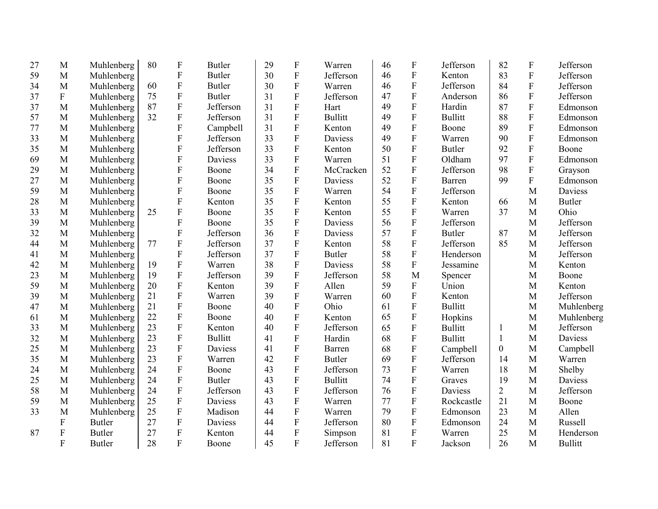| 27 | M           | Muhlenberg    | 80 | $\boldsymbol{\mathrm{F}}$ | <b>Butler</b>  | 29 | F                         | Warren         | 46 | ${\bf F}$               | Jefferson      | 82             | $\boldsymbol{\mathrm{F}}$ | Jefferson      |
|----|-------------|---------------|----|---------------------------|----------------|----|---------------------------|----------------|----|-------------------------|----------------|----------------|---------------------------|----------------|
| 59 | M           | Muhlenberg    |    | $\boldsymbol{\mathrm{F}}$ | <b>Butler</b>  | 30 | ${\bf F}$                 | Jefferson      | 46 | ${\bf F}$               | Kenton         | 83             | $\rm F$                   | Jefferson      |
| 34 | M           | Muhlenberg    | 60 | $\mathbf F$               | <b>Butler</b>  | 30 | $\boldsymbol{\mathrm{F}}$ | Warren         | 46 | ${\bf F}$               | Jefferson      | 84             | ${\bf F}$                 | Jefferson      |
| 37 | $\mathbf F$ | Muhlenberg    | 75 | $\mathbf F$               | <b>Butler</b>  | 31 | ${\bf F}$                 | Jefferson      | 47 | $\mathbf F$             | Anderson       | 86             | $\mathbf F$               | Jefferson      |
| 37 | M           | Muhlenberg    | 87 | F                         | Jefferson      | 31 | ${\bf F}$                 | Hart           | 49 | ${\bf F}$               | Hardin         | 87             | $\mathbf{F}$              | Edmonson       |
| 57 | M           | Muhlenberg    | 32 | $\overline{F}$            | Jefferson      | 31 | ${\bf F}$                 | <b>Bullitt</b> | 49 | ${\bf F}$               | <b>Bullitt</b> | 88             | $\overline{F}$            | Edmonson       |
| 77 | M           | Muhlenberg    |    | F                         | Campbell       | 31 | ${\bf F}$                 | Kenton         | 49 | $\overline{F}$          | Boone          | 89             | $\overline{F}$            | Edmonson       |
| 33 | M           | Muhlenberg    |    | $\mathbf F$               | Jefferson      | 33 | ${\bf F}$                 | Daviess        | 49 | ${\bf F}$               | Warren         | 90             | ${\bf F}$                 | Edmonson       |
| 35 | M           | Muhlenberg    |    | F                         | Jefferson      | 33 | ${\bf F}$                 | Kenton         | 50 | $\overline{\mathrm{F}}$ | <b>Butler</b>  | 92             | $\overline{F}$            | Boone          |
| 69 | M           | Muhlenberg    |    | $\mathbf F$               | Daviess        | 33 | ${\bf F}$                 | Warren         | 51 | ${\bf F}$               | Oldham         | 97             | $\overline{F}$            | Edmonson       |
| 29 | M           | Muhlenberg    |    | F                         | Boone          | 34 | $\rm F$                   | McCracken      | 52 | ${\bf F}$               | Jefferson      | 98             | $\rm F$                   | Grayson        |
| 27 | $\mathbf M$ | Muhlenberg    |    | F                         | Boone          | 35 | $\mathbf F$               | <b>Daviess</b> | 52 | $\overline{\mathrm{F}}$ | Barren         | 99             | $\overline{F}$            | Edmonson       |
| 59 | M           | Muhlenberg    |    | $\mathbf F$               | Boone          | 35 | $\mathbf F$               | Warren         | 54 | ${\bf F}$               | Jefferson      |                | M                         | Daviess        |
| 28 | M           | Muhlenberg    |    | $\overline{F}$            | Kenton         | 35 | F                         | Kenton         | 55 | $\overline{\mathrm{F}}$ | Kenton         | 66             | M                         | <b>Butler</b>  |
| 33 | M           | Muhlenberg    | 25 | ${\bf F}$                 | Boone          | 35 | F                         | Kenton         | 55 | ${\bf F}$               | Warren         | 37             | M                         | Ohio           |
| 39 | M           | Muhlenberg    |    | F                         | Boone          | 35 | $\mathbf F$               | Daviess        | 56 | $\overline{F}$          | Jefferson      |                | M                         | Jefferson      |
| 32 | M           | Muhlenberg    |    | $\mathbf F$               | Jefferson      | 36 | ${\bf F}$                 | Daviess        | 57 | ${\bf F}$               | <b>Butler</b>  | 87             | M                         | Jefferson      |
| 44 | M           | Muhlenberg    | 77 | $\mathbf F$               | Jefferson      | 37 | ${\bf F}$                 | Kenton         | 58 | ${\bf F}$               | Jefferson      | 85             | M                         | Jefferson      |
| 41 | M           | Muhlenberg    |    | $\overline{F}$            | Jefferson      | 37 | $\mathbf F$               | <b>Butler</b>  | 58 | ${\bf F}$               | Henderson      |                | M                         | Jefferson      |
| 42 | M           | Muhlenberg    | 19 | $\overline{F}$            | Warren         | 38 | F                         | Daviess        | 58 | ${\bf F}$               | Jessamine      |                | M                         | Kenton         |
| 23 | M           | Muhlenberg    | 19 | $\overline{F}$            | Jefferson      | 39 | F                         | Jefferson      | 58 | $\overline{M}$          | Spencer        |                | M                         | Boone          |
| 59 | M           | Muhlenberg    | 20 | $\overline{F}$            | Kenton         | 39 | F                         | Allen          | 59 | ${\bf F}$               | Union          |                | M                         | Kenton         |
| 39 | M           | Muhlenberg    | 21 | F                         | Warren         | 39 | $\mathbf F$               | Warren         | 60 | ${\bf F}$               | Kenton         |                | M                         | Jefferson      |
| 47 | M           | Muhlenberg    | 21 | $\mathbf F$               | Boone          | 40 | $\boldsymbol{\mathrm{F}}$ | Ohio           | 61 | ${\bf F}$               | <b>Bullitt</b> |                | M                         | Muhlenberg     |
| 61 | M           | Muhlenberg    | 22 | $\overline{F}$            | Boone          | 40 | $\mathbf F$               | Kenton         | 65 | ${\bf F}$               | Hopkins        |                | M                         | Muhlenberg     |
| 33 | M           | Muhlenberg    | 23 | F                         | Kenton         | 40 | F                         | Jefferson      | 65 | $\mathbf F$             | <b>Bullitt</b> | 1              | M                         | Jefferson      |
| 32 | M           | Muhlenberg    | 23 | $\mathbf F$               | <b>Bullitt</b> | 41 | ${\bf F}$                 | Hardin         | 68 | ${\bf F}$               | <b>Bullitt</b> | $\mathbf{1}$   | M                         | Daviess        |
| 25 | M           | Muhlenberg    | 23 | $\overline{F}$            | Daviess        | 41 | $\mathbf F$               | Barren         | 68 | $\overline{F}$          | Campbell       | $\mathbf{0}$   | M                         | Campbell       |
| 35 | M           | Muhlenberg    | 23 | $\boldsymbol{\mathrm{F}}$ | Warren         | 42 | ${\bf F}$                 | <b>Butler</b>  | 69 | $\overline{F}$          | Jefferson      | 14             | M                         | Warren         |
| 24 | M           | Muhlenberg    | 24 | ${\bf F}$                 | Boone          | 43 | ${\bf F}$                 | Jefferson      | 73 | $\overline{F}$          | Warren         | 18             | M                         | Shelby         |
| 25 | M           | Muhlenberg    | 24 | ${\bf F}$                 | <b>Butler</b>  | 43 | F                         | <b>Bullitt</b> | 74 | ${\bf F}$               | Graves         | 19             | M                         | Daviess        |
| 58 | M           | Muhlenberg    | 24 | ${\bf F}$                 | Jefferson      | 43 | F                         | Jefferson      | 76 | ${\bf F}$               | Daviess        | $\overline{2}$ | M                         | Jefferson      |
| 59 | M           | Muhlenberg    | 25 | ${\bf F}$                 | Daviess        | 43 | F                         | Warren         | 77 | ${\bf F}$               | Rockcastle     | 21             | M                         | Boone          |
| 33 | M           | Muhlenberg    | 25 | ${\bf F}$                 | Madison        | 44 | ${\bf F}$                 | Warren         | 79 | ${\bf F}$               | Edmonson       | 23             | M                         | Allen          |
|    | ${\bf F}$   | <b>Butler</b> | 27 | $\boldsymbol{\mathrm{F}}$ | Daviess        | 44 | ${\bf F}$                 | Jefferson      | 80 | ${\bf F}$               | Edmonson       | 24             | M                         | Russell        |
| 87 | ${\bf F}$   | <b>Butler</b> | 27 | ${\bf F}$                 | Kenton         | 44 | $\boldsymbol{\mathrm{F}}$ | Simpson        | 81 | ${\bf F}$               | Warren         | 25             | M                         | Henderson      |
|    | F           | <b>Butler</b> | 28 | $\overline{F}$            | Boone          | 45 | $\overline{F}$            | Jefferson      | 81 | $\overline{F}$          | Jackson        | 26             | M                         | <b>Bullitt</b> |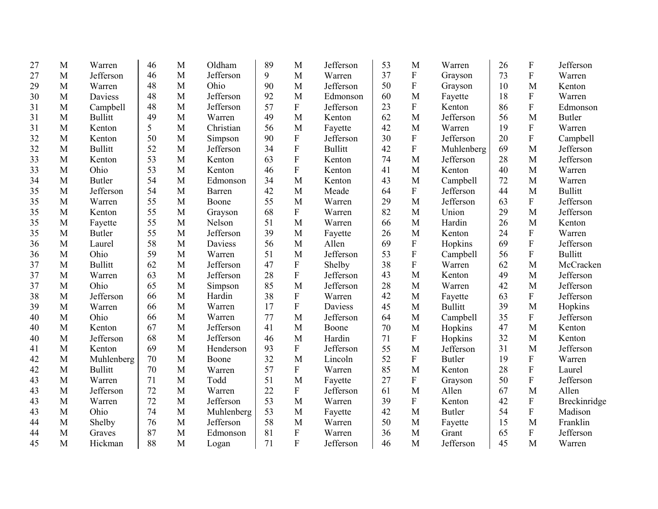| 27 | M | Warren         | 46 | M | Oldham     | 89 | M                         | Jefferson      | 53 | M           | Warren         | 26 | F                         | Jefferson      |
|----|---|----------------|----|---|------------|----|---------------------------|----------------|----|-------------|----------------|----|---------------------------|----------------|
| 27 | M | Jefferson      | 46 | M | Jefferson  | 9  | M                         | Warren         | 37 | ${\bf F}$   | Grayson        | 73 | $\overline{F}$            | Warren         |
| 29 | M | Warren         | 48 | M | Ohio       | 90 | M                         | Jefferson      | 50 | ${\bf F}$   | Grayson        | 10 | M                         | Kenton         |
| 30 | M | <b>Daviess</b> | 48 | M | Jefferson  | 92 | M                         | Edmonson       | 60 | M           | Fayette        | 18 | $\overline{F}$            | Warren         |
| 31 | M | Campbell       | 48 | M | Jefferson  | 57 | ${\bf F}$                 | Jefferson      | 23 | ${\bf F}$   | Kenton         | 86 | $\overline{F}$            | Edmonson       |
| 31 | M | <b>Bullitt</b> | 49 | M | Warren     | 49 | M                         | Kenton         | 62 | M           | Jefferson      | 56 | M                         | <b>Butler</b>  |
| 31 | M | Kenton         | 5  | M | Christian  | 56 | M                         | Fayette        | 42 | M           | Warren         | 19 | ${\bf F}$                 | Warren         |
| 32 | M | Kenton         | 50 | M | Simpson    | 90 | ${\bf F}$                 | Jefferson      | 30 | ${\bf F}$   | Jefferson      | 20 | $\mathbf F$               | Campbell       |
| 32 | M | <b>Bullitt</b> | 52 | M | Jefferson  | 34 | $\mathbf{F}$              | <b>Bullitt</b> | 42 | ${\bf F}$   | Muhlenberg     | 69 | M                         | Jefferson      |
| 33 | M | Kenton         | 53 | M | Kenton     | 63 | $\mathbf F$               | Kenton         | 74 | M           | Jefferson      | 28 | M                         | Jefferson      |
| 33 | M | Ohio           | 53 | M | Kenton     | 46 | ${\bf F}$                 | Kenton         | 41 | M           | Kenton         | 40 | M                         | Warren         |
| 34 | M | <b>Butler</b>  | 54 | M | Edmonson   | 34 | M                         | Kenton         | 43 | $\mathbf M$ | Campbell       | 72 | M                         | Warren         |
| 35 | M | Jefferson      | 54 | M | Barren     | 42 | M                         | Meade          | 64 | F           | Jefferson      | 44 | M                         | <b>Bullitt</b> |
| 35 | M | Warren         | 55 | M | Boone      | 55 | M                         | Warren         | 29 | M           | Jefferson      | 63 | $\boldsymbol{\mathrm{F}}$ | Jefferson      |
| 35 | M | Kenton         | 55 | M | Grayson    | 68 | $\boldsymbol{\mathrm{F}}$ | Warren         | 82 | M           | Union          | 29 | M                         | Jefferson      |
| 35 | M | Fayette        | 55 | M | Nelson     | 51 | M                         | Warren         | 66 | M           | Hardin         | 26 | M                         | Kenton         |
| 35 | M | <b>Butler</b>  | 55 | M | Jefferson  | 39 | M                         | Fayette        | 26 | M           | Kenton         | 24 | $\boldsymbol{F}$          | Warren         |
| 36 | M | Laurel         | 58 | M | Daviess    | 56 | M                         | Allen          | 69 | ${\bf F}$   | Hopkins        | 69 | $\mathbf F$               | Jefferson      |
| 36 | M | Ohio           | 59 | M | Warren     | 51 | M                         | Jefferson      | 53 | ${\bf F}$   | Campbell       | 56 | $\overline{F}$            | <b>Bullitt</b> |
| 37 | M | <b>Bullitt</b> | 62 | M | Jefferson  | 47 | $\boldsymbol{\mathrm{F}}$ | Shelby         | 38 | $\mathbf F$ | Warren         | 62 | M                         | McCracken      |
| 37 | M | Warren         | 63 | M | Jefferson  | 28 | ${\bf F}$                 | Jefferson      | 43 | M           | Kenton         | 49 | M                         | Jefferson      |
| 37 | M | Ohio           | 65 | M | Simpson    | 85 | M                         | Jefferson      | 28 | M           | Warren         | 42 | M                         | Jefferson      |
| 38 | M | Jefferson      | 66 | M | Hardin     | 38 | $\boldsymbol{\mathrm{F}}$ | Warren         | 42 | M           | Fayette        | 63 | F                         | Jefferson      |
| 39 | M | Warren         | 66 | M | Warren     | 17 | ${\bf F}$                 | Daviess        | 45 | M           | <b>Bullitt</b> | 39 | M                         | Hopkins        |
| 40 | M | Ohio           | 66 | M | Warren     | 77 | M                         | Jefferson      | 64 | M           | Campbell       | 35 | ${\bf F}$                 | Jefferson      |
| 40 | M | Kenton         | 67 | M | Jefferson  | 41 | M                         | Boone          | 70 | M           | Hopkins        | 47 | M                         | Kenton         |
| 40 | M | Jefferson      | 68 | M | Jefferson  | 46 | M                         | Hardin         | 71 | $\mathbf F$ | Hopkins        | 32 | M                         | Kenton         |
| 41 | M | Kenton         | 69 | M | Henderson  | 93 | $\boldsymbol{\mathrm{F}}$ | Jefferson      | 55 | M           | Jefferson      | 31 | M                         | Jefferson      |
| 42 | M | Muhlenberg     | 70 | M | Boone      | 32 | M                         | Lincoln        | 52 | ${\bf F}$   | <b>Butler</b>  | 19 | ${\bf F}$                 | Warren         |
| 42 | M | <b>Bullitt</b> | 70 | M | Warren     | 57 | ${\bf F}$                 | Warren         | 85 | M           | Kenton         | 28 | ${\bf F}$                 | Laurel         |
| 43 | M | Warren         | 71 | M | Todd       | 51 | M                         | Fayette        | 27 | ${\bf F}$   | Grayson        | 50 | $\mathbf F$               | Jefferson      |
| 43 | M | Jefferson      | 72 | M | Warren     | 22 | ${\bf F}$                 | Jefferson      | 61 | M           | Allen          | 67 | M                         | Allen          |
| 43 | M | Warren         | 72 | M | Jefferson  | 53 | M                         | Warren         | 39 | ${\bf F}$   | Kenton         | 42 | ${\bf F}$                 | Breckinridge   |
| 43 | M | Ohio           | 74 | M | Muhlenberg | 53 | M                         | Fayette        | 42 | M           | <b>Butler</b>  | 54 | ${\bf F}$                 | Madison        |
| 44 | M | Shelby         | 76 | M | Jefferson  | 58 | M                         | Warren         | 50 | M           | Fayette        | 15 | M                         | Franklin       |
| 44 | M | Graves         | 87 | M | Edmonson   | 81 | ${\bf F}$                 | Warren         | 36 | M           | Grant          | 65 | ${\bf F}$                 | Jefferson      |
| 45 | M | Hickman        | 88 | M | Logan      | 71 | $\mathbf{F}$              | Jefferson      | 46 | M           | Jefferson      | 45 | M                         | Warren         |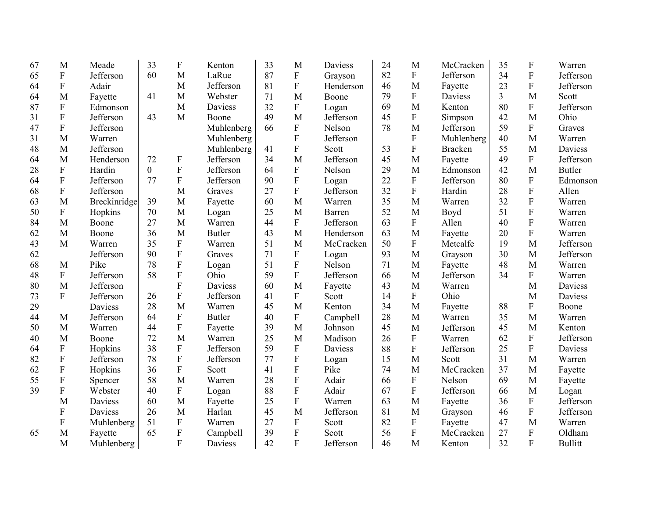| 67 | M                         | Meade          | 33             | $\boldsymbol{F}$          | Kenton        | 33 | M                         | Daviess   | 24 | M              | McCracken      | 35 | $\mathbf F$    | Warren         |
|----|---------------------------|----------------|----------------|---------------------------|---------------|----|---------------------------|-----------|----|----------------|----------------|----|----------------|----------------|
| 65 | ${\bf F}$                 | Jefferson      | 60             | M                         | LaRue         | 87 | ${\bf F}$                 | Grayson   | 82 | ${\bf F}$      | Jefferson      | 34 | $\mathbf F$    | Jefferson      |
| 64 | ${\bf F}$                 | Adair          |                | M                         | Jefferson     | 81 | ${\bf F}$                 | Henderson | 46 | M              | Fayette        | 23 | ${\bf F}$      | Jefferson      |
| 64 | M                         | Fayette        | 41             | M                         | Webster       | 71 | M                         | Boone     | 79 | ${\bf F}$      | Daviess        | 3  | M              | Scott          |
| 87 | ${\bf F}$                 | Edmonson       |                | M                         | Daviess       | 32 | $\boldsymbol{\mathrm{F}}$ | Logan     | 69 | M              | Kenton         | 80 | ${\bf F}$      | Jefferson      |
| 31 | ${\bf F}$                 | Jefferson      | 43             | M                         | Boone         | 49 | M                         | Jefferson | 45 | ${\bf F}$      | Simpson        | 42 | M              | Ohio           |
| 47 | ${\bf F}$                 | Jefferson      |                |                           | Muhlenberg    | 66 | ${\bf F}$                 | Nelson    | 78 | M              | Jefferson      | 59 | $\mathbf{F}$   | Graves         |
| 31 | M                         | Warren         |                |                           | Muhlenberg    |    | ${\bf F}$                 | Jefferson |    | ${\bf F}$      | Muhlenberg     | 40 | M              | Warren         |
| 48 | M                         | Jefferson      |                |                           | Muhlenberg    | 41 | $\mathbf{F}$              | Scott     | 53 | $\mathbf F$    | <b>Bracken</b> | 55 | M              | <b>Daviess</b> |
| 64 | M                         | Henderson      | 72             | $\boldsymbol{\mathrm{F}}$ | Jefferson     | 34 | M                         | Jefferson | 45 | M              | Fayette        | 49 | ${\bf F}$      | Jefferson      |
| 28 | $\mathbf F$               | Hardin         | $\overline{0}$ | $\overline{F}$            | Jefferson     | 64 | ${\bf F}$                 | Nelson    | 29 | M              | Edmonson       | 42 | M              | <b>Butler</b>  |
| 64 | ${\bf F}$                 | Jefferson      | 77             | ${\bf F}$                 | Jefferson     | 90 | ${\bf F}$                 | Logan     | 22 | ${\bf F}$      | Jefferson      | 80 | ${\bf F}$      | Edmonson       |
| 68 | $\mathbf F$               | Jefferson      |                | M                         | Graves        | 27 | $\rm F$                   | Jefferson | 32 | $\overline{F}$ | Hardin         | 28 | $\overline{F}$ | Allen          |
| 63 | M                         | Breckinridge   | 39             | M                         | Fayette       | 60 | M                         | Warren    | 35 | M              | Warren         | 32 | ${\bf F}$      | Warren         |
| 50 | ${\bf F}$                 | Hopkins        | 70             | M                         | Logan         | 25 | M                         | Barren    | 52 | M              | Boyd           | 51 | ${\bf F}$      | Warren         |
| 84 | M                         | Boone          | 27             | M                         | Warren        | 44 | $\mathbf{F}$              | Jefferson | 63 | ${\bf F}$      | Allen          | 40 | ${\bf F}$      | Warren         |
| 62 | M                         | Boone          | 36             | M                         | <b>Butler</b> | 43 | M                         | Henderson | 63 | M              | Fayette        | 20 | ${\bf F}$      | Warren         |
| 43 | M                         | Warren         | 35             | ${\bf F}$                 | Warren        | 51 | M                         | McCracken | 50 | ${\bf F}$      | Metcalfe       | 19 | M              | Jefferson      |
| 62 |                           | Jefferson      | 90             | ${\bf F}$                 | Graves        | 71 | $\mathbf F$               | Logan     | 93 | M              | Grayson        | 30 | M              | Jefferson      |
| 68 | M                         | Pike           | 78             | ${\bf F}$                 | Logan         | 51 | $\overline{F}$            | Nelson    | 71 | $\mathbf{M}$   | Fayette        | 48 | M              | Warren         |
| 48 | ${\bf F}$                 | Jefferson      | 58             | ${\bf F}$                 | Ohio          | 59 | ${\bf F}$                 | Jefferson | 66 | $\mathbf{M}$   | Jefferson      | 34 | ${\bf F}$      | Warren         |
| 80 | M                         | Jefferson      |                | $\overline{F}$            | Daviess       | 60 | M                         | Fayette   | 43 | M              | Warren         |    | M              | Daviess        |
| 73 | $\boldsymbol{\mathrm{F}}$ | Jefferson      | 26             | ${\bf F}$                 | Jefferson     | 41 | $\mathbf{F}$              | Scott     | 14 | ${\bf F}$      | Ohio           |    | M              | Daviess        |
| 29 |                           | Daviess        | 28             | M                         | Warren        | 45 | M                         | Kenton    | 34 | M              | Fayette        | 88 | ${\bf F}$      | Boone          |
| 44 | M                         | Jefferson      | 64             | ${\bf F}$                 | <b>Butler</b> | 40 | $\mathbf{F}$              | Campbell  | 28 | M              | Warren         | 35 | M              | Warren         |
| 50 | M                         | Warren         | 44             | ${\bf F}$                 | Fayette       | 39 | M                         | Johnson   | 45 | M              | Jefferson      | 45 | M              | Kenton         |
| 40 | M                         | Boone          | 72             | M                         | Warren        | 25 | M                         | Madison   | 26 | F              | Warren         | 62 | ${\bf F}$      | Jefferson      |
| 64 | $\boldsymbol{\mathrm{F}}$ | Hopkins        | 38             | ${\bf F}$                 | Jefferson     | 59 | ${\bf F}$                 | Daviess   | 88 | ${\bf F}$      | Jefferson      | 25 | ${\bf F}$      | Daviess        |
| 82 | $\boldsymbol{\mathrm{F}}$ | Jefferson      | 78             | $\overline{F}$            | Jefferson     | 77 | ${\bf F}$                 | Logan     | 15 | M              | Scott          | 31 | M              | Warren         |
| 62 | $\boldsymbol{\mathrm{F}}$ | Hopkins        | 36             | ${\bf F}$                 | Scott         | 41 | ${\bf F}$                 | Pike      | 74 | M              | McCracken      | 37 | M              | Fayette        |
| 55 | ${\bf F}$                 | Spencer        | 58             | M                         | Warren        | 28 | ${\bf F}$                 | Adair     | 66 | ${\bf F}$      | Nelson         | 69 | M              | Fayette        |
| 39 | $\mathbf F$               | Webster        | 40             | ${\bf F}$                 | Logan         | 88 | ${\bf F}$                 | Adair     | 67 | ${\bf F}$      | Jefferson      | 66 | M              | Logan          |
|    | M                         | <b>Daviess</b> | 60             | M                         | Fayette       | 25 | ${\bf F}$                 | Warren    | 63 | M              | Fayette        | 36 | ${\bf F}$      | Jefferson      |
|    | F                         | Daviess        | 26             | M                         | Harlan        | 45 | M                         | Jefferson | 81 | M              | Grayson        | 46 | ${\bf F}$      | Jefferson      |
|    | $\mathbf F$               | Muhlenberg     | 51             | ${\bf F}$                 | Warren        | 27 | ${\bf F}$                 | Scott     | 82 | ${\bf F}$      | Fayette        | 47 | M              | Warren         |
| 65 | M                         | Fayette        | 65             | ${\bf F}$                 | Campbell      | 39 | ${\bf F}$                 | Scott     | 56 | ${\bf F}$      | McCracken      | 27 | ${\bf F}$      | Oldham         |
|    | M                         | Muhlenberg     |                | $\overline{F}$            | Daviess       | 42 | $\overline{F}$            | Jefferson | 46 | M              | Kenton         | 32 | $\overline{F}$ | <b>Bullitt</b> |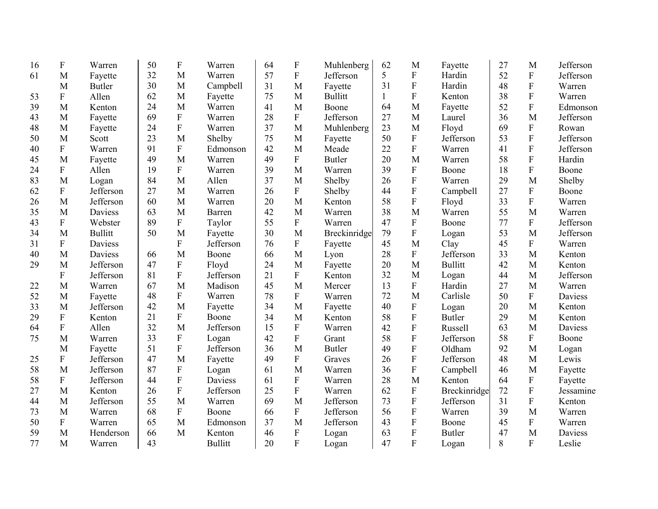| 16 | F                         | Warren         | 50 | $\boldsymbol{F}$ | Warren         | 64 | $\boldsymbol{F}$ | Muhlenberg     | 62             | M                         | Fayette        | 27 | M              | Jefferson |
|----|---------------------------|----------------|----|------------------|----------------|----|------------------|----------------|----------------|---------------------------|----------------|----|----------------|-----------|
| 61 | M                         | Fayette        | 32 | M                | Warren         | 57 | $\overline{F}$   | Jefferson      | 5 <sup>5</sup> | ${\bf F}$                 | Hardin         | 52 | ${\bf F}$      | Jefferson |
|    | M                         | <b>Butler</b>  | 30 | M                | Campbell       | 31 | M                | Fayette        | 31             | $\boldsymbol{\mathrm{F}}$ | Hardin         | 48 | ${\bf F}$      | Warren    |
| 53 | $\rm F$                   | Allen          | 62 | M                | Fayette        | 75 | M                | <b>Bullitt</b> | 1              | $\overline{F}$            | Kenton         | 38 | $\overline{F}$ | Warren    |
| 39 | M                         | Kenton         | 24 | M                | Warren         | 41 | M                | Boone          | 64             | M                         | Fayette        | 52 | $\rm F$        | Edmonson  |
| 43 | M                         | Fayette        | 69 | $\mathbf{F}$     | Warren         | 28 | $\mathbf{F}$     | Jefferson      | 27             | M                         | Laurel         | 36 | M              | Jefferson |
| 48 | M                         | Fayette        | 24 | ${\bf F}$        | Warren         | 37 | M                | Muhlenberg     | 23             | M                         | Floyd          | 69 | ${\bf F}$      | Rowan     |
| 50 | M                         | Scott          | 23 | M                | Shelby         | 75 | M                | Fayette        | 50             | $\mathbf F$               | Jefferson      | 53 | $\overline{F}$ | Jefferson |
| 40 | ${\bf F}$                 | Warren         | 91 | ${\bf F}$        | Edmonson       | 42 | M                | Meade          | 22             | ${\bf F}$                 | Warren         | 41 | ${\bf F}$      | Jefferson |
| 45 | M                         | Fayette        | 49 | M                | Warren         | 49 | $\overline{F}$   | <b>Butler</b>  | 20             | M                         | Warren         | 58 | $\overline{F}$ | Hardin    |
| 24 | ${\bf F}$                 | Allen          | 19 | ${\bf F}$        | Warren         | 39 | M                | Warren         | 39             | $\boldsymbol{\mathrm{F}}$ | Boone          | 18 | ${\bf F}$      | Boone     |
| 83 | M                         | Logan          | 84 | M                | Allen          | 37 | M                | Shelby         | 26             | $\mathbf F$               | Warren         | 29 | M              | Shelby    |
| 62 | ${\bf F}$                 | Jefferson      | 27 | M                | Warren         | 26 | ${\bf F}$        | Shelby         | 44             | $\mathbf F$               | Campbell       | 27 | ${\bf F}$      | Boone     |
| 26 | M                         | Jefferson      | 60 | M                | Warren         | 20 | M                | Kenton         | 58             | ${\bf F}$                 | Floyd          | 33 | $\mathbf{F}$   | Warren    |
| 35 | M                         | Daviess        | 63 | M                | Barren         | 42 | M                | Warren         | 38             | M                         | Warren         | 55 | M              | Warren    |
| 43 | ${\bf F}$                 | Webster        | 89 | ${\bf F}$        | Taylor         | 55 | ${\bf F}$        | Warren         | 47             | ${\bf F}$                 | Boone          | 77 | ${\bf F}$      | Jefferson |
| 34 | M                         | <b>Bullitt</b> | 50 | M                | Fayette        | 30 | M                | Breckinridge   | 79             | ${\bf F}$                 | Logan          | 53 | M              | Jefferson |
| 31 | ${\bf F}$                 | Daviess        |    | $\mathbf{F}$     | Jefferson      | 76 | ${\bf F}$        | Fayette        | 45             | M                         | Clay           | 45 | ${\bf F}$      | Warren    |
| 40 | M                         | Daviess        | 66 | M                | Boone          | 66 | M                | Lyon           | 28             | $\mathbf F$               | Jefferson      | 33 | M              | Kenton    |
| 29 | M                         | Jefferson      | 47 | ${\bf F}$        | Floyd          | 24 | M                | Fayette        | 20             | M                         | <b>Bullitt</b> | 42 | M              | Kenton    |
|    | ${\bf F}$                 | Jefferson      | 81 | $\overline{F}$   | Jefferson      | 21 | $\mathbf{F}$     | Kenton         | 32             | M                         | Logan          | 44 | M              | Jefferson |
| 22 | M                         | Warren         | 67 | M                | Madison        | 45 | M                | Mercer         | 13             | ${\bf F}$                 | Hardin         | 27 | M              | Warren    |
| 52 | M                         | Fayette        | 48 | ${\bf F}$        | Warren         | 78 | $\mathbf{F}$     | Warren         | 72             | M                         | Carlisle       | 50 | ${\bf F}$      | Daviess   |
| 33 | M                         | Jefferson      | 42 | M                | Fayette        | 34 | M                | Fayette        | 40             | ${\bf F}$                 | Logan          | 20 | M              | Kenton    |
| 29 | ${\bf F}$                 | Kenton         | 21 | ${\bf F}$        | Boone          | 34 | M                | Kenton         | 58             | ${\bf F}$                 | <b>Butler</b>  | 29 | M              | Kenton    |
| 64 | F                         | Allen          | 32 | M                | Jefferson      | 15 | F                | Warren         | 42             | ${\bf F}$                 | Russell        | 63 | M              | Daviess   |
| 75 | M                         | Warren         | 33 | ${\bf F}$        | Logan          | 42 | $\overline{F}$   | Grant          | 58             | ${\bf F}$                 | Jefferson      | 58 | ${\bf F}$      | Boone     |
|    | M                         | Fayette        | 51 | ${\bf F}$        | Jefferson      | 36 | M                | <b>Butler</b>  | 49             | ${\bf F}$                 | Oldham         | 92 | M              | Logan     |
| 25 | $\boldsymbol{\mathrm{F}}$ | Jefferson      | 47 | M                | Fayette        | 49 | $\mathbf{F}$     | Graves         | 26             | ${\bf F}$                 | Jefferson      | 48 | M              | Lewis     |
| 58 | M                         | Jefferson      | 87 | ${\bf F}$        | Logan          | 61 | M                | Warren         | 36             | ${\bf F}$                 | Campbell       | 46 | M              | Fayette   |
| 58 | ${\bf F}$                 | Jefferson      | 44 | ${\bf F}$        | Daviess        | 61 | $\mathbf{F}$     | Warren         | 28             | M                         | Kenton         | 64 | ${\bf F}$      | Fayette   |
| 27 | M                         | Kenton         | 26 | ${\bf F}$        | Jefferson      | 25 | ${\bf F}$        | Warren         | 62             | ${\bf F}$                 | Breckinridge   | 72 | ${\bf F}$      | Jessamine |
| 44 | M                         | Jefferson      | 55 | M                | Warren         | 69 | M                | Jefferson      | 73             | $\boldsymbol{\mathrm{F}}$ | Jefferson      | 31 | ${\bf F}$      | Kenton    |
| 73 | M                         | Warren         | 68 | F                | Boone          | 66 | ${\bf F}$        | Jefferson      | 56             | $\mathbf F$               | Warren         | 39 | M              | Warren    |
| 50 | $\boldsymbol{\mathrm{F}}$ | Warren         | 65 | M                | Edmonson       | 37 | M                | Jefferson      | 43             | $\mathbf F$               | Boone          | 45 | ${\bf F}$      | Warren    |
| 59 | M                         | Henderson      | 66 | M                | Kenton         | 46 | ${\bf F}$        | Logan          | 63             | $\boldsymbol{\mathrm{F}}$ | <b>Butler</b>  | 47 | M              | Daviess   |
| 77 | M                         | Warren         | 43 |                  | <b>Bullitt</b> | 20 | $\overline{F}$   | Logan          | 47             | $\overline{F}$            | Logan          | 8  | $\overline{F}$ | Leslie    |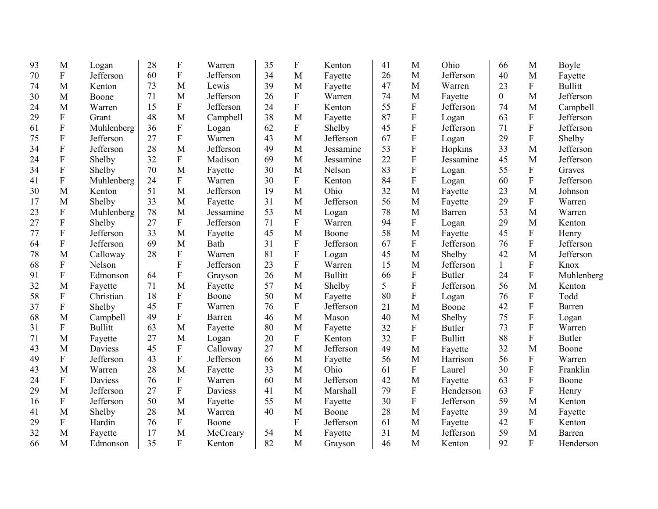| 93 | M                         | Logan          | 28 | ${\bf F}$      | Warren    | 35 | F                         | Kenton         | 41 | M                         | Ohio           | 66             | M            | Boyle          |
|----|---------------------------|----------------|----|----------------|-----------|----|---------------------------|----------------|----|---------------------------|----------------|----------------|--------------|----------------|
| 70 | $\mathbf F$               | Jefferson      | 60 | ${\bf F}$      | Jefferson | 34 | M                         | Fayette        | 26 | M                         | Jefferson      | 40             | M            | Fayette        |
| 74 | M                         | Kenton         | 73 | M              | Lewis     | 39 | M                         | Fayette        | 47 | M                         | Warren         | 23             | $\mathbf F$  | <b>Bullitt</b> |
| 30 | M                         | Boone          | 71 | M              | Jefferson | 26 | $\mathbf F$               | Warren         | 74 | M                         | Fayette        | $\overline{0}$ | M            | Jefferson      |
| 24 | M                         | Warren         | 15 | ${\bf F}$      | Jefferson | 24 | $\mathbf F$               | Kenton         | 55 | ${\bf F}$                 | Jefferson      | 74             | M            | Campbell       |
| 29 | ${\bf F}$                 | Grant          | 48 | M              | Campbell  | 38 | M                         | Fayette        | 87 | $\rm F$                   | Logan          | 63             | $\mathbf F$  | Jefferson      |
| 61 | $\boldsymbol{\mathrm{F}}$ | Muhlenberg     | 36 | $\mathbf{F}$   | Logan     | 62 | F                         | Shelby         | 45 | $\rm F$                   | Jefferson      | 71             | $\mathbf F$  | Jefferson      |
| 75 | ${\bf F}$                 | Jefferson      | 27 | $\overline{F}$ | Warren    | 43 | M                         | Jefferson      | 67 | $\rm F$                   | Logan          | 29             | $\mathbf{F}$ | Shelby         |
| 34 | ${\bf F}$                 | Jefferson      | 28 | M              | Jefferson | 49 | M                         | Jessamine      | 53 | $\boldsymbol{\mathrm{F}}$ | Hopkins        | 33             | M            | Jefferson      |
| 24 | ${\bf F}$                 | Shelby         | 32 | $\overline{F}$ | Madison   | 69 | M                         | Jessamine      | 22 | $\rm F$                   | Jessamine      | 45             | M            | Jefferson      |
| 34 | ${\bf F}$                 | Shelby         | 70 | M              | Fayette   | 30 | M                         | Nelson         | 83 | $\boldsymbol{\mathrm{F}}$ | Logan          | 55             | $\mathbf{F}$ | Graves         |
| 41 | $\boldsymbol{\mathrm{F}}$ | Muhlenberg     | 24 | $\mathbf{F}$   | Warren    | 30 | F                         | Kenton         | 84 | $\rm F$                   | Logan          | 60             | $\mathbf{F}$ | Jefferson      |
| 30 | M                         | Kenton         | 51 | M              | Jefferson | 19 | M                         | Ohio           | 32 | $\mathbf{M}$              | Fayette        | 23             | M            | Johnson        |
| 17 | M                         | Shelby         | 33 | M              | Fayette   | 31 | M                         | Jefferson      | 56 | M                         | Fayette        | 29             | $\mathbf{F}$ | Warren         |
| 23 | $\boldsymbol{\mathrm{F}}$ | Muhlenberg     | 78 | M              | Jessamine | 53 | M                         | Logan          | 78 | M                         | Barren         | 53             | M            | Warren         |
| 27 | $\boldsymbol{\mathrm{F}}$ | Shelby         | 27 | ${\bf F}$      | Jefferson | 71 | F                         | Warren         | 94 | F                         | Logan          | 29             | M            | Kenton         |
| 77 | ${\bf F}$                 | Jefferson      | 33 | M              | Fayette   | 45 | M                         | Boone          | 58 | M                         | Fayette        | 45             | $\mathbf{F}$ | Henry          |
| 64 | $\boldsymbol{\mathrm{F}}$ | Jefferson      | 69 | M              | Bath      | 31 | $\boldsymbol{\mathrm{F}}$ | Jefferson      | 67 | F                         | Jefferson      | 76             | ${\bf F}$    | Jefferson      |
| 78 | M                         | Calloway       | 28 | ${\bf F}$      | Warren    | 81 | ${\bf F}$                 | Logan          | 45 | M                         | Shelby         | 42             | M            | Jefferson      |
| 68 | ${\bf F}$                 | Nelson         |    | $\overline{F}$ | Jefferson | 23 | ${\bf F}$                 | Warren         | 15 | M                         | Jefferson      | 1              | $\mathbf{F}$ | Knox           |
| 91 | F                         | Edmonson       | 64 | ${\bf F}$      | Grayson   | 26 | M                         | <b>Bullitt</b> | 66 | ${\bf F}$                 | <b>Butler</b>  | 24             | $\mathbf{F}$ | Muhlenberg     |
| 32 | M                         | Fayette        | 71 | M              | Fayette   | 57 | M                         | Shelby         | 5  | $\mathbf F$               | Jefferson      | 56             | M            | Kenton         |
| 58 | F                         | Christian      | 18 | ${\bf F}$      | Boone     | 50 | M                         | Fayette        | 80 | $\boldsymbol{\mathrm{F}}$ | Logan          | 76             | $\mathbf{F}$ | Todd           |
| 37 | ${\bf F}$                 | Shelby         | 45 | F              | Warren    | 76 | F                         | Jefferson      | 21 | M                         | Boone          | 42             | $\mathbf{F}$ | Barren         |
| 68 | M                         | Campbell       | 49 | $\mathbf{F}$   | Barren    | 46 | M                         | Mason          | 40 | M                         | Shelby         | 75             | ${\bf F}$    | Logan          |
| 31 | ${\bf F}$                 | <b>Bullitt</b> | 63 | M              | Fayette   | 80 | M                         | Fayette        | 32 | ${\bf F}$                 | <b>Butler</b>  | 73             | $\mathbf F$  | Warren         |
| 71 | M                         | Fayette        | 27 | M              | Logan     | 20 | F                         | Kenton         | 32 | ${\bf F}$                 | <b>Bullitt</b> | 88             | ${\bf F}$    | <b>Butler</b>  |
| 43 | M                         | Daviess        | 45 | ${\bf F}$      | Calloway  | 27 | M                         | Jefferson      | 49 | M                         | Fayette        | 32             | M            | Boone          |
| 49 | $\boldsymbol{\mathrm{F}}$ | Jefferson      | 43 | F              | Jefferson | 66 | M                         | Fayette        | 56 | M                         | Harrison       | 56             | $\mathbf F$  | Warren         |
| 43 | M                         | Warren         | 28 | M              | Fayette   | 33 | M                         | Ohio           | 61 | ${\bf F}$                 | Laurel         | 30             | $\mathbf F$  | Franklin       |
| 24 | ${\bf F}$                 | Daviess        | 76 | ${\bf F}$      | Warren    | 60 | M                         | Jefferson      | 42 | M                         | Fayette        | 63             | $\mathbf F$  | Boone          |
| 29 | M                         | Jefferson      | 27 | ${\bf F}$      | Daviess   | 41 | M                         | Marshall       | 79 | ${\bf F}$                 | Henderson      | 63             | ${\bf F}$    | Henry          |
| 16 | ${\bf F}$                 | Jefferson      | 50 | M              | Fayette   | 55 | M                         | Fayette        | 30 | ${\bf F}$                 | Jefferson      | 59             | M            | Kenton         |
| 41 | M                         | Shelby         | 28 | M              | Warren    | 40 | M                         | Boone          | 28 | M                         | Fayette        | 39             | M            | Fayette        |
| 29 | ${\bf F}$                 | Hardin         | 76 | ${\bf F}$      | Boone     |    | $\overline{F}$            | Jefferson      | 61 | M                         | Fayette        | 42             | $\mathbf{F}$ | Kenton         |
| 32 | M                         | Fayette        | 17 | M              | McCreary  | 54 | M                         | Fayette        | 31 | M                         | Jefferson      | 59             | M            | Barren         |
| 66 | M                         | Edmonson       | 35 | $\overline{F}$ | Kenton    | 82 | M                         | Grayson        | 46 | M                         | Kenton         | 92             | F            | Henderson      |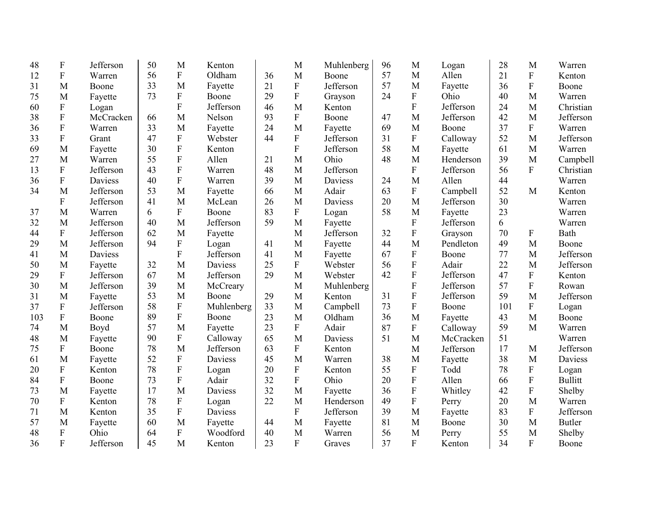| 48  | F                         | Jefferson | 50 | M                         | Kenton         |    | M              | Muhlenberg | 96 | M                | Logan     | 28  | M                         | Warren         |
|-----|---------------------------|-----------|----|---------------------------|----------------|----|----------------|------------|----|------------------|-----------|-----|---------------------------|----------------|
| 12  | ${\bf F}$                 | Warren    | 56 | ${\bf F}$                 | Oldham         | 36 | M              | Boone      | 57 | M                | Allen     | 21  | ${\bf F}$                 | Kenton         |
| 31  | M                         | Boone     | 33 | M                         | Fayette        | 21 | ${\bf F}$      | Jefferson  | 57 | M                | Fayette   | 36  | ${\bf F}$                 | Boone          |
| 75  | M                         | Fayette   | 73 | ${\bf F}$                 | Boone          | 29 | ${\bf F}$      | Grayson    | 24 | ${\bf F}$        | Ohio      | 40  | M                         | Warren         |
| 60  | ${\bf F}$                 | Logan     |    | $\boldsymbol{\mathrm{F}}$ | Jefferson      | 46 | M              | Kenton     |    | ${\bf F}$        | Jefferson | 24  | M                         | Christian      |
| 38  | ${\bf F}$                 | McCracken | 66 | M                         | Nelson         | 93 | $\mathbf{F}$   | Boone      | 47 | M                | Jefferson | 42  | M                         | Jefferson      |
| 36  | ${\bf F}$                 | Warren    | 33 | M                         | Fayette        | 24 | M              | Fayette    | 69 | M                | Boone     | 37  | ${\bf F}$                 | Warren         |
| 33  | ${\bf F}$                 | Grant     | 47 | ${\bf F}$                 | Webster        | 44 | $\mathbf{F}$   | Jefferson  | 31 | ${\bf F}$        | Calloway  | 52  | M                         | Jefferson      |
| 69  | M                         | Fayette   | 30 | F                         | Kenton         |    | $\overline{F}$ | Jefferson  | 58 | M                | Fayette   | 61  | M                         | Warren         |
| 27  | M                         | Warren    | 55 | F                         | Allen          | 21 | M              | Ohio       | 48 | $\mathbf{M}$     | Henderson | 39  | M                         | Campbell       |
| 13  | ${\bf F}$                 | Jefferson | 43 | F                         | Warren         | 48 | M              | Jefferson  |    | $\overline{F}$   | Jefferson | 56  | $\mathbf F$               | Christian      |
| 36  | ${\bf F}$                 | Daviess   | 40 | $\overline{F}$            | Warren         | 39 | M              | Daviess    | 24 | M                | Allen     | 44  |                           | Warren         |
| 34  | M                         | Jefferson | 53 | M                         | Fayette        | 66 | M              | Adair      | 63 | $\mathbf{F}$     | Campbell  | 52  | M                         | Kenton         |
|     | $\boldsymbol{\mathrm{F}}$ | Jefferson | 41 | M                         | McLean         | 26 | M              | Daviess    | 20 | M                | Jefferson | 30  |                           | Warren         |
| 37  | M                         | Warren    | 6  | ${\bf F}$                 | Boone          | 83 | $\mathbf{F}$   | Logan      | 58 | M                | Fayette   | 23  |                           | Warren         |
| 32  | M                         | Jefferson | 40 | M                         | Jefferson      | 59 | M              | Fayette    |    | $\boldsymbol{F}$ | Jefferson | 6   |                           | Warren         |
| 44  | ${\bf F}$                 | Jefferson | 62 | M                         | Fayette        |    | M              | Jefferson  | 32 | ${\bf F}$        | Grayson   | 70  | $\boldsymbol{\mathrm{F}}$ | Bath           |
| 29  | M                         | Jefferson | 94 | ${\bf F}$                 | Logan          | 41 | M              | Fayette    | 44 | M                | Pendleton | 49  | M                         | Boone          |
| 41  | M                         | Daviess   |    | $\mathbf F$               | Jefferson      | 41 | M              | Fayette    | 67 | ${\bf F}$        | Boone     | 77  | M                         | Jefferson      |
| 50  | M                         | Fayette   | 32 | M                         | <b>Daviess</b> | 25 | $\mathbf{F}$   | Webster    | 56 | ${\bf F}$        | Adair     | 22  | M                         | Jefferson      |
| 29  | $\boldsymbol{\mathrm{F}}$ | Jefferson | 67 | M                         | Jefferson      | 29 | M              | Webster    | 42 | ${\bf F}$        | Jefferson | 47  | ${\bf F}$                 | Kenton         |
| 30  | M                         | Jefferson | 39 | M                         | McCreary       |    | M              | Muhlenberg |    | F                | Jefferson | 57  | $\mathbf F$               | Rowan          |
| 31  | M                         | Fayette   | 53 | M                         | Boone          | 29 | M              | Kenton     | 31 | $\mathbf F$      | Jefferson | 59  | M                         | Jefferson      |
| 37  | $\boldsymbol{\mathrm{F}}$ | Jefferson | 58 | ${\bf F}$                 | Muhlenberg     | 33 | M              | Campbell   | 73 | F                | Boone     | 101 | ${\bf F}$                 | Logan          |
| 103 | F                         | Boone     | 89 | $\mathbf F$               | Boone          | 23 | M              | Oldham     | 36 | M                | Fayette   | 43  | M                         | Boone          |
| 74  | M                         | Boyd      | 57 | M                         | Fayette        | 23 | $\mathbf{F}$   | Adair      | 87 | ${\bf F}$        | Calloway  | 59  | M                         | Warren         |
| 48  | M                         | Fayette   | 90 | ${\bf F}$                 | Calloway       | 65 | M              | Daviess    | 51 | M                | McCracken | 51  |                           | Warren         |
| 75  | $\boldsymbol{\mathrm{F}}$ | Boone     | 78 | M                         | Jefferson      | 63 | $\mathbf{F}$   | Kenton     |    | M                | Jefferson | 17  | M                         | Jefferson      |
| 61  | M                         | Fayette   | 52 | ${\bf F}$                 | <b>Daviess</b> | 45 | M              | Warren     | 38 | M                | Fayette   | 38  | M                         | Daviess        |
| 20  | ${\bf F}$                 | Kenton    | 78 | $\boldsymbol{\mathrm{F}}$ | Logan          | 20 | ${\bf F}$      | Kenton     | 55 | ${\bf F}$        | Todd      | 78  | $\boldsymbol{\mathrm{F}}$ | Logan          |
| 84  | ${\bf F}$                 | Boone     | 73 | $\mathbf F$               | Adair          | 32 | $\mathbf{F}$   | Ohio       | 20 | $\mathbf F$      | Allen     | 66  | $\overline{F}$            | <b>Bullitt</b> |
| 73  | M                         | Fayette   | 17 | M                         | Daviess        | 32 | M              | Fayette    | 36 | $\mathbf F$      | Whitley   | 42  | ${\bf F}$                 | Shelby         |
| 70  | $\boldsymbol{\mathrm{F}}$ | Kenton    | 78 | $\mathbf F$               | Logan          | 22 | M              | Henderson  | 49 | $\rm F$          | Perry     | 20  | M                         | Warren         |
| 71  | M                         | Kenton    | 35 | ${\bf F}$                 | Daviess        |    | ${\bf F}$      | Jefferson  | 39 | M                | Fayette   | 83  | ${\bf F}$                 | Jefferson      |
| 57  | M                         | Fayette   | 60 | M                         | Fayette        | 44 | M              | Fayette    | 81 | M                | Boone     | 30  | M                         | <b>Butler</b>  |
| 48  | ${\bf F}$                 | Ohio      | 64 | ${\bf F}$                 | Woodford       | 40 | M              | Warren     | 56 | M                | Perry     | 55  | M                         | Shelby         |
| 36  | $\mathbf{F}$              | Jefferson | 45 | M                         | Kenton         | 23 | $\mathbf{F}$   | Graves     | 37 | $\mathbf{F}$     | Kenton    | 34  | $\mathbf{F}$              | Boone          |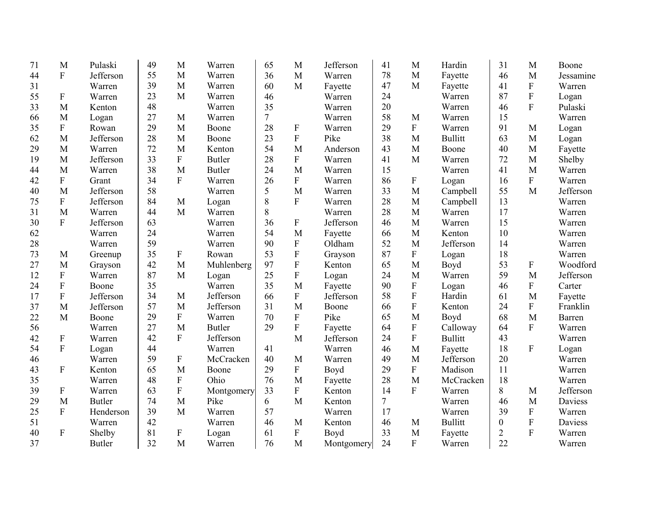| 71 | M                         | Pulaski       | 49 | M                         | Warren        | 65 | M              | Jefferson  | 41 | M              | Hardin         | 31             | M                | Boone     |
|----|---------------------------|---------------|----|---------------------------|---------------|----|----------------|------------|----|----------------|----------------|----------------|------------------|-----------|
| 44 | ${\bf F}$                 | Jefferson     | 55 | M                         | Warren        | 36 | M              | Warren     | 78 | M              | Fayette        | 46             | M                | Jessamine |
| 31 |                           | Warren        | 39 | M                         | Warren        | 60 | M              | Fayette    | 47 | M              | Fayette        | 41             | ${\bf F}$        | Warren    |
| 55 | $\boldsymbol{\mathrm{F}}$ | Warren        | 23 | M                         | Warren        | 46 |                | Warren     | 24 |                | Warren         | 87             | ${\bf F}$        | Logan     |
| 33 | M                         | Kenton        | 48 |                           | Warren        | 35 |                | Warren     | 20 |                | Warren         | 46             | F                | Pulaski   |
| 66 | M                         | Logan         | 27 | M                         | Warren        | 7  |                | Warren     | 58 | M              | Warren         | 15             |                  | Warren    |
| 35 | $\mathbf F$               | Rowan         | 29 | M                         | Boone         | 28 | ${\bf F}$      | Warren     | 29 | ${\bf F}$      | Warren         | 91             | M                | Logan     |
| 62 | M                         | Jefferson     | 28 | M                         | Boone         | 23 | $\overline{F}$ | Pike       | 38 | M              | <b>Bullitt</b> | 63             | M                | Logan     |
| 29 | M                         | Warren        | 72 | M                         | Kenton        | 54 | M              | Anderson   | 43 | M              | Boone          | 40             | M                | Fayette   |
| 19 | M                         | Jefferson     | 33 | F                         | <b>Butler</b> | 28 | ${\bf F}$      | Warren     | 41 | M              | Warren         | 72             | M                | Shelby    |
| 44 | M                         | Warren        | 38 | $\mathbf{M}$              | <b>Butler</b> | 24 | M              | Warren     | 15 |                | Warren         | 41             | M                | Warren    |
| 42 | ${\bf F}$                 | Grant         | 34 | $\mathbf{F}$              | Warren        | 26 | $\mathbf{F}$   | Warren     | 86 | F              | Logan          | 16             | ${\bf F}$        | Warren    |
| 40 | M                         | Jefferson     | 58 |                           | Warren        | 5  | M              | Warren     | 33 | M              | Campbell       | 55             | M                | Jefferson |
| 75 | ${\bf F}$                 | Jefferson     | 84 | M                         | Logan         | 8  | $\mathbf{F}$   | Warren     | 28 | M              | Campbell       | 13             |                  | Warren    |
| 31 | M                         | Warren        | 44 | $\mathbf{M}$              | Warren        | 8  |                | Warren     | 28 | M              | Warren         | 17             |                  | Warren    |
| 30 | $\mathbf{F}$              | Jefferson     | 63 |                           | Warren        | 36 | $\mathbf{F}$   | Jefferson  | 46 | M              | Warren         | 15             |                  | Warren    |
| 62 |                           | Warren        | 24 |                           | Warren        | 54 | M              | Fayette    | 66 | M              | Kenton         | 10             |                  | Warren    |
| 28 |                           | Warren        | 59 |                           | Warren        | 90 | $\mathbf{F}$   | Oldham     | 52 | M              | Jefferson      | 14             |                  | Warren    |
| 73 | M                         | Greenup       | 35 | F                         | Rowan         | 53 | F              | Grayson    | 87 | F              | Logan          | 18             |                  | Warren    |
| 27 | M                         | Grayson       | 42 | M                         | Muhlenberg    | 97 | F              | Kenton     | 65 | M              | Boyd           | 53             | F                | Woodford  |
| 12 | $\boldsymbol{F}$          | Warren        | 87 | $\mathbf{M}$              | Logan         | 25 | $\mathbf{F}$   | Logan      | 24 | M              | Warren         | 59             | M                | Jefferson |
| 24 | $\boldsymbol{F}$          | Boone         | 35 |                           | Warren        | 35 | M              | Fayette    | 90 | F              | Logan          | 46             | $\boldsymbol{F}$ | Carter    |
| 17 | ${\bf F}$                 | Jefferson     | 34 | M                         | Jefferson     | 66 | $\mathbf{F}$   | Jefferson  | 58 | ${\bf F}$      | Hardin         | 61             | M                | Fayette   |
| 37 | M                         | Jefferson     | 57 | M                         | Jefferson     | 31 | M              | Boone      | 66 | $\mathbf F$    | Kenton         | 24             | ${\bf F}$        | Franklin  |
| 22 | M                         | Boone         | 29 | ${\bf F}$                 | Warren        | 70 | $\mathbf{F}$   | Pike       | 65 | M              | Boyd           | 68             | M                | Barren    |
| 56 |                           | Warren        | 27 | M                         | <b>Butler</b> | 29 | $\mathbf{F}$   | Fayette    | 64 | ${\bf F}$      | Calloway       | 64             | $\mathbf F$      | Warren    |
| 42 | $\boldsymbol{\mathrm{F}}$ | Warren        | 42 | $\overline{F}$            | Jefferson     |    | M              | Jefferson  | 24 | $\mathbf F$    | <b>Bullitt</b> | 43             |                  | Warren    |
| 54 | $\boldsymbol{F}$          | Logan         | 44 |                           | Warren        | 41 |                | Warren     | 46 | M              | Fayette        | 18             | ${\bf F}$        | Logan     |
| 46 |                           | Warren        | 59 | ${\bf F}$                 | McCracken     | 40 | M              | Warren     | 49 | M              | Jefferson      | 20             |                  | Warren    |
| 43 | $\boldsymbol{F}$          | Kenton        | 65 | M                         | Boone         | 29 | ${\bf F}$      | Boyd       | 29 | ${\bf F}$      | Madison        | 11             |                  | Warren    |
| 35 |                           | Warren        | 48 | $\overline{F}$            | Ohio          | 76 | M              | Fayette    | 28 | M              | McCracken      | 18             |                  | Warren    |
| 39 | $\boldsymbol{\mathrm{F}}$ | Warren        | 63 | $\overline{F}$            | Montgomery    | 33 | $\mathbf{F}$   | Kenton     | 14 | $\mathbf{F}$   | Warren         | 8              | M                | Jefferson |
| 29 | M                         | <b>Butler</b> | 74 | M                         | Pike          | 6  | M              | Kenton     | 7  |                | Warren         | 46             | M                | Daviess   |
| 25 | $\mathbf{F}$              | Henderson     | 39 | M                         | Warren        | 57 |                | Warren     | 17 |                | Warren         | 39             | ${\bf F}$        | Warren    |
| 51 |                           | Warren        | 42 |                           | Warren        | 46 | M              | Kenton     | 46 | M              | <b>Bullitt</b> | $\overline{0}$ | ${\bf F}$        | Daviess   |
| 40 | $\mathbf F$               | Shelby        | 81 | $\boldsymbol{\mathrm{F}}$ | Logan         | 61 | ${\bf F}$      | Boyd       | 33 | M              | Fayette        | $\overline{2}$ | $\mathbf{F}$     | Warren    |
| 37 |                           | <b>Butler</b> | 32 | M                         | Warren        | 76 | M              | Montgomery | 24 | $\overline{F}$ | Warren         | 22             |                  | Warren    |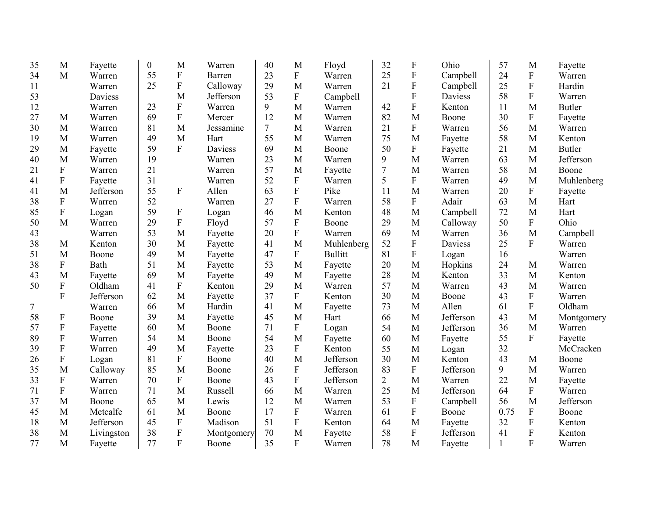| 35 | M                         | Fayette    | $\boldsymbol{0}$ | M                         | Warren     | 40 | M            | Floyd          | 32             | ${\bf F}$                 | Ohio      | 57           | M              | Fayette       |
|----|---------------------------|------------|------------------|---------------------------|------------|----|--------------|----------------|----------------|---------------------------|-----------|--------------|----------------|---------------|
| 34 | M                         | Warren     | 55               | ${\bf F}$                 | Barren     | 23 | ${\bf F}$    | Warren         | 25             | ${\bf F}$                 | Campbell  | 24           | $\mathbf F$    | Warren        |
| 11 |                           | Warren     | 25               | ${\bf F}$                 | Calloway   | 29 | M            | Warren         | 21             | ${\bf F}$                 | Campbell  | 25           | ${\bf F}$      | Hardin        |
| 53 |                           | Daviess    |                  | M                         | Jefferson  | 53 | ${\bf F}$    | Campbell       |                | $\mathbf F$               | Daviess   | 58           | $\overline{F}$ | Warren        |
| 12 |                           | Warren     | 23               | ${\bf F}$                 | Warren     | 9  | M            | Warren         | 42             | ${\bf F}$                 | Kenton    | 11           | M              | <b>Butler</b> |
| 27 | M                         | Warren     | 69               | ${\bf F}$                 | Mercer     | 12 | M            | Warren         | 82             | M                         | Boone     | 30           | ${\bf F}$      | Fayette       |
| 30 | M                         | Warren     | 81               | M                         | Jessamine  | 7  | M            | Warren         | 21             | ${\bf F}$                 | Warren    | 56           | M              | Warren        |
| 19 | M                         | Warren     | 49               | M                         | Hart       | 55 | M            | Warren         | 75             | M                         | Fayette   | 58           | M              | Kenton        |
| 29 | M                         | Fayette    | 59               | $\overline{F}$            | Daviess    | 69 | M            | Boone          | 50             | ${\bf F}$                 | Fayette   | 21           | M              | <b>Butler</b> |
| 40 | M                         | Warren     | 19               |                           | Warren     | 23 | M            | Warren         | 9              | M                         | Warren    | 63           | M              | Jefferson     |
| 21 | ${\bf F}$                 | Warren     | 21               |                           | Warren     | 57 | M            | Fayette        | 7              | M                         | Warren    | 58           | M              | Boone         |
| 41 | ${\bf F}$                 | Fayette    | 31               |                           | Warren     | 52 | $\mathbf{F}$ | Warren         | 5              | $\boldsymbol{\mathrm{F}}$ | Warren    | 49           | M              | Muhlenberg    |
| 41 | M                         | Jefferson  | 55               | $\boldsymbol{\mathrm{F}}$ | Allen      | 63 | ${\bf F}$    | Pike           | 11             | M                         | Warren    | 20           | F              | Fayette       |
| 38 | ${\bf F}$                 | Warren     | 52               |                           | Warren     | 27 | ${\bf F}$    | Warren         | 58             | ${\bf F}$                 | Adair     | 63           | M              | Hart          |
| 85 | ${\bf F}$                 | Logan      | 59               | $\boldsymbol{\mathrm{F}}$ | Logan      | 46 | M            | Kenton         | 48             | M                         | Campbell  | 72           | M              | Hart          |
| 50 | M                         | Warren     | 29               | ${\bf F}$                 | Floyd      | 57 | ${\bf F}$    | Boone          | 29             | M                         | Calloway  | 50           | F              | Ohio          |
| 43 |                           | Warren     | 53               | M                         | Fayette    | 20 | ${\bf F}$    | Warren         | 69             | M                         | Warren    | 36           | M              | Campbell      |
| 38 | M                         | Kenton     | 30               | M                         | Fayette    | 41 | M            | Muhlenberg     | 52             | ${\bf F}$                 | Daviess   | 25           | $\mathbf{F}$   | Warren        |
| 51 | M                         | Boone      | 49               | M                         | Fayette    | 47 | ${\bf F}$    | <b>Bullitt</b> | 81             | $\mathbf F$               | Logan     | 16           |                | Warren        |
| 38 | ${\bf F}$                 | Bath       | 51               | M                         | Fayette    | 53 | M            | Fayette        | 20             | M                         | Hopkins   | 24           | M              | Warren        |
| 43 | M                         | Fayette    | 69               | M                         | Fayette    | 49 | M            | Fayette        | 28             | M                         | Kenton    | 33           | M              | Kenton        |
| 50 | $\boldsymbol{F}$          | Oldham     | 41               | $\mathbf{F}$              | Kenton     | 29 | M            | Warren         | 57             | M                         | Warren    | 43           | M              | Warren        |
|    | $\mathbf F$               | Jefferson  | 62               | M                         | Fayette    | 37 | ${\bf F}$    | Kenton         | 30             | M                         | Boone     | 43           | $\overline{F}$ | Warren        |
| 7  |                           | Warren     | 66               | M                         | Hardin     | 41 | M            | Fayette        | 73             | M                         | Allen     | 61           | $\overline{F}$ | Oldham        |
| 58 | $\boldsymbol{\mathrm{F}}$ | Boone      | 39               | M                         | Fayette    | 45 | M            | Hart           | 66             | M                         | Jefferson | 43           | M              | Montgomery    |
| 57 | $\boldsymbol{\mathrm{F}}$ | Fayette    | 60               | M                         | Boone      | 71 | $\mathbf F$  | Logan          | 54             | M                         | Jefferson | 36           | M              | Warren        |
| 89 | ${\bf F}$                 | Warren     | 54               | M                         | Boone      | 54 | M            | Fayette        | 60             | M                         | Fayette   | 55           | $\overline{F}$ | Fayette       |
| 39 | $\boldsymbol{F}$          | Warren     | 49               | M                         | Fayette    | 23 | ${\bf F}$    | Kenton         | 55             | M                         | Logan     | 32           |                | McCracken     |
| 26 | ${\bf F}$                 | Logan      | 81               | ${\bf F}$                 | Boone      | 40 | M            | Jefferson      | 30             | M                         | Kenton    | 43           | M              | Boone         |
| 35 | M                         | Calloway   | 85               | M                         | Boone      | 26 | ${\bf F}$    | Jefferson      | 83             | ${\bf F}$                 | Jefferson | 9            | M              | Warren        |
| 33 | ${\bf F}$                 | Warren     | 70               | ${\bf F}$                 | Boone      | 43 | ${\bf F}$    | Jefferson      | $\overline{2}$ | M                         | Warren    | 22           | M              | Fayette       |
| 71 | $\boldsymbol{\mathrm{F}}$ | Warren     | 71               | M                         | Russell    | 66 | M            | Warren         | 25             | M                         | Jefferson | 64           | ${\bf F}$      | Warren        |
| 37 | M                         | Boone      | 65               | M                         | Lewis      | 12 | M            | Warren         | 53             | ${\bf F}$                 | Campbell  | 56           | M              | Jefferson     |
| 45 | M                         | Metcalfe   | 61               | M                         | Boone      | 17 | ${\bf F}$    | Warren         | 61             | $\mathbf F$               | Boone     | 0.75         | F              | Boone         |
| 18 | M                         | Jefferson  | 45               | ${\bf F}$                 | Madison    | 51 | ${\bf F}$    | Kenton         | 64             | M                         | Fayette   | 32           | ${\bf F}$      | Kenton        |
| 38 | M                         | Livingston | 38               | $\boldsymbol{\mathrm{F}}$ | Montgomery | 70 | M            | Fayette        | 58             | ${\bf F}$                 | Jefferson | 41           | ${\bf F}$      | Kenton        |
| 77 | M                         | Fayette    | 77               | $\overline{F}$            | Boone      | 35 | F            | Warren         | 78             | M                         | Fayette   | $\mathbf{1}$ | $\overline{F}$ | Warren        |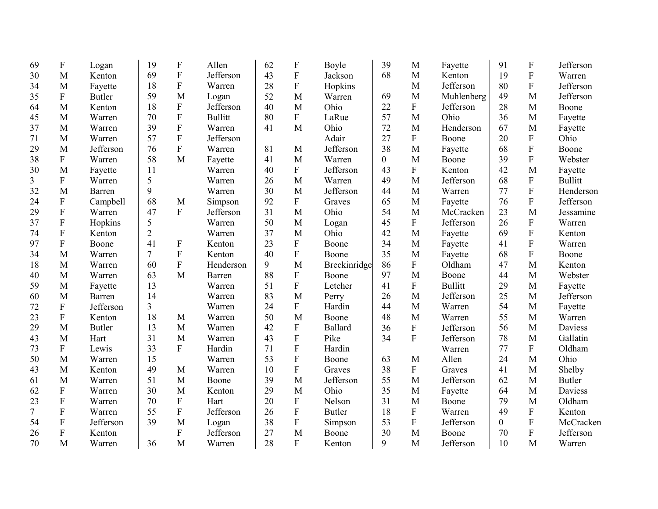| 69 | $\boldsymbol{\mathrm{F}}$ | Logan         | 19             | $\mathbf F$               | Allen          | 62 | F                | Boyle          | 39             | M                         | Fayette        | 91             | $\boldsymbol{F}$ | Jefferson      |
|----|---------------------------|---------------|----------------|---------------------------|----------------|----|------------------|----------------|----------------|---------------------------|----------------|----------------|------------------|----------------|
| 30 | M                         | Kenton        | 69             | $\overline{F}$            | Jefferson      | 43 | $\overline{F}$   | Jackson        | 68             | M                         | Kenton         | 19             | $\overline{F}$   | Warren         |
| 34 | M                         | Fayette       | 18             | $\mathbf{F}$              | Warren         | 28 | ${\bf F}$        | Hopkins        |                | M                         | Jefferson      | 80             | $\overline{F}$   | Jefferson      |
| 35 | F                         | <b>Butler</b> | 59             | M                         | Logan          | 52 | M                | Warren         | 69             | M                         | Muhlenberg     | 49             | M                | Jefferson      |
| 64 | M                         | Kenton        | 18             | ${\bf F}$                 | Jefferson      | 40 | M                | Ohio           | 22             | ${\bf F}$                 | Jefferson      | 28             | M                | Boone          |
| 45 | M                         | Warren        | 70             | $\overline{F}$            | <b>Bullitt</b> | 80 | $\mathbf{F}$     | LaRue          | 57             | M                         | Ohio           | 36             | M                | Fayette        |
| 37 | M                         | Warren        | 39             | $\overline{F}$            | Warren         | 41 | M                | Ohio           | 72             | M                         | Henderson      | 67             | M                | Fayette        |
| 71 | M                         | Warren        | 57             | $\overline{F}$            | Jefferson      |    |                  | Adair          | 27             | ${\bf F}$                 | Boone          | 20             | $\overline{F}$   | Ohio           |
| 29 | M                         | Jefferson     | 76             | $\mathbf{F}$              | Warren         | 81 | M                | Jefferson      | 38             | M                         | Fayette        | 68             | $\mathbf{F}$     | Boone          |
| 38 | ${\bf F}$                 | Warren        | 58             | M                         | Fayette        | 41 | M                | Warren         | $\overline{0}$ | M                         | Boone          | 39             | $\overline{F}$   | Webster        |
| 30 | M                         | Fayette       | 11             |                           | Warren         | 40 | F                | Jefferson      | 43             | $\boldsymbol{\mathrm{F}}$ | Kenton         | 42             | M                | Fayette        |
| 3  | ${\bf F}$                 | Warren        | 5              |                           | Warren         | 26 | M                | Warren         | 49             | M                         | Jefferson      | 68             | ${\bf F}$        | <b>Bullitt</b> |
| 32 | M                         | Barren        | 9              |                           | Warren         | 30 | M                | Jefferson      | 44             | M                         | Warren         | 77             | $\overline{F}$   | Henderson      |
| 24 | ${\bf F}$                 | Campbell      | 68             | M                         | Simpson        | 92 | F                | Graves         | 65             | M                         | Fayette        | 76             | $\overline{F}$   | Jefferson      |
| 29 | ${\bf F}$                 | Warren        | 47             | $\mathbf{F}$              | Jefferson      | 31 | M                | Ohio           | 54             | M                         | McCracken      | 23             | M                | Jessamine      |
| 37 | $\boldsymbol{\mathrm{F}}$ | Hopkins       | 5              |                           | Warren         | 50 | M                | Logan          | 45             | ${\bf F}$                 | Jefferson      | 26             | ${\bf F}$        | Warren         |
| 74 | $\boldsymbol{\mathrm{F}}$ | Kenton        | $\overline{2}$ |                           | Warren         | 37 | M                | Ohio           | 42             | M                         | Fayette        | 69             | ${\bf F}$        | Kenton         |
| 97 | ${\bf F}$                 | Boone         | 41             | $\boldsymbol{F}$          | Kenton         | 23 | F                | Boone          | 34             | M                         | Fayette        | 41             | $\mathbf{F}$     | Warren         |
| 34 | M                         | Warren        | 7              | $\overline{F}$            | Kenton         | 40 | $\mathbf{F}$     | Boone          | 35             | M                         | Fayette        | 68             | $\overline{F}$   | Boone          |
| 18 | M                         | Warren        | 60             | $\overline{F}$            | Henderson      | 9  | M                | Breckinridge   | 86             | ${\bf F}$                 | Oldham         | 47             | M                | Kenton         |
| 40 | M                         | Warren        | 63             | M                         | Barren         | 88 | F                | Boone          | 97             | M                         | Boone          | 44             | M                | Webster        |
| 59 | M                         | Fayette       | 13             |                           | Warren         | 51 | ${\bf F}$        | Letcher        | 41             | $\boldsymbol{\mathrm{F}}$ | <b>Bullitt</b> | 29             | M                | Fayette        |
| 60 | M                         | Barren        | 14             |                           | Warren         | 83 | M                | Perry          | 26             | M                         | Jefferson      | 25             | M                | Jefferson      |
| 72 | $\boldsymbol{\mathrm{F}}$ | Jefferson     | 3              |                           | Warren         | 24 | F                | Hardin         | 44             | M                         | Warren         | 54             | M                | Fayette        |
| 23 | ${\bf F}$                 | Kenton        | 18             | M                         | Warren         | 50 | M                | Boone          | 48             | M                         | Warren         | 55             | M                | Warren         |
| 29 | M                         | <b>Butler</b> | 13             | M                         | Warren         | 42 | ${\bf F}$        | <b>Ballard</b> | 36             | ${\bf F}$                 | Jefferson      | 56             | M                | Daviess        |
| 43 | M                         | Hart          | 31             | M                         | Warren         | 43 | ${\bf F}$        | Pike           | 34             | ${\bf F}$                 | Jefferson      | 78             | M                | Gallatin       |
| 73 | $\boldsymbol{\mathrm{F}}$ | Lewis         | 33             | $\mathbf{F}$              | Hardin         | 71 | $\mathbf F$      | Hardin         |                |                           | Warren         | 77             | ${\bf F}$        | Oldham         |
| 50 | M                         | Warren        | 15             |                           | Warren         | 53 | $\mathbf F$      | Boone          | 63             | M                         | Allen          | 24             | M                | Ohio           |
| 43 | M                         | Kenton        | 49             | M                         | Warren         | 10 | ${\bf F}$        | Graves         | 38             | ${\bf F}$                 | Graves         | 41             | M                | Shelby         |
| 61 | M                         | Warren        | 51             | M                         | Boone          | 39 | M                | Jefferson      | 55             | M                         | Jefferson      | 62             | M                | <b>Butler</b>  |
| 62 | ${\bf F}$                 | Warren        | 30             | M                         | Kenton         | 29 | M                | Ohio           | 35             | M                         | Fayette        | 64             | M                | Daviess        |
| 23 | ${\bf F}$                 | Warren        | 70             | $\mathbf F$               | Hart           | 20 | $\mathbf{F}$     | Nelson         | 31             | M                         | Boone          | 79             | M                | Oldham         |
| 7  | $\boldsymbol{\mathrm{F}}$ | Warren        | 55             | $\boldsymbol{\mathrm{F}}$ | Jefferson      | 26 | $\boldsymbol{F}$ | <b>Butler</b>  | 18             | ${\bf F}$                 | Warren         | 49             | ${\bf F}$        | Kenton         |
| 54 | ${\bf F}$                 | Jefferson     | 39             | M                         | Logan          | 38 | ${\bf F}$        | Simpson        | 53             | ${\bf F}$                 | Jefferson      | $\overline{0}$ | $\overline{F}$   | McCracken      |
| 26 | $\boldsymbol{\mathrm{F}}$ | Kenton        |                | $\mathbf{F}$              | Jefferson      | 27 | M                | Boone          | 30             | M                         | Boone          | 70             | ${\bf F}$        | Jefferson      |
| 70 | M                         | Warren        | 36             | M                         | Warren         | 28 | F                | Kenton         | 9              | M                         | Jefferson      | 10             | M                | Warren         |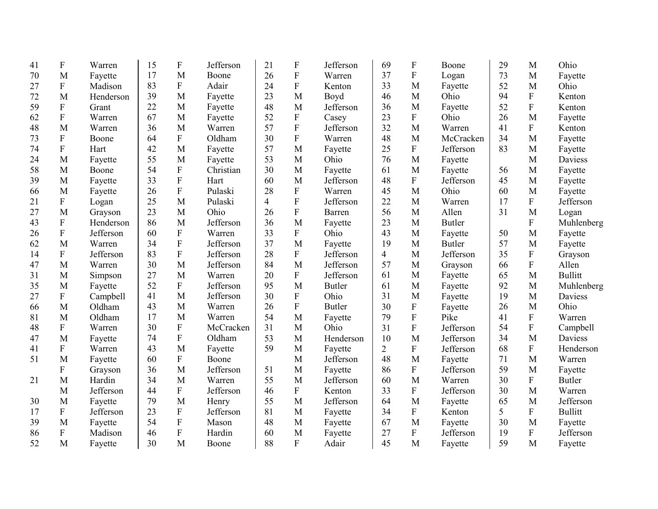| 41 | F                         | Warren    | 15 | $\boldsymbol{\mathrm{F}}$ | Jefferson | 21             | F                         | Jefferson     | 69             | F                         | Boone         | 29 | M            | Ohio           |
|----|---------------------------|-----------|----|---------------------------|-----------|----------------|---------------------------|---------------|----------------|---------------------------|---------------|----|--------------|----------------|
| 70 | M                         | Fayette   | 17 | M                         | Boone     | 26             | ${\bf F}$                 | Warren        | 37             | $\mathbf F$               | Logan         | 73 | M            | Fayette        |
| 27 | $\boldsymbol{\mathrm{F}}$ | Madison   | 83 | $\mathbf F$               | Adair     | 24             | $\boldsymbol{\mathrm{F}}$ | Kenton        | 33             | M                         | Fayette       | 52 | M            | Ohio           |
| 72 | M                         | Henderson | 39 | M                         | Fayette   | 23             | M                         | Boyd          | 46             | M                         | Ohio          | 94 | $\mathbf F$  | Kenton         |
| 59 | ${\bf F}$                 | Grant     | 22 | M                         | Fayette   | 48             | M                         | Jefferson     | 36             | M                         | Fayette       | 52 | ${\bf F}$    | Kenton         |
| 62 | ${\bf F}$                 | Warren    | 67 | M                         | Fayette   | 52             | ${\bf F}$                 | Casey         | 23             | $\mathbf F$               | Ohio          | 26 | M            | Fayette        |
| 48 | M                         | Warren    | 36 | M                         | Warren    | 57             | F                         | Jefferson     | 32             | M                         | Warren        | 41 | ${\bf F}$    | Kenton         |
| 73 | ${\bf F}$                 | Boone     | 64 | $\overline{F}$            | Oldham    | 30             | $\boldsymbol{\mathrm{F}}$ | Warren        | 48             | M                         | McCracken     | 34 | M            | Fayette        |
| 74 | ${\bf F}$                 | Hart      | 42 | M                         | Fayette   | 57             | M                         | Fayette       | 25             | $\mathbf F$               | Jefferson     | 83 | M            | Fayette        |
| 24 | M                         | Fayette   | 55 | M                         | Fayette   | 53             | M                         | Ohio          | 76             | M                         | Fayette       |    | M            | <b>Daviess</b> |
| 58 | M                         | Boone     | 54 | $\overline{F}$            | Christian | 30             | M                         | Fayette       | 61             | M                         | Fayette       | 56 | M            | Fayette        |
| 39 | M                         | Fayette   | 33 | ${\bf F}$                 | Hart      | 60             | M                         | Jefferson     | 48             | $\boldsymbol{\mathrm{F}}$ | Jefferson     | 45 | M            | Fayette        |
| 66 | M                         | Fayette   | 26 | F                         | Pulaski   | 28             | $\mathbf F$               | Warren        | 45             | M                         | Ohio          | 60 | M            | Fayette        |
| 21 | $\boldsymbol{\mathrm{F}}$ | Logan     | 25 | M                         | Pulaski   | $\overline{4}$ | $\boldsymbol{\mathrm{F}}$ | Jefferson     | 22             | M                         | Warren        | 17 | ${\bf F}$    | Jefferson      |
| 27 | M                         | Grayson   | 23 | M                         | Ohio      | 26             | F                         | Barren        | 56             | M                         | Allen         | 31 | M            | Logan          |
| 43 | $\boldsymbol{\mathrm{F}}$ | Henderson | 86 | M                         | Jefferson | 36             | M                         | Fayette       | 23             | M                         | <b>Butler</b> |    | $\mathbf{F}$ | Muhlenberg     |
| 26 | ${\bf F}$                 | Jefferson | 60 | $\boldsymbol{\mathrm{F}}$ | Warren    | 33             | F                         | Ohio          | 43             | M                         | Fayette       | 50 | M            | Fayette        |
| 62 | M                         | Warren    | 34 | $\boldsymbol{\mathrm{F}}$ | Jefferson | 37             | M                         | Fayette       | 19             | M                         | <b>Butler</b> | 57 | M            | Fayette        |
| 14 | $\boldsymbol{F}$          | Jefferson | 83 | $\mathbf F$               | Jefferson | 28             | F                         | Jefferson     | $\overline{4}$ | M                         | Jefferson     | 35 | $\mathbf{F}$ | Grayson        |
| 47 | M                         | Warren    | 30 | M                         | Jefferson | 84             | M                         | Jefferson     | 57             | M                         | Grayson       | 66 | $\mathbf{F}$ | Allen          |
| 31 | M                         | Simpson   | 27 | M                         | Warren    | 20             | $\mathbf{F}$              | Jefferson     | 61             | M                         | Fayette       | 65 | M            | <b>Bullitt</b> |
| 35 | M                         | Fayette   | 52 | F                         | Jefferson | 95             | M                         | <b>Butler</b> | 61             | M                         | Fayette       | 92 | M            | Muhlenberg     |
| 27 | $\boldsymbol{\mathrm{F}}$ | Campbell  | 41 | M                         | Jefferson | 30             | $\mathbf F$               | Ohio          | 31             | M                         | Fayette       | 19 | M            | Daviess        |
| 66 | M                         | Oldham    | 43 | M                         | Warren    | 26             | $\boldsymbol{\mathrm{F}}$ | <b>Butler</b> | 30             | ${\bf F}$                 | Fayette       | 26 | M            | Ohio           |
| 81 | M                         | Oldham    | 17 | M                         | Warren    | 54             | M                         | Fayette       | 79             | ${\bf F}$                 | Pike          | 41 | $\mathbf F$  | Warren         |
| 48 | $\boldsymbol{\mathrm{F}}$ | Warren    | 30 | ${\bf F}$                 | McCracken | 31             | M                         | Ohio          | 31             | $\mathbf F$               | Jefferson     | 54 | $\mathbf{F}$ | Campbell       |
| 47 | M                         | Fayette   | 74 | ${\bf F}$                 | Oldham    | 53             | M                         | Henderson     | 10             | M                         | Jefferson     | 34 | M            | Daviess        |
| 41 | $\boldsymbol{\mathrm{F}}$ | Warren    | 43 | M                         | Fayette   | 59             | M                         | Fayette       | $\overline{2}$ | ${\bf F}$                 | Jefferson     | 68 | ${\bf F}$    | Henderson      |
| 51 | M                         | Fayette   | 60 | $\mathbf{F}$              | Boone     |                | M                         | Jefferson     | 48             | M                         | Fayette       | 71 | M            | Warren         |
|    | ${\bf F}$                 | Grayson   | 36 | M                         | Jefferson | 51             | M                         | Fayette       | 86             | $\boldsymbol{\mathrm{F}}$ | Jefferson     | 59 | M            | Fayette        |
| 21 | M                         | Hardin    | 34 | M                         | Warren    | 55             | M                         | Jefferson     | 60             | M                         | Warren        | 30 | $\mathbf{F}$ | <b>Butler</b>  |
|    | M                         | Jefferson | 44 | ${\bf F}$                 | Jefferson | 46             | ${\bf F}$                 | Kenton        | 33             | ${\bf F}$                 | Jefferson     | 30 | M            | Warren         |
| 30 | M                         | Fayette   | 79 | M                         | Henry     | 55             | M                         | Jefferson     | 64             | M                         | Fayette       | 65 | M            | Jefferson      |
| 17 | $\boldsymbol{\mathrm{F}}$ | Jefferson | 23 | $\boldsymbol{\mathrm{F}}$ | Jefferson | 81             | M                         | Fayette       | 34             | ${\bf F}$                 | Kenton        | 5  | $\mathbf F$  | <b>Bullitt</b> |
| 39 | M                         | Fayette   | 54 | ${\bf F}$                 | Mason     | 48             | M                         | Fayette       | 67             | M                         | Fayette       | 30 | M            | Fayette        |
| 86 | ${\bf F}$                 | Madison   | 46 | ${\bf F}$                 | Hardin    | 60             | M                         | Fayette       | 27             | ${\bf F}$                 | Jefferson     | 19 | $\mathbf{F}$ | Jefferson      |
| 52 | M                         | Fayette   | 30 | M                         | Boone     | 88             | F                         | Adair         | 45             | M                         | Fayette       | 59 | M            | Fayette        |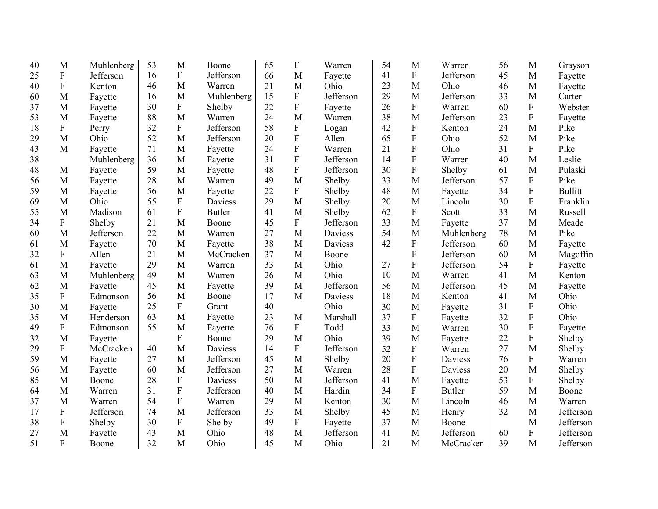| 40 | M                         | Muhlenberg | 53 | M           | Boone          | 65 | F              | Warren         | 54 | M            | Warren        | 56 | M            | Grayson        |
|----|---------------------------|------------|----|-------------|----------------|----|----------------|----------------|----|--------------|---------------|----|--------------|----------------|
| 25 | ${\bf F}$                 | Jefferson  | 16 | ${\bf F}$   | Jefferson      | 66 | M              | Fayette        | 41 | $\mathbf{F}$ | Jefferson     | 45 | $\mathbf{M}$ | Fayette        |
| 40 | $\boldsymbol{\mathrm{F}}$ | Kenton     | 46 | M           | Warren         | 21 | M              | Ohio           | 23 | M            | Ohio          | 46 | M            | Fayette        |
| 60 | M                         | Fayette    | 16 | M           | Muhlenberg     | 15 | F              | Jefferson      | 29 | M            | Jefferson     | 33 | M            | Carter         |
| 37 | M                         | Fayette    | 30 | ${\bf F}$   | Shelby         | 22 | $\mathbf F$    | Fayette        | 26 | F            | Warren        | 60 | ${\bf F}$    | Webster        |
| 53 | M                         | Fayette    | 88 | M           | Warren         | 24 | M              | Warren         | 38 | M            | Jefferson     | 23 | ${\bf F}$    | Fayette        |
| 18 | $\boldsymbol{\mathrm{F}}$ | Perry      | 32 | F           | Jefferson      | 58 | ${\bf F}$      | Logan          | 42 | F            | Kenton        | 24 | M            | Pike           |
| 29 | M                         | Ohio       | 52 | M           | Jefferson      | 20 | $\overline{F}$ | Allen          | 65 | ${\bf F}$    | Ohio          | 52 | M            | Pike           |
| 43 | M                         | Fayette    | 71 | M           | Fayette        | 24 | $\overline{F}$ | Warren         | 21 | $\mathbf F$  | Ohio          | 31 | $\mathbf{F}$ | Pike           |
| 38 |                           | Muhlenberg | 36 | M           | Fayette        | 31 | $\overline{F}$ | Jefferson      | 14 | $\mathbf F$  | Warren        | 40 | M            | Leslie         |
| 48 | M                         | Fayette    | 59 | M           | Fayette        | 48 | F              | Jefferson      | 30 | ${\bf F}$    | Shelby        | 61 | M            | Pulaski        |
| 56 | M                         | Fayette    | 28 | M           | Warren         | 49 | M              | Shelby         | 33 | M            | Jefferson     | 57 | ${\bf F}$    | Pike           |
| 59 | M                         | Fayette    | 56 | M           | Fayette        | 22 | $\mathbf{F}$   | Shelby         | 48 | M            | Fayette       | 34 | $\mathbf F$  | <b>Bullitt</b> |
| 69 | M                         | Ohio       | 55 | ${\bf F}$   | Daviess        | 29 | M              | Shelby         | 20 | M            | Lincoln       | 30 | $\mathbf F$  | Franklin       |
| 55 | M                         | Madison    | 61 | $\mathbf F$ | <b>Butler</b>  | 41 | M              | Shelby         | 62 | F            | Scott         | 33 | M            | Russell        |
| 34 | F                         | Shelby     | 21 | M           | Boone          | 45 | F              | Jefferson      | 33 | M            | Fayette       | 37 | M            | Meade          |
| 60 | M                         | Jefferson  | 22 | M           | Warren         | 27 | M              | <b>Daviess</b> | 54 | M            | Muhlenberg    | 78 | M            | Pike           |
| 61 | M                         | Fayette    | 70 | M           | Fayette        | 38 | M              | Daviess        | 42 | F            | Jefferson     | 60 | M            | Fayette        |
| 32 | ${\bf F}$                 | Allen      | 21 | M           | McCracken      | 37 | M              | Boone          |    | F            | Jefferson     | 60 | M            | Magoffin       |
| 61 | M                         | Fayette    | 29 | M           | Warren         | 33 | M              | Ohio           | 27 | F            | Jefferson     | 54 | $\mathbf F$  | Fayette        |
| 63 | M                         | Muhlenberg | 49 | M           | Warren         | 26 | M              | Ohio           | 10 | M            | Warren        | 41 | M            | Kenton         |
| 62 | M                         | Fayette    | 45 | M           | Fayette        | 39 | M              | Jefferson      | 56 | M            | Jefferson     | 45 | M            | Fayette        |
| 35 | $\boldsymbol{\mathrm{F}}$ | Edmonson   | 56 | M           | Boone          | 17 | M              | Daviess        | 18 | M            | Kenton        | 41 | M            | Ohio           |
| 30 | M                         | Fayette    | 25 | F           | Grant          | 40 |                | Ohio           | 30 | M            | Fayette       | 31 | ${\bf F}$    | Ohio           |
| 35 | M                         | Henderson  | 63 | M           | Fayette        | 23 | M              | Marshall       | 37 | F            | Fayette       | 32 | $\mathbf F$  | Ohio           |
| 49 | $\mathbf F$               | Edmonson   | 55 | M           | Fayette        | 76 | ${\bf F}$      | Todd           | 33 | M            | Warren        | 30 | ${\bf F}$    | Fayette        |
| 32 | M                         | Fayette    |    | F           | Boone          | 29 | M              | Ohio           | 39 | M            | Fayette       | 22 | ${\bf F}$    | Shelby         |
| 29 | $\boldsymbol{\mathrm{F}}$ | McCracken  | 40 | M           | <b>Daviess</b> | 14 | ${\bf F}$      | Jefferson      | 52 | ${\bf F}$    | Warren        | 27 | M            | Shelby         |
| 59 | M                         | Fayette    | 27 | M           | Jefferson      | 45 | M              | Shelby         | 20 | ${\bf F}$    | Daviess       | 76 | ${\bf F}$    | Warren         |
| 56 | M                         | Fayette    | 60 | M           | Jefferson      | 27 | M              | Warren         | 28 | ${\bf F}$    | Daviess       | 20 | M            | Shelby         |
| 85 | M                         | Boone      | 28 | ${\bf F}$   | <b>Daviess</b> | 50 | M              | Jefferson      | 41 | M            | Fayette       | 53 | $\mathbf F$  | Shelby         |
| 64 | M                         | Warren     | 31 | ${\bf F}$   | Jefferson      | 40 | M              | Hardin         | 34 | F            | <b>Butler</b> | 59 | M            | Boone          |
| 37 | M                         | Warren     | 54 | ${\bf F}$   | Warren         | 29 | M              | Kenton         | 30 | M            | Lincoln       | 46 | M            | Warren         |
| 17 | $\boldsymbol{\mathrm{F}}$ | Jefferson  | 74 | M           | Jefferson      | 33 | M              | Shelby         | 45 | M            | Henry         | 32 | M            | Jefferson      |
| 38 | $\mathbf F$               | Shelby     | 30 | ${\bf F}$   | Shelby         | 49 | ${\bf F}$      | Fayette        | 37 | M            | Boone         |    | M            | Jefferson      |
| 27 | M                         | Fayette    | 43 | M           | Ohio           | 48 | M              | Jefferson      | 41 | M            | Jefferson     | 60 | $\mathbf F$  | Jefferson      |
| 51 | $\mathbf{F}$              | Boone      | 32 | M           | Ohio           | 45 | M              | Ohio           | 21 | M            | McCracken     | 39 | M            | Jefferson      |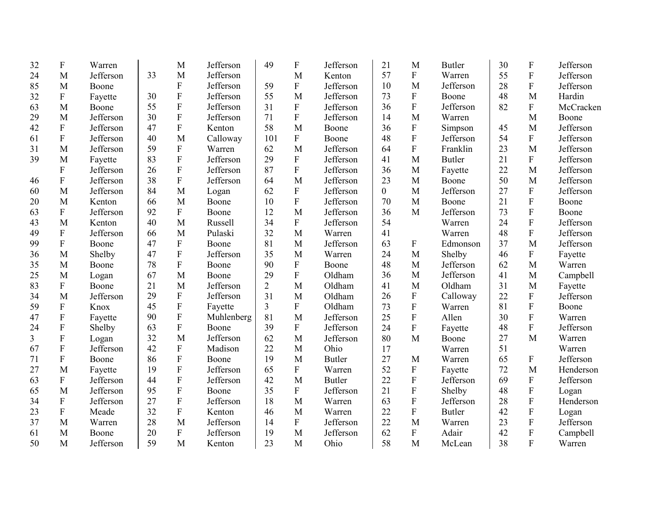| 32 | $\mathbf{F}$              | Warren    |    | M                         | Jefferson  | 49             | F              | Jefferson     | 21             | M                         | <b>Butler</b> | 30 | $\boldsymbol{\mathrm{F}}$ | Jefferson |
|----|---------------------------|-----------|----|---------------------------|------------|----------------|----------------|---------------|----------------|---------------------------|---------------|----|---------------------------|-----------|
| 24 | M                         | Jefferson | 33 | M                         | Jefferson  |                | M              | Kenton        | 57             | ${\bf F}$                 | Warren        | 55 | ${\bf F}$                 | Jefferson |
| 85 | M                         | Boone     |    | ${\bf F}$                 | Jefferson  | 59             | ${\bf F}$      | Jefferson     | 10             | M                         | Jefferson     | 28 | $\mathbf F$               | Jefferson |
| 32 | $\mathbf F$               | Fayette   | 30 | ${\bf F}$                 | Jefferson  | 55             | M              | Jefferson     | 73             | ${\bf F}$                 | Boone         | 48 | M                         | Hardin    |
| 63 | M                         | Boone     | 55 | $\boldsymbol{\mathrm{F}}$ | Jefferson  | 31             | ${\bf F}$      | Jefferson     | 36             | ${\bf F}$                 | Jefferson     | 82 | ${\bf F}$                 | McCracken |
| 29 | M                         | Jefferson | 30 | $\overline{F}$            | Jefferson  | 71             | $\mathbf{F}$   | Jefferson     | 14             | M                         | Warren        |    | M                         | Boone     |
| 42 | ${\bf F}$                 | Jefferson | 47 | $\mathbf{F}$              | Kenton     | 58             | M              | Boone         | 36             | $\boldsymbol{\mathrm{F}}$ | Simpson       | 45 | M                         | Jefferson |
| 61 | $\boldsymbol{F}$          | Jefferson | 40 | M                         | Calloway   | 101            | $\mathbf{F}$   | Boone         | 48             | ${\bf F}$                 | Jefferson     | 54 | $\mathbf{F}$              | Jefferson |
| 31 | M                         | Jefferson | 59 | $\overline{F}$            | Warren     | 62             | M              | Jefferson     | 64             | $\overline{F}$            | Franklin      | 23 | M                         | Jefferson |
| 39 | M                         | Fayette   | 83 | $\boldsymbol{\mathrm{F}}$ | Jefferson  | 29             | ${\bf F}$      | Jefferson     | 41             | M                         | <b>Butler</b> | 21 | $\mathbf{F}$              | Jefferson |
|    | $\mathbf F$               | Jefferson | 26 | $\boldsymbol{\mathrm{F}}$ | Jefferson  | 87             | $\overline{F}$ | Jefferson     | 36             | M                         | Fayette       | 22 | M                         | Jefferson |
| 46 | ${\bf F}$                 | Jefferson | 38 | ${\bf F}$                 | Jefferson  | 64             | M              | Jefferson     | 23             | M                         | Boone         | 50 | M                         | Jefferson |
| 60 | M                         | Jefferson | 84 | M                         | Logan      | 62             | $\mathbf{F}$   | Jefferson     | $\overline{0}$ | M                         | Jefferson     | 27 | ${\bf F}$                 | Jefferson |
| 20 | M                         | Kenton    | 66 | M                         | Boone      | 10             | ${\bf F}$      | Jefferson     | 70             | M                         | Boone         | 21 | ${\bf F}$                 | Boone     |
| 63 | ${\bf F}$                 | Jefferson | 92 | $\mathbf{F}$              | Boone      | 12             | M              | Jefferson     | 36             | M                         | Jefferson     | 73 | $\overline{F}$            | Boone     |
| 43 | M                         | Kenton    | 40 | M                         | Russell    | 34             | F              | Jefferson     | 54             |                           | Warren        | 24 | $\overline{F}$            | Jefferson |
| 49 | $\boldsymbol{F}$          | Jefferson | 66 | M                         | Pulaski    | 32             | M              | Warren        | 41             |                           | Warren        | 48 | $\overline{F}$            | Jefferson |
| 99 | $\boldsymbol{\mathrm{F}}$ | Boone     | 47 | $\boldsymbol{\mathrm{F}}$ | Boone      | 81             | M              | Jefferson     | 63             | F                         | Edmonson      | 37 | M                         | Jefferson |
| 36 | M                         | Shelby    | 47 | ${\bf F}$                 | Jefferson  | 35             | M              | Warren        | 24             | M                         | Shelby        | 46 | ${\bf F}$                 | Fayette   |
| 35 | M                         | Boone     | 78 | $\overline{F}$            | Boone      | 90             | $\mathbf{F}$   | Boone         | 48             | M                         | Jefferson     | 62 | M                         | Warren    |
| 25 | M                         | Logan     | 67 | M                         | Boone      | 29             | $\mathbf{F}$   | Oldham        | 36             | M                         | Jefferson     | 41 | M                         | Campbell  |
| 83 | $\boldsymbol{F}$          | Boone     | 21 | M                         | Jefferson  | $\overline{2}$ | M              | Oldham        | 41             | M                         | Oldham        | 31 | M                         | Fayette   |
| 34 | M                         | Jefferson | 29 | $\boldsymbol{\mathrm{F}}$ | Jefferson  | 31             | M              | Oldham        | 26             | $\boldsymbol{\mathrm{F}}$ | Calloway      | 22 | $\mathbf F$               | Jefferson |
| 59 | $\boldsymbol{F}$          | Knox      | 45 | $\boldsymbol{\mathrm{F}}$ | Fayette    | 3              | F              | Oldham        | 73             | F                         | Warren        | 81 | $\mathbf{F}$              | Boone     |
| 47 | $\boldsymbol{\mathrm{F}}$ | Fayette   | 90 | $\boldsymbol{\mathrm{F}}$ | Muhlenberg | 81             | M              | Jefferson     | 25             | ${\bf F}$                 | Allen         | 30 | $\mathbf{F}$              | Warren    |
| 24 | F                         | Shelby    | 63 | $\overline{F}$            | Boone      | 39             | $\mathbf{F}$   | Jefferson     | 24             | ${\bf F}$                 | Fayette       | 48 | $\overline{F}$            | Jefferson |
| 3  | F                         | Logan     | 32 | M                         | Jefferson  | 62             | M              | Jefferson     | 80             | M                         | Boone         | 27 | M                         | Warren    |
| 67 | ${\bf F}$                 | Jefferson | 42 | $\boldsymbol{\mathrm{F}}$ | Madison    | 22             | M              | Ohio          | 17             |                           | Warren        | 51 |                           | Warren    |
| 71 | $\boldsymbol{\mathrm{F}}$ | Boone     | 86 | $\boldsymbol{\mathrm{F}}$ | Boone      | 19             | M              | <b>Butler</b> | 27             | M                         | Warren        | 65 | $\boldsymbol{\mathrm{F}}$ | Jefferson |
| 27 | M                         | Fayette   | 19 | $\boldsymbol{\mathrm{F}}$ | Jefferson  | 65             | ${\bf F}$      | Warren        | 52             | ${\bf F}$                 | Fayette       | 72 | M                         | Henderson |
| 63 | ${\bf F}$                 | Jefferson | 44 | $\overline{F}$            | Jefferson  | 42             | M              | <b>Butler</b> | 22             | $\overline{F}$            | Jefferson     | 69 | ${\bf F}$                 | Jefferson |
| 65 | M                         | Jefferson | 95 | ${\bf F}$                 | Boone      | 35             | ${\bf F}$      | Jefferson     | 21             | ${\bf F}$                 | Shelby        | 48 | ${\bf F}$                 | Logan     |
| 34 | ${\bf F}$                 | Jefferson | 27 | $\mathbf F$               | Jefferson  | 18             | M              | Warren        | 63             | $\overline{F}$            | Jefferson     | 28 | $\mathbf F$               | Henderson |
| 23 | $\boldsymbol{\mathrm{F}}$ | Meade     | 32 | ${\bf F}$                 | Kenton     | 46             | M              | Warren        | 22             | ${\bf F}$                 | <b>Butler</b> | 42 | ${\bf F}$                 | Logan     |
| 37 | M                         | Warren    | 28 | M                         | Jefferson  | 14             | $\mathbf{F}$   | Jefferson     | 22             | M                         | Warren        | 23 | $\mathbf F$               | Jefferson |
| 61 | M                         | Boone     | 20 | ${\bf F}$                 | Jefferson  | 19             | M              | Jefferson     | 62             | ${\bf F}$                 | Adair         | 42 | ${\bf F}$                 | Campbell  |
| 50 | M                         | Jefferson | 59 | M                         | Kenton     | 23             | M              | Ohio          | 58             | M                         | McLean        | 38 | $\overline{F}$            | Warren    |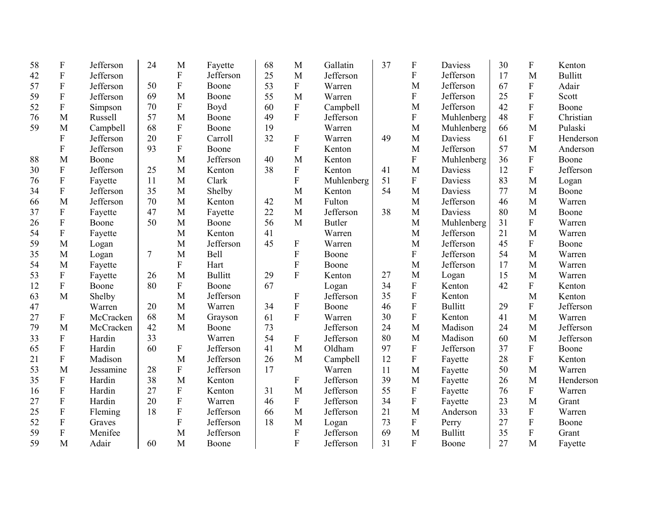| 58 | $\mathbf F$               | Jefferson | 24 | M                         | Fayette        | 68 | M                         | Gallatin      | 37 | F                         | Daviess        | 30 | $\boldsymbol{F}$          | Kenton         |
|----|---------------------------|-----------|----|---------------------------|----------------|----|---------------------------|---------------|----|---------------------------|----------------|----|---------------------------|----------------|
| 42 | $\mathbf F$               | Jefferson |    | $\boldsymbol{\mathrm{F}}$ | Jefferson      | 25 | M                         | Jefferson     |    | $\boldsymbol{\mathrm{F}}$ | Jefferson      | 17 | M                         | <b>Bullitt</b> |
| 57 | $\boldsymbol{\mathrm{F}}$ | Jefferson | 50 | ${\bf F}$                 | Boone          | 53 | ${\bf F}$                 | Warren        |    | M                         | Jefferson      | 67 | $\boldsymbol{\mathrm{F}}$ | Adair          |
| 59 | ${\bf F}$                 | Jefferson | 69 | M                         | Boone          | 55 | M                         | Warren        |    | $\boldsymbol{\mathrm{F}}$ | Jefferson      | 25 | ${\bf F}$                 | Scott          |
| 52 | ${\bf F}$                 | Simpson   | 70 | ${\bf F}$                 | Boyd           | 60 | ${\bf F}$                 | Campbell      |    | M                         | Jefferson      | 42 | ${\bf F}$                 | Boone          |
| 76 | M                         | Russell   | 57 | M                         | Boone          | 49 | $\overline{F}$            | Jefferson     |    | $\boldsymbol{\mathrm{F}}$ | Muhlenberg     | 48 | $\mathbf F$               | Christian      |
| 59 | M                         | Campbell  | 68 | $\mathbf{F}$              | Boone          | 19 |                           | Warren        |    | M                         | Muhlenberg     | 66 | M                         | Pulaski        |
|    | $\mathbf F$               | Jefferson | 20 | $\mathbf F$               | Carroll        | 32 | ${\bf F}$                 | Warren        | 49 | M                         | Daviess        | 61 | $\overline{F}$            | Henderson      |
|    | $\mathbf F$               | Jefferson | 93 | $\overline{F}$            | Boone          |    | $\overline{F}$            | Kenton        |    | M                         | Jefferson      | 57 | M                         | Anderson       |
| 88 | M                         | Boone     |    | M                         | Jefferson      | 40 | M                         | Kenton        |    | $\boldsymbol{\mathrm{F}}$ | Muhlenberg     | 36 | ${\bf F}$                 | Boone          |
| 30 | $\mathbf F$               | Jefferson | 25 | M                         | Kenton         | 38 | ${\bf F}$                 | Kenton        | 41 | M                         | Daviess        | 12 | $\overline{F}$            | Jefferson      |
| 76 | $\boldsymbol{\mathrm{F}}$ | Fayette   | 11 | M                         | Clark          |    | $\mathbf{F}$              | Muhlenberg    | 51 | $\boldsymbol{\mathrm{F}}$ | Daviess        | 83 | M                         | Logan          |
| 34 | ${\bf F}$                 | Jefferson | 35 | M                         | Shelby         |    | M                         | Kenton        | 54 | M                         | Daviess        | 77 | M                         | Boone          |
| 66 | M                         | Jefferson | 70 | M                         | Kenton         | 42 | M                         | Fulton        |    | M                         | Jefferson      | 46 | M                         | Warren         |
| 37 | $\boldsymbol{\mathrm{F}}$ | Fayette   | 47 | M                         | Fayette        | 22 | M                         | Jefferson     | 38 | M                         | Daviess        | 80 | M                         | Boone          |
| 26 | $\boldsymbol{\mathrm{F}}$ | Boone     | 50 | M                         | Boone          | 56 | M                         | <b>Butler</b> |    | M                         | Muhlenberg     | 31 | ${\bf F}$                 | Warren         |
| 54 | ${\bf F}$                 | Fayette   |    | M                         | Kenton         | 41 |                           | Warren        |    | M                         | Jefferson      | 21 | M                         | Warren         |
| 59 | M                         | Logan     |    | M                         | Jefferson      | 45 | $\boldsymbol{F}$          | Warren        |    | M                         | Jefferson      | 45 | ${\bf F}$                 | Boone          |
| 35 | M                         | Logan     | 7  | M                         | Bell           |    | $\overline{F}$            | Boone         |    | $\boldsymbol{\mathrm{F}}$ | Jefferson      | 54 | M                         | Warren         |
| 54 | M                         | Fayette   |    | $\overline{F}$            | Hart           |    | $\overline{F}$            | Boone         |    | M                         | Jefferson      | 17 | M                         | Warren         |
| 53 | $\boldsymbol{\mathrm{F}}$ | Fayette   | 26 | M                         | <b>Bullitt</b> | 29 | $\overline{F}$            | Kenton        | 27 | M                         | Logan          | 15 | M                         | Warren         |
| 12 | $\mathbf{F}$              | Boone     | 80 | $\mathbf{F}$              | Boone          | 67 |                           | Logan         | 34 | ${\bf F}$                 | Kenton         | 42 | ${\bf F}$                 | Kenton         |
| 63 | M                         | Shelby    |    | M                         | Jefferson      |    | $\boldsymbol{\mathrm{F}}$ | Jefferson     | 35 | ${\bf F}$                 | Kenton         |    | M                         | Kenton         |
| 47 |                           | Warren    | 20 | M                         | Warren         | 34 | $\rm F$                   | Boone         | 46 | $\mathbf F$               | <b>Bullitt</b> | 29 | ${\bf F}$                 | Jefferson      |
| 27 | $\boldsymbol{\mathrm{F}}$ | McCracken | 68 | M                         | Grayson        | 61 | $\overline{F}$            | Warren        | 30 | $\boldsymbol{\mathrm{F}}$ | Kenton         | 41 | M                         | Warren         |
| 79 | M                         | McCracken | 42 | M                         | Boone          | 73 |                           | Jefferson     | 24 | M                         | Madison        | 24 | M                         | Jefferson      |
| 33 | $\boldsymbol{\mathrm{F}}$ | Hardin    | 33 |                           | Warren         | 54 | $\boldsymbol{\mathrm{F}}$ | Jefferson     | 80 | M                         | Madison        | 60 | M                         | Jefferson      |
| 65 | $\boldsymbol{\mathrm{F}}$ | Hardin    | 60 | ${\bf F}$                 | Jefferson      | 41 | M                         | Oldham        | 97 | ${\bf F}$                 | Jefferson      | 37 | ${\bf F}$                 | Boone          |
| 21 | F                         | Madison   |    | M                         | Jefferson      | 26 | M                         | Campbell      | 12 | ${\bf F}$                 | Fayette        | 28 | ${\bf F}$                 | Kenton         |
| 53 | M                         | Jessamine | 28 | ${\bf F}$                 | Jefferson      | 17 |                           | Warren        | 11 | M                         | Fayette        | 50 | M                         | Warren         |
| 35 | ${\bf F}$                 | Hardin    | 38 | M                         | Kenton         |    | ${\bf F}$                 | Jefferson     | 39 | M                         | Fayette        | 26 | M                         | Henderson      |
| 16 | $\mathbf F$               | Hardin    | 27 | ${\bf F}$                 | Kenton         | 31 | M                         | Jefferson     | 55 | ${\bf F}$                 | Fayette        | 76 | ${\bf F}$                 | Warren         |
| 27 | $\mathbf F$               | Hardin    | 20 | $\overline{F}$            | Warren         | 46 | $\overline{F}$            | Jefferson     | 34 | $\mathbf F$               | Fayette        | 23 | M                         | Grant          |
| 25 | $\boldsymbol{\mathrm{F}}$ | Fleming   | 18 | ${\bf F}$                 | Jefferson      | 66 | M                         | Jefferson     | 21 | M                         | Anderson       | 33 | $\boldsymbol{\mathrm{F}}$ | Warren         |
| 52 | $\boldsymbol{F}$          | Graves    |    | $\mathbf F$               | Jefferson      | 18 | M                         | Logan         | 73 | ${\bf F}$                 | Perry          | 27 | ${\bf F}$                 | Boone          |
| 59 | $\mathbf F$               | Menifee   |    | M                         | Jefferson      |    | $\mathbf{F}$              | Jefferson     | 69 | M                         | <b>Bullitt</b> | 35 | ${\bf F}$                 | Grant          |
| 59 | M                         | Adair     | 60 | M                         | Boone          |    | $\overline{F}$            | Jefferson     | 31 | $\mathbf{F}$              | Boone          | 27 | M                         | Fayette        |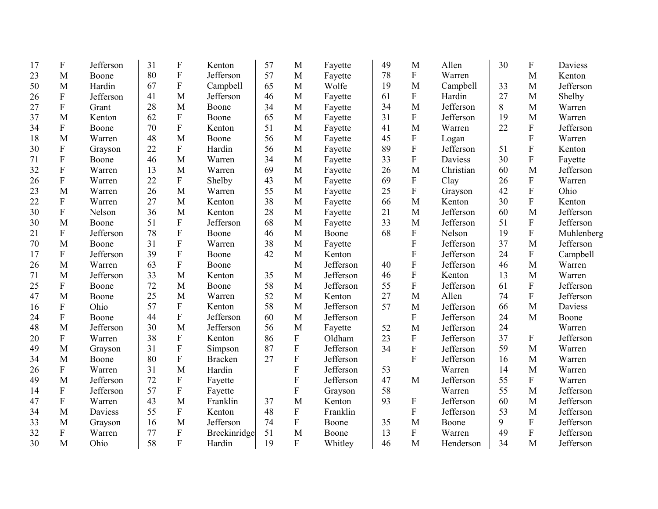| 17 | $\boldsymbol{\mathrm{F}}$ | Jefferson | 31 | $\boldsymbol{\mathrm{F}}$ | Kenton         | 57 | M                         | Fayette   | 49 | M                         | Allen          | 30 | $\boldsymbol{\mathrm{F}}$ | <b>Daviess</b> |
|----|---------------------------|-----------|----|---------------------------|----------------|----|---------------------------|-----------|----|---------------------------|----------------|----|---------------------------|----------------|
| 23 | M                         | Boone     | 80 | $\boldsymbol{\mathrm{F}}$ | Jefferson      | 57 | M                         | Fayette   | 78 | ${\bf F}$                 | Warren         |    | M                         | Kenton         |
| 50 | M                         | Hardin    | 67 | $\boldsymbol{\mathrm{F}}$ | Campbell       | 65 | M                         | Wolfe     | 19 | M                         | Campbell       | 33 | M                         | Jefferson      |
| 26 | ${\bf F}$                 | Jefferson | 41 | M                         | Jefferson      | 46 | M                         | Fayette   | 61 | F                         | Hardin         | 27 | $\mathbf{M}$              | Shelby         |
| 27 | ${\bf F}$                 | Grant     | 28 | M                         | Boone          | 34 | M                         | Fayette   | 34 | M                         | Jefferson      | 8  | M                         | Warren         |
| 37 | M                         | Kenton    | 62 | $\boldsymbol{\mathrm{F}}$ | Boone          | 65 | M                         | Fayette   | 31 | $\mathbf F$               | Jefferson      | 19 | M                         | Warren         |
| 34 | $\mathbf F$               | Boone     | 70 | $\boldsymbol{\mathrm{F}}$ | Kenton         | 51 | M                         | Fayette   | 41 | M                         | Warren         | 22 | $\mathbf{F}$              | Jefferson      |
| 18 | M                         | Warren    | 48 | M                         | Boone          | 56 | M                         | Fayette   | 45 | ${\bf F}$                 | Logan          |    | $\overline{F}$            | Warren         |
| 30 | ${\bf F}$                 | Grayson   | 22 | $\overline{F}$            | Hardin         | 56 | M                         | Fayette   | 89 | ${\bf F}$                 | Jefferson      | 51 | $\overline{F}$            | Kenton         |
| 71 | ${\bf F}$                 | Boone     | 46 | M                         | Warren         | 34 | M                         | Fayette   | 33 | $\rm F$                   | <b>Daviess</b> | 30 | ${\bf F}$                 | Fayette        |
| 32 | ${\bf F}$                 | Warren    | 13 | M                         | Warren         | 69 | M                         | Fayette   | 26 | M                         | Christian      | 60 | $\mathbf{M}$              | Jefferson      |
| 26 | ${\bf F}$                 | Warren    | 22 | $\mathbf F$               | Shelby         | 43 | M                         | Fayette   | 69 | ${\bf F}$                 | Clay           | 26 | ${\bf F}$                 | Warren         |
| 23 | M                         | Warren    | 26 | M                         | Warren         | 55 | M                         | Fayette   | 25 | $\boldsymbol{\mathrm{F}}$ | Grayson        | 42 | $\overline{F}$            | Ohio           |
| 22 | $\boldsymbol{\mathrm{F}}$ | Warren    | 27 | M                         | Kenton         | 38 | M                         | Fayette   | 66 | M                         | Kenton         | 30 | $\mathbf F$               | Kenton         |
| 30 | ${\bf F}$                 | Nelson    | 36 | M                         | Kenton         | 28 | M                         | Fayette   | 21 | M                         | Jefferson      | 60 | M                         | Jefferson      |
| 30 | M                         | Boone     | 51 | ${\bf F}$                 | Jefferson      | 68 | M                         | Fayette   | 33 | M                         | Jefferson      | 51 | $\boldsymbol{F}$          | Jefferson      |
| 21 | ${\bf F}$                 | Jefferson | 78 | $\overline{F}$            | Boone          | 46 | M                         | Boone     | 68 | ${\bf F}$                 | Nelson         | 19 | $\mathbf{F}$              | Muhlenberg     |
| 70 | M                         | Boone     | 31 | $\overline{F}$            | Warren         | 38 | M                         | Fayette   |    | ${\bf F}$                 | Jefferson      | 37 | M                         | Jefferson      |
| 17 | $\boldsymbol{\mathrm{F}}$ | Jefferson | 39 | $\overline{F}$            | Boone          | 42 | M                         | Kenton    |    | ${\bf F}$                 | Jefferson      | 24 | ${\bf F}$                 | Campbell       |
| 26 | M                         | Warren    | 63 | $\overline{F}$            | Boone          |    | M                         | Jefferson | 40 | $\mathbf F$               | Jefferson      | 46 | M                         | Warren         |
| 71 | M                         | Jefferson | 33 | M                         | Kenton         | 35 | M                         | Jefferson | 46 | ${\bf F}$                 | Kenton         | 13 | M                         | Warren         |
| 25 | $\boldsymbol{F}$          | Boone     | 72 | M                         | Boone          | 58 | M                         | Jefferson | 55 | $\overline{\mathrm{F}}$   | Jefferson      | 61 | $\mathbf{F}$              | Jefferson      |
| 47 | M                         | Boone     | 25 | M                         | Warren         | 52 | M                         | Kenton    | 27 | M                         | Allen          | 74 | $\mathbf F$               | Jefferson      |
| 16 | $\boldsymbol{F}$          | Ohio      | 57 | $\mathbf{F}$              | Kenton         | 58 | M                         | Jefferson | 57 | M                         | Jefferson      | 66 | M                         | Daviess        |
| 24 | $\boldsymbol{F}$          | Boone     | 44 | $\mathbf F$               | Jefferson      | 60 | M                         | Jefferson |    | ${\bf F}$                 | Jefferson      | 24 | M                         | Boone          |
| 48 | M                         | Jefferson | 30 | M                         | Jefferson      | 56 | M                         | Fayette   | 52 | M                         | Jefferson      | 24 |                           | Warren         |
| 20 | $\boldsymbol{\mathrm{F}}$ | Warren    | 38 | $\boldsymbol{\mathrm{F}}$ | Kenton         | 86 | F                         | Oldham    | 23 | ${\bf F}$                 | Jefferson      | 37 | $\mathbf F$               | Jefferson      |
| 49 | M                         | Grayson   | 31 | ${\bf F}$                 | Simpson        | 87 | ${\bf F}$                 | Jefferson | 34 | ${\bf F}$                 | Jefferson      | 59 | M                         | Warren         |
| 34 | M                         | Boone     | 80 | F                         | <b>Bracken</b> | 27 | ${\bf F}$                 | Jefferson |    | $\overline{F}$            | Jefferson      | 16 | M                         | Warren         |
| 26 | $\boldsymbol{\mathrm{F}}$ | Warren    | 31 | M                         | Hardin         |    | F                         | Jefferson | 53 |                           | Warren         | 14 | M                         | Warren         |
| 49 | M                         | Jefferson | 72 | ${\bf F}$                 | Fayette        |    | F                         | Jefferson | 47 | M                         | Jefferson      | 55 | $\mathbf F$               | Warren         |
| 14 | $\boldsymbol{\mathrm{F}}$ | Jefferson | 57 | $\boldsymbol{\mathrm{F}}$ | Fayette        |    | $\boldsymbol{\mathrm{F}}$ | Grayson   | 58 |                           | Warren         | 55 | M                         | Jefferson      |
| 47 | ${\bf F}$                 | Warren    | 43 | M                         | Franklin       | 37 | M                         | Kenton    | 93 | ${\bf F}$                 | Jefferson      | 60 | M                         | Jefferson      |
| 34 | M                         | Daviess   | 55 | $\boldsymbol{\mathrm{F}}$ | Kenton         | 48 | F                         | Franklin  |    | $\boldsymbol{\mathrm{F}}$ | Jefferson      | 53 | M                         | Jefferson      |
| 33 | M                         | Grayson   | 16 | M                         | Jefferson      | 74 | F                         | Boone     | 35 | M                         | Boone          | 9  | ${\bf F}$                 | Jefferson      |
| 32 | $\boldsymbol{\mathrm{F}}$ | Warren    | 77 | ${\bf F}$                 | Breckinridge   | 51 | M                         | Boone     | 13 | ${\bf F}$                 | Warren         | 49 | ${\bf F}$                 | Jefferson      |
| 30 | M                         | Ohio      | 58 | F                         | Hardin         | 19 | $\overline{F}$            | Whitley   | 46 | M                         | Henderson      | 34 | M                         | Jefferson      |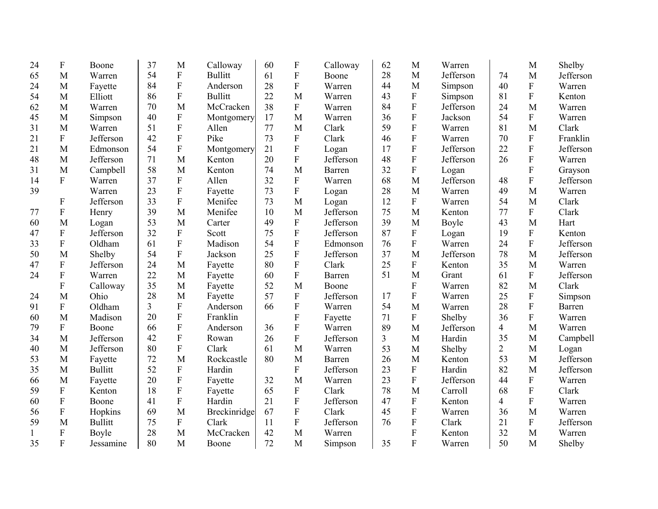| 24           | $\boldsymbol{\mathrm{F}}$ | Boone          | 37 | M                         | Calloway       | 60 | $\boldsymbol{\mathrm{F}}$ | Calloway  | 62             | M                         | Warren    |                | M                         | Shelby        |
|--------------|---------------------------|----------------|----|---------------------------|----------------|----|---------------------------|-----------|----------------|---------------------------|-----------|----------------|---------------------------|---------------|
| 65           | M                         | Warren         | 54 | ${\bf F}$                 | <b>Bullitt</b> | 61 | ${\bf F}$                 | Boone     | 28             | $\mathbf{M}$              | Jefferson | 74             | M                         | Jefferson     |
| 24           | M                         | Fayette        | 84 | $\boldsymbol{\mathrm{F}}$ | Anderson       | 28 | ${\bf F}$                 | Warren    | 44             | M                         | Simpson   | 40             | $\boldsymbol{\mathrm{F}}$ | Warren        |
| 54           | M                         | Elliott        | 86 | ${\bf F}$                 | <b>Bullitt</b> | 22 | M                         | Warren    | 43             | ${\bf F}$                 | Simpson   | 81             | ${\bf F}$                 | Kenton        |
| 62           | M                         | Warren         | 70 | M                         | McCracken      | 38 | $\mathbf{F}$              | Warren    | 84             | ${\bf F}$                 | Jefferson | 24             | M                         | Warren        |
| 45           | M                         | Simpson        | 40 | $\mathbf F$               | Montgomery     | 17 | M                         | Warren    | 36             | ${\bf F}$                 | Jackson   | 54             | ${\bf F}$                 | Warren        |
| 31           | M                         | Warren         | 51 | $\overline{F}$            | Allen          | 77 | M                         | Clark     | 59             | ${\bf F}$                 | Warren    | 81             | M                         | Clark         |
| 21           | ${\bf F}$                 | Jefferson      | 42 | $\mathbf F$               | Pike           | 73 | ${\bf F}$                 | Clark     | 46             | $\boldsymbol{\mathrm{F}}$ | Warren    | 70             | ${\bf F}$                 | Franklin      |
| 21           | M                         | Edmonson       | 54 | $\overline{F}$            | Montgomery     | 21 | ${\bf F}$                 | Logan     | 17             | ${\bf F}$                 | Jefferson | 22             | ${\bf F}$                 | Jefferson     |
| 48           | M                         | Jefferson      | 71 | M                         | Kenton         | 20 | $\overline{F}$            | Jefferson | 48             | $\mathbf F$               | Jefferson | 26             | $\boldsymbol{\mathrm{F}}$ | Warren        |
| 31           | M                         | Campbell       | 58 | M                         | Kenton         | 74 | M                         | Barren    | 32             | ${\bf F}$                 | Logan     |                | ${\bf F}$                 | Grayson       |
| 14           | ${\bf F}$                 | Warren         | 37 | ${\bf F}$                 | Allen          | 32 | $\mathbf{F}$              | Warren    | 68             | M                         | Jefferson | 48             | ${\bf F}$                 | Jefferson     |
| 39           |                           | Warren         | 23 | $\boldsymbol{\mathrm{F}}$ | Fayette        | 73 | ${\bf F}$                 | Logan     | 28             | M                         | Warren    | 49             | M                         | Warren        |
|              | ${\bf F}$                 | Jefferson      | 33 | $\rm F$                   | Menifee        | 73 | M                         | Logan     | 12             | $\mathbf{F}$              | Warren    | 54             | M                         | Clark         |
| 77           | ${\bf F}$                 | Henry          | 39 | M                         | Menifee        | 10 | M                         | Jefferson | 75             | M                         | Kenton    | 77             | ${\bf F}$                 | Clark         |
| 60           | M                         | Logan          | 53 | M                         | Carter         | 49 | $\boldsymbol{\mathrm{F}}$ | Jefferson | 39             | M                         | Boyle     | 43             | M                         | Hart          |
| 47           | $\boldsymbol{\mathrm{F}}$ | Jefferson      | 32 | ${\bf F}$                 | Scott          | 75 | $\mathbf{F}$              | Jefferson | 87             | ${\bf F}$                 | Logan     | 19             | ${\bf F}$                 | Kenton        |
| 33           | $\boldsymbol{\mathrm{F}}$ | Oldham         | 61 | $\mathbf F$               | Madison        | 54 | ${\bf F}$                 | Edmonson  | 76             | ${\bf F}$                 | Warren    | 24             | ${\bf F}$                 | Jefferson     |
| 50           | M                         | Shelby         | 54 | ${\bf F}$                 | Jackson        | 25 | $\mathbf{F}$              | Jefferson | 37             | M                         | Jefferson | 78             | M                         | Jefferson     |
| 47           | $\boldsymbol{\mathrm{F}}$ | Jefferson      | 24 | M                         | Fayette        | 80 | $\overline{F}$            | Clark     | 25             | $\mathbf{F}$              | Kenton    | 35             | M                         | Warren        |
| 24           | ${\bf F}$                 | Warren         | 22 | M                         | Fayette        | 60 | ${\bf F}$                 | Barren    | 51             | M                         | Grant     | 61             | ${\bf F}$                 | Jefferson     |
|              | F                         | Calloway       | 35 | M                         | Fayette        | 52 | M                         | Boone     |                | F                         | Warren    | 82             | M                         | Clark         |
| 24           | M                         | Ohio           | 28 | M                         | Fayette        | 57 | ${\bf F}$                 | Jefferson | 17             | $\boldsymbol{F}$          | Warren    | 25             | $\boldsymbol{\mathrm{F}}$ | Simpson       |
| 91           | $\boldsymbol{F}$          | Oldham         | 3  | $\mathbf{F}$              | Anderson       | 66 | $\mathbf{F}$              | Warren    | 54             | M                         | Warren    | 28             | ${\bf F}$                 | <b>Barren</b> |
| 60           | M                         | Madison        | 20 | $\mathbf F$               | Franklin       |    | $\overline{F}$            | Fayette   | 71             | $\mathbf{F}$              | Shelby    | 36             | $\mathbf F$               | Warren        |
| 79           | $\boldsymbol{\mathrm{F}}$ | Boone          | 66 | $\mathbf F$               | Anderson       | 36 | $\mathbf{F}$              | Warren    | 89             | M                         | Jefferson | 4              | M                         | Warren        |
| 34           | M                         | Jefferson      | 42 | $\mathbf F$               | Rowan          | 26 | $\mathbf{F}$              | Jefferson | $\overline{3}$ | M                         | Hardin    | 35             | M                         | Campbell      |
| 40           | M                         | Jefferson      | 80 | $\boldsymbol{\mathrm{F}}$ | Clark          | 61 | M                         | Warren    | 53             | M                         | Shelby    | $\overline{2}$ | M                         | Logan         |
| 53           | M                         | Fayette        | 72 | M                         | Rockcastle     | 80 | M                         | Barren    | 26             | M                         | Kenton    | 53             | M                         | Jefferson     |
| 35           | M                         | <b>Bullitt</b> | 52 | $\mathbf F$               | Hardin         |    | $\mathbf{F}$              | Jefferson | 23             | $\mathbf{F}$              | Hardin    | 82             | M                         | Jefferson     |
| 66           | M                         | Fayette        | 20 | ${\bf F}$                 | Fayette        | 32 | M                         | Warren    | 23             | ${\bf F}$                 | Jefferson | 44             | ${\bf F}$                 | Warren        |
| 59           | ${\bf F}$                 | Kenton         | 18 | ${\bf F}$                 | Fayette        | 65 | $\mathbf{F}$              | Clark     | 78             | M                         | Carroll   | 68             | ${\bf F}$                 | Clark         |
| 60           | $\boldsymbol{\mathrm{F}}$ | Boone          | 41 | $\mathbf F$               | Hardin         | 21 | ${\bf F}$                 | Jefferson | 47             | ${\bf F}$                 | Kenton    | 4              | ${\bf F}$                 | Warren        |
| 56           | $\boldsymbol{\mathrm{F}}$ | Hopkins        | 69 | M                         | Breckinridge   | 67 | $\mathbf{F}$              | Clark     | 45             | ${\bf F}$                 | Warren    | 36             | M                         | Warren        |
| 59           | M                         | <b>Bullitt</b> | 75 | $\overline{F}$            | Clark          | 11 | $\mathbf{F}$              | Jefferson | 76             | F                         | Clark     | 21             | $\mathbf F$               | Jefferson     |
| $\mathbf{1}$ | F                         | Boyle          | 28 | M                         | McCracken      | 42 | M                         | Warren    |                | F                         | Kenton    | 32             | M                         | Warren        |
| 35           | $\overline{F}$            | Jessamine      | 80 | M                         | Boone          | 72 | M                         | Simpson   | 35             | $\overline{F}$            | Warren    | 50             | M                         | Shelby        |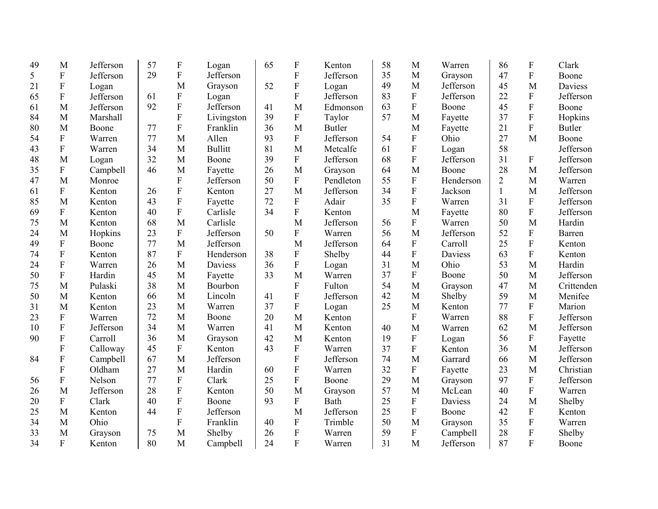| 49 | M                         | Jefferson | 57 | $\boldsymbol{\mathrm{F}}$ | Logan          | 65 | $\boldsymbol{F}$ | Kenton        | 58 | M                         | Warren         | 86             | F                         | Clark         |
|----|---------------------------|-----------|----|---------------------------|----------------|----|------------------|---------------|----|---------------------------|----------------|----------------|---------------------------|---------------|
| 5  | ${\bf F}$                 | Jefferson | 29 | $\mathbf F$               | Jefferson      |    | ${\bf F}$        | Jefferson     | 35 | M                         | Grayson        | 47             | $\mathbf F$               | Boone         |
| 21 | $\boldsymbol{\mathrm{F}}$ | Logan     |    | M                         | Grayson        | 52 | ${\bf F}$        | Logan         | 49 | M                         | Jefferson      | 45             | M                         | Daviess       |
| 65 | $\mathbf F$               | Jefferson | 61 | $\mathbf F$               | Logan          |    | ${\bf F}$        | Jefferson     | 83 | ${\bf F}$                 | Jefferson      | 22             | ${\bf F}$                 | Jefferson     |
| 61 | M                         | Jefferson | 92 | $\mathbf F$               | Jefferson      | 41 | M                | Edmonson      | 63 | ${\bf F}$                 | Boone          | 45             | $\mathbf F$               | Boone         |
| 84 | M                         | Marshall  |    | $\overline{F}$            | Livingston     | 39 | $\mathbf F$      | Taylor        | 57 | M                         | Fayette        | 37             | ${\bf F}$                 | Hopkins       |
| 80 | M                         | Boone     | 77 | F                         | Franklin       | 36 | M                | <b>Butler</b> |    | M                         | Fayette        | 21             | ${\bf F}$                 | <b>Butler</b> |
| 54 | ${\bf F}$                 | Warren    | 77 | M                         | Allen          | 93 | $\mathbf{F}$     | Jefferson     | 54 | ${\bf F}$                 | Ohio           | 27             | M                         | Boone         |
| 43 | ${\bf F}$                 | Warren    | 34 | M                         | <b>Bullitt</b> | 81 | M                | Metcalfe      | 61 | ${\bf F}$                 | Logan          | 58             |                           | Jefferson     |
| 48 | M                         | Logan     | 32 | M                         | Boone          | 39 | ${\bf F}$        | Jefferson     | 68 | ${\bf F}$                 | Jefferson      | 31             | ${\bf F}$                 | Jefferson     |
| 35 | ${\bf F}$                 | Campbell  | 46 | M                         | Fayette        | 26 | M                | Grayson       | 64 | M                         | Boone          | 28             | M                         | Jefferson     |
| 47 | M                         | Monroe    |    | $\mathbf F$               | Jefferson      | 50 | $\mathbf F$      | Pendleton     | 55 | ${\bf F}$                 | Henderson      | $\overline{2}$ | $\mathbf M$               | Warren        |
| 61 | ${\bf F}$                 | Kenton    | 26 | $\overline{F}$            | Kenton         | 27 | M                | Jefferson     | 34 | ${\bf F}$                 | Jackson        | $\mathbf{1}$   | M                         | Jefferson     |
| 85 | M                         | Kenton    | 43 | $\boldsymbol{\mathrm{F}}$ | Fayette        | 72 | $\mathbf F$      | Adair         | 35 | $\boldsymbol{\mathrm{F}}$ | Warren         | 31             | ${\bf F}$                 | Jefferson     |
| 69 | ${\bf F}$                 | Kenton    | 40 | $\boldsymbol{\mathrm{F}}$ | Carlisle       | 34 | ${\bf F}$        | Kenton        |    | M                         | Fayette        | 80             | ${\bf F}$                 | Jefferson     |
| 75 | M                         | Kenton    | 68 | M                         | Carlisle       |    | M                | Jefferson     | 56 | $\boldsymbol{\mathrm{F}}$ | Warren         | 50             | M                         | Hardin        |
| 24 | M                         | Hopkins   | 23 | ${\bf F}$                 | Jefferson      | 50 | $\mathbf F$      | Warren        | 56 | M                         | Jefferson      | 52             | ${\bf F}$                 | Barren        |
| 49 | F                         | Boone     | 77 | M                         | Jefferson      |    | M                | Jefferson     | 64 | $\boldsymbol{\mathrm{F}}$ | Carroll        | 25             | ${\bf F}$                 | Kenton        |
| 74 | $\boldsymbol{\mathrm{F}}$ | Kenton    | 87 | ${\bf F}$                 | Henderson      | 38 | $\mathbf F$      | Shelby        | 44 | $\boldsymbol{F}$          | Daviess        | 63             | $\mathbf F$               | Kenton        |
| 24 | ${\bf F}$                 | Warren    | 26 | M                         | <b>Daviess</b> | 36 | $\overline{F}$   | Logan         | 31 | M                         | Ohio           | 53             | M                         | Hardin        |
| 50 | ${\bf F}$                 | Hardin    | 45 | M                         | Fayette        | 33 | M                | Warren        | 37 | $\boldsymbol{F}$          | Boone          | 50             | $\mathbf M$               | Jefferson     |
| 75 | M                         | Pulaski   | 38 | M                         | Bourbon        |    | $\mathbf{F}$     | Fulton        | 54 | M                         | Grayson        | 47             | M                         | Crittenden    |
| 50 | M                         | Kenton    | 66 | M                         | Lincoln        | 41 | ${\bf F}$        | Jefferson     | 42 | M                         | Shelby         | 59             | M                         | Menifee       |
| 31 | M                         | Kenton    | 23 | M                         | Warren         | 37 | ${\bf F}$        | Logan         | 25 | M                         | Kenton         | 77             | ${\bf F}$                 | Marion        |
| 23 | F                         | Warren    | 72 | M                         | Boone          | 20 | M                | Kenton        |    | $\boldsymbol{F}$          | Warren         | 88             | ${\bf F}$                 | Jefferson     |
| 10 | $\boldsymbol{\mathrm{F}}$ | Jefferson | 34 | M                         | Warren         | 41 | M                | Kenton        | 40 | M                         | Warren         | 62             | M                         | Jefferson     |
| 90 | F                         | Carroll   | 36 | M                         | Grayson        | 42 | M                | Kenton        | 19 | $\boldsymbol{\mathrm{F}}$ | Logan          | 56             | F                         | Fayette       |
|    | F                         | Calloway  | 45 | ${\bf F}$                 | Kenton         | 43 | ${\bf F}$        | Warren        | 37 | $\boldsymbol{F}$          | Kenton         | 36             | M                         | Jefferson     |
| 84 | F                         | Campbell  | 67 | M                         | Jefferson      |    | $\overline{F}$   | Jefferson     | 74 | M                         | Garrard        | 66             | M                         | Jefferson     |
|    | F                         | Oldham    | 27 | M                         | Hardin         | 60 | ${\bf F}$        | Warren        | 32 | ${\bf F}$                 | Fayette        | 23             | M                         | Christian     |
| 56 | ${\bf F}$                 | Nelson    | 77 | $\mathbf F$               | Clark          | 25 | ${\bf F}$        | Boone         | 29 | M                         | Grayson        | 97             | $\mathbf F$               | Jefferson     |
| 26 | M                         | Jefferson | 28 | $\mathbf F$               | Kenton         | 50 | M                | Grayson       | 57 | M                         | McLean         | 40             | ${\bf F}$                 | Warren        |
| 20 | ${\bf F}$                 | Clark     | 40 | $\overline{F}$            | Boone          | 93 | ${\bf F}$        | Bath          | 25 | ${\bf F}$                 | <b>Daviess</b> | 24             | M                         | Shelby        |
| 25 | M                         | Kenton    | 44 | $\mathbf F$               | Jefferson      |    | M                | Jefferson     | 25 | ${\bf F}$                 | Boone          | 42             | ${\bf F}$                 | Kenton        |
| 34 | M                         | Ohio      |    | $\mathbf F$               | Franklin       | 40 | $\mathbf F$      | Trimble       | 50 | M                         | Grayson        | 35             | ${\bf F}$                 | Warren        |
| 33 | M                         | Grayson   | 75 | M                         | Shelby         | 26 | ${\bf F}$        | Warren        | 59 | ${\bf F}$                 | Campbell       | 28             | $\boldsymbol{\mathrm{F}}$ | Shelby        |
| 34 | $\mathbf{F}$              | Kenton    | 80 | M                         | Campbell       | 24 | $\overline{F}$   | Warren        | 31 | M                         | Jefferson      | 87             | $\mathbf F$               | Boone         |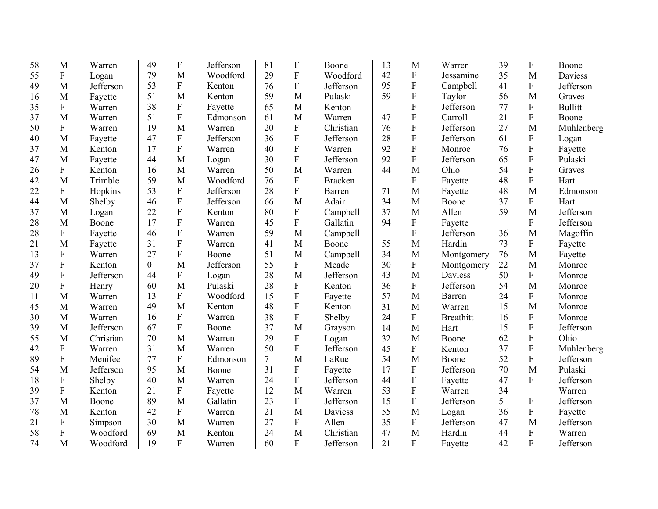| 58 | M                         | Warren    | 49             | $\boldsymbol{\mathrm{F}}$ | Jefferson | 81     | F                         | Boone          | 13 | M              | Warren           | 39 | F                         | Boone          |
|----|---------------------------|-----------|----------------|---------------------------|-----------|--------|---------------------------|----------------|----|----------------|------------------|----|---------------------------|----------------|
| 55 | ${\bf F}$                 | Logan     | 79             | M                         | Woodford  | 29     | $\mathbf F$               | Woodford       | 42 | ${\bf F}$      | Jessamine        | 35 | M                         | <b>Daviess</b> |
| 49 | M                         | Jefferson | 53             | ${\bf F}$                 | Kenton    | 76     | ${\bf F}$                 | Jefferson      | 95 | ${\bf F}$      | Campbell         | 41 | $\mathbf F$               | Jefferson      |
| 16 | M                         | Fayette   | 51             | M                         | Kenton    | 59     | M                         | Pulaski        | 59 | $\overline{F}$ | Taylor           | 56 | M                         | Graves         |
| 35 | ${\bf F}$                 | Warren    | 38             | $\mathbf F$               | Fayette   | 65     | $\mathbf{M}$              | Kenton         |    | ${\bf F}$      | Jefferson        | 77 | $\mathbf F$               | <b>Bullitt</b> |
| 37 | M                         | Warren    | 51             | $\mathbf F$               | Edmonson  | 61     | M                         | Warren         | 47 | $\overline{F}$ | Carroll          | 21 | $\mathbf F$               | Boone          |
| 50 | ${\bf F}$                 | Warren    | 19             | M                         | Warren    | 20     | ${\bf F}$                 | Christian      | 76 | $\overline{F}$ | Jefferson        | 27 | M                         | Muhlenberg     |
| 40 | M                         | Fayette   | 47             | ${\bf F}$                 | Jefferson | 36     | $\mathbf F$               | Jefferson      | 28 | $\overline{F}$ | Jefferson        | 61 | $\mathbf F$               | Logan          |
| 37 | M                         | Kenton    | 17             | $\overline{F}$            | Warren    | 40     | F                         | Warren         | 92 | $\overline{F}$ | Monroe           | 76 | $\overline{F}$            | Fayette        |
| 47 | M                         | Fayette   | 44             | M                         | Logan     | 30     | F                         | Jefferson      | 92 | $\overline{F}$ | Jefferson        | 65 | $\overline{F}$            | Pulaski        |
| 26 | ${\bf F}$                 | Kenton    | 16             | M                         | Warren    | 50     | M                         | Warren         | 44 | M              | Ohio             | 54 | $\overline{F}$            | Graves         |
| 42 | M                         | Trimble   | 59             | M                         | Woodford  | 76     | $\mathbf F$               | <b>Bracken</b> |    | ${\bf F}$      | Fayette          | 48 | $\mathbf{F}$              | Hart           |
| 22 | ${\bf F}$                 | Hopkins   | 53             | $\mathbf F$               | Jefferson | 28     | F                         | Barren         | 71 | M              | Fayette          | 48 | M                         | Edmonson       |
| 44 | M                         | Shelby    | 46             | ${\bf F}$                 | Jefferson | 66     | M                         | Adair          | 34 | M              | Boone            | 37 | F                         | Hart           |
| 37 | M                         | Logan     | 22             | $\overline{F}$            | Kenton    | 80     | ${\bf F}$                 | Campbell       | 37 | M              | Allen            | 59 | M                         | Jefferson      |
| 28 | M                         | Boone     | 17             | ${\bf F}$                 | Warren    | 45     | ${\bf F}$                 | Gallatin       | 94 | ${\bf F}$      | Fayette          |    | F                         | Jefferson      |
| 28 | $\boldsymbol{F}$          | Fayette   | 46             | ${\bf F}$                 | Warren    | 59     | M                         | Campbell       |    | $\rm F$        | Jefferson        | 36 | M                         | Magoffin       |
| 21 | M                         | Fayette   | 31             | $\overline{F}$            | Warren    | 41     | M                         | Boone          | 55 | M              | Hardin           | 73 | F                         | Fayette        |
| 13 | $\boldsymbol{F}$          | Warren    | 27             | $\overline{F}$            | Boone     | 51     | M                         | Campbell       | 34 | M              | Montgomery       | 76 | M                         | Fayette        |
| 37 | ${\bf F}$                 | Kenton    | $\overline{0}$ | M                         | Jefferson | 55     | $\mathbf{F}$              | Meade          | 30 | $\rm F$        | Montgomery       | 22 | M                         | Monroe         |
| 49 | ${\bf F}$                 | Jefferson | 44             | ${\bf F}$                 | Logan     | 28     | M                         | Jefferson      | 43 | M              | Daviess          | 50 | $\mathbf{F}$              | Monroe         |
| 20 | ${\bf F}$                 | Henry     | 60             | M                         | Pulaski   | 28     | $\mathbf F$               | Kenton         | 36 | ${\bf F}$      | Jefferson        | 54 | M                         | Monroe         |
| 11 | M                         | Warren    | 13             | F                         | Woodford  | 15     | $\mathbf F$               | Fayette        | 57 | M              | Barren           | 24 | F                         | Monroe         |
| 45 | M                         | Warren    | 49             | M                         | Kenton    | 48     | $\mathbf F$               | Kenton         | 31 | M              | Warren           | 15 | M                         | Monroe         |
| 30 | M                         | Warren    | 16             | $\boldsymbol{\mathrm{F}}$ | Warren    | 38     | $\mathbf F$               | Shelby         | 24 | $\mathbf F$    | <b>Breathitt</b> | 16 | $\boldsymbol{F}$          | Monroe         |
| 39 | M                         | Jefferson | 67             | ${\bf F}$                 | Boone     | 37     | M                         | Grayson        | 14 | M              | Hart             | 15 | $\mathbf F$               | Jefferson      |
| 55 | M                         | Christian | 70             | M                         | Warren    | 29     | $\boldsymbol{\mathrm{F}}$ | Logan          | 32 | M              | Boone            | 62 | ${\bf F}$                 | Ohio           |
| 42 | $\boldsymbol{\mathrm{F}}$ | Warren    | 31             | M                         | Warren    | 50     | $\mathbf F$               | Jefferson      | 45 | ${\bf F}$      | Kenton           | 37 | ${\bf F}$                 | Muhlenberg     |
| 89 | $\boldsymbol{\mathrm{F}}$ | Menifee   | 77             | ${\bf F}$                 | Edmonson  | $\tau$ | M                         | LaRue          | 54 | M              | Boone            | 52 | $\overline{F}$            | Jefferson      |
| 54 | M                         | Jefferson | 95             | M                         | Boone     | 31     | $\mathbf F$               | Fayette        | 17 | $\rm F$        | Jefferson        | 70 | M                         | Pulaski        |
| 18 | ${\bf F}$                 | Shelby    | 40             | M                         | Warren    | 24     | ${\bf F}$                 | Jefferson      | 44 | $\overline{F}$ | Fayette          | 47 | $\mathbf{F}$              | Jefferson      |
| 39 | $\boldsymbol{\mathrm{F}}$ | Kenton    | 21             | ${\bf F}$                 | Fayette   | 12     | M                         | Warren         | 53 | ${\bf F}$      | Warren           | 34 |                           | Warren         |
| 37 | M                         | Boone     | 89             | M                         | Gallatin  | 23     | $\mathbf F$               | Jefferson      | 15 | $\overline{F}$ | Jefferson        | 5  | ${\bf F}$                 | Jefferson      |
| 78 | M                         | Kenton    | 42             | ${\bf F}$                 | Warren    | 21     | M                         | Daviess        | 55 | M              | Logan            | 36 | $\boldsymbol{\mathrm{F}}$ | Fayette        |
| 21 | ${\bf F}$                 | Simpson   | 30             | M                         | Warren    | 27     | $\mathbf F$               | Allen          | 35 | $\rm F$        | Jefferson        | 47 | M                         | Jefferson      |
| 58 | $\boldsymbol{\mathrm{F}}$ | Woodford  | 69             | M                         | Kenton    | 24     | M                         | Christian      | 47 | M              | Hardin           | 44 | ${\bf F}$                 | Warren         |
| 74 | M                         | Woodford  | 19             | $\overline{F}$            | Warren    | 60     | $\overline{F}$            | Jefferson      | 21 | $\overline{F}$ | Fayette          | 42 | $\overline{F}$            | Jefferson      |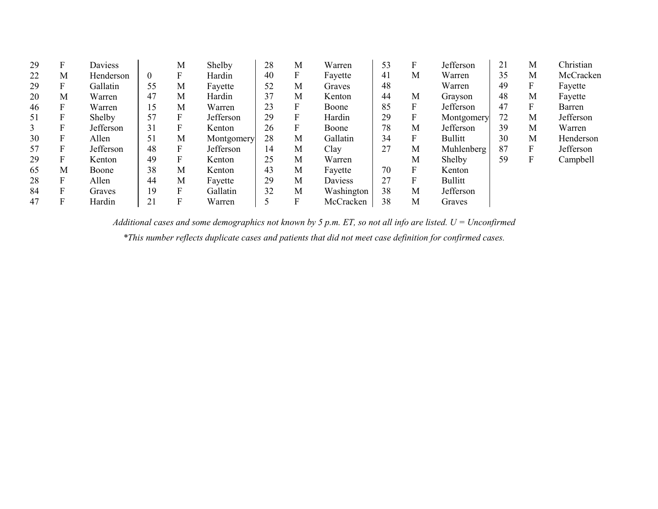| 29 | F | Daviess   |                | M | Shelby     | 28 | М                | Warren     | 53 | F            | Jefferson      | 21 | M | Christian |
|----|---|-----------|----------------|---|------------|----|------------------|------------|----|--------------|----------------|----|---|-----------|
| 22 | M | Henderson | $\overline{0}$ | F | Hardin     | 40 | F                | Fayette    | 41 | M            | Warren         | 35 | M | McCracken |
| 29 | F | Gallatin  | 55             | M | Fayette    | 52 | М                | Graves     | 48 |              | Warren         | 49 | F | Fayette   |
| 20 | M | Warren    | 47             | M | Hardin     | 37 | М                | Kenton     | 44 | M            | Grayson        | 48 | M | Fayette   |
| 46 | F | Warren    | 15             | M | Warren     | 23 | $\boldsymbol{F}$ | Boone      | 85 | F            | Jefferson      | 47 | F | Barren    |
| 51 | F | Shelby    | 57             | F | Jefferson  | 29 | $\mathbf F$      | Hardin     | 29 | F            | Montgomery     | 72 | M | Jefferson |
| 3  | F | Jefferson | 31             | F | Kenton     | 26 | F                | Boone      | 78 | M            | Jefferson      | 39 | M | Warren    |
| 30 | F | Allen     | 51             | M | Montgomery | 28 | M                | Gallatin   | 34 | F            | <b>Bullitt</b> | 30 | M | Henderson |
| 57 | F | Jefferson | 48             | F | Jefferson  | 14 | М                | Clay       | 27 | M            | Muhlenberg     | 87 | F | Jefferson |
| 29 | F | Kenton    | 49             | F | Kenton     | 25 | M                | Warren     |    | M            | Shelby         | 59 | F | Campbell  |
| 65 | M | Boone     | 38             | M | Kenton     | 43 | M                | Fayette    | 70 | F            | Kenton         |    |   |           |
| 28 | F | Allen     | 44             | M | Fayette    | 29 | М                | Daviess    | 27 | $\mathbf{F}$ | <b>Bullitt</b> |    |   |           |
| 84 | F | Graves    | 19             | F | Gallatin   | 32 | M                | Washington | 38 | M            | Jefferson      |    |   |           |
| 47 | F | Hardin    | 21             | F | Warren     |    | F                | McCracken  | 38 | M            | Graves         |    |   |           |

*Additional cases and some demographics not known by 5 p.m. ET, so not all info are listed. U = Unconfirmed \*This number reflects duplicate cases and patients that did not meet case definition for confirmed cases.*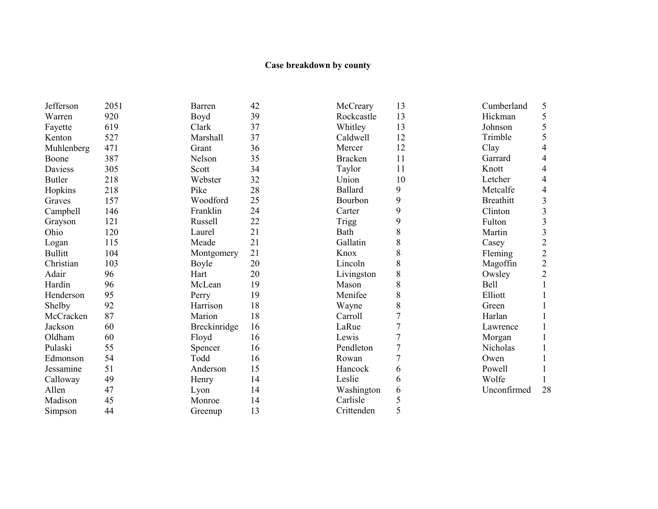#### **Case breakdown by county**

13

Jefferson 2051 Warren 920<br>Fayette 619 Fayette 619<br>Kenton 527 Kenton Muhlenberg 471<br>Boone 387 Boone 387<br>Daviess 305 Daviess 305<br>Butler 218 Butler 218<br>Hopkins 218 Hopkins 218<br>Graves 157 Graves 157<br>Campbell 146 Campbell Grayson 121<br>Ohio 120  $Ohio$ Logan 115<br>Bullitt 104 **Bullitt** Christian 103 Adair 96<br>Hardin 96 Hardin 96<br>Henderson 95 Henderson 95<br>Shelby 92 Shelby 92<br>McCracken 87 McCracken 87<br>Jackson 60 Jackson 60<br>Oldham 60 Oldham 60<br>Pulaski 55 Pulaski 55<br>Edmonson 54 Edmonson 54<br>Jessamine 51 Jessamine Calloway 49 Allen 47<br>Madison 45 Madison 45<br>Simpson 44 Simpson

| Barren       | 42 | McCreary       | 13             |
|--------------|----|----------------|----------------|
| Boyd         | 39 | Rockcastle     | 13             |
| Clark        | 37 | Whitley        | 13             |
| Marshall     | 37 | Caldwell       | 12             |
| Grant        | 36 | Mercer         | 12             |
| Nelson       | 35 | <b>Bracken</b> | 11             |
| Scott        | 34 | Taylor         | 11             |
| Webster      | 32 | Union          | 10             |
| Pike         | 28 | Ballard        | 9              |
| Woodford     | 25 | Bourbon        | 9              |
| Franklin     | 24 | Carter         | 9              |
| Russell      | 22 | Trigg          | 9              |
| Laurel       | 21 | Bath           | 8              |
| Meade        | 21 | Gallatin       | 8              |
| Montgomery   | 21 | Knox           | 8              |
| Boyle        | 20 | Lincoln        | 8              |
| Hart         | 20 | Livingston     | 8              |
| McLean       | 19 | Mason          | 8              |
| Perry        | 19 | Menifee        | 8              |
| Harrison     | 18 | Wayne          | 8              |
| Marion       | 18 | Carroll        | $\overline{7}$ |
| Breckinridge | 16 | LaRue          | $\overline{7}$ |
| Floyd        | 16 | Lewis          | $\overline{7}$ |
| Spencer      | 16 | Pendleton      | $\overline{7}$ |
| Todd         | 16 | Rowan          | $\overline{7}$ |
| Anderson     | 15 | Hancock        | 6              |
| Henry        | 14 | Leslie         | 6              |
| Lyon         | 14 | Washington     | 6              |
| Monroe       | 14 | Carlisle       | 5              |
| Greenup      | 13 | Crittenden     | 5              |

| Cumberland       | 5              |
|------------------|----------------|
| Hickman          |                |
| Johnson          | 5<br>5<br>5    |
| Trimble          |                |
| Clay             | 4              |
| Garrard          | 4              |
| Knott            | $\overline{4}$ |
| Letcher          | 4              |
| Metcalfe         | 4              |
| <b>Breathitt</b> |                |
| Clinton          |                |
| Fulton           |                |
| Martin           |                |
| Casey            |                |
| Fleming          |                |
| Magoffin         | 333222         |
| Owsley           | $\overline{c}$ |
| Bell             | $\mathbf{1}$   |
| Elliott          | $\mathbf{1}$   |
| Green            | 1              |
| Harlan           | $\mathbf{1}$   |
| Lawrence         | 1              |
| Morgan           | 1              |
| Nicholas         | 1              |
| Owen             | 1              |
| Powell           | 1              |
| Wolfe            | 1              |
| Unconfirmed      | 28             |
|                  |                |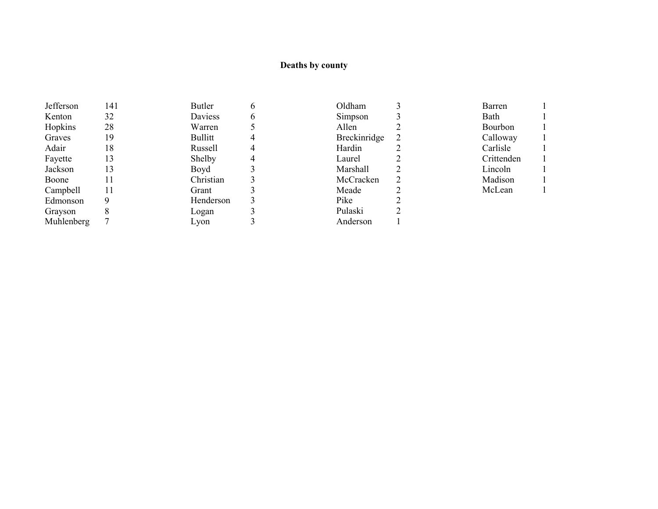# **Deaths by county**

| 141 | Butler    |   | Oldham       | Barren         |
|-----|-----------|---|--------------|----------------|
| 32  | Daviess   | 6 | Simpson      | Bath           |
| 28  | Warren    |   | Allen        | <b>Bourbon</b> |
| 19  | Bullitt   |   | Breckinridge | Calloway       |
| 18  | Russell   |   | Hardin       | Carlisle       |
| 13  | Shelby    |   | Laurel       | Crittenden     |
| 13  | Boyd      |   | Marshall     | Lincoln        |
|     | Christian |   | McCracken    | Madison        |
|     | Grant     |   | Meade        | McLean         |
|     | Henderson |   | Pike         |                |
| 8   | Logan     |   | Pulaski      |                |
|     | Lyon      |   | Anderson     |                |
|     |           |   |              |                |